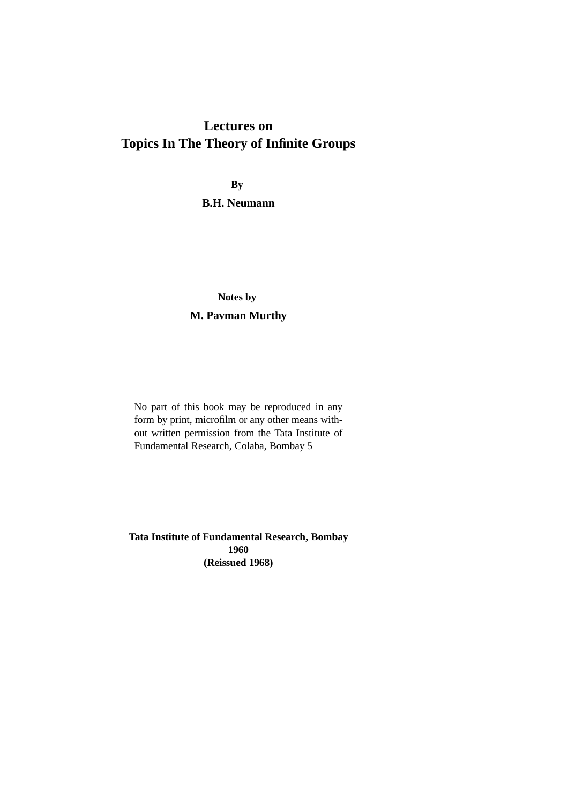# **Lectures on Topics In The Theory of Infinite Groups**

**By**

**B.H. Neumann**

# **Notes by M. Pavman Murthy**

No part of this book may be reproduced in any form by print, microfilm or any other means without written permission from the Tata Institute of Fundamental Research, Colaba, Bombay 5

**Tata Institute of Fundamental Research, Bombay 1960 (Reissued 1968)**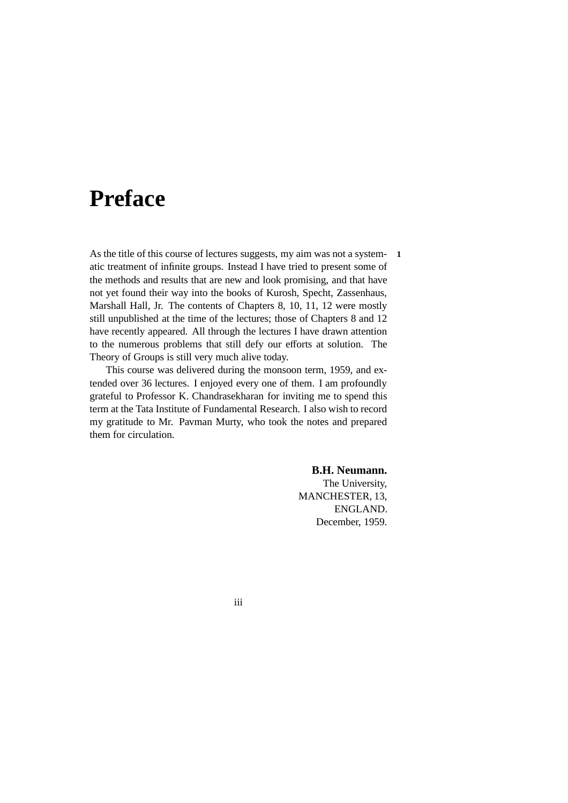# <span id="page-2-0"></span>**Preface**

As the title of this course of lectures suggests, my aim was not a system- **1** atic treatment of infinite groups. Instead I have tried to present some of the methods and results that are new and look promising, and that have not yet found their way into the books of Kurosh, Specht, Zassenhaus, Marshall Hall, Jr. The contents of Chapters 8, 10, 11, 12 were mostly still unpublished at the time of the lectures; those of Chapters 8 and 12 have recently appeared. All through the lectures I have drawn attention to the numerous problems that still defy our efforts at solution. The Theory of Groups is still very much alive today.

This course was delivered during the monsoon term, 1959, and extended over 36 lectures. I enjoyed every one of them. I am profoundly grateful to Professor K. Chandrasekharan for inviting me to spend this term at the Tata Institute of Fundamental Research. I also wish to record my gratitude to Mr. Pavman Murty, who took the notes and prepared them for circulation.

> **B.H. Neumann.** The University, MANCHESTER, 13, ENGLAND. December, 1959.

iii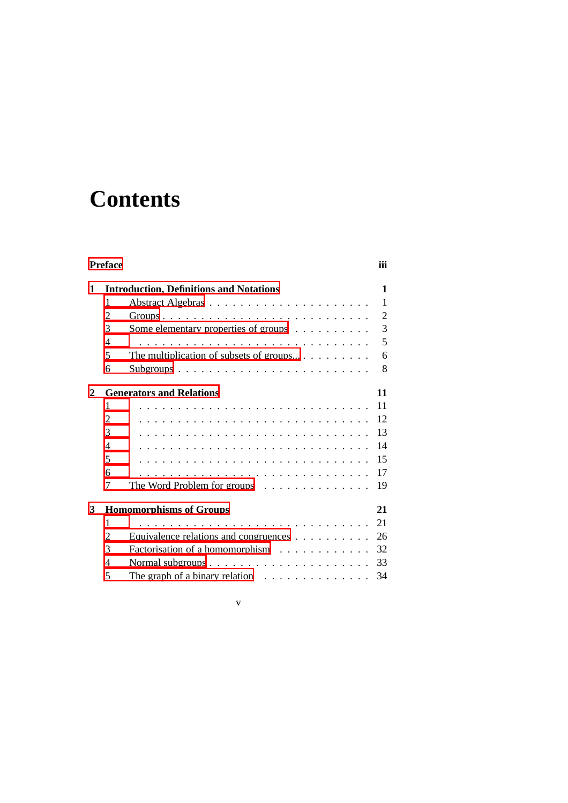# **Contents**

| <b>Preface</b> |   |                                                              |                |  |
|----------------|---|--------------------------------------------------------------|----------------|--|
| 1              |   | <b>Introduction, Definitions and Notations</b>               | 1              |  |
|                | 1 |                                                              | $\mathbf{1}$   |  |
|                | 2 |                                                              | $\overline{2}$ |  |
|                | 3 | Some elementary properties of groups                         | 3              |  |
|                | 4 |                                                              | 5              |  |
|                | 5 | The multiplication of subsets of groups                      | 6              |  |
|                | 6 |                                                              | 8              |  |
| 2              |   | <b>Generators and Relations</b>                              | 11             |  |
|                | 1 |                                                              | 11             |  |
|                | 2 |                                                              | 12             |  |
|                | 3 |                                                              | 13             |  |
|                | 4 |                                                              | 14             |  |
|                | 5 |                                                              | 15             |  |
|                | 6 |                                                              | 17             |  |
|                | 7 | The Word Problem for groups $\dots \dots \dots \dots \dots$  | 19             |  |
| 3              |   | <b>Homomorphisms of Groups</b>                               | 21             |  |
|                | 1 |                                                              | 21             |  |
|                | 2 | Equivalence relations and congruences                        | 26             |  |
|                | 3 | Factorisation of a homomorphism                              | 32             |  |
|                | 4 |                                                              | 33             |  |
|                | 5 | The graph of a binary relation $\ldots \ldots \ldots \ldots$ | 34             |  |

v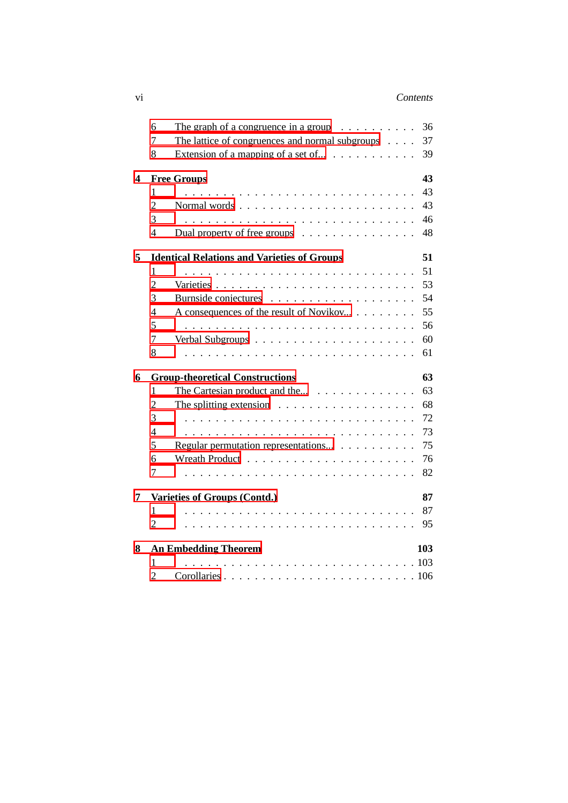|   | 6              | The graph of a congruence in a group $\ldots \ldots \ldots$         | 36  |
|---|----------------|---------------------------------------------------------------------|-----|
|   | 7              | The lattice of congruences and normal subgroups                     | 37  |
|   | 8              | Extension of a mapping of a set of $\ldots$                         | 39  |
| 4 |                | <b>Free Groups</b>                                                  | 43  |
|   | 1              |                                                                     | 43  |
|   | $\overline{2}$ |                                                                     | 43  |
|   | 3              |                                                                     | 46  |
|   | $\overline{4}$ | Dual property of free groups $\dots \dots \dots \dots \dots$        | 48  |
| 5 |                | <b>Identical Relations and Varieties of Groups</b>                  | 51  |
|   | 1              |                                                                     | 51  |
|   | $\overline{2}$ |                                                                     | 53  |
|   | 3              |                                                                     | 54  |
|   | 4              | A consequences of the result of Novikov                             | 55  |
|   | 5              |                                                                     | 56  |
|   | $\overline{7}$ |                                                                     | 60  |
|   | 8              |                                                                     | 61  |
| 6 |                | <b>Group-theoretical Constructions</b>                              | 63  |
|   | 1              |                                                                     | 63  |
|   | $\overline{2}$ | The splitting extension $\ldots \ldots \ldots \ldots \ldots \ldots$ | 68  |
|   | 3              |                                                                     | 72  |
|   | $\overline{4}$ |                                                                     | 73  |
|   | 5              | Regular permutation representations                                 | 75  |
|   | 6              |                                                                     | 76  |
|   | $\overline{7}$ |                                                                     | 82  |
| 7 |                | Varieties of Groups (Contd.)                                        | 87  |
|   | 1              |                                                                     | 87  |
|   | $\overline{2}$ |                                                                     | 95  |
| 8 |                | <b>An Embedding Theorem</b>                                         | 103 |
|   | 1              |                                                                     |     |
|   | $\overline{2}$ |                                                                     |     |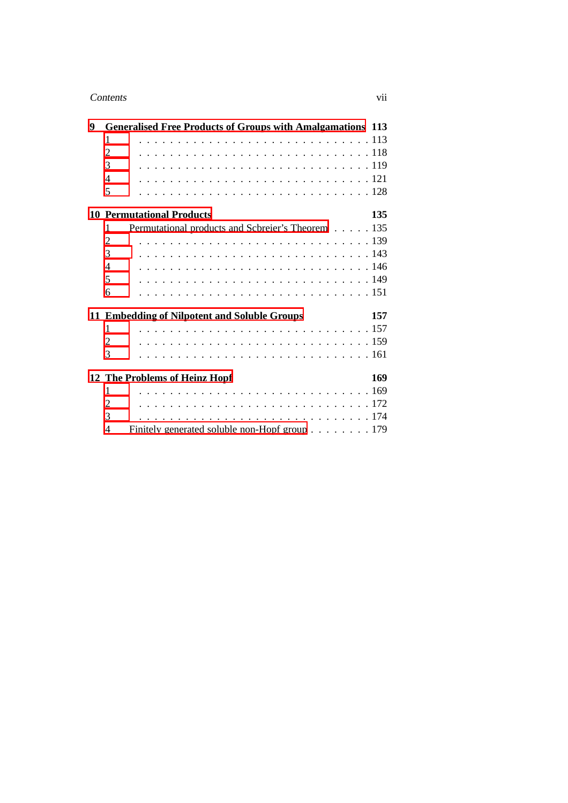### Contents vii

| 9 | <b>Generalised Free Products of Groups with Amalgamations 113</b> |     |
|---|-------------------------------------------------------------------|-----|
|   | 1                                                                 |     |
|   | 2                                                                 |     |
|   | 3                                                                 |     |
|   | $\overline{\mathcal{A}}$                                          |     |
|   | 5                                                                 |     |
|   | <b>10 Permutational Products</b>                                  | 135 |
|   | Permutational products and Scbreier's Theorem 135<br>1            |     |
|   | $\overline{2}$                                                    |     |
|   | 3                                                                 |     |
|   | $\overline{4}$                                                    |     |
|   | 5                                                                 |     |
|   | 6                                                                 |     |
|   | 11 Embedding of Nilpotent and Soluble Groups                      | 157 |
|   | 1                                                                 |     |
|   | 2                                                                 |     |
|   | 3                                                                 |     |
|   | 12 The Problems of Heinz Hopf                                     | 169 |
|   | 1                                                                 |     |
|   | 2                                                                 |     |
|   | 3                                                                 |     |
|   | Finitely generated soluble non-Hopf group 179<br>4                |     |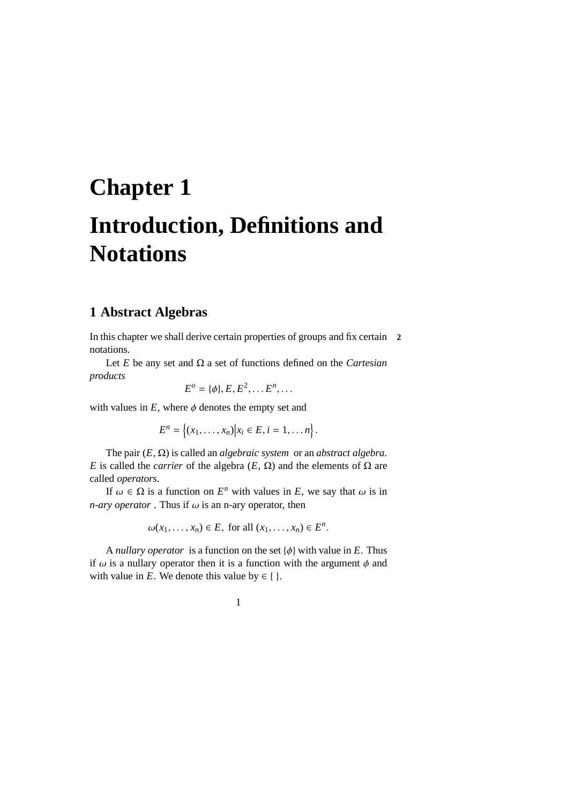# <span id="page-8-0"></span>**Chapter 1 Introduction, Definitions and Notations**

# <span id="page-8-1"></span>**1 Abstract Algebras**

In this chapter we shall derive certain properties of groups and fix certain **2** notations.

Let *E* be any set and Ω a set of functions defined on the *Cartesian products*

$$
E^o = \{\phi\}, E, E^2, \ldots E^n, \ldots
$$

with values in  $E$ , where  $\phi$  denotes the empty set and

 $E^n = \{(x_1, \ldots, x_n) | x_i \in E, i = 1, \ldots n\}.$ 

The pair (*E*, Ω) is called an *algebraic system* or an *abstract algebra*. *E* is called the *carrier* of the algebra  $(E, \Omega)$  and the elements of  $\Omega$  are called *operators*.

If  $\omega \in \Omega$  is a function on  $E^n$  with values in E, we say that  $\omega$  is in *n-ary operator* . Thus if  $\omega$  is an n-ary operator, then

 $\omega(x_1, ..., x_n) \in E$ , for all  $(x_1, ..., x_n) \in E^n$ .

A *nullary operator* is a function on the set  $\{\phi\}$  with value in *E*. Thus if  $\omega$  is a nullary operator then it is a function with the argument  $\phi$  and with value in *E*. We denote this value by  $\in \{ \}$ .

1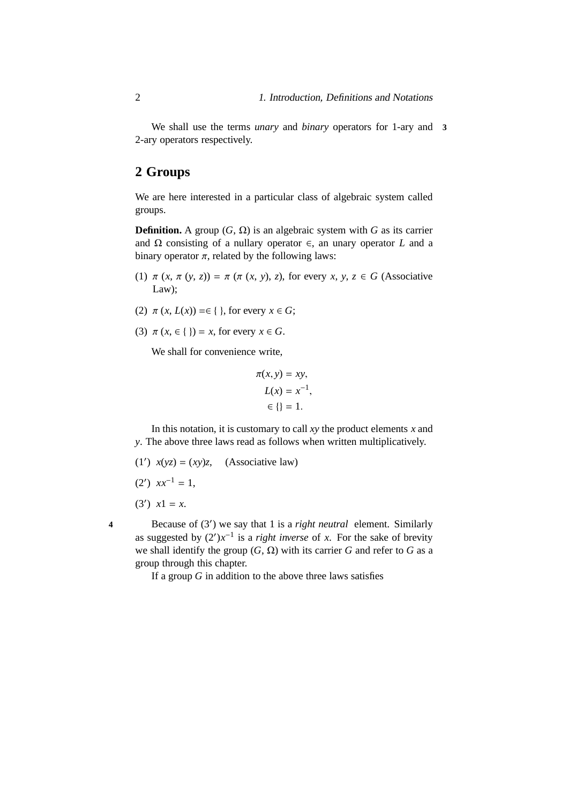We shall use the terms *unary* and *binary* operators for 1-ary and **3** 2-ary operators respectively.

# <span id="page-9-0"></span>**2 Groups**

We are here interested in a particular class of algebraic system called groups.

**Definition.** A group  $(G, \Omega)$  is an algebraic system with *G* as its carrier and Ω consisting of a nullary operator ∈, an unary operator *L* and a binary operator  $\pi$ , related by the following laws:

- (1)  $\pi$  (*x*,  $\pi$  (*y*, *z*)) =  $\pi$  ( $\pi$  (*x*, *y*), *z*), for every *x*, *y*, *z*  $\in$  *G* (Associative Law):
- (2)  $\pi(x, L(x)) = \in \{\}$ , for every  $x \in G$ ;
- (3)  $\pi$  (*x*,  $\in$  { }) = *x*, for every  $x \in G$ .

We shall for convenience write,

$$
\pi(x, y) = xy,
$$
  
\n
$$
L(x) = x^{-1},
$$
  
\n
$$
\in \{\} = 1.
$$

In this notation, it is customary to call *xy* the product elements *x* and *y*. The above three laws read as follows when written multiplicatively.

- (1')  $x(yz) = (xy)z$ , (Associative law)
- $(2')$   $xx^{-1} = 1$ ,
- (3')  $x1 = x$ .
- 

Because of (3′ **4** ) we say that 1 is a *right neutral* element. Similarly as suggested by  $(2')x^{-1}$  is a *right inverse* of *x*. For the sake of brevity we shall identify the group  $(G, \Omega)$  with its carrier *G* and refer to *G* as a group through this chapter.

If a group *G* in addition to the above three laws satisfies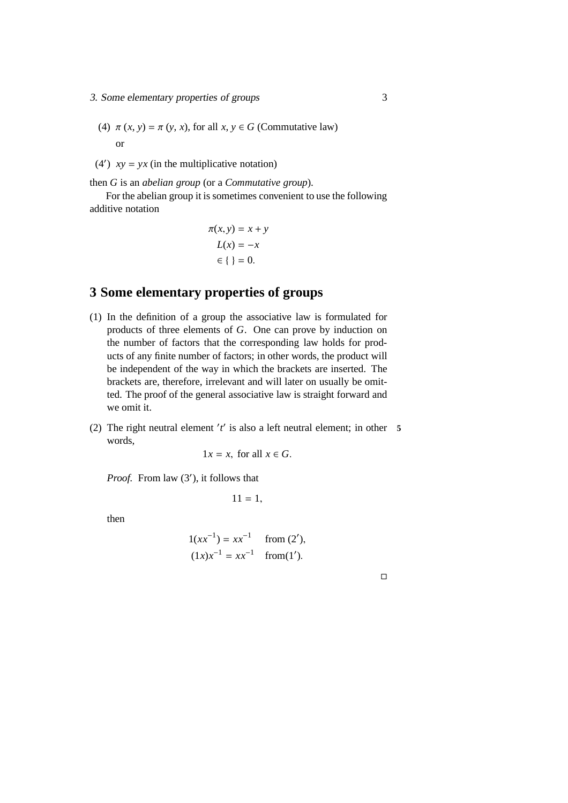- 3. Some elementary properties of groups 3
	- (4)  $\pi(x, y) = \pi(y, x)$ , for all  $x, y \in G$  (Commutative law) or
	- (4')  $xy = yx$  (in the multiplicative notation)

then *G* is an *abelian group* (or a *Commutative group*).

For the abelian group it is sometimes convenient to use the following additive notation

$$
\pi(x, y) = x + y
$$

$$
L(x) = -x
$$

$$
\in \{ \} = 0.
$$

# <span id="page-10-0"></span>**3 Some elementary properties of groups**

- (1) In the definition of a group the associative law is formulated for products of three elements of *G*. One can prove by induction on the number of factors that the corresponding law holds for products of any finite number of factors; in other words, the product will be independent of the way in which the brackets are inserted. The brackets are, therefore, irrelevant and will later on usually be omitted. The proof of the general associative law is straight forward and we omit it.
- (2) The right neutral element ′ *t* ′ is also a left neutral element; in other **5** words,

$$
1x = x
$$
, for all  $x \in G$ .

Proof. From law (3'), it follows that

$$
11=1,
$$

then

$$
1(xx^{-1}) = xx^{-1} \quad \text{from (2'),}
$$

$$
(1x)x^{-1} = xx^{-1} \quad \text{from (1')}.
$$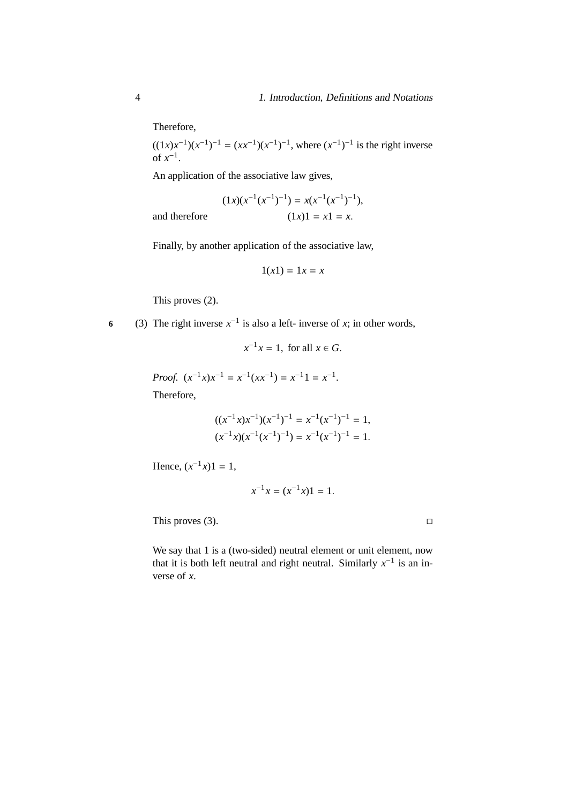Therefore,

 $((1x)x^{-1})(x^{-1})^{-1} = (xx^{-1})(x^{-1})^{-1}$ , where  $(x^{-1})^{-1}$  is the right inverse of  $x^{-1}$ .

An application of the associative law gives,

$$
(1x)(x^{-1}(x^{-1})^{-1}) = x(x^{-1}(x^{-1})^{-1}),
$$
  
and therefore  

$$
(1x)1 = x1 = x.
$$

Finally, by another application of the associative law,

$$
1(x1) = 1x = x
$$

This proves (2).

6 (3) The right inverse  $x^{-1}$  is also a left- inverse of *x*; in other words,

$$
x^{-1}x = 1, \text{ for all } x \in G.
$$

*Proof.*  $(x^{-1}x)x^{-1} = x^{-1}(xx^{-1}) = x^{-1}1 = x^{-1}$ . Therefore,

$$
((x^{-1}x)x^{-1})(x^{-1})^{-1} = x^{-1}(x^{-1})^{-1} = 1,
$$
  
\n $(x^{-1}x)(x^{-1}(x^{-1})^{-1}) = x^{-1}(x^{-1})^{-1} = 1.$ 

Hence,  $(x^{-1}x)1 = 1$ ,

$$
x^{-1}x = (x^{-1}x)1 = 1.
$$

This proves (3).  $\Box$ 

We say that 1 is a (two-sided) neutral element or unit element, now that it is both left neutral and right neutral. Similarly  $x^{-1}$  is an inverse of *x*.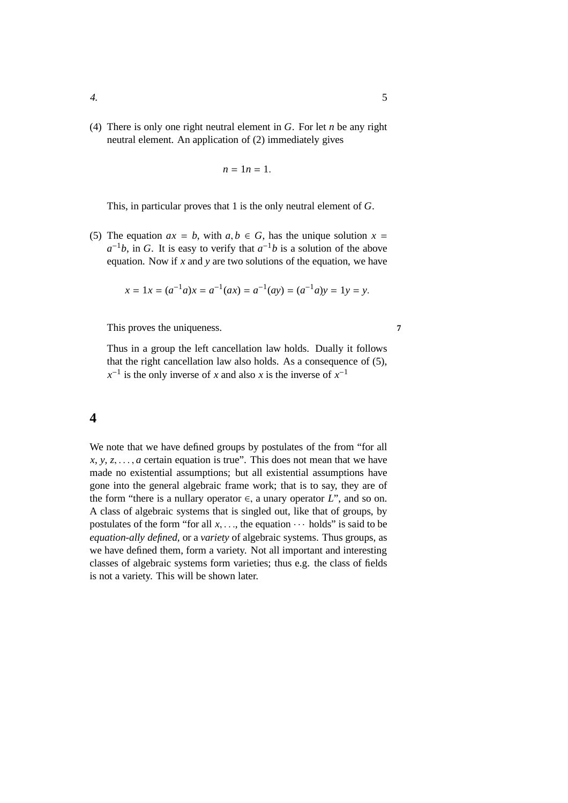(4) There is only one right neutral element in *G*. For let *n* be any right neutral element. An application of (2) immediately gives

$$
n=1n=1.
$$

This, in particular proves that 1 is the only neutral element of *G*.

(5) The equation  $ax = b$ , with  $a, b \in G$ , has the unique solution  $x =$  $a^{-1}b$ , in *G*. It is easy to verify that  $a^{-1}b$  is a solution of the above equation. Now if *x* and *y* are two solutions of the equation, we have

$$
x = 1x = (a^{-1}a)x = a^{-1}(ax) = a^{-1}(ay) = (a^{-1}a)y = 1y = y.
$$

This proves the uniqueness. **7** 

Thus in a group the left cancellation law holds. Dually it follows that the right cancellation law also holds. As a consequence of (5),  $x^{-1}$  is the only inverse of *x* and also *x* is the inverse of  $x^{-1}$ 

### <span id="page-12-0"></span>**4**

We note that we have defined groups by postulates of the from "for all  $x, y, z, \ldots, a$  certain equation is true". This does not mean that we have made no existential assumptions; but all existential assumptions have gone into the general algebraic frame work; that is to say, they are of the form "there is a nullary operator  $\in$ , a unary operator *L*", and so on. A class of algebraic systems that is singled out, like that of groups, by postulates of the form "for all  $x, \ldots$ , the equation  $\cdots$  holds" is said to be *equation-ally defined*, or a *variety* of algebraic systems. Thus groups, as we have defined them, form a variety. Not all important and interesting classes of algebraic systems form varieties; thus e.g. the class of fields is not a variety. This will be shown later.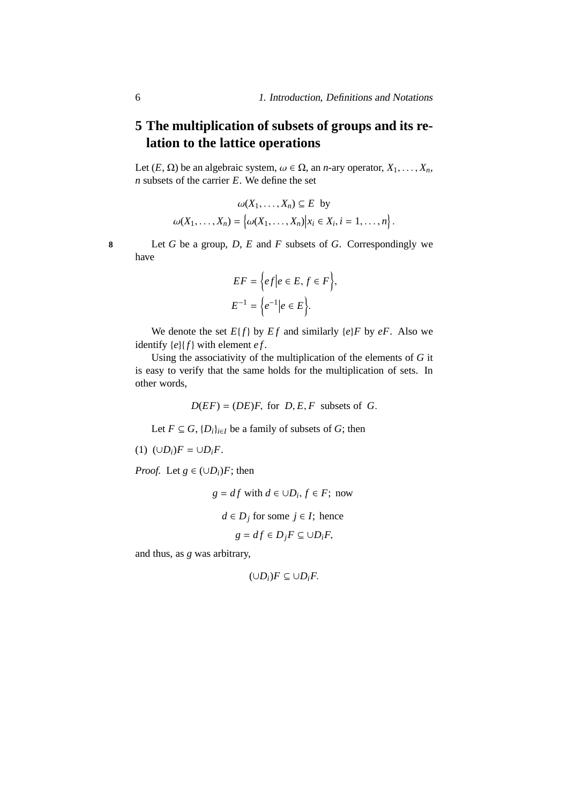# <span id="page-13-0"></span>**5 The multiplication of subsets of groups and its relation to the lattice operations**

Let  $(E, \Omega)$  be an algebraic system,  $\omega \in \Omega$ , an *n*-ary operator,  $X_1, \ldots, X_n$ , *n* subsets of the carrier *E*. We define the set

$$
\omega(X_1,\ldots,X_n) \subseteq E \text{ by}
$$

$$
\omega(X_1,\ldots,X_n) = \left\{\omega(X_1,\ldots,X_n) \middle| x_i \in X_i, i = 1,\ldots,n\right\}.
$$

**8** Let *G* be a group, *D*, *E* and *F* subsets of *G*. Correspondingly we have

$$
EF = \left\{ ef \middle| e \in E, f \in F \right\},\
$$

$$
E^{-1} = \left\{ e^{-1} \middle| e \in E \right\}.
$$

We denote the set  $E\{f\}$  by  $Ef$  and similarly  $\{e\}F$  by  $eF$ . Also we identify  ${e}{f}$  with element *ef*.

Using the associativity of the multiplication of the elements of *G* it is easy to verify that the same holds for the multiplication of sets. In other words,

 $D(EF) = (DE)F$ , for *D*, *E*, *F* subsets of *G*.

Let *F* ⊆ *G*, { $D_i$ }<sub>*i*∈*I*</sub> be a family of subsets of *G*; then

$$
(1) \ (\cup D_i)F = \cup D_iF.
$$

*Proof.* Let  $g \in (\cup D_i)F$ ; then

$$
g = df \text{ with } d \in \cup D_i, f \in F; \text{ now}
$$

$$
d \in D_j \text{ for some } j \in I; \text{ hence}
$$

$$
g = df \in D_j F \subseteq \cup D_i F,
$$

and thus, as *g* was arbitrary,

$$
(\cup D_i)F\subseteq \cup D_iF.
$$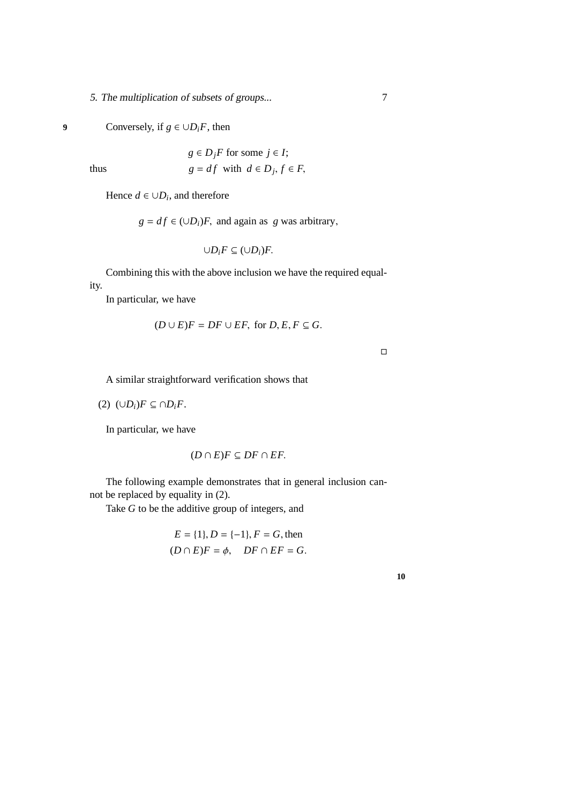5. The multiplication of subsets of groups...  $\overline{7}$ 

### 9 Conversely, if  $g \in \bigcup D_i F$ , then

$$
g \in D_j F \text{ for some } j \in I;
$$
  
thus 
$$
g = df \text{ with } d \in D_j, f \in F,
$$

Hence  $d \in \cup D_i$ , and therefore

 $g = df \in (\cup D_i)F$ , and again as *g* was arbitrary,

$$
\cup D_i F \subseteq (\cup D_i)F.
$$

Combining this with the above inclusion we have the required equality.

In particular, we have

$$
(D \cup E)F = DF \cup EF, \text{ for } D, E, F \subseteq G.
$$

 $\Box$ 

A similar straightforward verification shows that

(2)  $(∪D<sub>i</sub>)F ⊆ ∩D<sub>i</sub>F$ .

In particular, we have

$$
(D \cap E)F \subseteq DF \cap EF.
$$

The following example demonstrates that in general inclusion cannot be replaced by equality in (2).

Take *G* to be the additive group of integers, and

$$
E = \{1\}, D = \{-1\}, F = G
$$
, then  
 $(D \cap E)F = \phi$ ,  $DF \cap EF = G$ .

**10**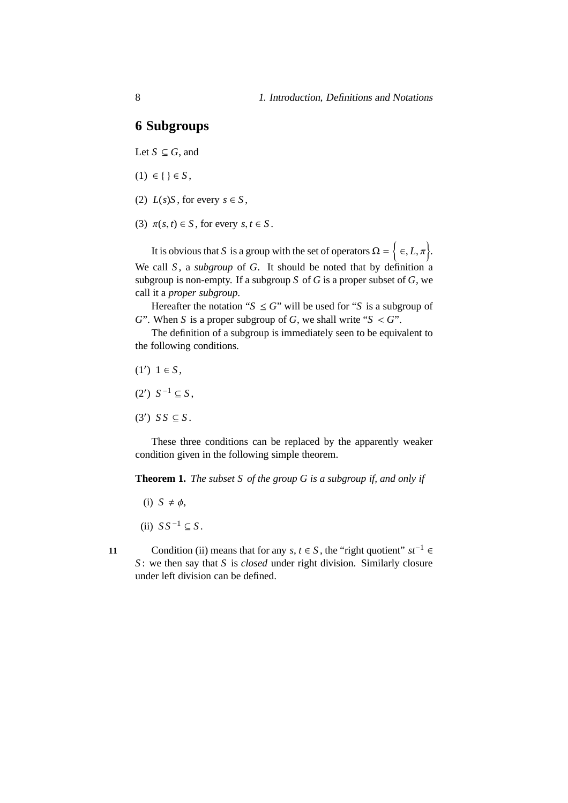## <span id="page-15-0"></span>**6 Subgroups**

Let  $S \subseteq G$ , and

- $(1) ∈ \{ \} ∈ S,$
- (2)  $L(s)S$ , for every  $s \in S$ ,
- (3)  $\pi(s, t) \in S$ , for every  $s, t \in S$ .

It is obvious that *S* is a group with the set of operators  $\Omega = \{ \epsilon, L, \pi \}.$ We call *S*, a *subgroup* of *G*. It should be noted that by definition a subgroup is non-empty. If a subgroup *S* of *G* is a proper subset of *G*, we call it a *proper subgroup*.

Hereafter the notation " $S \leq G$ " will be used for "*S* is a subgroup of *G*". When *S* is a proper subgroup of *G*, we shall write " $S < G$ ".

The definition of a subgroup is immediately seen to be equivalent to the following conditions.

- $(1') 1 \in S$ ,
- (2')  $S^{-1}$  ⊆  $S$ ,
- $(3')$  *SS*  $\subseteq$  *S*.

These three conditions can be replaced by the apparently weaker condition given in the following simple theorem.

**Theorem 1.** *The subset S of the group G is a subgroup if, and only if*

- $(i)$   $S \neq \phi$ ,
- (ii)  $SS^{-1} \subseteq S$ .
- 

Condition (ii) means that for any *s*,  $t \in S$ , the "right quotient"  $st^{-1} \in$ *S* : we then say that *S* is *closed* under right division. Similarly closure under left division can be defined.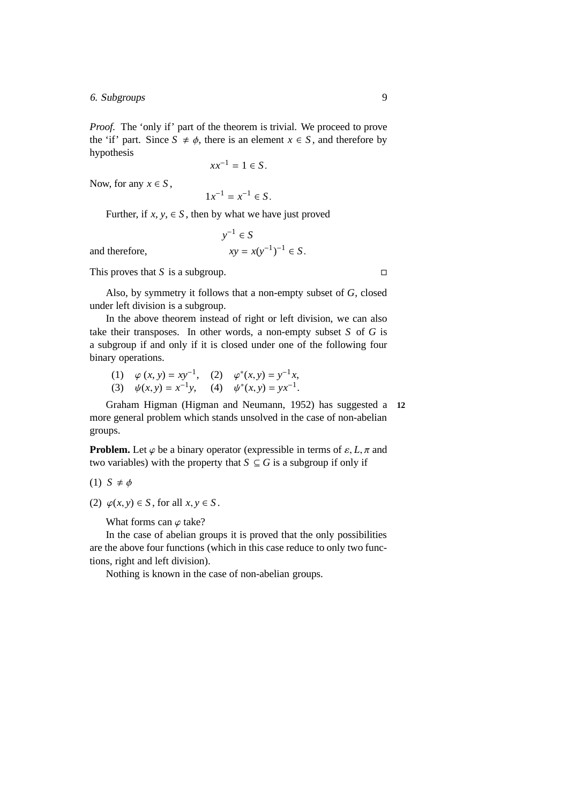6. Subgroups 9

*Proof.* The 'only if' part of the theorem is trivial. We proceed to prove the 'if' part. Since  $S \neq \phi$ , there is an element  $x \in S$ , and therefore by hypothesis

 $xx^{-1} = 1 \in S$ .

Now, for any  $x \in S$ ,

 $1x^{-1} = x^{-1} \in S$ .

 $y^{-1} \in S$ 

 $^{-1}$ )<sup>-1</sup> ∈ *S*.

Further, if  $x, y \in S$ , then by what we have just proved

and therefore,

This proves that *S* is a subgroup.  $\square$ 

Also, by symmetry it follows that a non-empty subset of *G*, closed under left division is a subgroup.

In the above theorem instead of right or left division, we can also take their transposes. In other words, a non-empty subset *S* of *G* is a subgroup if and only if it is closed under one of the following four binary operations.

(1)  $\varphi(x, y) = xy^{-1}$ , (2)  $\varphi^*(x, y) = y^{-1}x$ , (3)  $\psi(x, y) = x^{-1}y$ , (4)  $\psi^*(x, y) = yx^{-1}$ .

Graham Higman (Higman and Neumann, 1952) has suggested a **12** more general problem which stands unsolved in the case of non-abelian groups.

**Problem.** Let  $\varphi$  be a binary operator (expressible in terms of  $\varepsilon$ , *L*,  $\pi$  and two variables) with the property that  $S \subseteq G$  is a subgroup if only if

$$
(1) \ S \neq \phi
$$

(2)  $\varphi(x, y) \in S$ , for all  $x, y \in S$ .

What forms can  $\varphi$  take?

In the case of abelian groups it is proved that the only possibilities are the above four functions (which in this case reduce to only two functions, right and left division).

Nothing is known in the case of non-abelian groups.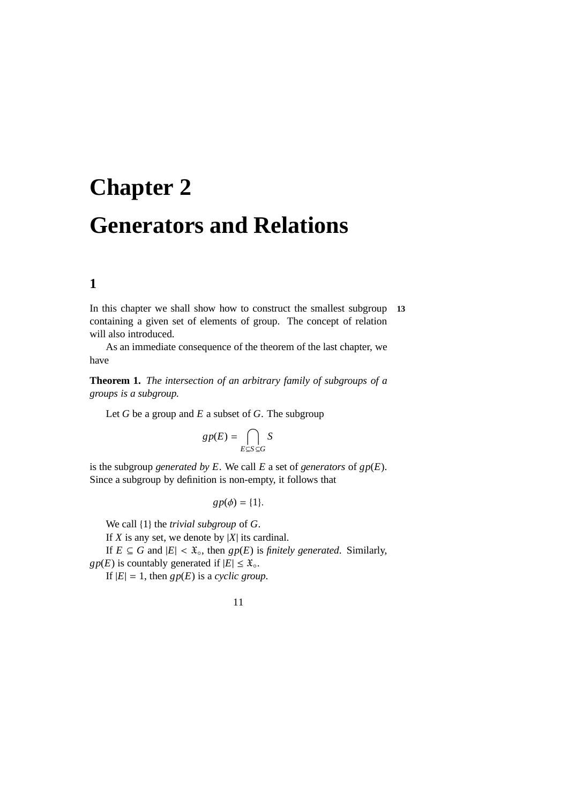# <span id="page-18-0"></span>**Chapter 2 Generators and Relations**

# <span id="page-18-1"></span>**1**

In this chapter we shall show how to construct the smallest subgroup **13** containing a given set of elements of group. The concept of relation will also introduced.

As an immediate consequence of the theorem of the last chapter, we have

**Theorem 1.** *The intersection of an arbitrary family of subgroups of a groups is a subgroup.*

Let *G* be a group and *E* a subset of *G*. The subgroup

$$
gp(E) = \bigcap_{E \subseteq S \subseteq G} S
$$

is the subgroup *generated by E*. We call *E* a set of *generators* of *gp*(*E*). Since a subgroup by definition is non-empty, it follows that

$$
gp(\phi) = \{1\}.
$$

We call {1} the *trivial subgroup* of *G*.

If *X* is any set, we denote by  $|X|$  its cardinal.

If  $E \subseteq G$  and  $|E| < \mathfrak{X}_0$ , then  $gp(E)$  is *finitely generated*. Similarly,  $gp(E)$  is countably generated if  $|E| \leq \mathfrak{X}_{\circ}$ .

If  $|E| = 1$ , then  $gp(E)$  is a *cyclic group*.

11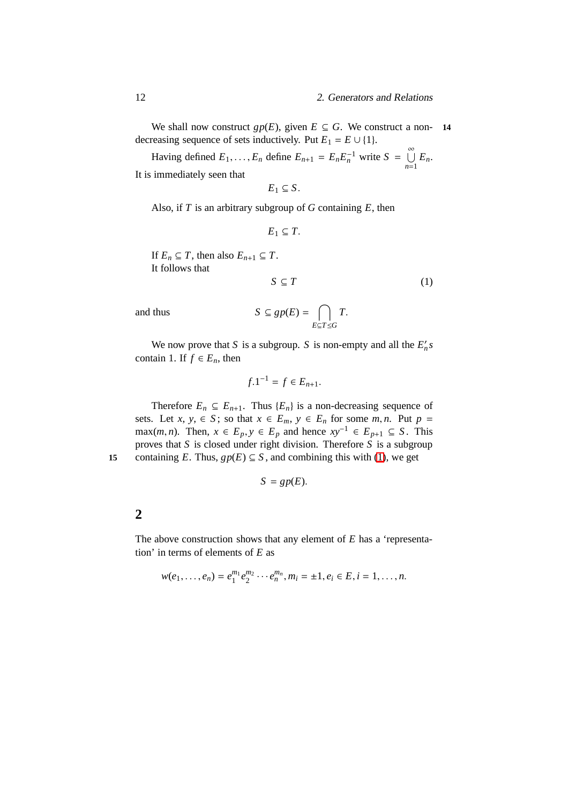We shall now construct  $gp(E)$ , given  $E \subseteq G$ . We construct a non- 14 decreasing sequence of sets inductively. Put  $E_1 = E \cup \{1\}$ .

Having defined  $E_1, \ldots, E_n$  define  $E_{n+1} = E_n E_n^{-1}$  write  $S = \bigcup_{n=1}^{\infty} E_n$ . It is immediately seen that

$$
E_1 \subseteq S.
$$

Also, if *T* is an arbitrary subgroup of *G* containing *E*, then

$$
E_1\subseteq T.
$$

If  $E_n \subseteq T$ , then also  $E_{n+1} \subseteq T$ . It follows that

<span id="page-19-1"></span>
$$
S \subseteq T \tag{1}
$$

and thus *S* 

$$
G \subseteq gp(E) = \bigcap_{E \subseteq T \le G} T.
$$

We now prove that *S* is a subgroup. *S* is non-empty and all the  $E'_n s$ contain 1. If  $f \in E_n$ , then

$$
f.1^{-1} = f \in E_{n+1}.
$$

Therefore  $E_n \subseteq E_{n+1}$ . Thus  $\{E_n\}$  is a non-decreasing sequence of sets. Let *x*, *y*,  $\in$  *S*; so that  $x \in E_m$ ,  $y \in E_n$  for some *m*, *n*. Put  $p =$ max(*m*, *n*). Then, *x* ∈ *E*<sub>*p*</sub>, *y* ∈ *E*<sub>*p*</sub> and hence  $xy^{-1}$  ∈ *E*<sub>*p*+1</sub> ⊆ *S*. This proves that *S* is closed under right division. Therefore *S* is a subgroup **15** containing *E*. Thus,  $gp(E) \subseteq S$ , and combining this with [\(1\)](#page-19-1), we get

$$
S = gp(E).
$$

#### <span id="page-19-0"></span>**2**

The above construction shows that any element of *E* has a 'representation' in terms of elements of *E* as

$$
w(e_1,\ldots,e_n)=e_1^{m_1}e_2^{m_2}\cdots e_n^{m_n}, m_i=\pm 1, e_i\in E, i=1,\ldots,n.
$$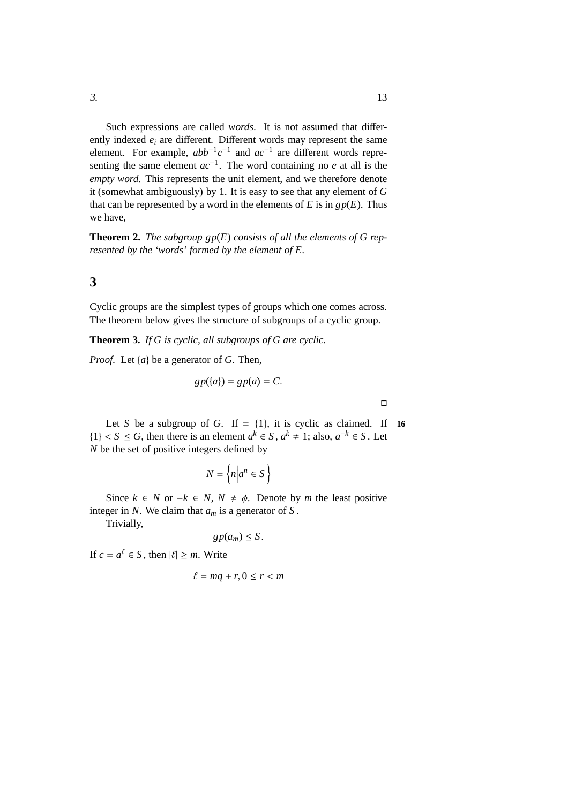Such expressions are called *words*. It is not assumed that differently indexed *e<sup>i</sup>* are different. Different words may represent the same element. For example,  $abb^{-1}c^{-1}$  and  $ac^{-1}$  are different words representing the same element *ac*−<sup>1</sup> . The word containing no *e* at all is the *empty word*. This represents the unit element, and we therefore denote it (somewhat ambiguously) by 1. It is easy to see that any element of *G* that can be represented by a word in the elements of  $E$  is in  $gp(E)$ . Thus we have,

**Theorem 2.** *The subgroup gp*(*E*) *consists of all the elements of G represented by the 'words' formed by the element of E.*

#### <span id="page-20-0"></span>**3**

Cyclic groups are the simplest types of groups which one comes across. The theorem below gives the structure of subgroups of a cyclic group.

**Theorem 3.** *If G is cyclic, all subgroups of G are cyclic.*

*Proof.* Let {*a*} be a generator of *G*. Then,

$$
gp({a}) = gp(a) = C.
$$

Let *S* be a subgroup of *G*. If =  $\{1\}$ , it is cyclic as claimed. If 16 {1} < *S* ≤ *G*, then there is an element  $a^k \text{ ∈ } S$ ,  $a^k \neq 1$ ; also,  $a^{-k} \in S$ . Let *N* be the set of positive integers defined by

$$
N = \left\{ n \middle| a^n \in S \right\}
$$

Since  $k$  ∈ *N* or  $-k$  ∈ *N*,  $N \neq \phi$ . Denote by *m* the least positive integer in *N*. We claim that *a<sup>m</sup>* is a generator of *S* .

Trivially,

 $gp(a_m) \leq S$ .

If  $c = a^{\ell} \in S$ , then  $|\ell| \ge m$ . Write

$$
\ell = mq + r, 0 \le r < m
$$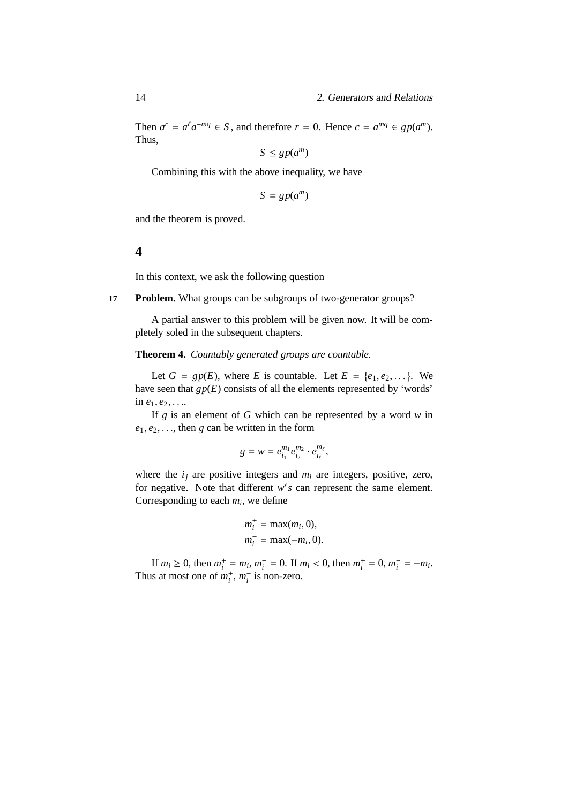Then  $a^r = a^{\ell} a^{-mq} \in S$ , and therefore  $r = 0$ . Hence  $c = a^{mq} \in gp(a^m)$ . Thus,

$$
S \le gp(a^m)
$$

Combining this with the above inequality, we have

$$
S = gp(a^m)
$$

and the theorem is proved.

#### <span id="page-21-0"></span>**4**

In this context, we ask the following question

**17 Problem.** What groups can be subgroups of two-generator groups?

A partial answer to this problem will be given now. It will be completely soled in the subsequent chapters.

**Theorem 4.** *Countably generated groups are countable.*

Let  $G = gp(E)$ , where *E* is countable. Let  $E = \{e_1, e_2, \dots\}$ . We have seen that  $gp(E)$  consists of all the elements represented by 'words' in  $e_1, e_2, \ldots$ 

If *g* is an element of *G* which can be represented by a word *w* in  $e_1, e_2, \ldots$ , then *g* can be written in the form

$$
g = w = e_{i_1}^{m_1} e_{i_2}^{m_2} \cdot e_{i_\ell}^{m_\ell},
$$

where the  $i_j$  are positive integers and  $m_i$  are integers, positive, zero, for negative. Note that different w's can represent the same element. Corresponding to each *m<sup>i</sup>* , we define

$$
m_i^+ = \max(m_i, 0),
$$
  

$$
m_i^- = \max(-m_i, 0).
$$

If  $m_i \geq 0$ , then  $m_i^+$  $i<sup>i</sup> = m<sub>i</sub>, m<sub>i</sub><sup>-</sup> = 0$ . If  $m<sub>i</sub> < 0$ , then  $m<sub>i</sub><sup>+</sup>$  $i^+ = 0, m^-_i = -m_i.$ Thus at most one of  $m_i^+$  $i^+$ ,  $m_i^-$  is non-zero.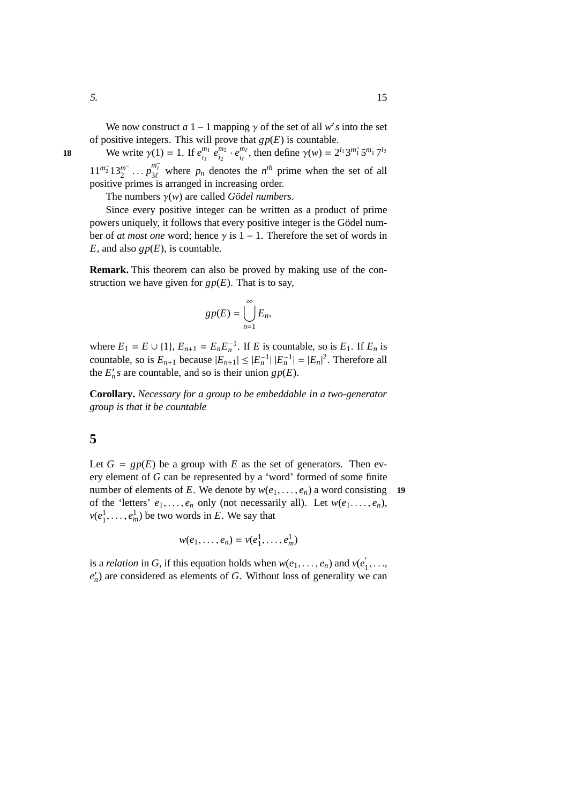We write  $\gamma(1) = 1$ . If  $e_{i}^{m_1}$  $\bar{e}^{m_1}_{i_1}$   $\bar{e}^{m_2}_{i_2}$  $\frac{m_2}{i_2} \cdot e_{i_\ell}^{m_\ell}$ **18** We write  $\gamma(1) = 1$ . If  $e_{i_1}^{m_1} e_{i_2}^{m_2} \cdot e_{i_\ell}^{m_\ell}$ , then define  $\gamma(w) = 2^{i_1} 3^{m_1^+} 5^{m_1^-} 7^{i_2}$  $11^{m_2^-} 13_2^{m^-}$  $\frac{m}{2}$  ...  $p_{3\ell}^{m_{\ell}^-}$  where  $p_n$  denotes the  $n^{th}$  prime when the set of all positive primes is arranged in increasing order.

The numbers  $\gamma(w)$  are called *Gödel numbers*.

Since every positive integer can be written as a product of prime powers uniquely, it follows that every positive integer is the Gödel number of *at most one* word; hence  $\gamma$  is 1 – 1. Therefore the set of words in *E*, and also  $gp(E)$ , is countable.

**Remark.** This theorem can also be proved by making use of the construction we have given for  $gp(E)$ . That is to say,

$$
gp(E)=\bigcup_{n=1}^{\infty}E_n,
$$

where  $E_1 = E \cup \{1\}$ ,  $E_{n+1} = E_n E_n^{-1}$ . If *E* is countable, so is  $E_1$ . If  $E_n$  is countable, so is  $E_{n+1}$  because  $|E_{n+1}| \leq |E_n^{-1}| |E_n^{-1}| = |E_n|^2$ . Therefore all the  $E'_n s$  are countable, and so is their union  $gp(E)$ .

**Corollary.** *Necessary for a group to be embeddable in a two-generator group is that it be countable*

### <span id="page-22-0"></span>**5**

Let  $G = gp(E)$  be a group with  $E$  as the set of generators. Then every element of *G* can be represented by a 'word' formed of some finite number of elements of *E*. We denote by  $w(e_1, \ldots, e_n)$  a word consisting **19** of the 'letters'  $e_1, \ldots, e_n$  only (not necessarily all). Let  $w(e_1, \ldots, e_n)$ ,  $v(e_1^1, \ldots, e_m^1)$  be two words in *E*. We say that

$$
w(e_1,\ldots,e_n)=v(e_1^1,\ldots,e_m^1)
$$

is a *relation* in *G*, if this equation holds when  $w(e_1, \ldots, e_n)$  and  $v(e_1, \ldots, e_n)$  $\frac{1}{1}, \ldots,$  $e'_{n}$ ) are considered as elements of *G*. Without loss of generality we can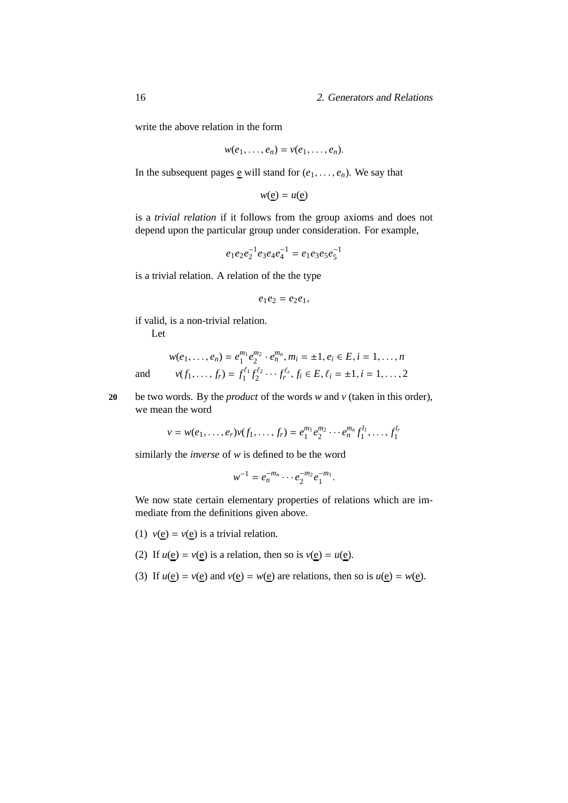write the above relation in the form

$$
w(e_1,\ldots,e_n)=v(e_1,\ldots,e_n).
$$

In the subsequent pages e will stand for  $(e_1, \ldots, e_n)$ . We say that

 $w(e) = u(e)$ 

is a *trivial relation* if it follows from the group axioms and does not depend upon the particular group under consideration. For example,

 $e_1e_2e_2^{-1}e_3e_4e_4^{-1} = e_1e_3e_5e_5^{-1}$ 

is a trivial relation. A relation of the the type

$$
e_1e_2=e_2e_1,
$$

if valid, is a non-trivial relation.

Let

$$
w(e_1, \ldots, e_n) = e_1^{m_1} e_2^{m_2} \cdot e_n^{m_n}, m_i = \pm 1, e_i \in E, i = 1, \ldots, n
$$
  
and 
$$
v(f_1, \ldots, f_r) = f_1^{\ell_1} f_2^{\ell_2} \cdots f_r^{\ell_r}, f_i \in E, \ell_i = \pm 1, i = 1, \ldots, 2
$$

**20** be two words. By the *product* of the words *w* and *v* (taken in this order), we mean the word

> $v = w(e_1, \ldots, e_r)v(f_1, \ldots, f_r) = e_1^{m_1}$  $\binom{m_1}{1}e_2^{m_2}$  $e_2^{m_2} \cdots e_n^{m_n} f_1^{l_1}$  $f_1^{l_1}, \ldots, f_1^{l_r}$ 1

similarly the *inverse* of *w* is defined to be the word

$$
w^{-1} = e_n^{-m_n} \cdots e_2^{-m_2} e_1^{-m_1}.
$$

We now state certain elementary properties of relations which are immediate from the definitions given above.

- (1)  $v(e) = v(e)$  is a trivial relation.
- (2) If  $u(\underline{e}) = v(\underline{e})$  is a relation, then so is  $v(\underline{e}) = u(\underline{e})$ .
- (3) If  $u(e) = v(e)$  and  $v(e) = w(e)$  are relations, then so is  $u(e) = w(e)$ .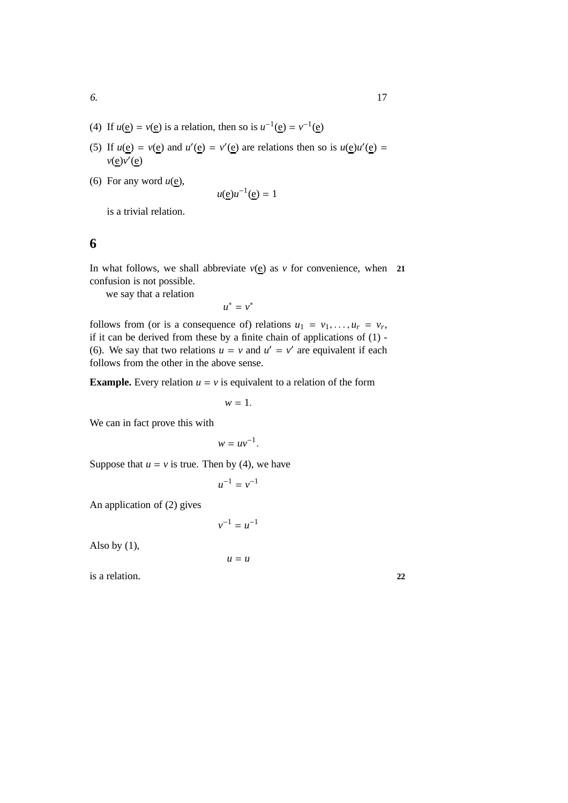- (4) If  $u(e) = v(e)$  is a relation, then so is  $u^{-1}(e) = v^{-1}(e)$
- (5) If  $u(e) = v(e)$  and  $u'(e) = v'(e)$  are relations then so is  $u(e)u'(e) = v(e)$ *v*(e)*v*<sup>'</sup>(e)
- (6) For any word  $u(\underline{e})$ ,

$$
u(\underline{\mathbf{e}})u^{-1}(\underline{\mathbf{e}}) = 1
$$

is a trivial relation.

### <span id="page-24-0"></span>**6**

In what follows, we shall abbreviate  $v(e)$  as  $v$  for convenience, when **21** confusion is not possible.

we say that a relation

 $u^* = v^*$ 

follows from (or is a consequence of) relations  $u_1 = v_1, \ldots, u_r = v_r$ , if it can be derived from these by a finite chain of applications of (1) - (6). We say that two relations  $u = v$  and  $u' = v'$  are equivalent if each follows from the other in the above sense.

**Example.** Every relation  $u = v$  is equivalent to a relation of the form

 $w = 1$ .

We can in fact prove this with

$$
w = uv^{-1}.
$$

Suppose that  $u = v$  is true. Then by (4), we have

$$
u^{-1}=v^{-1}
$$

An application of (2) gives

$$
v^{-1}=u^{-1}
$$

Also by (1),

 $u = u$ 

is a relation. **22**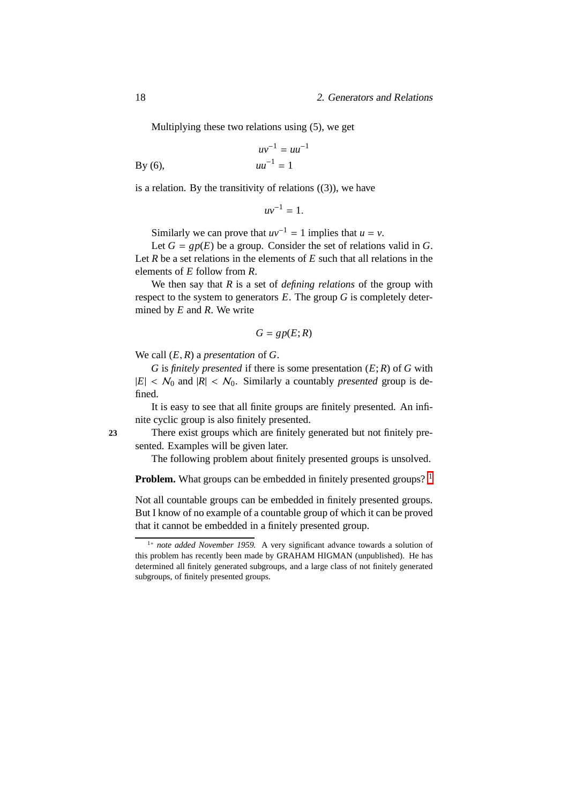Multiplying these two relations using (5), we get

$$
uv^{-1} = uu^{-1}
$$
  
By (6),  $uu^{-1} = 1$ 

is a relation. By the transitivity of relations  $((3))$ , we have

$$
uv^{-1}=1.
$$

Similarly we can prove that  $uv^{-1} = 1$  implies that  $u = v$ .

Let  $G = gp(E)$  be a group. Consider the set of relations valid in G. Let *R* be a set relations in the elements of *E* such that all relations in the elements of *E* follow from *R*.

We then say that *R* is a set of *defining relations* of the group with respect to the system to generators *E*. The group *G* is completely determined by *E* and *R*. We write

$$
G = gp(E; R)
$$

We call (*E*, *R*) a *presentation* of *G*.

*G* is *finitely presented* if there is some presentation (*E*; *R*) of *G* with  $|E| < N_0$  and  $|R| < N_0$ . Similarly a countably *presented* group is defined.

It is easy to see that all finite groups are finitely presented. An infinite cyclic group is also finitely presented.

**23** There exist groups which are finitely generated but not finitely presented. Examples will be given later.

The following problem about finitely presented groups is unsolved.

**Problem.** What groups can be embedded in finitely presented groups? <sup>[1](#page-25-0)</sup>

Not all countable groups can be embedded in finitely presented groups. But I know of no example of a countable group of which it can be proved that it cannot be embedded in a finitely presented group.

<span id="page-25-0"></span><sup>1</sup><sup>∗</sup> *note added November 1959.* A very significant advance towards a solution of this problem has recently been made by GRAHAM HIGMAN (unpublished). He has determined all finitely generated subgroups, and a large class of not finitely generated subgroups, of finitely presented groups.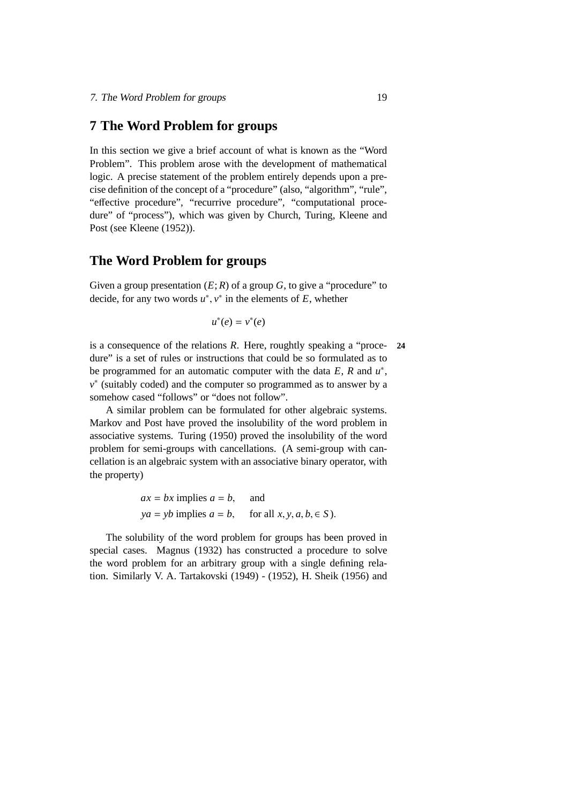### <span id="page-26-0"></span>**7 The Word Problem for groups**

In this section we give a brief account of what is known as the "Word Problem". This problem arose with the development of mathematical logic. A precise statement of the problem entirely depends upon a precise definition of the concept of a "procedure" (also, "algorithm", "rule", "effective procedure", "recurrive procedure", "computational procedure" of "process"), which was given by Church, Turing, Kleene and Post (see Kleene (1952)).

## **The Word Problem for groups**

Given a group presentation  $(E; R)$  of a group  $G$ , to give a "procedure" to decide, for any two words  $u^*$ ,  $v^*$  in the elements of  $E$ , whether

$$
u^*(e) = v^*(e)
$$

is a consequence of the relations *R*. Here, roughtly speaking a "proce- **24** dure" is a set of rules or instructions that could be so formulated as to be programmed for an automatic computer with the data  $E$ ,  $R$  and  $u^*$ , *v* ∗ (suitably coded) and the computer so programmed as to answer by a somehow cased "follows" or "does not follow".

A similar problem can be formulated for other algebraic systems. Markov and Post have proved the insolubility of the word problem in associative systems. Turing (1950) proved the insolubility of the word problem for semi-groups with cancellations. (A semi-group with cancellation is an algebraic system with an associative binary operator, with the property)

$$
ax = bx
$$
 implies  $a = b$ , and  
  $ya = yb$  implies  $a = b$ , for all  $x, y, a, b \in S$ ).

The solubility of the word problem for groups has been proved in special cases. Magnus (1932) has constructed a procedure to solve the word problem for an arbitrary group with a single defining relation. Similarly V. A. Tartakovski (1949) - (1952), H. Sheik (1956) and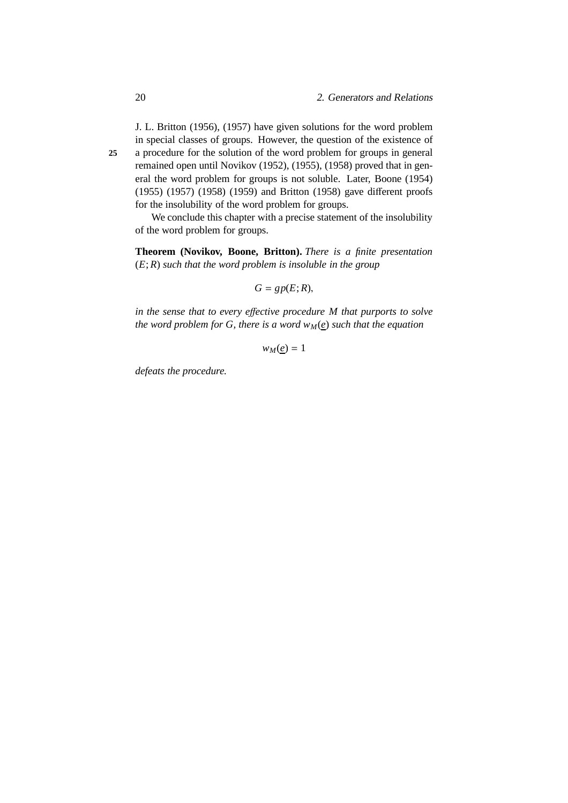J. L. Britton (1956), (1957) have given solutions for the word problem in special classes of groups. However, the question of the existence of **25** a procedure for the solution of the word problem for groups in general remained open until Novikov (1952), (1955), (1958) proved that in general the word problem for groups is not soluble. Later, Boone (1954) (1955) (1957) (1958) (1959) and Britton (1958) gave different proofs for the insolubility of the word problem for groups.

We conclude this chapter with a precise statement of the insolubility of the word problem for groups.

**Theorem (Novikov, Boone, Britton).** *There is a finite presentation* (*E*; *R*) *such that the word problem is insoluble in the group*

$$
G=gp(E;R),
$$

*in the sense that to every e*ff*ective procedure M that purports to solve the word problem for G, there is a word*  $w_M(e)$  *such that the equation* 

 $w_M(\underline{e}) = 1$ 

*defeats the procedure.*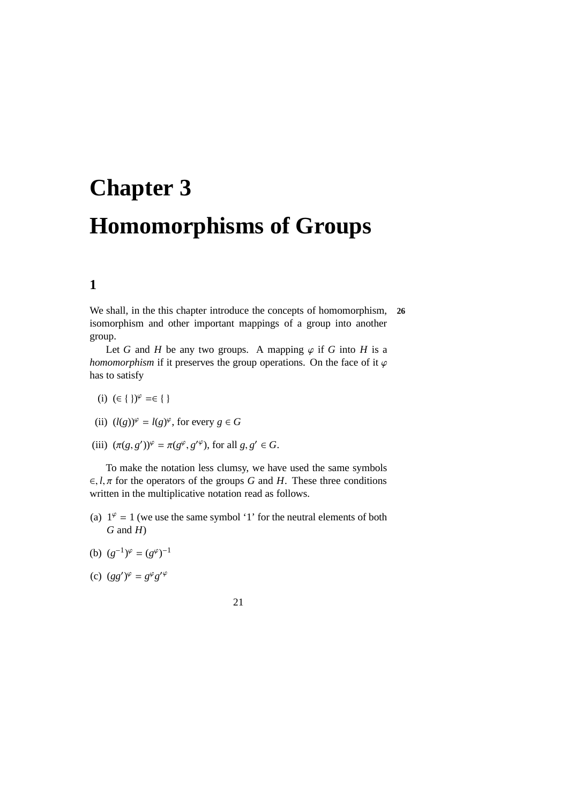# <span id="page-28-0"></span>**Chapter 3 Homomorphisms of Groups**

# <span id="page-28-1"></span>**1**

We shall, in the this chapter introduce the concepts of homomorphism, **26** isomorphism and other important mappings of a group into another group.

Let *G* and *H* be any two groups. A mapping  $\varphi$  if *G* into *H* is a *homomorphism* if it preserves the group operations. On the face of it  $\varphi$ has to satisfy

- (i)  $(∈ { } )$ <sup> $\varphi$ </sup> =∈{ }
- (ii)  $(l(g))^{\varphi} = l(g)^{\varphi}$ , for every  $g \in G$
- (iii)  $(\pi(g, g'))^{\varphi} = \pi(g^{\varphi}, g'^{\varphi})$ , for all  $g, g' \in G$ .

To make the notation less clumsy, we have used the same symbols  $\in$ , *l*,  $\pi$  for the operators of the groups *G* and *H*. These three conditions written in the multiplicative notation read as follows.

- (a)  $1^{\varphi} = 1$  (we use the same symbol '1' for the neutral elements of both *G* and *H*)
- (b)  $(g^{-1})^{\varphi} = (g^{\varphi})^{-1}$
- (c)  $(gg')^{\varphi} = g^{\varphi}g'^{\varphi}$
- 21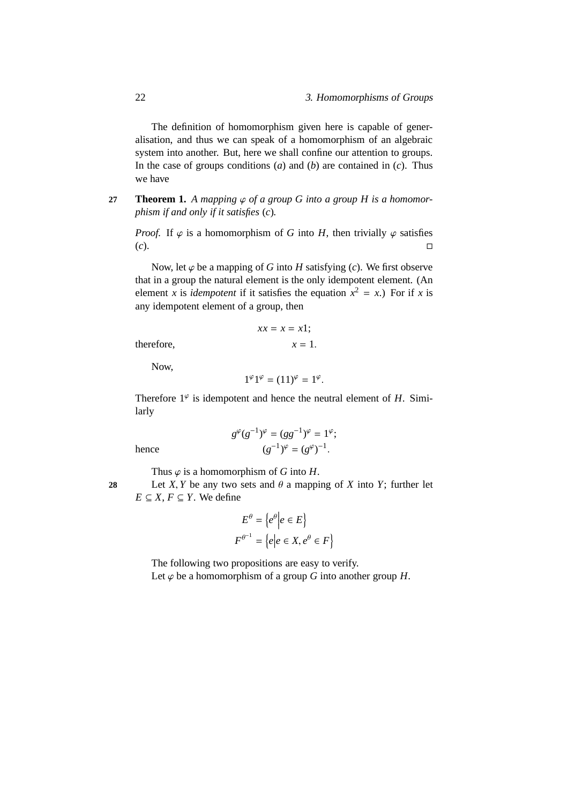The definition of homomorphism given here is capable of generalisation, and thus we can speak of a homomorphism of an algebraic system into another. But, here we shall confine our attention to groups. In the case of groups conditions (*a*) and (*b*) are contained in (*c*). Thus we have

**27 Theorem 1.** *A mapping*  $\varphi$  *of a group G into a group H is a homomorphism if and only if it satisfies* (*c*)*.*

*Proof.* If  $\varphi$  is a homomorphism of *G* into *H*, then trivially  $\varphi$  satisfies (*c*).

Now, let  $\varphi$  be a mapping of *G* into *H* satisfying (*c*). We first observe that in a group the natural element is the only idempotent element. (An element *x* is *idempotent* if it satisfies the equation  $x^2 = x$ .) For if *x* is any idempotent element of a group, then

$$
xx = x = x1;
$$
 therefore, 
$$
x = 1.
$$

Now,

$$
1^{\varphi}1^{\varphi}=(11)^{\varphi}=1^{\varphi}.
$$

Therefore  $1^{\varphi}$  is idempotent and hence the neutral element of *H*. Similarly

$$
g^{\varphi}(g^{-1})^{\varphi} = (gg^{-1})^{\varphi} = 1^{\varphi};
$$

$$
(g^{-1})^{\varphi} = (g^{\varphi})^{-1}.
$$

hence (*g*

Thus  $\varphi$  is a homomorphism of *G* into *H*.

**28** Let *X*, *Y* be any two sets and  $\theta$  a mapping of *X* into *Y*; further let *E* ⊆ *X*, *F* ⊆ *Y*. We define

$$
E^{\theta} = \{e^{\theta} | e \in E\}
$$
  

$$
F^{\theta^{-1}} = \{e | e \in X, e^{\theta} \in F\}
$$

The following two propositions are easy to verify.

Let  $\varphi$  be a homomorphism of a group *G* into another group *H*.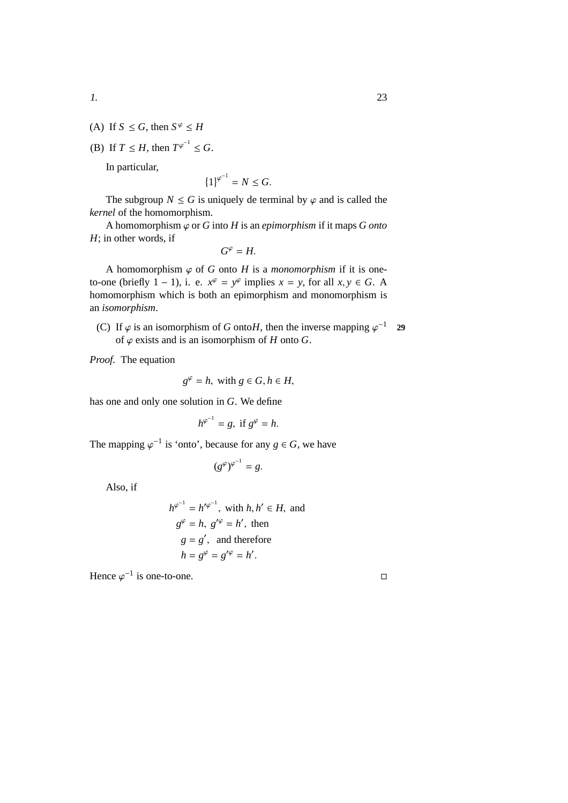- (A) If  $S \leq G$ , then  $S^{\varphi} \leq H$
- (B) If  $T \leq H$ , then  $T^{\varphi^{-1}} \leq G$ .

In particular,

$$
\left\{1\right\}^{\varphi^{-1}} = N \le G.
$$

The subgroup  $N \leq G$  is uniquely de terminal by  $\varphi$  and is called the *kernel* of the homomorphism.

A homomorphism  $\varphi$  or *G* into *H* is an *epimorphism* if it maps *G* onto *H*; in other words, if

$$
G^{\varphi}=H.
$$

A homomorphism  $\varphi$  of *G* onto *H* is a *monomorphism* if it is oneto-one (briefly  $1 - 1$ ), i. e.  $x^{\varphi} = y^{\varphi}$  implies  $x = y$ , for all  $x, y \in G$ . A homomorphism which is both an epimorphism and monomorphism is an *isomorphism*.

(C) If  $\varphi$  is an isomorphism of *G* onto*H*, then the inverse mapping  $\varphi^{-1}$  29 of  $\varphi$  exists and is an isomorphism of *H* onto *G*.

*Proof.* The equation

$$
g^{\varphi} = h, \text{ with } g \in G, h \in H,
$$

has one and only one solution in *G*. We define

$$
h^{\varphi^{-1}} = g, \text{ if } g^{\varphi} = h.
$$

The mapping  $\varphi^{-1}$  is 'onto', because for any  $g \in G$ , we have

$$
(g^{\varphi})^{\varphi^{-1}} = g.
$$

Also, if

$$
h^{\varphi^{-1}} = h'^{\varphi^{-1}}, \text{ with } h, h' \in H, \text{ and}
$$
  
\n
$$
g^{\varphi} = h, g'^{\varphi} = h', \text{ then}
$$
  
\n
$$
g = g', \text{ and therefore}
$$
  
\n
$$
h = g^{\varphi} = g'^{\varphi} = h'.
$$

Hence  $\varphi^{-1}$  is one-to-one.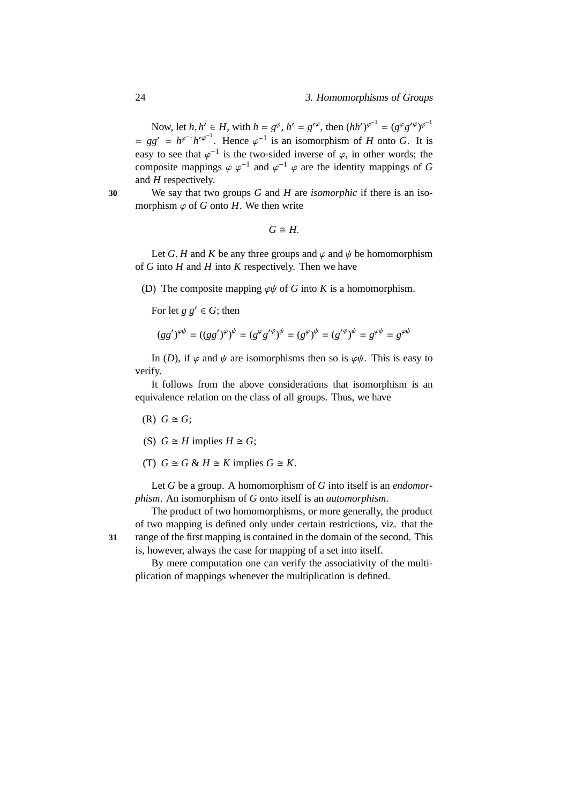Now, let  $h, h' \in H$ , with  $h = g^{\varphi}, h' = g'^{\varphi}$ , then  $(hh')^{\varphi^{-1}} = (g^{\varphi}g'^{\varphi})^{\varphi^{-1}}$  $= gg' = h^{\varphi^{-1}}h'^{\varphi^{-1}}$ . Hence  $\varphi^{-1}$  is an isomorphism of *H* onto *G*. It is easy to see that  $\varphi^{-1}$  is the two-sided inverse of  $\varphi$ , in other words; the composite mappings  $\varphi \varphi^{-1}$  and  $\varphi^{-1} \varphi$  are the identity mappings of G and *H* respectively.

**30** We say that two groups *G* and *H* are *isomorphic* if there is an isomorphism  $\varphi$  of *G* onto *H*. We then write

 $G \cong H$ .

Let *G*, *H* and *K* be any three groups and  $\varphi$  and  $\psi$  be homomorphism of *G* into *H* and *H* into *K* respectively. Then we have

(D) The composite mapping  $\varphi \psi$  of *G* into *K* is a homomorphism.

For let  $g \circ g' \in G$ ; then

$$
(gg')^{\varphi\psi} = ((gg')^{\varphi})^{\psi} = (g^{\varphi}g'^{\varphi})^{\psi} = (g^{\varphi})^{\psi} = (g'^{\varphi})^{\psi} = g^{\varphi\psi} = g^{\varphi\psi}
$$

In (*D*), if  $\varphi$  and  $\psi$  are isomorphisms then so is  $\varphi \psi$ . This is easy to verify.

It follows from the above considerations that isomorphism is an equivalence relation on the class of all groups. Thus, we have

- $(R)$   $G \cong G$ ;
- (S)  $G \cong H$  implies  $H \cong G$ ;
- (T)  $G \cong G \& H \cong K$  implies  $G \cong K$ .

Let *G* be a group. A homomorphism of *G* into itself is an *endomorphism*. An isomorphism of *G* onto itself is an *automorphism*.

The product of two homomorphisms, or more generally, the product of two mapping is defined only under certain restrictions, viz. that the **31** range of the first mapping is contained in the domain of the second. This

is, however, always the case for mapping of a set into itself. By mere computation one can verify the associativity of the multi-

plication of mappings whenever the multiplication is defined.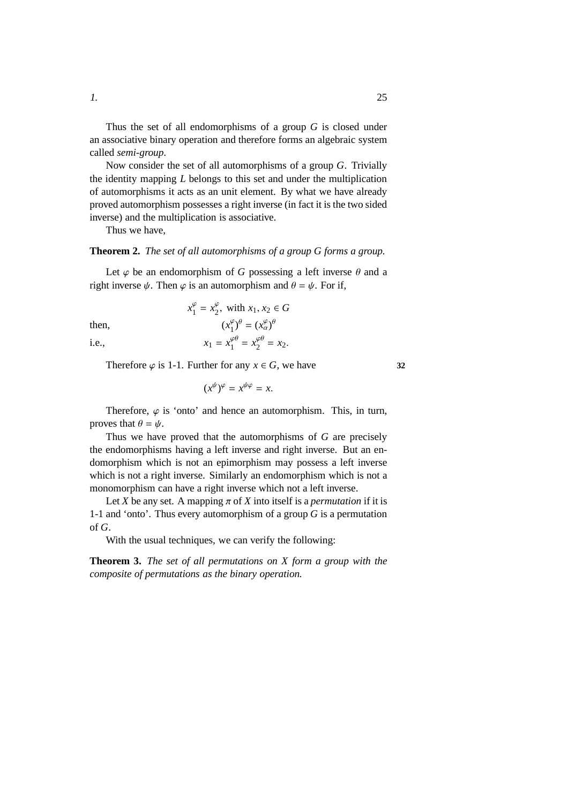Thus the set of all endomorphisms of a group *G* is closed under an associative binary operation and therefore forms an algebraic system called *semi-group*.

Now consider the set of all automorphisms of a group *G*. Trivially the identity mapping *L* belongs to this set and under the multiplication of automorphisms it acts as an unit element. By what we have already proved automorphism possesses a right inverse (in fact it is the two sided inverse) and the multiplication is associative.

Thus we have,

#### **Theorem 2.** *The set of all automorphisms of a group G forms a group.*

Let  $\varphi$  be an endomorphism of *G* possessing a left inverse  $\theta$  and a right inverse  $\psi$ . Then  $\varphi$  is an automorphism and  $\theta = \psi$ . For if,

then, (*x*

$$
x_1^{\varphi} = x_2^{\varphi}, \text{ with } x_1, x_2 \in G
$$

$$
(x_1^{\varphi})^{\theta} = (x_\alpha^{\varphi})^{\theta}
$$

i.e.,  $x_1 = x_1^{\varphi\theta}$  $y_1^{\varphi\theta} = x_2^{\varphi\theta}$  $\frac{\varphi\theta}{2} = x_2.$ 

Therefore  $\varphi$  is 1-1. Further for any  $x \in G$ , we have **32** 

 $(x^{\psi})^{\varphi} = x^{\psi \varphi} = x.$ 

Therefore,  $\varphi$  is 'onto' and hence an automorphism. This, in turn, proves that  $\theta = \psi$ .

Thus we have proved that the automorphisms of *G* are precisely the endomorphisms having a left inverse and right inverse. But an endomorphism which is not an epimorphism may possess a left inverse which is not a right inverse. Similarly an endomorphism which is not a monomorphism can have a right inverse which not a left inverse.

Let *X* be any set. A mapping  $\pi$  of *X* into itself is a *permutation* if it is 1-1 and 'onto'. Thus every automorphism of a group *G* is a permutation of *G*.

With the usual techniques, we can verify the following:

**Theorem 3.** *The set of all permutations on X form a group with the composite of permutations as the binary operation.*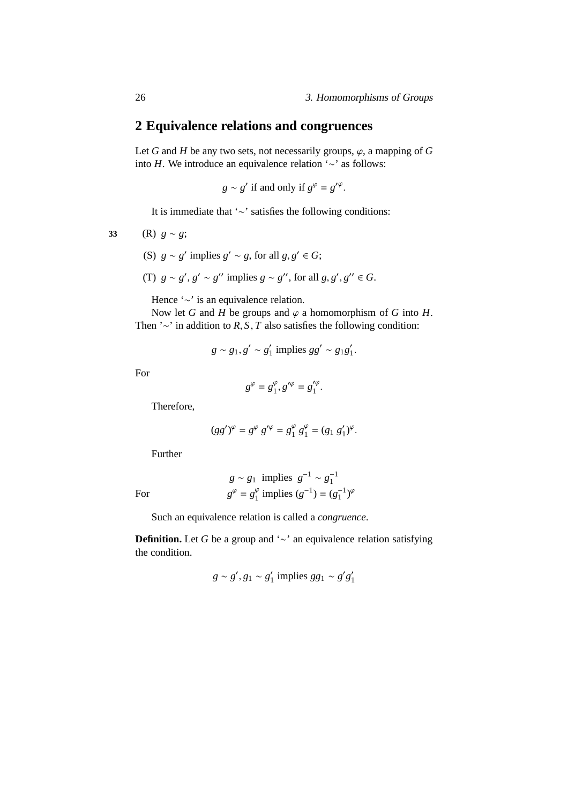# <span id="page-33-0"></span>**2 Equivalence relations and congruences**

Let *G* and *H* be any two sets, not necessarily groups,  $\varphi$ , a mapping of *G* into *H*. We introduce an equivalence relation '∼' as follows:

$$
g \sim g'
$$
 if and only if  $g^{\varphi} = g'^{\varphi}$ .

It is immediate that '∼' satisfies the following conditions:

$$
33 \qquad \text{(R)}\ \ g \sim g;
$$

- (S)  $g \sim g'$  implies  $g' \sim g$ , for all  $g, g' \in G$ ;
- (T)  $g \sim g'$ ,  $g' \sim g''$  implies  $g \sim g''$ , for all  $g, g', g'' \in G$ .

Hence '∼' is an equivalence relation.

Now let *G* and *H* be groups and  $\varphi$  a homomorphism of *G* into *H*. Then '∼' in addition to *R*, *S*, *T* also satisfies the following condition:

$$
g \sim g_1, g' \sim g_1'
$$
 implies  $gg' \sim g_1g_1'.$ 

For

$$
g^{\varphi}=g_1^{\varphi}, g'^{\varphi}=g_1'^{\varphi}.
$$

Therefore,

$$
(gg')^{\varphi} = g^{\varphi} g'^{\varphi} = g_1^{\varphi} g_1^{\varphi} = (g_1 g_1')^{\varphi}.
$$

Further

For *g*

$$
g \sim g_1
$$
 implies  $g^{-1} \sim g_1^{-1}$   
 $g^{\varphi} = g_1^{\varphi}$  implies  $(g^{-1}) = (g_1^{-1})^{\varphi}$ 

Such an equivalence relation is called a *congruence*.

**Definition.** Let *G* be a group and '∼' an equivalence relation satisfying the condition.

$$
g \sim g', g_1 \sim g'_1
$$
 implies  $gg_1 \sim g'g'_1$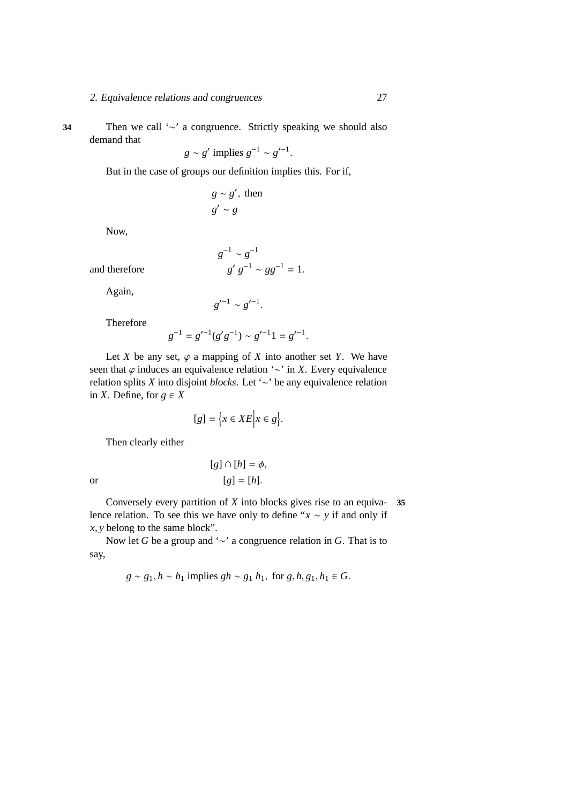#### 2. Equivalence relations and congruences 27

**34** Then we call '∼' a congruence. Strictly speaking we should also demand that

 $g \sim g'$  implies  $g^{-1} \sim g'^{-1}$ .

But in the case of groups our definition implies this. For if,

$$
g \sim g', \text{ then}
$$

$$
g' \sim g
$$

Now,

$$
g^{-1} \sim g^{-1}
$$
  

$$
g' g^{-1} \sim g g^{-1} = 1.
$$

and therefore

Again,

 $g'^{-1} \sim g'^{-1}.$ 

Therefore

$$
g^{-1} = g'^{-1}(g'g^{-1}) \sim g'^{-1}1 = g'^{-1}.
$$

Let *X* be any set,  $\varphi$  a mapping of *X* into another set *Y*. We have seen that *ϕ* induces an equivalence relation '∼' in *X*. Every equivalence relation splits *X* into disjoint *blocks*. Let '∼' be any equivalence relation in *X*. Define, for  $g \in X$ 

$$
[g] = \Big\{ x \in XE \Big| x \in g \Big\}.
$$

Then clearly either

$$
[g] \cap [h] = \phi,
$$
  
or  

$$
[g] = [h].
$$

Conversely every partition of *X* into blocks gives rise to an equiva- **35** lence relation. To see this we have only to define "*x* ∼ *y* if and only if *x*, *y* belong to the same block".

Now let *G* be a group and '∼' a congruence relation in *G*. That is to say,

$$
g \sim g_1, h \sim h_1
$$
 implies  $gh \sim g_1 h_1$ , for  $g, h, g_1, h_1 \in G$ .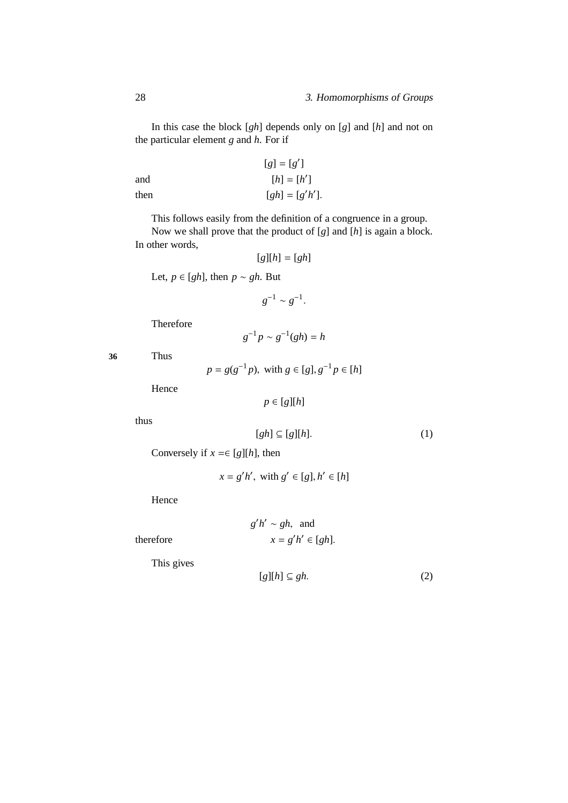In this case the block [*gh*] depends only on [*g*] and [*h*] and not on the particular element *g* and *h*. For if

| $[g] = [g']$ |                 |
|--------------|-----------------|
| and          | $[h] = [h']$    |
| then         | $[gh] = [g'h']$ |

This follows easily from the definition of a congruence in a group.

Now we shall prove that the product of [*g*] and [*h*] is again a block. In other words,

$$
[g][h] = [gh]
$$

Let, *p* ∈ [*gh*], then *p* ∼ *gh*. But

$$
g^{-1} \sim g^{-1}.
$$

Therefore

$$
g^{-1}p \sim g^{-1}(gh) = h
$$

**36** Thus

$$
p = g(g^{-1}p)
$$
, with  $g \in [g], g^{-1}p \in [h]$ 

−1

Hence

$$
p \in [g][h]
$$

thus

$$
[gh] \subseteq [g][h].\tag{1}
$$

Conversely if  $x \in [g][h]$ , then

$$
x = g'h', \text{ with } g' \in [g], h' \in [h]
$$

Hence

$$
g'h' \sim gh
$$
, and  
 $x = g'h' \in [gh].$ 

 $therefore$ 

This gives

$$
[g][h] \subseteq gh. \tag{2}
$$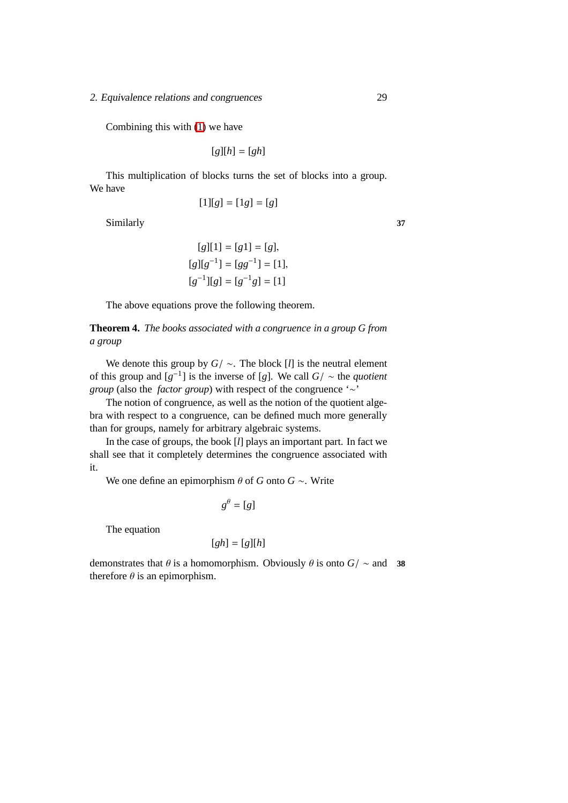2. Equivalence relations and congruences 29

Combining this with [\(1\)](#page-35-0) we have

 $[g][h] = [gh]$ 

This multiplication of blocks turns the set of blocks into a group. We have

$$
[1][g] = [1g] = [g]
$$

Similarly **37**

$$
[g][1] = [g1] = [g],
$$
  
\n
$$
[g][g^{-1}] = [gg^{-1}] = [1],
$$
  
\n
$$
[g^{-1}][g] = [g^{-1}g] = [1]
$$

The above equations prove the following theorem.

**Theorem 4.** *The books associated with a congruence in a group G from a group*

We denote this group by *G*/ ∼. The block [*l*] is the neutral element of this group and  $[g^{-1}]$  is the inverse of [*g*]. We call  $G / \sim$  the *quotient group* (also the *factor group*) with respect of the congruence '∼'

The notion of congruence, as well as the notion of the quotient algebra with respect to a congruence, can be defined much more generally than for groups, namely for arbitrary algebraic systems.

In the case of groups, the book [*l*] plays an important part. In fact we shall see that it completely determines the congruence associated with it.

We one define an epimorphism  $\theta$  of *G* onto *G* ∼. Write

$$
g^{\theta}=[g]
$$

The equation

$$
[gh] = [g][h]
$$

demonstrates that  $\theta$  is a homomorphism. Obviously  $\theta$  is onto  $G$ /  $\sim$  and **38** therefore  $\theta$  is an epimorphism.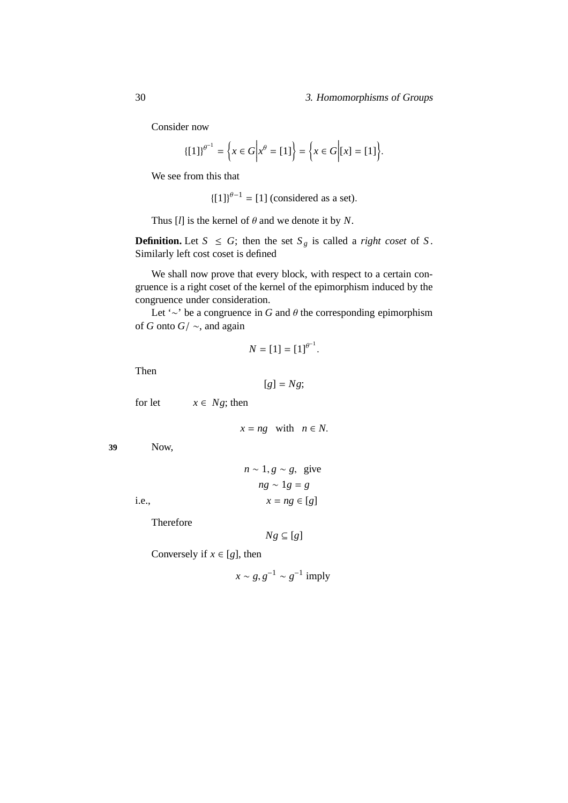#### 30 3. Homomorphisms of Groups

Consider now

$$
\{[1]\}^{\theta^{-1}} = \left\{ x \in G \middle| x^{\theta} = [1] \right\} = \left\{ x \in G \middle| [x] = [1] \right\}.
$$

We see from this that

 ${[1]}^{\theta-1} = [1]$  (considered as a set).

Thus  $[I]$  is the kernel of  $\theta$  and we denote it by *N*.

**Definition.** Let  $S \leq G$ ; then the set  $S_g$  is called a *right coset* of  $S$ . Similarly left cost coset is defined

We shall now prove that every block, with respect to a certain congruence is a right coset of the kernel of the epimorphism induced by the congruence under consideration.

Let '∼' be a congruence in *G* and θ the corresponding epimorphism of *G* onto *G*/ ∼, and again

$$
N = [1] = [1]^{\theta^{-1}}.
$$

Then

$$
[g] = Ng;
$$

for let  $x \in Ng$ ; then

 $x = ng$  with  $n \in N$ .

**39** Now,

|       | $n \sim 1, g \sim g$ , give |
|-------|-----------------------------|
|       | $ng \sim 1g = g$            |
| i.e., | $x = ng \in [g]$            |

Therefore

$$
Ng \subseteq [g]
$$

Conversely if  $x \in [g]$ , then

 $x \sim g, g^{-1} \sim g^{-1}$  imply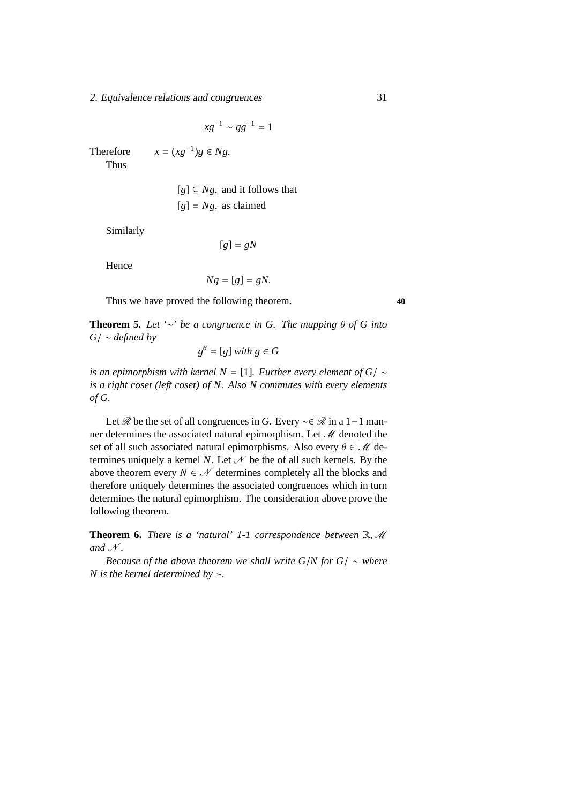2. Equivalence relations and congruences 31

$$
x g^{-1} \sim g g^{-1} = 1
$$

Therefore  $x = (xg^{-1})g \in Ng$ .

Thus

 $[g] \subseteq Ng$ , and it follows that  $[g] = Ng$ , as claimed

Similarly

 $[g] = gN$ 

Hence

$$
Ng = [g] = gN.
$$

Thus we have proved the following theorem. **40**

**Theorem 5.** Let '∼' be a congruence in G. The mapping  $\theta$  of G into *G*/ ∼ *defined by*

$$
g^{\theta} = [g] with g \in G
$$

*is an epimorphism with kernel N* = [1]*. Further every element of G*/  $\sim$ *is a right coset (left coset) of N. Also N commutes with every elements of G.*

Let *R* be the set of all congruences in *G*. Every ~∈ *R* in a 1 – 1 manner determines the associated natural epimorphism. Let  $\mathcal M$  denoted the set of all such associated natural epimorphisms. Also every  $\theta \in \mathcal{M}$  determines uniquely a kernel *N*. Let  $\mathcal N$  be the of all such kernels. By the above theorem every  $N \in \mathcal{N}$  determines completely all the blocks and therefore uniquely determines the associated congruences which in turn determines the natural epimorphism. The consideration above prove the following theorem.

**Theorem 6.** *There is a 'natural' 1-1 correspondence between*  $\mathbb{R}, \mathcal{M}$ and  $N$ .

*Because of the above theorem we shall write G/N for G/*  $\sim$  *where N is the kernel determined by* ∼*.*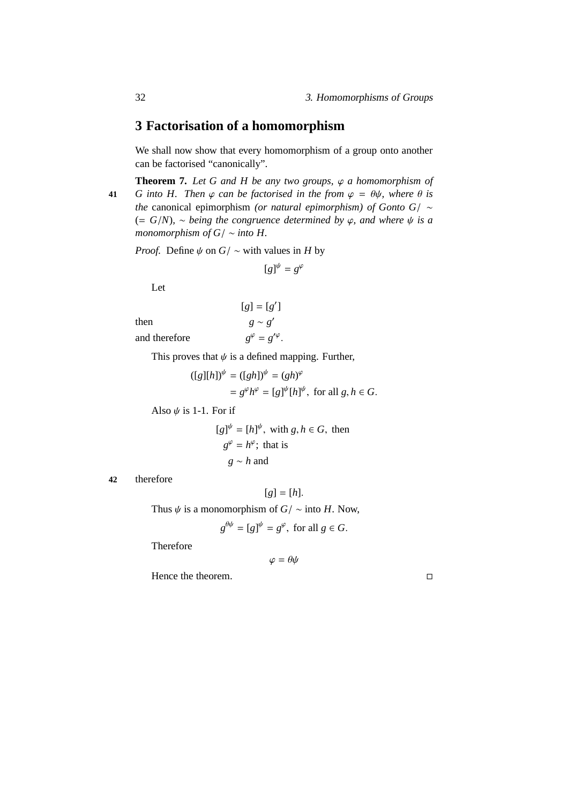# **3 Factorisation of a homomorphism**

We shall now show that every homomorphism of a group onto another can be factorised "canonically".

**Theorem 7.** Let G and H be any two groups,  $\varphi$  a homomorphism of **41** *G into H. Then*  $\varphi$  *can be factorised in the from*  $\varphi = \theta \psi$ *, where*  $\theta$  *is the* canonical epimorphism *(or natural epimorphism) of Gonto G*/ ∼ (= *G*/*N*)*,* ∼ *being the congruence determined by* ϕ*, and where* ψ *is a monomorphism of G*/ ∼ *into H.*

*Proof.* Define  $\psi$  on  $G$ / ~ with values in *H* by

$$
[g]^{\psi} = g^{\varphi}
$$

Let

 $[g] = [g']$ then  $g \sim g'$ and therefore  $\mathscr{S} = g'^{\varphi}.$ 

This proves that  $\psi$  is a defined mapping. Further,

$$
([g][h])^{\psi} = ([gh])^{\psi} = (gh)^{\varphi}
$$
  
=  $g^{\varphi}h^{\varphi} = [g]^{\psi}[h]^{\psi}$ , for all  $g, h \in G$ .

Also  $\psi$  is 1-1. For if

$$
[g]^{\psi} = [h]^{\psi}, \text{ with } g, h \in G, \text{ then}
$$
  

$$
g^{\varphi} = h^{\varphi}; \text{ that is}
$$
  

$$
g \sim h \text{ and}
$$

#### **42** therefore

 $[g] = [h].$ 

Thus  $\psi$  is a monomorphism of *G*/  $\sim$  into *H*. Now,

$$
g^{\theta\psi} = [g]^{\psi} = g^{\varphi}, \text{ for all } g \in G.
$$

Therefore

$$
\varphi=\theta\psi
$$

Hence the theorem.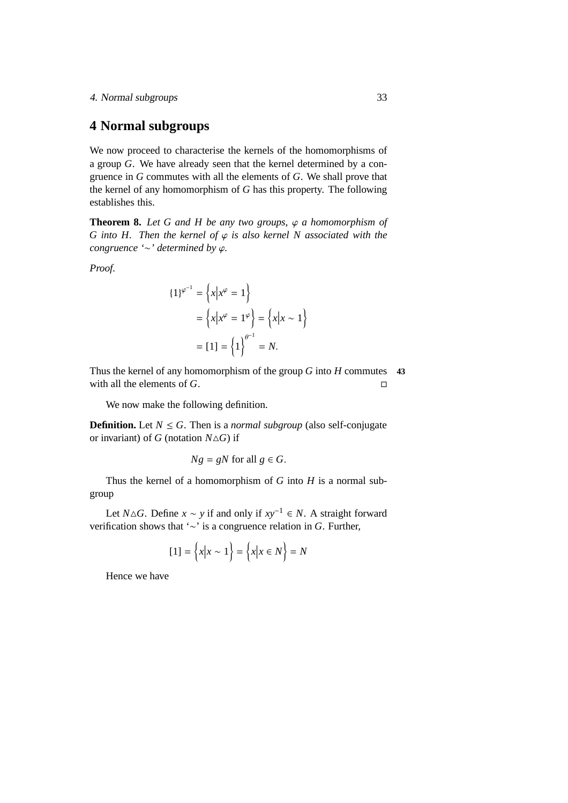# **4 Normal subgroups**

We now proceed to characterise the kernels of the homomorphisms of a group *G*. We have already seen that the kernel determined by a congruence in *G* commutes with all the elements of *G*. We shall prove that the kernel of any homomorphism of *G* has this property. The following establishes this.

**Theorem 8.** Let G and H be any two groups,  $\varphi$  a homomorphism of *G* into *H*. Then the kernel of  $\varphi$  *is also kernel N associated with the congruence '*∼*' determined by* ϕ*.*

*Proof.*

$$
\{1\}^{\varphi^{-1}} = \left\{x \middle| x^{\varphi} = 1\right\}
$$

$$
= \left\{x \middle| x^{\varphi} = 1^{\varphi}\right\} = \left\{x \middle| x \sim 1\right\}
$$

$$
= [1] = \left\{1\right\}^{\theta^{-1}} = N.
$$

Thus the kernel of any homomorphism of the group *G* into *H* commutes **43** with all the elements of *G*.

We now make the following definition.

**Definition.** Let  $N \leq G$ . Then is a *normal subgroup* (also self-conjugate or invariant) of *G* (notation  $N \triangle G$ ) if

$$
Ng = gN \text{ for all } g \in G.
$$

Thus the kernel of a homomorphism of *G* into *H* is a normal subgroup

Let *N*∆*G*. Define *x* ∼ *y* if and only if  $xy^{-1}$  ∈ *N*. A straight forward verification shows that '∼' is a congruence relation in *G*. Further,

$$
[1] = \left\{ x \middle| x \sim 1 \right\} = \left\{ x \middle| x \in N \right\} = N
$$

<span id="page-40-0"></span>Hence we have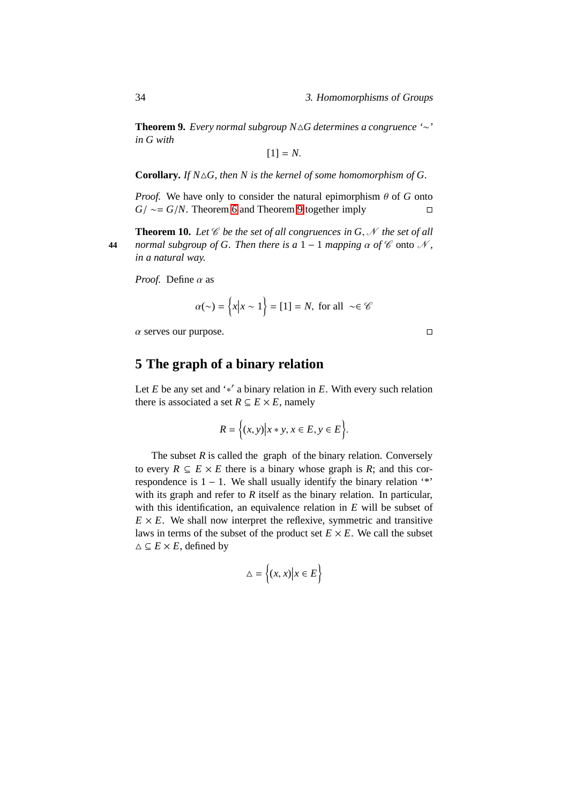**Theorem 9.** *Every normal subgroup N*△*G determines a congruence '*∼*' in G with*

 $[1] = N$ .

**Corollary.** *If N*△*G, then N is the kernel of some homomorphism of G.*

*Proof.* We have only to consider the natural epimorphism  $\theta$  of *G* onto *G*/ ∼ = *G*/*N*. Theorem [6](#page-69-0) and Theorem [9](#page-40-0) together imply □

<span id="page-41-0"></span>**Theorem 10.** Let  $\mathscr C$  be the set of all congruences in  $G, \mathscr N$  the set of all **44** *normal subgroup of G. Then there is a*  $1 - 1$  *mapping*  $\alpha$  *of*  $\ell$  onto  $\mathcal{N}$ , *in a natural way.*

*Proof.* Define α as

$$
\alpha(\sim) = \left\{ x \middle| x \sim 1 \right\} = [1] = N, \text{ for all } \sim \in \mathcal{C}
$$

 $\alpha$  serves our purpose.

# **5 The graph of a binary relation**

Let  $E$  be any set and '\*' a binary relation in  $E$ . With every such relation there is associated a set  $R \subseteq E \times E$ , namely

$$
R = \Big\{ (x, y) \Big| x \ast y, x \in E, y \in E \Big\}.
$$

The subset  $R$  is called the graph of the binary relation. Conversely to every  $R \subseteq E \times E$  there is a binary whose graph is R; and this correspondence is  $1 - 1$ . We shall usually identify the binary relation '\*' with its graph and refer to *R* itself as the binary relation. In particular, with this identification, an equivalence relation in *E* will be subset of  $E \times E$ . We shall now interpret the reflexive, symmetric and transitive laws in terms of the subset of the product set  $E \times E$ . We call the subset  $\triangle \subseteq E \times E$ , defined by

$$
\triangle = \left\{ (x, x) \middle| x \in E \right\}
$$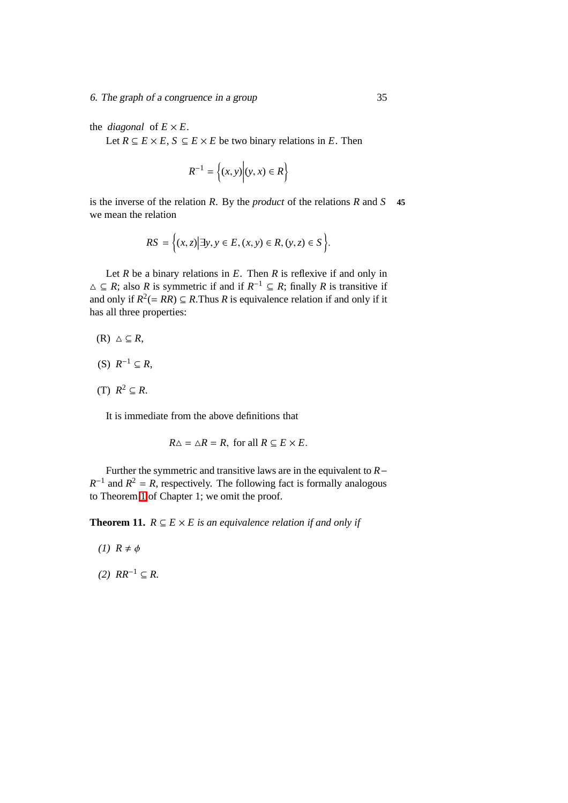the *diagonal* of  $E \times E$ .

Let *R* ⊆ *E* × *E*, *S* ⊆ *E* × *E* be two binary relations in *E*. Then

$$
R^{-1} = \left\{ (x, y) \middle| (y, x) \in R \right\}
$$

is the inverse of the relation *R*. By the *product* of the relations *R* and *S* **45** we mean the relation

$$
RS = \Big\{ (x, z) \Big| \exists y, y \in E, (x, y) \in R, (y, z) \in S \Big\}.
$$

Let  $R$  be a binary relations in  $E$ . Then  $R$  is reflexive if and only in  $\triangle$  ⊆ *R*; also *R* is symmetric if and if  $R^{-1}$  ⊆ *R*; finally *R* is transitive if and only if  $R^2 (= RR) \subseteq R$ . Thus *R* is equivalence relation if and only if it has all three properties:

$$
(R) \triangle \subseteq R,
$$

$$
(S) R^{-1} \subseteq R,
$$

 $(T)$   $R^2 \subseteq R$ .

It is immediate from the above definitions that

$$
R\Delta = \Delta R = R
$$
, for all  $R \subseteq E \times E$ .

Further the symmetric and transitive laws are in the equivalent to *R*−  $R^{-1}$  and  $R^2 = R$ , respectively. The following fact is formally analogous to Theorem [1](#page-178-0) of Chapter 1; we omit the proof.

**Theorem 11.**  $R \subseteq E \times E$  is an equivalence relation if and only if

- *(1)*  $R \neq \phi$
- $(2)$  *RR*<sup>−1</sup> ⊆ *R*.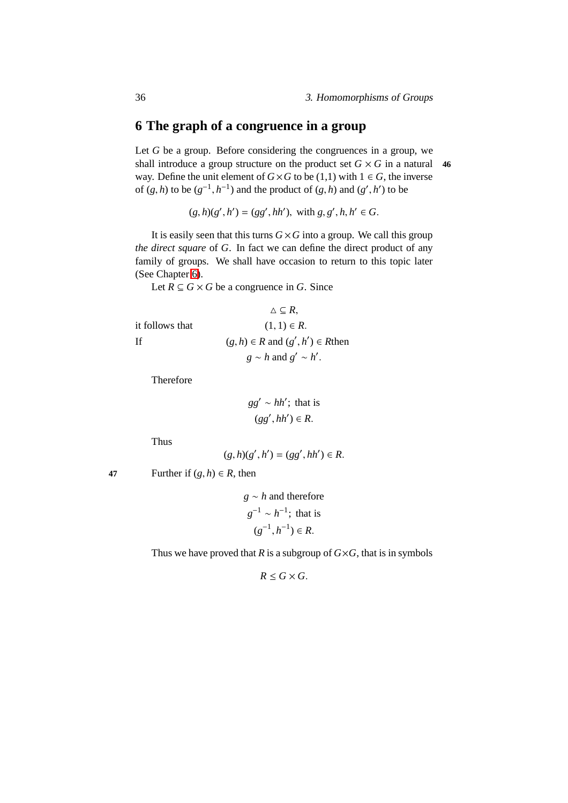# **6 The graph of a congruence in a group**

Let *G* be a group. Before considering the congruences in a group, we shall introduce a group structure on the product set  $G \times G$  in a natural 46 way. Define the unit element of  $G \times G$  to be (1,1) with  $1 \in G$ , the inverse of  $(g, h)$  to be  $(g^{-1}, h^{-1})$  and the product of  $(g, h)$  and  $(g', h')$  to be

 $(g, h)(g', h') = (gg', hh'), \text{ with } g, g', h, h' \in G.$ 

It is easily seen that this turns  $G \times G$  into a group. We call this group *the direct square* of *G*. In fact we can define the direct product of any family of groups. We shall have occasion to return to this topic later (See Chapter [6\)](#page-70-0).

Let  $R \subseteq G \times G$  be a congruence in *G*. Since

$$
\Delta \subseteq R,
$$
  
it follows that  

$$
(1, 1) \in R.
$$
  
If  

$$
(g, h) \in R \text{ and } (g', h') \in R \text{ then}
$$

$$
g \sim h \text{ and } g' \sim h'.
$$

Therefore

$$
gg' \sim hh';
$$
 that is  

$$
(gg', hh') \in R.
$$

Thus

$$
(g,h)(g',h')=(gg',hh')\in R.
$$

**47** Further if  $(g, h) \in R$ , then

*g* ∼ *h* and therefore  $g^{-1} \sim h^{-1}$ ; that is  $(g^{-1}, h^{-1})$  ∈ *R*.

Thus we have proved that *R* is a subgroup of  $G \times G$ , that is in symbols

 $R \leq G \times G$ .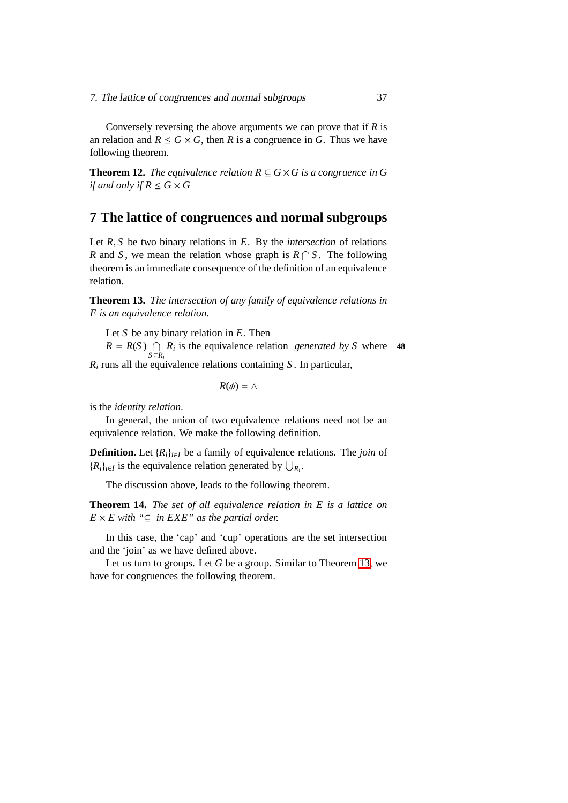Conversely reversing the above arguments we can prove that if *R* is an relation and  $R \leq G \times G$ , then *R* is a congruence in *G*. Thus we have following theorem.

**Theorem 12.** *The equivalence relation*  $R \subseteq G \times G$  *is a congruence in* G *if and only if*  $R \le G \times G$ 

## **7 The lattice of congruences and normal subgroups**

Let *R*, *S* be two binary relations in *E*. By the *intersection* of relations *R* and *S*, we mean the relation whose graph is  $R \cap S$ . The following theorem is an immediate consequence of the definition of an equivalence relation.

<span id="page-44-0"></span>**Theorem 13.** *The intersection of any family of equivalence relations in E is an equivalence relation.*

Let *S* be any binary relation in *E*. Then

 $R = R(S) \cap R_i$  is the equivalence relation *generated by S* where **48**  $S$  ⊆ $R_i$ 

*R<sup>i</sup>* runs all the equivalence relations containing *S* . In particular,

 $R(\phi) = \triangle$ 

is the *identity relation*.

In general, the union of two equivalence relations need not be an equivalence relation. We make the following definition.

**Definition.** Let  ${R_i}_{i \in I}$  be a family of equivalence relations. The *join* of  ${R_i}_{i \in I}$  is the equivalence relation generated by  $\bigcup_{R_i}$ .

The discussion above, leads to the following theorem.

**Theorem 14.** *The set of all equivalence relation in E is a lattice on*  $E \times E$  with " $\subseteq$  *in EXE" as the partial order.* 

In this case, the 'cap' and 'cup' operations are the set intersection and the 'join' as we have defined above.

Let us turn to groups. Let *G* be a group. Similar to Theorem [13,](#page-44-0) we have for congruences the following theorem.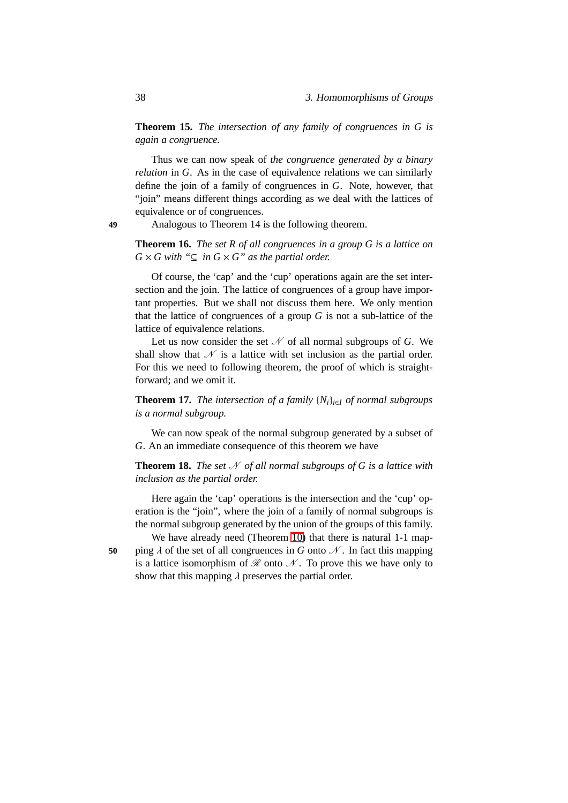**Theorem 15.** *The intersection of any family of congruences in G is again a congruence.*

Thus we can now speak of *the congruence generated by a binary relation* in *G*. As in the case of equivalence relations we can similarly define the join of a family of congruences in *G*. Note, however, that "join" means different things according as we deal with the lattices of equivalence or of congruences.

**49** Analogous to Theorem 14 is the following theorem.

**Theorem 16.** *The set R of all congruences in a group G is a lattice on*  $G \times G$  with " $\subseteq$  *in*  $G \times G$ " *as the partial order.* 

Of course, the 'cap' and the 'cup' operations again are the set intersection and the join. The lattice of congruences of a group have important properties. But we shall not discuss them here. We only mention that the lattice of congruences of a group *G* is not a sub-lattice of the lattice of equivalence relations.

Let us now consider the set  $\mathcal N$  of all normal subgroups of *G*. We shall show that  $\mathcal N$  is a lattice with set inclusion as the partial order. For this we need to following theorem, the proof of which is straightforward; and we omit it.

**Theorem 17.** *The intersection of a family*  $\{N_i\}_{i \in I}$  *of normal subgroups is a normal subgroup.*

We can now speak of the normal subgroup generated by a subset of *G*. An an immediate consequence of this theorem we have

**Theorem 18.** *The set*  $N$  *of all normal subgroups of G is a lattice with inclusion as the partial order.*

Here again the 'cap' operations is the intersection and the 'cup' operation is the "join", where the join of a family of normal subgroups is the normal subgroup generated by the union of the groups of this family.

We have already need (Theorem [10\)](#page-41-0) that there is natural 1-1 map-**50** ping  $\lambda$  of the set of all congruences in *G* onto  $\mathcal N$ . In fact this mapping is a lattice isomorphism of  $\mathcal R$  onto  $\mathcal N$ . To prove this we have only to show that this mapping  $\lambda$  preserves the partial order.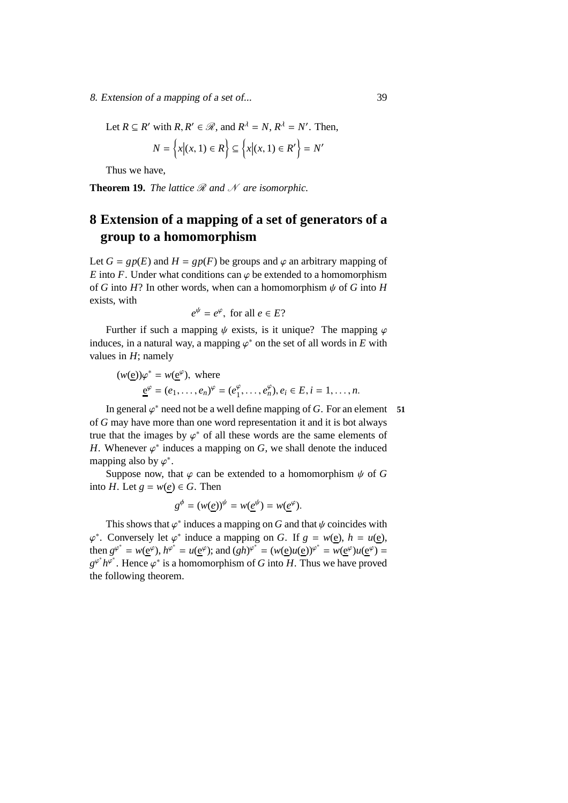8. Extension of <sup>a</sup> mapping of <sup>a</sup> set of... 39

Let  $R \subseteq R'$  with  $R, R' \in \mathcal{R}$ , and  $R^{\lambda} = N, R^{\lambda} = N'$ . Then,

$$
N = \left\{ x | (x, 1) \in R \right\} \subseteq \left\{ x | (x, 1) \in R' \right\} = N'
$$

Thus we have,

**Theorem 19.** *The lattice*  $\Re$  *and*  $\mathcal N$  *are isomorphic.* 

# **8 Extension of a mapping of a set of generators of a group to a homomorphism**

Let  $G = gp(E)$  and  $H = gp(F)$  be groups and  $\varphi$  an arbitrary mapping of *E* into *F*. Under what conditions can  $\varphi$  be extended to a homomorphism of *G* into *H*? In other words, when can a homomorphism  $\psi$  of *G* into *H* exists, with

$$
e^{\psi} = e^{\varphi}, \text{ for all } e \in E?
$$

Further if such a mapping  $\psi$  exists, is it unique? The mapping  $\varphi$ induces, in a natural way, a mapping  $\varphi^*$  on the set of all words in  $E$  with values in *H*; namely

$$
(w(\underline{e}))\varphi^* = w(\underline{e}^{\varphi}), \text{ where}
$$
  

$$
\underline{e}^{\varphi} = (e_1, \dots, e_n)^{\varphi} = (e_1^{\varphi}, \dots, e_n^{\varphi}), e_i \in E, i = 1, \dots, n.
$$

In general  $\varphi^*$  need not be a well define mapping of *G*. For an element **51** of *G* may have more than one word representation it and it is bot always true that the images by  $\varphi^*$  of all these words are the same elements of *H*. Whenever  $\varphi^*$  induces a mapping on *G*, we shall denote the induced mapping also by  $\varphi^*$ .

Suppose now, that  $\varphi$  can be extended to a homomorphism  $\psi$  of G into *H*. Let  $g = w(e) \in G$ . Then

$$
g^{\phi} = (w(\underline{e}))^{\psi} = w(\underline{e}^{\psi}) = w(\underline{e}^{\varphi}).
$$

<span id="page-46-0"></span>This shows that  $\varphi^*$  induces a mapping on *G* and that  $\psi$  coincides with  $\varphi^*$ . Conversely let  $\varphi^*$  induce a mapping on *G*. If  $g = w(\underline{e}), h = u(\underline{e})$ , then  $g^{\varphi^*} = w(\underline{e}^{\varphi})$ ,  $h^{\varphi^*} = u(\underline{e}^{\varphi})$ ; and  $(gh)^{\varphi^*} = (w(\underline{e})u(\underline{e}))^{\varphi^*} = w(\underline{e}^{\varphi})u(\underline{e}^{\varphi}) =$  $g^{\varphi^*} h^{\overline{\varphi^*}}$ . Hence  $\varphi^*$  is a homomorphism of *G* into *H*. Thus we have proved the following theorem.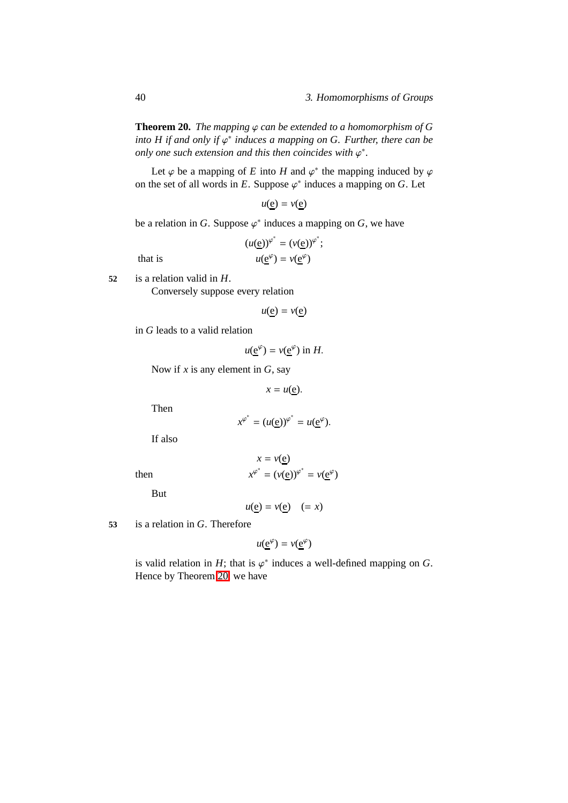40 3. Homomorphisms of Groups

**Theorem 20.** *The mapping*  $\varphi$  *can be extended to a homomorphism of G into H if and only if*  $\varphi^*$  *induces a mapping on G. Further, there can be only one such extension and this then coincides with*  $\varphi^*$ .

Let  $\varphi$  be a mapping of *E* into *H* and  $\varphi^*$  the mapping induced by  $\varphi$ on the set of all words in  $E$ . Suppose  $\varphi^*$  induces a mapping on  $G$ . Let

 $u(e) = v(e)$ 

be a relation in *G*. Suppose  $\varphi^*$  induces a mapping on *G*, we have

 $(u(\underline{e}))^{\varphi^*} = (v(\underline{e}))^{\varphi^*};$  $v(\underline{e}^{\varphi})$ 

that is

**52** is a relation valid in *H*.

Conversely suppose every relation

 $u(e) = v(e)$ 

in *G* leads to a valid relation

 $u(\underline{e}^{\varphi}) = v(\underline{e}^{\varphi})$  in *H*.

Now if *x* is any element in *G*, say

$$
x = u(\underline{e}).
$$

Then

$$
x^{\varphi^*} = (u(\underline{\mathbf{e}}))^{\varphi^*} = u(\underline{\mathbf{e}}^{\varphi}).
$$

If also

$$
x = v(\underline{e})
$$
  

$$
x^{\varphi^*} = (v(\underline{e}))^{\varphi^*} = v(\underline{e}^{\varphi})
$$

But

then *x*

$$
u(\underline{e}) = v(\underline{e}) \quad (= x)
$$

**53** is a relation in *G*. Therefore

$$
u(\underline{e}^{\varphi}) = v(\underline{e}^{\varphi})
$$

is valid relation in  $H$ ; that is  $\varphi^*$  induces a well-defined mapping on  $G$ . Hence by Theorem [20,](#page-46-0) we have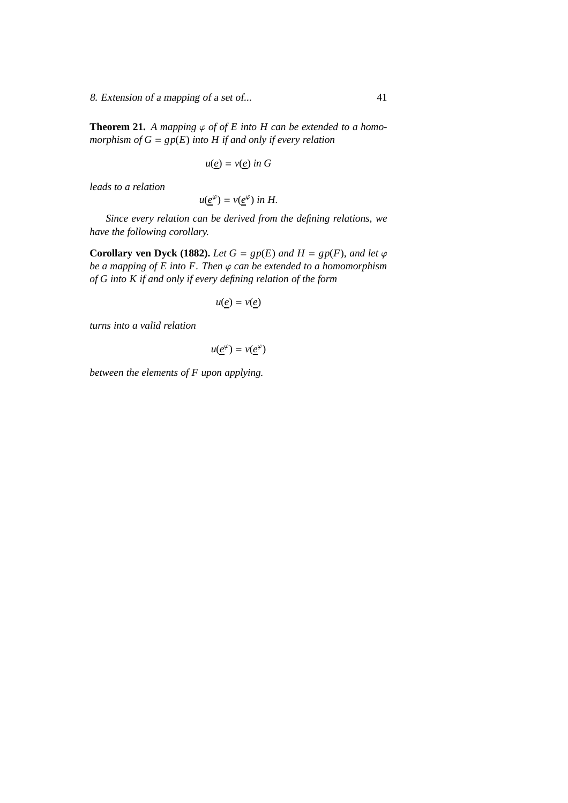8. Extension of <sup>a</sup> mapping of <sup>a</sup> set of... 41

**Theorem 21.** *A mapping*  $\varphi$  *of of E into H can be extended to a homomorphism of G* = *gp*(*E*) *into H if and only if every relation*

$$
u(\underline{e}) = v(\underline{e}) \text{ in } G
$$

*leads to a relation*

$$
u(\underline{e}^{\varphi}) = v(\underline{e}^{\varphi}) \text{ in } H.
$$

*Since every relation can be derived from the defining relations, we have the following corollary.*

**Corollary ven Dyck (1882).** *Let*  $G = gp(E)$  *and*  $H = gp(F)$ *, and let*  $\varphi$ *be a mapping of E into F. Then* ϕ *can be extended to a homomorphism of G into K if and only if every defining relation of the form*

$$
u(\underline{e}) = v(\underline{e})
$$

*turns into a valid relation*

$$
u(\underline{e}^{\varphi}) = v(\underline{e}^{\varphi})
$$

*between the elements of F upon applying.*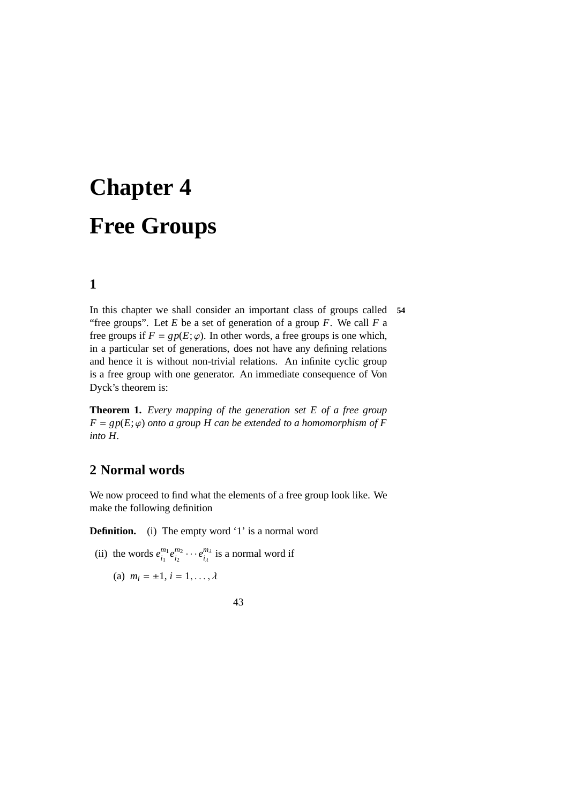# **Chapter 4 Free Groups**

## **1**

In this chapter we shall consider an important class of groups called **54** "free groups". Let  $E$  be a set of generation of a group  $F$ . We call  $F$  a free groups if  $F = gp(E; \varphi)$ . In other words, a free groups is one which, in a particular set of generations, does not have any defining relations and hence it is without non-trivial relations. An infinite cyclic group is a free group with one generator. An immediate consequence of Von Dyck's theorem is:

**Theorem 1.** *Every mapping of the generation set E of a free group*  $F = gp(E; \varphi)$  *onto a group H can be extended to a homomorphism of F into H.*

### **2 Normal words**

We now proceed to find what the elements of a free group look like. We make the following definition

**Definition.** (i) The empty word '1' is a normal word

- (ii) the words  $e_i^{m_1}$  $\frac{m_1}{i_1}e^{m_2}_{i_2}$  $\frac{m_2}{i_2} \cdots e_{i_\lambda}^{m_\lambda}$  $\frac{m_{\lambda}}{i_{\lambda}}$  is a normal word if
	- (a)  $m_i = \pm 1, i = 1, ..., \lambda$

43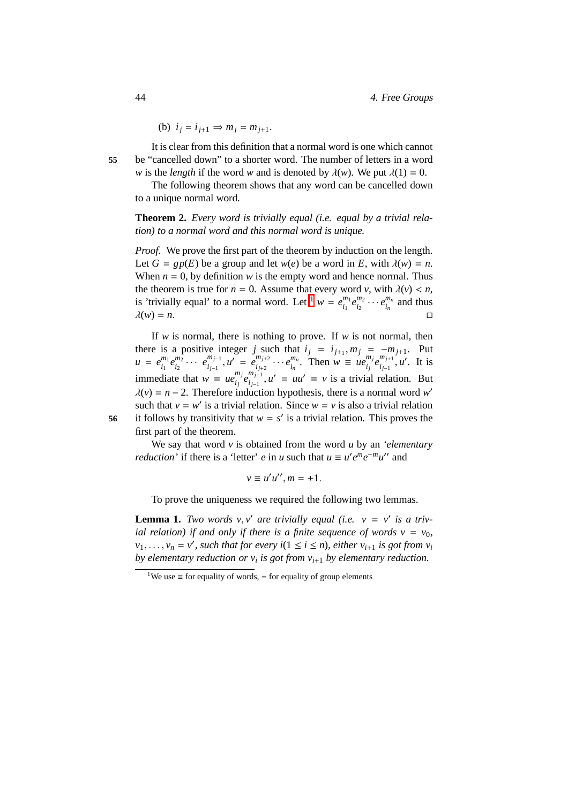(b) 
$$
i_j = i_{j+1} \Rightarrow m_j = m_{j+1}
$$
.

It is clear from this definition that a normal word is one which cannot **55** be "cancelled down" to a shorter word. The number of letters in a word *w* is the *length* if the word *w* and is denoted by  $\lambda(w)$ . We put  $\lambda(1) = 0$ .

The following theorem shows that any word can be cancelled down to a unique normal word.

**Theorem 2.** *Every word is trivially equal (i.e. equal by a trivial relation) to a normal word and this normal word is unique.*

*Proof.* We prove the first part of the theorem by induction on the length. Let  $G = gp(E)$  be a group and let  $w(e)$  be a word in *E*, with  $\lambda(w) = n$ . When  $n = 0$ , by definition *w* is the empty word and hence normal. Thus the theorem is true for  $n = 0$ . Assume that every word *v*, with  $\lambda(v) < n$ , is 'trivially equal' to a normal word. Let <sup>[1](#page-51-0)</sup>  $w = e_i^{m_1}$  $\frac{m_1}{i_1}e^{m_2}_{i_2}$  $\frac{m_2}{i_2} \cdots e_{i_n}^{m_n}$  $\binom{m_n}{i_n}$  and thus  $\lambda(w) = n.$ 

If *w* is normal, there is nothing to prove. If *w* is not normal, then there is a positive integer *j* such that  $i_j = i_{j+1}, m_j = -m_{j+1}$ . Put  $u = e_{i}^{m_1}$  $\frac{m_1}{i_1}e^{m_2}$  $e_{i_2}^{m_2} \cdots e_{i_{j-1}}^{m_{j-1}}$  $\sum_{i_{j-1}}^{m_{j-1}}$ ,  $u' = e_{i_{j+2}}^{m_{j+2}}$  $\sum_{i_{j+2}}^{m_{j+2}} \cdots e_{i_n}^{m_n}$  $\sum_{i_n}^{m_n}$ . Then  $w \equiv ue_{i_j}^{m_j}$  $\sum_{i_j}^{m_j} e_{i_{j-1}}^{m_{j+1}}$ *<sup>m</sup><sub>j+1</sub>*, *u'*. It is immediate that  $w = ue_i^{m_j}$  $\sum_{i_j}^{m_j} e_{i_{j-1}}^{m_{j+1}}$  $\int_{i_{j-1}}^{m_{j+1}} u' = uu' \equiv v$  is a trivial relation. But  $\lambda(v) = n - 2$ . Therefore induction hypothesis, there is a normal word *w'* such that  $v = w'$  is a trivial relation. Since  $w = v$  is also a trivial relation 56 it follows by transitivity that  $w = s'$  is a trivial relation. This proves the first part of the theorem.

We say that word *v* is obtained from the word *u* by an *'elementary reduction* ' if there is a 'letter' *e* in *u* such that  $u \equiv u'e^me^{-m}u''$  and

$$
v \equiv u'u'', m = \pm 1.
$$

To prove the uniqueness we required the following two lemmas.

<span id="page-51-1"></span>**Lemma 1.** *Two words*  $v$ ,  $v'$  *are trivially equal (i.e.*  $v = v'$  *is a trivial relation) if and only if there is a finite sequence of words*  $v = v_0$ ,  $v_1, \ldots, v_n = v'$ , such that for every  $i(1 \le i \le n)$ , either  $v_{i+1}$  is got from  $v_i$ *by elementary reduction or v<sup>i</sup> is got from vi*+<sup>1</sup> *by elementary reduction.*

<span id="page-51-0"></span><sup>&</sup>lt;sup>1</sup>We use  $\equiv$  for equality of words,  $=$  for equality of group elements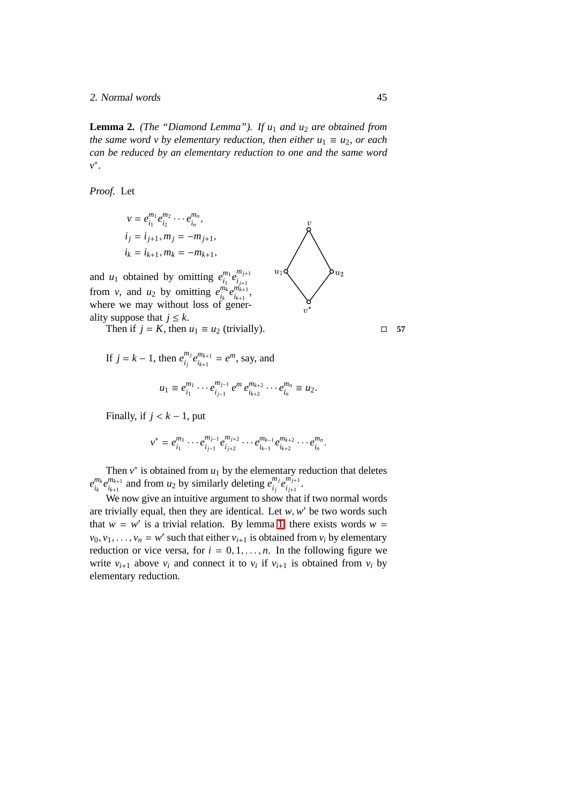2. Normal words 45

**Lemma 2.** *(The "Diamond Lemma"). If u*<sup>1</sup> *and u*<sup>2</sup> *are obtained from the same word v by elementary reduction, then either*  $u_1 \equiv u_2$ *, or each can be reduced by an elementary reduction to one and the same word v* ∗ *.*

*Proof.* Let

and  $u_1$ 

$$
v = e_{i_1}^{m_1} e_{i_2}^{m_2} \cdots e_{i_n}^{m_n},
$$
  
\n $i_j = i_{j+1}, m_j = -m_{j+1},$   
\n $i_k = i_{k+1}, m_k = -m_{k+1},$   
\nand  $u_1$  obtained by omitting  $e_{i_1}^{m_1} e_{i_{j+1}}^{m_{j+1}}$   
\nfrom  $v$ , and  $u_2$  by omitting  $e_{i_k}^{m_k} e_{i_{k+1}}^{m_{k+1}},$   
\nwhere we may without loss of gener-

ality suppose that  $j \leq k$ . Then if  $j = K$ , then  $u_1 \equiv u_2$  (trivially).  $\Box$  57

If 
$$
j = k - 1
$$
, then  $e_{i_j}^{m_j} e_{i_{k+1}}^{m_{k+1}} = e^m$ , say, and  

$$
u_1 \equiv e_{i_1}^{m_1} \cdots e_{i_{j-1}}^{m_{j-1}} e^m e_{i_{k+2}}^{m_{k+2}} \cdots e_{i_n}^{m_n} \equiv u_2.
$$

Finally, if  $j < k - 1$ , put

$$
v^* = e_{i_1}^{m_1} \cdots e_{i_{j-1}}^{m_{j-1}} e_{i_{j+2}}^{m_{j+2}} \cdots e_{i_{k-1}}^{m_{k-1}} e_{i_{k+2}}^{m_{k+2}} \cdots e_{i_n}^{m_n}.
$$

Then  $v^*$  is obtained from  $u_1$  by the elementary reduction that deletes *e mk*  $\sum_{i_k}^{m_k} e_{i_{k+1}}^{m_{k+1}}$  $\binom{m_{k+1}}{i_{k+1}}$  and from *u*<sub>2</sub> by similarly deleting  $e_{i_j}^{m_j}$  $\sum_{i_j}^{m_j} e_{i_{j+1}}^{m_{j+1}}$  $\frac{m_{j+1}}{i_{j+1}}$ .

We now give an intuitive argument to show that if two normal words are trivially equal, then they are identical. Let  $w$ ,  $w'$  be two words such that  $w = w'$  is a trivial relation. By lemma [1,](#page-51-1) there exists words  $w =$  $v_0, v_1, \ldots, v_n = w'$  such that either  $v_{i+1}$  is obtained from  $v_i$  by elementary reduction or vice versa, for  $i = 0, 1, \ldots, n$ . In the following figure we write  $v_{i+1}$  above  $v_i$  and connect it to  $v_i$  if  $v_{i+1}$  is obtained from  $v_i$  by elementary reduction.

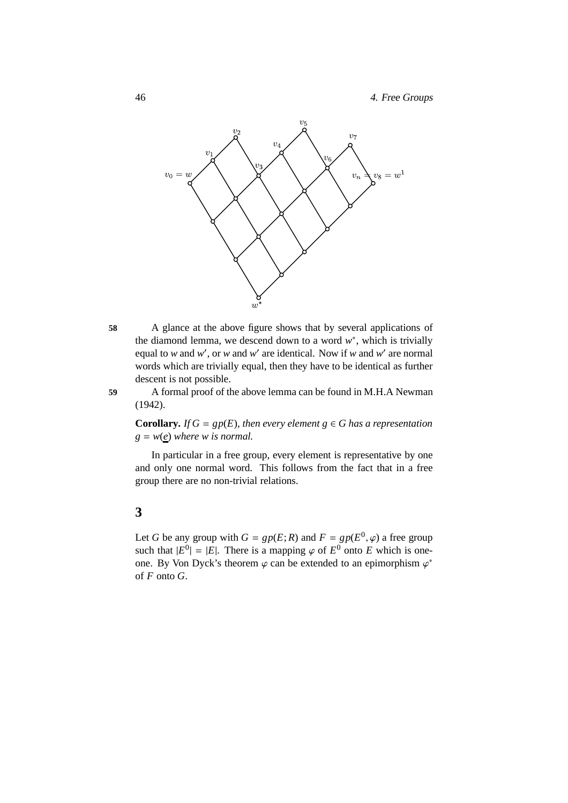

**58** A glance at the above figure shows that by several applications of the diamond lemma, we descend down to a word  $w^*$ , which is trivially equal to *w* and *w'*, or *w* and *w'* are identical. Now if *w* and *w'* are normal words which are trivially equal, then they have to be identical as further descent is not possible.

**59** A formal proof of the above lemma can be found in M.H.A Newman (1942).

**Corollary.** *If*  $G = gp(E)$ *, then every element*  $g \in G$  *has a representation*  $g = w(e)$  *where w is normal.* 

In particular in a free group, every element is representative by one and only one normal word. This follows from the fact that in a free group there are no non-trivial relations.

## **3**

Let *G* be any group with  $G = gp(E; R)$  and  $F = gp(E^0, \varphi)$  a free group such that  $|E^0| = |E|$ . There is a mapping  $\varphi$  of  $E^0$  onto *E* which is oneone. By Von Dyck's theorem  $\varphi$  can be extended to an epimorphism  $\varphi^*$ of *F* onto *G*.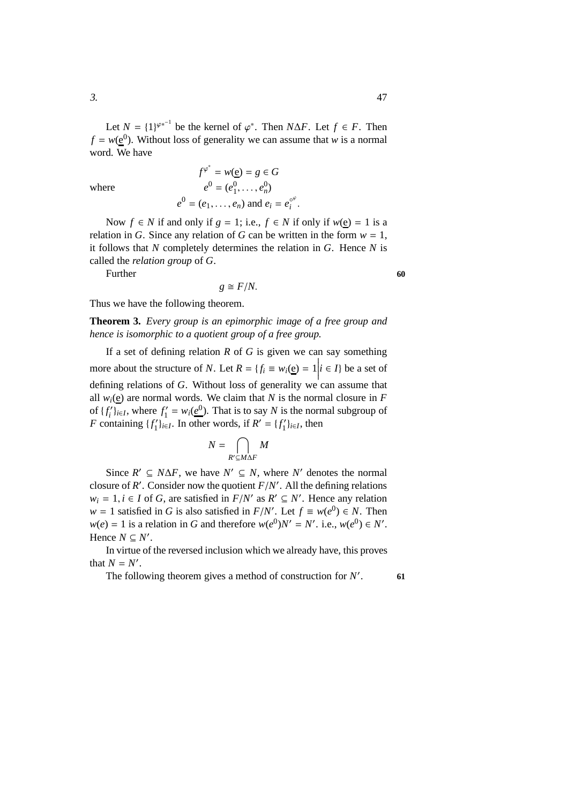Let  $N = \{1\}^{\varphi^{*^{-1}}}$  be the kernel of  $\varphi^*$ . Then  $N\Delta F$ . Let  $f \in F$ . Then  $f = w(\underline{e}^{0})$ . Without loss of generality we can assume that *w* is a normal word. We have

where *e*

$$
f^{\varphi^*} = w(\underline{e}) = g \in G
$$
  

$$
e^0 = (e_1^0, \dots, e_n^0)
$$
  

$$
e^0 = (e_1, \dots, e_n) \text{ and } e_i = e_i^{\varphi^e}.
$$

Now *f* ∈ *N* if and only if  $g = 1$ ; i.e.,  $f \text{ } \in N$  if only if  $w(e) = 1$  is a relation in *G*. Since any relation of *G* can be written in the form  $w = 1$ , it follows that *N* completely determines the relation in *G*. Hence *N* is called the *relation group* of *G*.

Further **60** 

$$
g\cong F/N.
$$

Thus we have the following theorem.

**Theorem 3.** *Every group is an epimorphic image of a free group and hence is isomorphic to a quotient group of a free group.*

If a set of defining relation *R* of *G* is given we can say something more about the structure of *N*. Let  $R = \{f_i \equiv w_i(\underline{e}) = 1 | i \in I\}$  be a set of  defining relations of *G*. Without loss of generality we can assume that all  $w_i$ (e) are normal words. We claim that *N* is the normal closure in *F* of  $\{f_i'\}_{i \in I}$ , where  $f_1'$  $C_1' = w_i(\underline{e}^0)$ . That is to say *N* is the normal subgroup of *F* containing  $\{f'_{1}\}_{i\in I}$ . In other words, if  $R' = \{f'_{1}\}_{i\in I}$ , then

$$
N=\bigcap_{R'\subseteq M\Delta F}M
$$

Since  $R' \subseteq N\Delta F$ , we have  $N' \subseteq N$ , where  $N'$  denotes the normal closure of  $R'$ . Consider now the quotient  $F/N'$ . All the defining relations  $w_i = 1, i \in I$  of *G*, are satisfied in  $F/N'$  as  $R' \subseteq N'$ . Hence any relation  $w = 1$  satisfied in *G* is also satisfied in *F*/*N*'. Let  $f \equiv w(e^0) \in N$ . Then  $w(e) = 1$  is a relation in *G* and therefore  $w(e^0)N' = N'$ . i.e.,  $w(e^0) \in N'$ . Hence  $N \subseteq N'$ .

In virtue of the reversed inclusion which we already have, this proves that  $N = N'$ .

The following theorem gives a method of construction for *N* ′

. **61**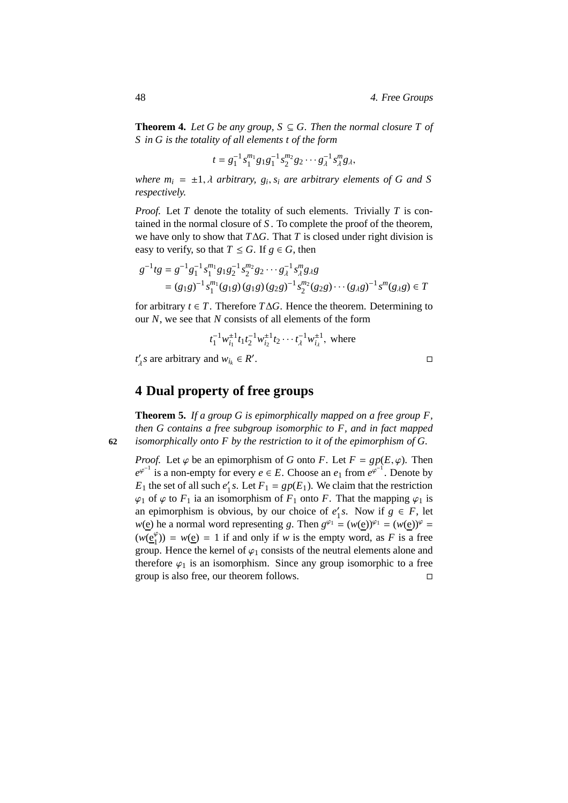**Theorem 4.** Let G be any group,  $S \subseteq G$ . Then the normal closure T of *S in G is the totality of all elements t of the form*

$$
t = g_1^{-1} s_1^{m_1} g_1 g_1^{-1} s_2^{m_2} g_2 \cdots g_\lambda^{-1} s_\lambda^m g_\lambda,
$$

*where*  $m_i = \pm 1$ ,  $\lambda$  *arbitrary*,  $g_i$ ,  $s_i$  *are arbitrary elements of* G *and* S *respectively.*

*Proof.* Let *T* denote the totality of such elements. Trivially *T* is contained in the normal closure of *S* . To complete the proof of the theorem, we have only to show that *T*∆*G*. That *T* is closed under right division is easy to verify, so that  $T \leq G$ . If  $g \in G$ , then

$$
g^{-1}tg = g^{-1}g_1^{-1} s_1^{m_1} g_1 g_2^{-1} s_2^{m_2} g_2 \cdots g_\lambda^{-1} s_\lambda^m g_\lambda g
$$
  
=  $(g_1g)^{-1} s_1^{m_1} (g_1g) (g_1g) (g_2g)^{-1} s_2^{m_2} (g_2g) \cdots (g_\lambda g)^{-1} s^m (g_\lambda g) \in T$ 

for arbitrary  $t \in T$ . Therefore  $T \Delta G$ . Hence the theorem. Determining to our *N*, we see that *N* consists of all elements of the form

$$
t_1^{-1} w_{i_1}^{\pm 1} t_1 t_2^{-1} w_{i_2}^{\pm 1} t_2 \cdots t_\lambda^{-1} w_{i_\lambda}^{\pm 1}
$$
, where

 $t'_{\lambda}$ *s* are arbitrary and  $w_{i_k} \in R'$ .

**4 Dual property of free groups**

**Theorem 5.** *If a group G is epimorphically mapped on a free group F, then G contains a free subgroup isomorphic to F, and in fact mapped* **62** *isomorphically onto F by the restriction to it of the epimorphism of G.*

*Proof.* Let  $\varphi$  be an epimorphism of *G* onto *F*. Let  $F = gp(E, \varphi)$ . Then  $e^{\varphi^{-1}}$  is a non-empty for every  $e \in E$ . Choose an  $e_1$  from  $e^{\varphi^{-1}}$ . Denote by  $E_1$  the set of all such  $e'_1$  *s*. Let  $F_1 = gp(E_1)$ . We claim that the restriction  $\varphi_1$  of  $\varphi$  to  $F_1$  ia an isomorphism of  $F_1$  onto  $F$ . That the mapping  $\varphi_1$  is an epimorphism is obvious, by our choice of  $e_1'$  $\int_1^t s$ . Now if  $g \in F$ , let  $w(e)$  he a normal word representing *g*. Then  $g^{\varphi_1} = (w(e))^{\varphi_1} = (w(e))^{\varphi} =$  $(w(\mathbf{e}_1^{\varphi})) = w(\mathbf{e}) = 1$  if and only if *w* is the empty word, as *F* is a free group. Hence the kernel of  $\varphi_1$  consists of the neutral elements alone and therefore  $\varphi_1$  is an isomorphism. Since any group isomorphic to a free group is also free, our theorem follows.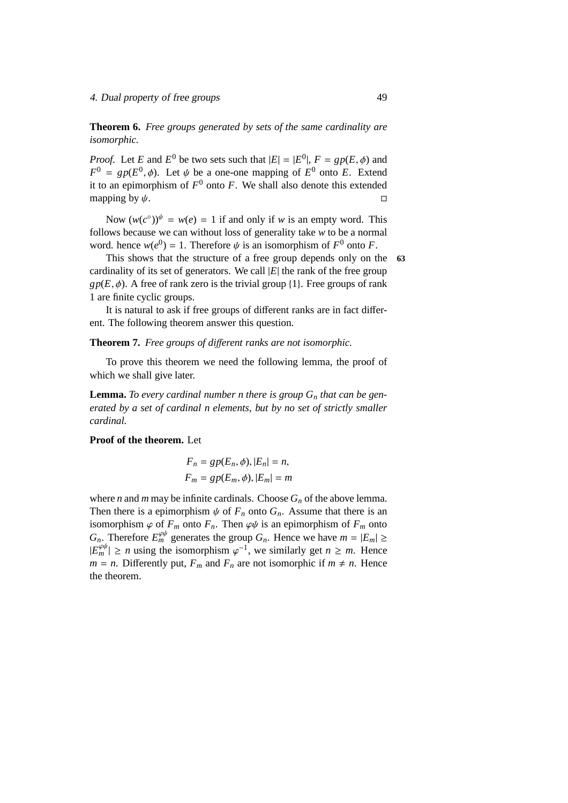**Theorem 6.** *Free groups generated by sets of the same cardinality are isomorphic.*

*Proof.* Let *E* and  $E^0$  be two sets such that  $|E| = |E^0|$ ,  $F = gp(E, \phi)$  and  $F^0 = gp(E^0, \phi)$ . Let  $\psi$  be a one-one mapping of  $E^0$  onto *E*. Extend it to an epimorphism of  $F^0$  onto  $F$ . We shall also denote this extended mapping by  $\psi$ .

Now  $(w(c^{\circ}))^{\psi} = w(e) = 1$  if and only if *w* is an empty word. This follows because we can without loss of generality take *w* to be a normal word. hence  $w(e^{0}) = 1$ . Therefore  $\psi$  is an isomorphism of  $F^{0}$  onto *F*.

This shows that the structure of a free group depends only on the **63** cardinality of its set of generators. We call  $|E|$  the rank of the free group  $gp(E, \phi)$ . A free of rank zero is the trivial group {1}. Free groups of rank 1 are finite cyclic groups.

It is natural to ask if free groups of different ranks are in fact different. The following theorem answer this question.

#### **Theorem 7.** *Free groups of di*ff*erent ranks are not isomorphic.*

To prove this theorem we need the following lemma, the proof of which we shall give later.

**Lemma.** To every cardinal number n there is group  $G_n$  that can be gen*erated by a set of cardinal n elements, but by no set of strictly smaller cardinal.*

#### **Proof of the theorem.** Let

$$
F_n = gp(E_n, \phi), |E_n| = n,
$$
  

$$
F_m = gp(E_m, \phi), |E_m| = m
$$

where *n* and *m* may be infinite cardinals. Choose  $G_n$  of the above lemma. Then there is a epimorphism  $\psi$  of  $F_n$  onto  $G_n$ . Assume that there is an isomorphism  $\varphi$  of  $F_m$  onto  $F_n$ . Then  $\varphi\psi$  is an epimorphism of  $F_m$  onto *G<sub>n</sub>*. Therefore  $E_m^{\varphi\psi}$  generates the group *G<sub>n</sub>*. Hence we have  $m = |E_m| \ge$  $|E_m^{\varphi\psi}| \ge n$  using the isomorphism  $\varphi^{-1}$ , we similarly get  $n \ge m$ . Hence  $m = n$ . Differently put,  $F_m$  and  $F_n$  are not isomorphic if  $m \neq n$ . Hence the theorem.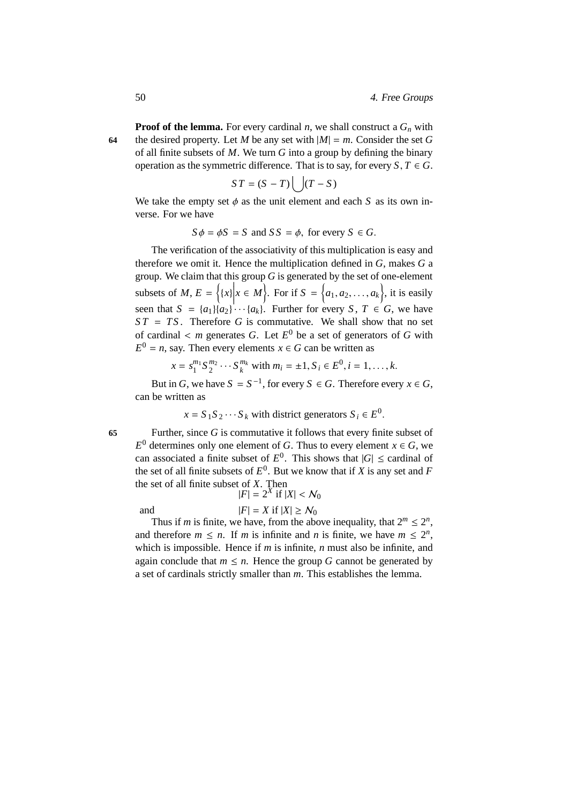**Proof of the lemma.** For every cardinal *n*, we shall construct a  $G_n$  with 64 the desired property. Let *M* be any set with  $|M| = m$ . Consider the set *G* of all finite subsets of *M*. We turn *G* into a group by defining the binary operation as the symmetric difference. That is to say, for every  $S, T \in G$ .

$$
ST = (S - T) \left( \int (T - S) \right)
$$

We take the empty set  $\phi$  as the unit element and each *S* as its own inverse. For we have

$$
S\phi = \phi S = S
$$
 and  $SS = \phi$ , for every  $S \in G$ .

The verification of the associativity of this multiplication is easy and therefore we omit it. Hence the multiplication defined in *G*, makes *G* a group. We claim that this group *G* is generated by the set of one-element subsets of *M*,  $E = \{x | x \mid x \in M\}$ . For if  $S = \{a_1, a_2, ..., a_k\}$ , it is easily seen that  $S = \{a_1\} \{a_2\} \cdots \{a_k\}$ . Further for every *S*,  $T \in G$ , we have  $ST = TS$ . Therefore *G* is commutative. We shall show that no set of cardinal  $\lt m$  generates *G*. Let  $E^0$  be a set of generators of *G* with  $E^0 = n$ , say. Then every elements  $x \in G$  can be written as

$$
x = s_1^{m_1} S_2^{m_2} \cdots S_k^{m_k}
$$
 with  $m_i = \pm 1, S_i \in E^0, i = 1, ..., k$ .

But in *G*, we have  $S = S^{-1}$ , for every  $S \in G$ . Therefore every  $x \in G$ , can be written as

$$
x = S_1 S_2 \cdots S_k
$$
 with district generators  $S_i \in E^0$ .

**65** Further, since *G* is commutative it follows that every finite subset of  $E^0$  determines only one element of *G*. Thus to every element  $x \in G$ , we can associated a finite subset of  $E^0$ . This shows that  $|G| \leq$  cardinal of the set of all finite subsets of  $E^0$ . But we know that if *X* is any set and *F* the set of all finite subset of *X*. Then

and  
\n
$$
|F| = 2^X \text{ if } |X| < \mathcal{N}_0
$$
\n
$$
|F| = X \text{ if } |X| \ge \mathcal{N}_0
$$

Thus if *m* is finite, we have, from the above inequality, that  $2^m \leq 2^n$ , and therefore  $m \le n$ . If *m* is infinite and *n* is finite, we have  $m \le 2^n$ , which is impossible. Hence if *m* is infinite, *n* must also be infinite, and again conclude that  $m \leq n$ . Hence the group *G* cannot be generated by a set of cardinals strictly smaller than *m*. This establishes the lemma.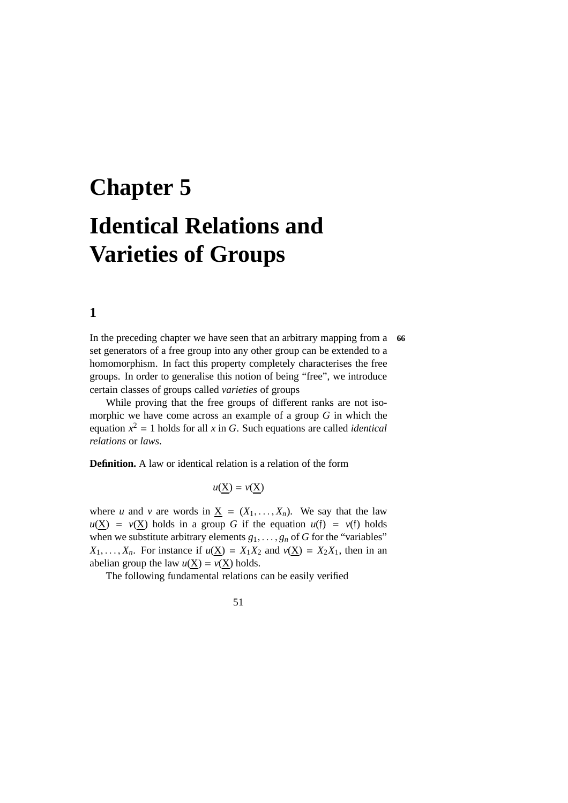# **Chapter 5 Identical Relations and Varieties of Groups**

**1**

In the preceding chapter we have seen that an arbitrary mapping from a **66** set generators of a free group into any other group can be extended to a homomorphism. In fact this property completely characterises the free groups. In order to generalise this notion of being "free", we introduce certain classes of groups called *varieties* of groups

While proving that the free groups of different ranks are not isomorphic we have come across an example of a group *G* in which the equation  $x^2 = 1$  holds for all *x* in *G*. Such equations are called *identical relations* or *laws*.

**Definition.** A law or identical relation is a relation of the form

$$
u(\underline{X}) = v(\underline{X})
$$

where *u* and *v* are words in  $\underline{X} = (X_1, \ldots, X_n)$ . We say that the law  $u(\underline{X}) = v(\underline{X})$  holds in a group *G* if the equation  $u(f) = v(f)$  holds when we substitute arbitrary elements  $g_1, \ldots, g_n$  of *G* for the "variables"  $X_1, \ldots, X_n$ . For instance if  $u(\underline{X}) = X_1 X_2$  and  $v(\underline{X}) = X_2 X_1$ , then in an abelian group the law  $u(\underline{X}) = v(\underline{X})$  holds.

The following fundamental relations can be easily verified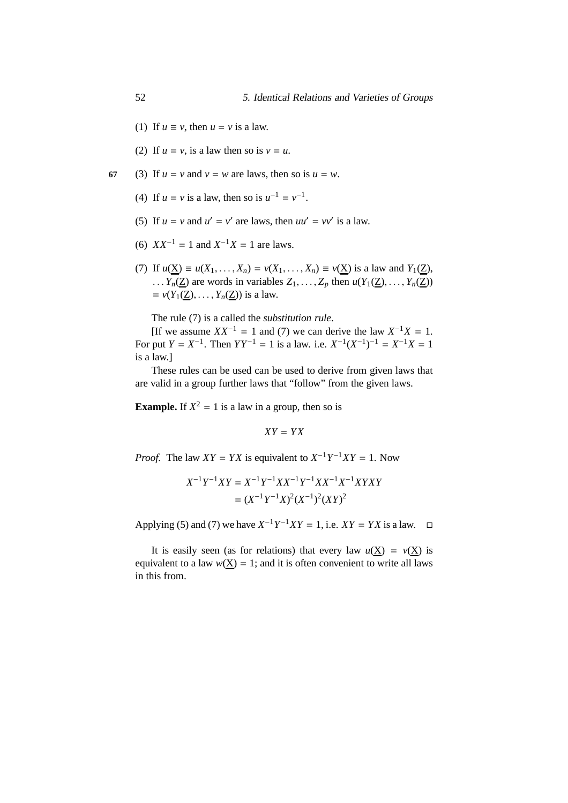- (1) If  $u \equiv v$ , then  $u = v$  is a law.
- (2) If  $u = v$ , is a law then so is  $v = u$ .
- **67** (3) If  $u = v$  and  $v = w$  are laws, then so is  $u = w$ .
	- (4) If  $u = v$  is a law, then so is  $u^{-1} = v^{-1}$ .
	- (5) If  $u = v$  and  $u' = v'$  are laws, then  $uu' = vv'$  is a law.
	- (6)  $XX^{-1} = 1$  and  $X^{-1}X = 1$  are laws.
	- (7) If  $u(X) \equiv u(X_1, ..., X_n) = v(X_1, ..., X_n) \equiv v(X)$  is a law and  $Y_1(Z)$ , ...  $Y_n(\underline{Z})$  are words in variables  $Z_1, \ldots, Z_p$  then  $u(Y_1(\underline{Z}), \ldots, Y_n(\underline{Z}))$  $= v(Y_1(Z), \ldots, Y_n(Z))$  is a law.

The rule (7) is a called the *substitution rule*.

[If we assume  $XX^{-1} = 1$  and (7) we can derive the law  $X^{-1}X = 1$ . For put  $Y = X^{-1}$ . Then  $YY^{-1} = 1$  is a law. i.e.  $X^{-1}(X^{-1})^{-1} = X^{-1}X = 1$ is a law.]

These rules can be used can be used to derive from given laws that are valid in a group further laws that "follow" from the given laws.

**Example.** If  $X^2 = 1$  is a law in a group, then so is

$$
XY=YX
$$

*Proof.* The law  $XY = YX$  is equivalent to  $X^{-1}Y^{-1}XY = 1$ . Now

$$
X^{-1}Y^{-1}XY = X^{-1}Y^{-1}XX^{-1}Y^{-1}XX^{-1}X^{-1}XYXY
$$
  
= 
$$
(X^{-1}Y^{-1}X)^2(X^{-1})^2(XY)^2
$$

Applying (5) and (7) we have  $X^{-1}Y^{-1}XY = 1$ , i.e.  $XY = YX$  is a law.  $\square$ 

It is easily seen (as for relations) that every law  $u(X) = v(X)$  is equivalent to a law  $w(X) = 1$ ; and it is often convenient to write all laws in this from.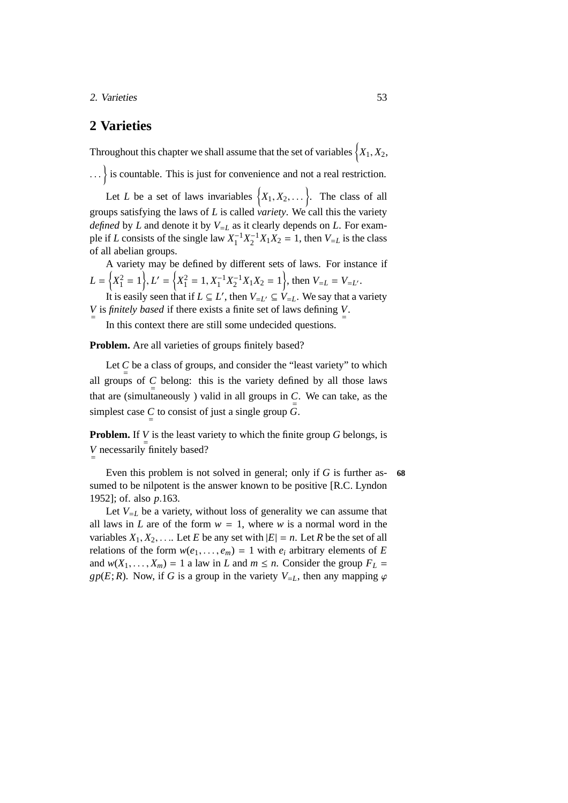2. Varieties 53

## <span id="page-60-0"></span>**2 Varieties**

Throughout this chapter we shall assume that the set of variables  $\left\{X_{1}, X_{2},\right.$ 

... is countable. This is just for convenience and not a real restriction.

Let *L* be a set of laws invariables  $\{X_1, X_2, \dots\}$ . The class of all groups satisfying the laws of *L* is called *variety*. We call this the variety *defined* by *L* and denote it by  $V_{=L}$  as it clearly depends on *L*. For example if *L* consists of the single law  $X_1^{-1}X_2^{-1}X_1X_2 = 1$ , then  $V_{=L}$  is the class of all abelian groups.

A variety may be defined by different sets of laws. For instance if  $L = \left\{ X_1^2 = 1 \right\}$ ,  $L' = \left\{ X_1^2 = 1, X_1^{-1} X_2^{-1} X_1 X_2 = 1 \right\}$ , then  $V_{=L} = V_{=L'}$ . It is easily seen that if  $L \subseteq L'$ , then  $V_{=L'} \subseteq V_{=L}$ . We say that a variety

*V* is *finitely based* if there exists a finite set of laws defining  $\frac{V}{r}$ .

In this context there are still some undecided questions.

**Problem.** Are all varieties of groups finitely based?

Let  $\sum_{n=1}^{\infty}$  be a class of groups, and consider the "least variety" to which all groups of  $\sum_{n=1}^{\infty}$  belong: this is the variety defined by all those laws that are (simultaneously) valid in all groups in  $\sum_{n=1}^{n}$ . We can take, as the simplest case  $\underset{=}{C}$  to consist of just a single group *G*.

**Problem.** If  $V$  is the least variety to which the finite group *G* belongs, is *V* necessarily finitely based?

Even this problem is not solved in general; only if *G* is further as- **68** sumed to be nilpotent is the answer known to be positive [R.C. Lyndon 1952]; of. also *p*.163.

Let  $V_{=L}$  be a variety, without loss of generality we can assume that all laws in *L* are of the form  $w = 1$ , where *w* is a normal word in the variables  $X_1, X_2, \ldots$  Let *E* be any set with  $|E| = n$ . Let *R* be the set of all relations of the form  $w(e_1, \ldots, e_m) = 1$  with  $e_i$  arbitrary elements of *E* and  $w(X_1, \ldots, X_m) = 1$  a law in *L* and  $m \le n$ . Consider the group  $F_L =$ *gp*(*E*; *R*). Now, if *G* is a group in the variety  $V_{=L}$ , then any mapping  $\varphi$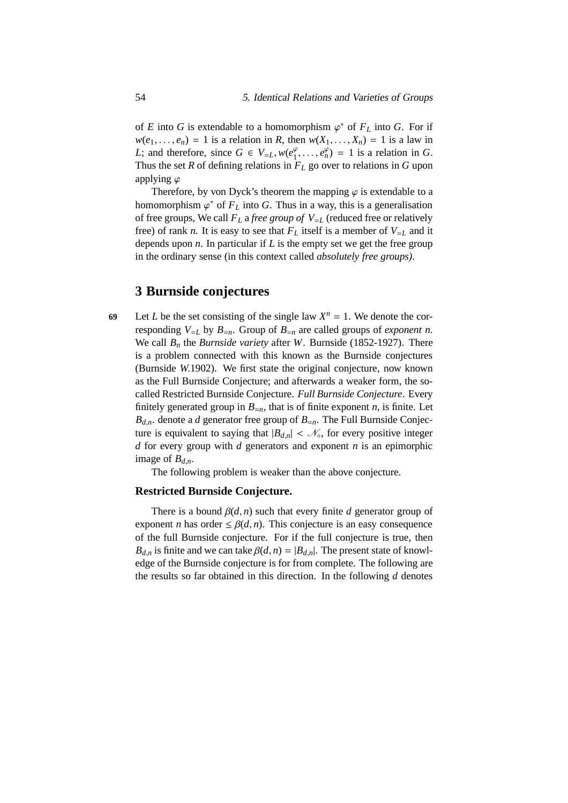of *E* into *G* is extendable to a homomorphism  $\varphi^*$  of  $F_L$  into *G*. For if  $w(e_1, \ldots, e_n) = 1$  is a relation in *R*, then  $w(X_1, \ldots, X_n) = 1$  is a law in *L*; and therefore, since  $G \in V_{=L}$ ,  $w(e_1^{\varphi})$  $e_1^{\varphi}, \ldots, e_n^{\varphi}$  = 1 is a relation in *G*. Thus the set  $R$  of defining relations in  $F_L$  go over to relations in  $G$  upon applying  $\varphi$ 

Therefore, by von Dyck's theorem the mapping  $\varphi$  is extendable to a homomorphism  $\varphi^*$  of  $F_L$  into G. Thus in a way, this is a generalisation of free groups, We call  $F_L$  a *free group of*  $V_{=L}$  (reduced free or relatively free) of rank *n*. It is easy to see that  $F_L$  itself is a member of  $V_{=L}$  and it depends upon *n*. In particular if *L* is the empty set we get the free group in the ordinary sense (in this context called *absolutely free groups)*.

### **3 Burnside conjectures**

69 Let *L* be the set consisting of the single law  $X^n = 1$ . We denote the corresponding  $V_{=L}$  by  $B_{=n}$ . Group of  $B_{=n}$  are called groups of *exponent n*. We call *B<sup>n</sup>* the *Burnside variety* after *W*. Burnside (1852-1927). There is a problem connected with this known as the Burnside conjectures (Burnside *W*.1902). We first state the original conjecture, now known as the Full Burnside Conjecture; and afterwards a weaker form, the socalled Restricted Burnside Conjecture. *Full Burnside Conjecture*. Every finitely generated group in  $B_{=n}$ , that is of finite exponent *n*, is finite. Let  $B_{d,n}$  denote a *d* generator free group of  $B_{=n}$ . The Full Burnside Conjecture is equivalent to saying that  $|B_{d,n}| < \mathcal{N}_0$ , for every positive integer *d* for every group with *d* generators and exponent *n* is an epimorphic image of  $B_{d,n}$ .

The following problem is weaker than the above conjecture.

#### **Restricted Burnside Conjecture.**

There is a bound  $\beta(d, n)$  such that every finite *d* generator group of exponent *n* has order  $\leq \beta(d, n)$ . This conjecture is an easy consequence of the full Burnside conjecture. For if the full conjecture is true, then  $B_{d,n}$  is finite and we can take  $\beta(d,n) = |B_{d,n}|$ . The present state of knowledge of the Burnside conjecture is for from complete. The following are the results so far obtained in this direction. In the following *d* denotes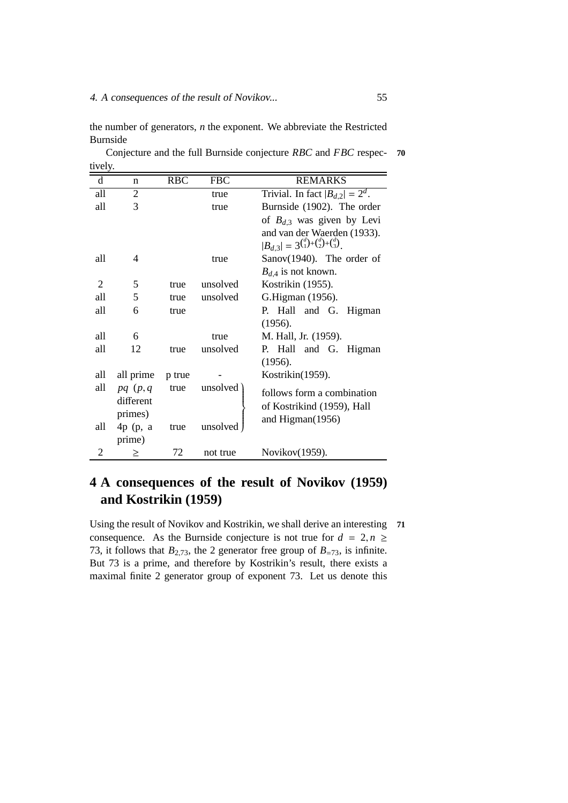the number of generators, *n* the exponent. We abbreviate the Restricted Burnside

Conjecture and the full Burnside conjecture *RBC* and *FBC* respec- **70** tively.

| d              | n             | <b>RBC</b> | <b>FBC</b> | <b>REMARKS</b>                                                 |
|----------------|---------------|------------|------------|----------------------------------------------------------------|
| all            | 2             |            | true       | Trivial. In fact $ B_{d,2}  = 2^d$ .                           |
| all            | 3             |            | true       | Burnside (1902). The order                                     |
|                |               |            |            | of $B_{d,3}$ was given by Levi                                 |
|                |               |            |            | and van der Waerden (1933).                                    |
|                |               |            |            | $ B_{d,3}  = 3^{d \choose 1} + {d \choose 2} + {d \choose 3}.$ |
| all            | 4             |            | true       | Sanov $(1940)$ . The order of                                  |
|                |               |            |            | $B_{d,4}$ is not known.                                        |
| $\overline{2}$ | 5             | true       | unsolved   | Kostrikin (1955).                                              |
| all            | 5             | true       | unsolved   | G.Higman (1956).                                               |
| all            | 6             | true       |            | P. Hall and G. Higman                                          |
|                |               |            |            | (1956).                                                        |
| all            | 6             |            | true       | M. Hall, Jr. (1959).                                           |
| all            | 12            | true       | unsolved   | P. Hall and G. Higman                                          |
|                |               |            |            | (1956).                                                        |
| all            | all prime     | p true     |            | Kostrikin(1959).                                               |
| all            | $pq$ $(p, q)$ | true       | unsolved   | follows form a combination                                     |
|                | different     |            |            | of Kostrikind (1959), Hall                                     |
|                | primes)       |            |            | and Higman(1956)                                               |
| all            | $4p$ (p, a    | true       | unsolved   |                                                                |
|                | prime)        |            |            |                                                                |
| 2              | ≥             | 72         | not true   | Novikov(1959).                                                 |

# **4 A consequences of the result of Novikov (1959) and Kostrikin (1959)**

Using the result of Novikov and Kostrikin, we shall derive an interesting **71** consequence. As the Burnside conjecture is not true for  $d = 2, n \ge$ 73, it follows that  $B_{2,73}$ , the 2 generator free group of  $B_{-73}$ , is infinite. But 73 is a prime, and therefore by Kostrikin's result, there exists a maximal finite 2 generator group of exponent 73. Let us denote this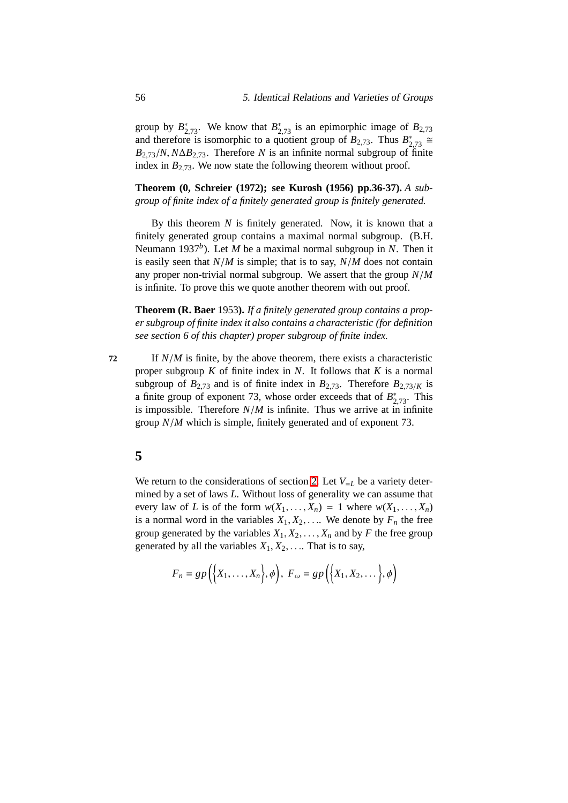group by  $B^*_{2,73}$ . We know that  $B^*_{2,73}$  is an epimorphic image of  $B_{2,73}$ and therefore is isomorphic to a quotient group of  $B_{2,73}$ . Thus  $B_{2,73}^* \cong$  $B_{2,73}/N$ ,  $N\Delta B_{2,73}$ . Therefore *N* is an infinite normal subgroup of finite index in  $B_{2,73}$ . We now state the following theorem without proof.

**Theorem (0, Schreier (1972); see Kurosh (1956) pp.36-37).** *A subgroup of finite index of a finitely generated group is finitely generated.*

By this theorem *N* is finitely generated. Now, it is known that a finitely generated group contains a maximal normal subgroup. (B.H. Neumann 1937*<sup>b</sup>* ). Let *M* be a maximal normal subgroup in *N*. Then it is easily seen that *N*/*M* is simple; that is to say, *N*/*M* does not contain any proper non-trivial normal subgroup. We assert that the group *N*/*M* is infinite. To prove this we quote another theorem with out proof.

**Theorem (R. Baer** 1953**).** *If a finitely generated group contains a proper subgroup of finite index it also contains a characteristic (for definition see section 6 of this chapter) proper subgroup of finite index.*

**72** If *N*/*M* is finite, by the above theorem, there exists a characteristic proper subgroup *K* of finite index in *N*. It follows that *K* is a normal subgroup of  $B_{2,73}$  and is of finite index in  $B_{2,73}$ . Therefore  $B_{2,73/K}$  is a finite group of exponent 73, whose order exceeds that of  $B^*_{2,73}$ . This is impossible. Therefore  $N/M$  is infinite. Thus we arrive at in infinite group *N*/*M* which is simple, finitely generated and of exponent 73.

## **5**

We return to the considerations of section [2.](#page-60-0) Let  $V_{=L}$  be a variety determined by a set of laws *L*. Without loss of generality we can assume that every law of *L* is of the form  $w(X_1, \ldots, X_n) = 1$  where  $w(X_1, \ldots, X_n)$ is a normal word in the variables  $X_1, X_2, \ldots$ . We denote by  $F_n$  the free group generated by the variables  $X_1, X_2, \ldots, X_n$  and by *F* the free group generated by all the variables  $X_1, X_2, \ldots$  That is to say,

$$
F_n = gp\left(\Big\{X_1, \ldots, X_n\Big\}, \phi\right),\ F_\omega = gp\left(\Big\{X_1, X_2, \ldots\Big\}, \phi\right)
$$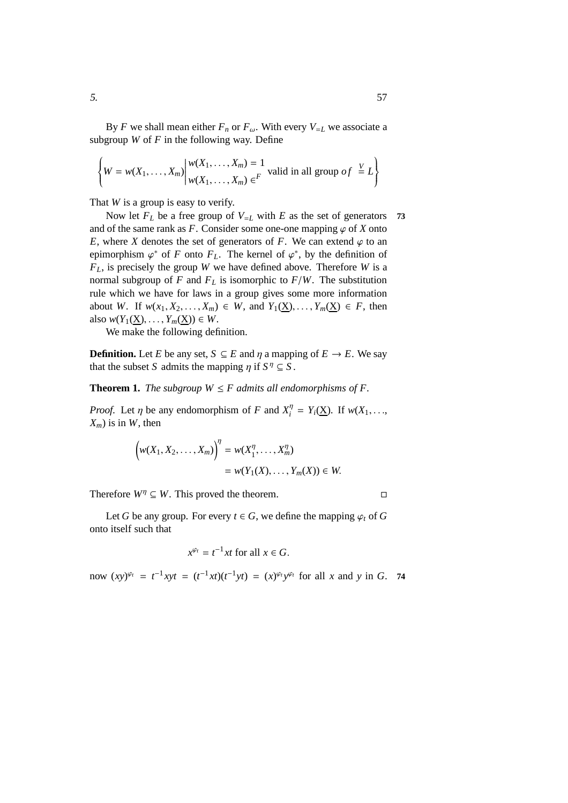By *F* we shall mean either  $F_n$  or  $F_\omega$ . With every  $V_{=L}$  we associate a subgroup  $W$  of  $F$  in the following way. Define

$$
\left\{ W = w(X_1, \dots, X_m) \middle| \begin{aligned} w(X_1, \dots, X_m) &= 1 \\ w(X_1, \dots, X_m) & \in^F \end{aligned} \right.
$$
 valid in all group of  $\subseteq L$ 

That *W* is a group is easy to verify.

Now let  $F_L$  be a free group of  $V_{=L}$  with  $E$  as the set of generators 73 and of the same rank as  $F$ . Consider some one-one mapping  $\varphi$  of  $X$  onto *E*, where *X* denotes the set of generators of *F*. We can extend  $\varphi$  to an epimorphism  $\varphi^*$  of *F* onto  $F_L$ . The kernel of  $\varphi^*$ , by the definition of *FL*, is precisely the group *W* we have defined above. Therefore *W* is a normal subgroup of *F* and  $F_L$  is isomorphic to  $F/W$ . The substitution rule which we have for laws in a group gives some more information about *W*. If  $w(x_1, X_2, \ldots, X_m) \in W$ , and  $Y_1(\underline{X}), \ldots, Y_m(\underline{X}) \in F$ , then also  $w(Y_1(\underline{X}), \ldots, Y_m(\underline{X})) \in W$ .

We make the following definition.

**Definition.** Let *E* be any set,  $S \subseteq E$  and  $\eta$  a mapping of  $E \to E$ . We say that the subset *S* admits the mapping  $\eta$  if  $S^{\eta} \subseteq S$ .

**Theorem 1.** *The subgroup*  $W \leq F$  *admits all endomorphisms of*  $F$ *.* 

*Proof.* Let  $\eta$  be any endomorphism of *F* and  $X_i^{\eta}$  $Y_i^{\eta} = Y_i(\underline{X})$ . If  $w(X_1, \ldots,$  $X_m$ ) is in *W*, then

$$
\left(w(X_1, X_2, \dots, X_m)\right)^{\eta} = w(X_1^{\eta}, \dots, X_m^{\eta})
$$
  
=  $w(Y_1(X), \dots, Y_m(X)) \in W$ .

Therefore  $W^{\eta} \subseteq W$ . This proved the theorem.

Let *G* be any group. For every  $t \in G$ , we define the mapping  $\varphi_t$  of *G* onto itself such that

$$
x^{\varphi_t} = t^{-1}xt \text{ for all } x \in G.
$$

now  $(xy)^{\varphi_t} = t^{-1}xyt = (t^{-1}xt)(t^{-1}yt) = (x)^{\varphi_t}y^{\varphi_t}$  for all *x* and *y* in *G*. 74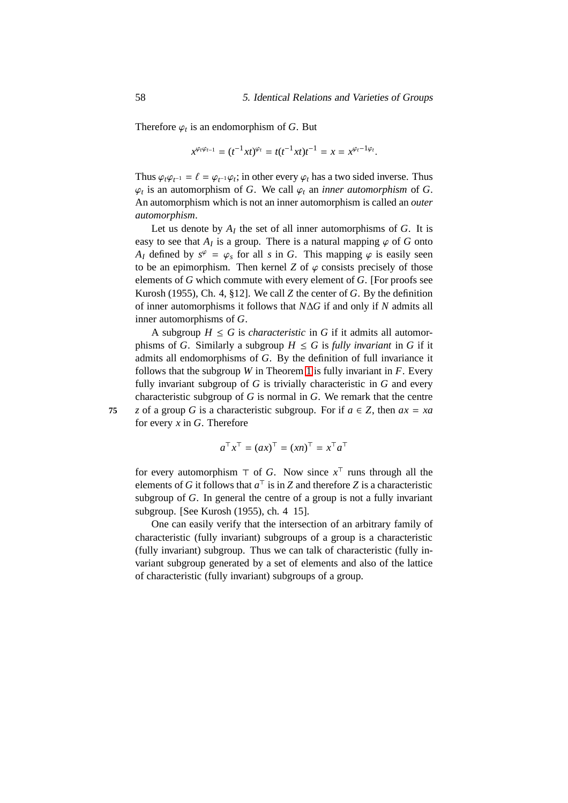Therefore  $\varphi_t$  is an endomorphism of *G*. But

$$
x^{\varphi_t \varphi_{t-1}} = (t^{-1}xt)^{\varphi_t} = t(t^{-1}xt)t^{-1} = x = x^{\varphi_t - 1\varphi_t}.
$$

Thus  $\varphi_t \varphi_{t-1} = \ell = \varphi_{t-1} \varphi_t$ ; in other every  $\varphi_t$  has a two sided inverse. Thus  $\varphi_t$  is an automorphism of *G*. We call  $\varphi_t$  an *inner automorphism* of *G*. An automorphism which is not an inner automorphism is called an *outer automorphism*.

Let us denote by  $A_I$  the set of all inner automorphisms of  $G$ . It is easy to see that  $A_I$  is a group. There is a natural mapping  $\varphi$  of  $G$  onto *A<sub>I</sub>* defined by  $s^{\varphi} = \varphi_s$  for all *s* in *G*. This mapping  $\varphi$  is easily seen to be an epimorphism. Then kernel  $Z$  of  $\varphi$  consists precisely of those elements of *G* which commute with every element of *G*. [For proofs see Kurosh (1955), Ch. 4, §12]. We call *Z* the center of *G*. By the definition of inner automorphisms it follows that *N*∆*G* if and only if *N* admits all inner automorphisms of *G*.

A subgroup  $H \leq G$  is *characteristic* in G if it admits all automorphisms of *G*. Similarly a subgroup  $H \leq G$  is *fully invariant* in *G* if it admits all endomorphisms of *G*. By the definition of full invariance it follows that the subgroup *W* in Theorem [1](#page-178-0) is fully invariant in  $F$ . Every fully invariant subgroup of *G* is trivially characteristic in *G* and every characteristic subgroup of *G* is normal in *G*. We remark that the centre **75** *z* of a group *G* is a characteristic subgroup. For if  $a \in Z$ , then  $ax = xa$ for every *x* in *G*. Therefore

$$
a^{\top}x^{\top} = (ax)^{\top} = (xn)^{\top} = x^{\top}a^{\top}
$$

for every automorphism  $\top$  of *G*. Now since  $x^{\top}$  runs through all the elements of *G* it follows that  $a^{\top}$  is in *Z* and therefore *Z* is a characteristic subgroup of *G*. In general the centre of a group is not a fully invariant subgroup. [See Kurosh (1955), ch. 4 15].

One can easily verify that the intersection of an arbitrary family of characteristic (fully invariant) subgroups of a group is a characteristic (fully invariant) subgroup. Thus we can talk of characteristic (fully invariant subgroup generated by a set of elements and also of the lattice of characteristic (fully invariant) subgroups of a group.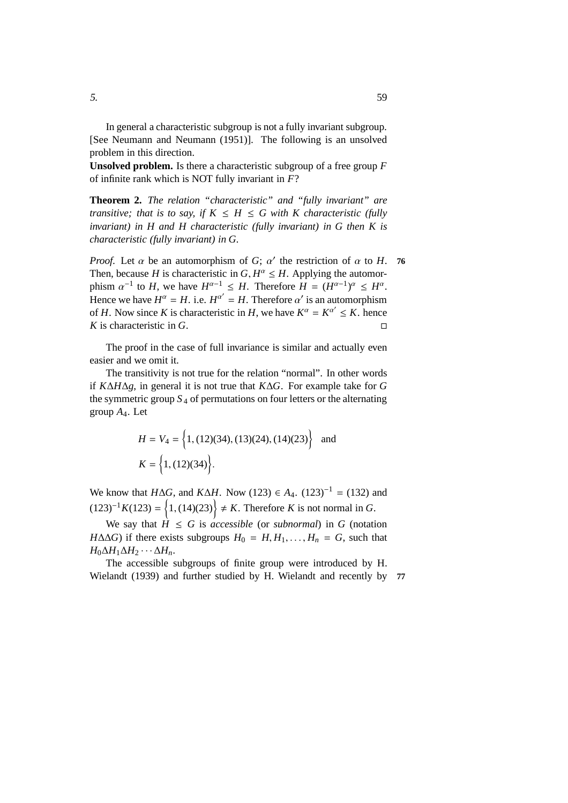In general a characteristic subgroup is not a fully invariant subgroup. [See Neumann and Neumann (1951)]. The following is an unsolved problem in this direction.

**Unsolved problem.** Is there a characteristic subgroup of a free group *F* of infinite rank which is NOT fully invariant in *F*?

**Theorem 2.** *The relation "characteristic" and "fully invariant" are transitive; that is to say, if*  $K \leq H \leq G$  with K characteristic (fully *invariant) in H and H characteristic (fully invariant) in G then K is characteristic (fully invariant) in G.*

*Proof.* Let  $\alpha$  be an automorphism of *G*;  $\alpha'$  the restriction of  $\alpha$  to *H*. 76 Then, because *H* is characteristic in  $G, H^{\alpha} \leq H$ . Applying the automorphism  $\alpha^{-1}$  to *H*, we have  $H^{\alpha-1} \leq H$ . Therefore  $H = (H^{\alpha-1})^{\alpha} \leq H^{\alpha}$ . Hence we have  $H^{\alpha} = H$ . i.e.  $H^{\alpha'} = H$ . Therefore  $\alpha'$  is an automorphism of *H*. Now since *K* is characteristic in *H*, we have  $K^{\alpha} = K^{\alpha'} \leq K$ . hence *K* is characteristic in *G*.

The proof in the case of full invariance is similar and actually even easier and we omit it.

The transitivity is not true for the relation "normal". In other words if *K*∆*H*∆*g*, in general it is not true that *K*∆*G*. For example take for *G* the symmetric group  $S_4$  of permutations on four letters or the alternating group *A*4. Let

$$
H = V_4 = \left\{ 1, (12)(34), (13)(24), (14)(23) \right\} \text{ and}
$$

$$
K = \left\{ 1, (12)(34) \right\}.
$$

We know that *H*∆*G*, and *K*∆*H*. Now (123) ∈ *A*<sub>4</sub>. (123)<sup>-1</sup> = (132) and  $(123)^{-1}K(123) = \{1, (14)(23)\}$  ≠ *K*. Therefore *K* is not normal in *G*.

We say that  $\hat{H} \leq G$  is *accessible* (or *subnormal*) in *G* (notation *H*∆∆*G*) if there exists subgroups  $H_0 = H, H_1, \ldots, H_n = G$ , such that *H*<sub>0</sub>∆*H*<sub>1</sub>∆*H*<sub>2</sub> · · · ∆*H*<sub>*n*</sub>.

The accessible subgroups of finite group were introduced by H. Wielandt (1939) and further studied by H. Wielandt and recently by **77**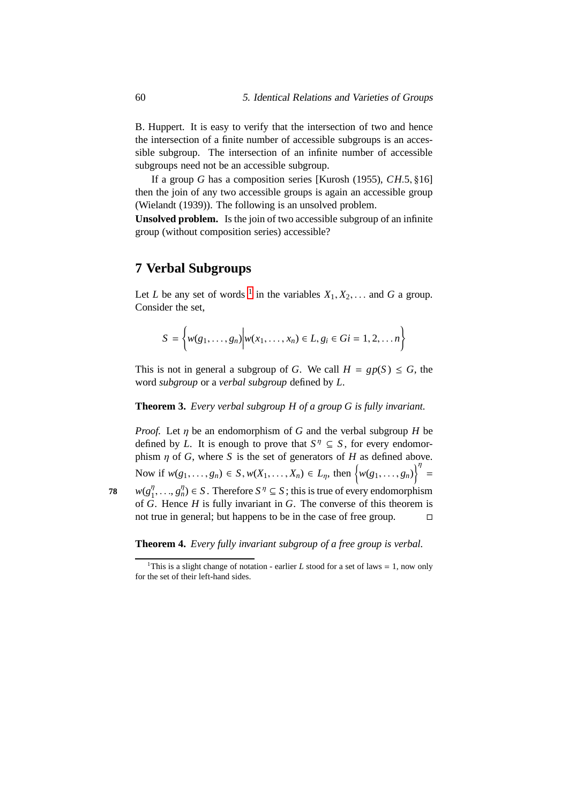B. Huppert. It is easy to verify that the intersection of two and hence the intersection of a finite number of accessible subgroups is an accessible subgroup. The intersection of an infinite number of accessible subgroups need not be an accessible subgroup.

If a group *G* has a composition series [Kurosh (1955), *CH*.5, §16] then the join of any two accessible groups is again an accessible group (Wielandt (1939)). The following is an unsolved problem.

**Unsolved problem.** Is the join of two accessible subgroup of an infinite group (without composition series) accessible?

# **7 Verbal Subgroups**

Let *L* be any set of words <sup>[1](#page-67-0)</sup> in the variables  $X_1, X_2, \ldots$  and *G* a group. Consider the set,

$$
S = \left\{ w(g_1, \ldots, g_n) \middle| w(x_1, \ldots, x_n) \in L, g_i \in Gi = 1, 2, \ldots n \right\}
$$

This is not in general a subgroup of *G*. We call  $H = gp(S) \le G$ , the word *subgroup* or a *verbal subgroup* defined by *L*.

#### **Theorem 3.** *Every verbal subgroup H of a group G is fully invariant.*

*Proof.* Let η be an endomorphism of *G* and the verbal subgroup *H* be defined by *L*. It is enough to prove that  $S^{\eta} \subseteq S$ , for every endomorphism  $\eta$  of *G*, where *S* is the set of generators of *H* as defined above. Now if  $w(g_1, ..., g_n) \in S$ ,  $w(X_1, ..., X_n) \in L_\eta$ , then  $\{w(g_1, ..., g_n)\}^{\eta} =$ *w*(*g* η 78  $w(g_1^n, \ldots, g_n^n) \in S$ . Therefore  $S^n \subseteq S$ ; this is true of every endomorphism of *G*. Hence *H* is fully invariant in *G*. The converse of this theorem is

**Theorem 4.** *Every fully invariant subgroup of a free group is verbal.*

not true in general; but happens to be in the case of free group.  $\Box$ 

<span id="page-67-0"></span><sup>&</sup>lt;sup>1</sup>This is a slight change of notation - earlier *L* stood for a set of laws = 1, now only for the set of their left-hand sides.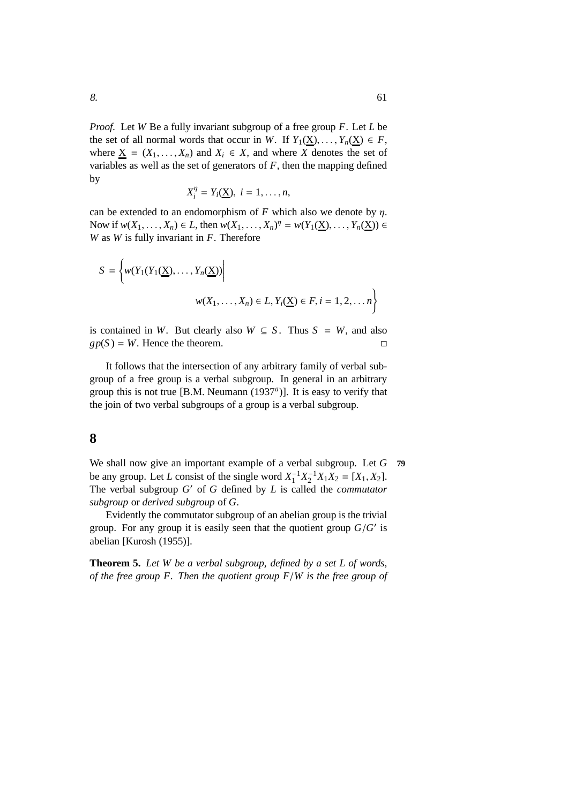*Proof.* Let *W* Be a fully invariant subgroup of a free group *F*. Let *L* be the set of all normal words that occur in *W*. If  $Y_1(\underline{X}), \ldots, Y_n(\underline{X}) \in F$ , where  $\underline{X} = (X_1, \ldots, X_n)$  and  $X_i \in X$ , and where X denotes the set of variables as well as the set of generators of *F*, then the mapping defined by

$$
X_i^{\eta} = Y_i(\underline{X}), \ i = 1, \ldots, n,
$$

can be extended to an endomorphism of  $F$  which also we denote by  $\eta$ . Now if  $w(X_1, ..., X_n) \in L$ , then  $w(X_1, ..., X_n)$ <sup> $\eta$ </sup> =  $w(Y_1(\underline{X}), ..., Y_n(\underline{X})) \in$ *W* as *W* is fully invariant in *F*. Therefore

$$
S = \left\{ w(Y_1(Y_1(\underline{X}), \dots, Y_n(\underline{X})) \middle| \right\}
$$
  

$$
w(X_1, \dots, X_n) \in L, Y_i(\underline{X}) \in F, i = 1, 2, \dots n \right\}
$$

is contained in *W*. But clearly also  $W \subseteq S$ . Thus  $S = W$ , and also  $gp(S) = W$ . Hence the theorem.

It follows that the intersection of any arbitrary family of verbal subgroup of a free group is a verbal subgroup. In general in an arbitrary group this is not true [B.M. Neumann (1937*<sup>a</sup>* )]. It is easy to verify that the join of two verbal subgroups of a group is a verbal subgroup.

### **8**

We shall now give an important example of a verbal subgroup. Let *G* **79** be any group. Let *L* consist of the single word  $X_1^{-1}X_2^{-1}X_1X_2 = [X_1, X_2]$ . The verbal subgroup *G* ′ of *G* defined by *L* is called the *commutator subgroup* or *derived subgroup* of *G*.

Evidently the commutator subgroup of an abelian group is the trivial group. For any group it is easily seen that the quotient group  $G/G'$  is abelian [Kurosh (1955)].

**Theorem 5.** *Let W be a verbal subgroup, defined by a set L of words, of the free group F. Then the quotient group F*/*W is the free group of*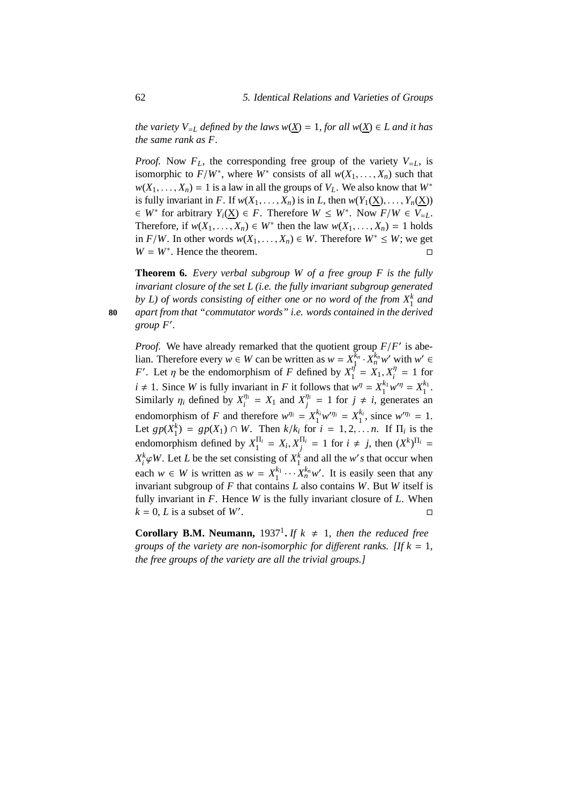*the variety*  $V_{=L}$  *defined by the laws*  $w(X) = 1$ *, for all*  $w(X) \in L$  *and it has the same rank as F.*

*Proof.* Now  $F_L$ , the corresponding free group of the variety  $V_{=L}$ , is isomorphic to  $F/W^*$ , where  $W^*$  consists of all  $w(X_1, \ldots, X_n)$  such that  $w(X_1, \ldots, X_n) = 1$  is a law in all the groups of  $V_L$ . We also know that  $W^*$ is fully invariant in *F*. If  $w(X_1, \ldots, X_n)$  is in *L*, then  $w(Y_1(\underline{X}), \ldots, Y_n(\underline{X}))$  $\in$  *W*<sup>\*</sup> for arbitrary  $Y_i(\underline{X}) \in F$ . Therefore  $W \leq W^*$ . Now  $F/W \in V_{=L}$ . Therefore, if  $w(X_1, \ldots, X_n) \in W^*$  then the law  $w(X_1, \ldots, X_n) = 1$  holds in *F*/*W*. In other words  $w(X_1, ..., X_n)$  ∈ *W*. Therefore  $W^*$  ≤ *W*; we get  $W = W^*$ . Hence the theorem.

<span id="page-69-0"></span>**Theorem 6.** *Every verbal subgroup W of a free group F is the fully invariant closure of the set L (i.e. the fully invariant subgroup generated* by L) of words consisting of either one or no word of the from  $X_1^k$  and **80** *apart from that "commutator words" i.e. words contained in the derived group F*′ *.*

*Proof.* We have already remarked that the quotient group  $F/F'$  is abelian. Therefore every  $w \in W$  can be written as  $w = X_1^{k_n}$  $\frac{k_n}{1} \cdot X_n^{k_n} w'$  with  $w' \in$ *F*<sup>'</sup>. Let  $\eta$  be the endomorphism of *F* defined by  $X_1^{\eta}$  $y_1^{\eta} = X_1, X_i^{\eta}$  $\frac{\eta}{i} = 1$  for  $i \neq 1$ . Since *W* is fully invariant in *F* it follows that  $w^n = X_1^{k_1}$  $X_1^{k_1} w^{\prime \eta} = X_1^{k_1}$  $\frac{\kappa_1}{1}$ . Similarly  $\eta_i$  defined by  $X_i^{\eta_i}$  $\frac{\eta_i}{i} = X_1$  and  $X_j^{\eta_i}$  $j^{n_i}$  = 1 for  $j \neq i$ , generates an endomorphism of *F* and therefore  $w^{\eta_i} = X_1^{k_i}$  $X_1^{k_i}w^{\prime\eta_i} = X_1^{k_i}$  $_1^{k_i}$ , since  $w^{\prime \eta_i} = 1$ . Let  $gp(X_1^k) = gp(X_1) \cap W$ . Then  $k/k_i$  for  $i = 1, 2, \ldots, n$ . If  $\Pi_i$  is the endomorphism defined by  $X_1^{\Pi_i}$  $X_1^{\Pi_i} = X_i, X_j^{\Pi_i}$  $\frac{\prod_i}{j}$  = 1 for  $i \neq j$ , then  $(X^k)^{\prod_i}$  =  $X_i^k \varphi W$ . Let *L* be the set consisting of  $X_1^k$  and all the *w*'s that occur when each  $w \in W$  is written as  $w = X_1^{k_1}$  $x_1^{k_1} \cdots x_n^{k_n} w'$ . It is easily seen that any invariant subgroup of *F* that contains *L* also contains *W*. But *W* itself is fully invariant in *F*. Hence *W* is the fully invariant closure of *L*. When  $k = 0$ , *L* is a subset of *W'*. .

**Corollary B.M. Neumann,** 1937<sup>1</sup>. If  $k \neq 1$ , then the reduced free *groups of the variety are non-isomorphic for different ranks. [If k = 1, the free groups of the variety are all the trivial groups.]*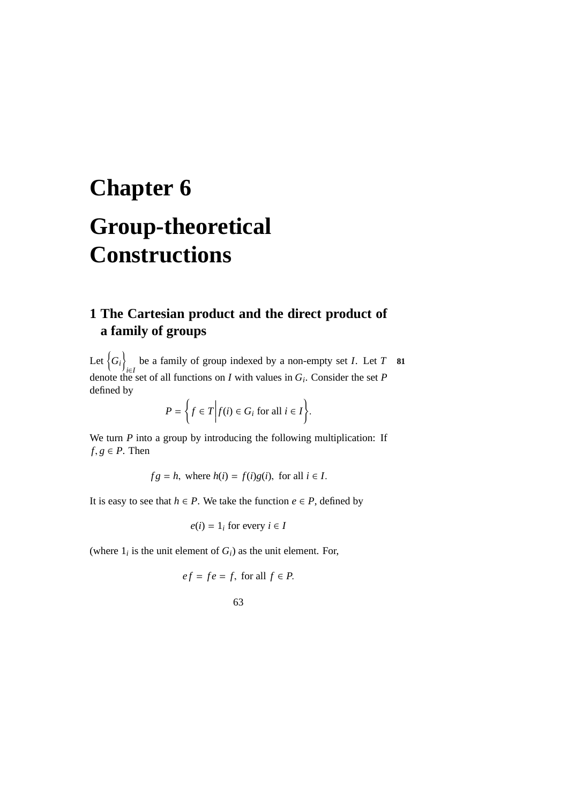# <span id="page-70-0"></span>**Chapter 6 Group-theoretical Constructions**

# **1 The Cartesian product and the direct product of a family of groups**

Let  $\big\{ G_i \big\}$ *i*∈*I* be a family of group indexed by a non-empty set *I*. Let *T* **81** denote the set of all functions on *I* with values in *G<sup>i</sup>* . Consider the set *P* defined by

$$
P = \bigg\{ f \in T \bigg| f(i) \in G_i \text{ for all } i \in I \bigg\}.
$$

We turn *P* into a group by introducing the following multiplication: If  $f, g \in P$ . Then

 $fg = h$ , where  $h(i) = f(i)g(i)$ , for all  $i \in I$ .

It is easy to see that *h* ∈ *P*. We take the function *e* ∈ *P*, defined by

$$
e(i) = 1_i
$$
 for every  $i \in I$ 

(where  $1_i$  is the unit element of  $G_i$ ) as the unit element. For,

$$
ef = fe = f, \text{ for all } f \in P.
$$

63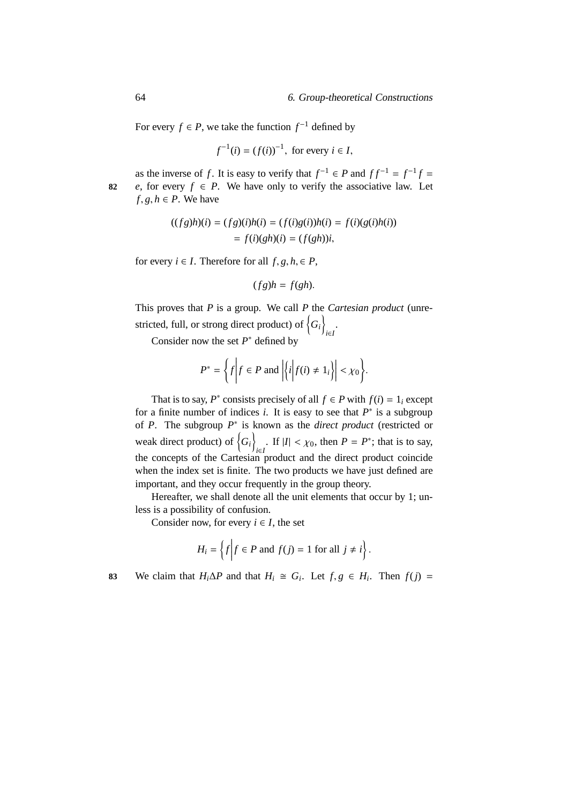For every  $f \in P$ , we take the function  $f^{-1}$  defined by

$$
f^{-1}(i) = (f(i))^{-1}
$$
, for every  $i \in I$ ,

as the inverse of *f*. It is easy to verify that  $f^{-1} \in P$  and  $ff^{-1} = f^{-1}f =$ **82** *e*, for every  $f \in P$ . We have only to verify the associative law. Let  $f, g, h \in P$ . We have

$$
((fg)h)(i) = (fg)(i)h(i) = (f(i)g(i))h(i) = f(i)(g(i)h(i))
$$
  
= f(i)(gh)(i) = (f(gh))i,

for every  $i \in I$ . Therefore for all  $f, g, h \in P$ ,

$$
(fg)h = f(gh).
$$

This proves that *P* is a group. We call *P* the *Cartesian product* (unrestricted, full, or strong direct product) of  $\{G_i\}$ *i*∈*I* .

Consider now the set  $P^*$  defined by

$$
P^* = \left\{ f \middle| f \in P \text{ and } \left| \left\{ i \middle| f(i) \neq 1_i \right\} \right| < \chi_0 \right\}.
$$

That is to say,  $P^*$  consists precisely of all  $f \in P$  with  $f(i) = 1_i$  except for a finite number of indices  $i$ . It is easy to see that  $P^*$  is a subgroup of *P*. The subgroup *P* ∗ is known as the *direct product* (restricted or weak direct product) of  $\{G_i\}$ *i*∈*I* If  $|I|$  <  $\chi$ <sub>0</sub>, then *P* = *P*<sup>\*</sup>; that is to say, the concepts of the Cartesian product and the direct product coincide when the index set is finite. The two products we have just defined are important, and they occur frequently in the group theory.

Hereafter, we shall denote all the unit elements that occur by 1; unless is a possibility of confusion.

Consider now, for every  $i \in I$ , the set

$$
H_i = \left\{ f \middle| f \in P \text{ and } f(j) = 1 \text{ for all } j \neq i \right\}.
$$

83 We claim that  $H_i \Delta P$  and that  $H_i \cong G_i$ . Let  $f, g \in H_i$ . Then  $f(j) =$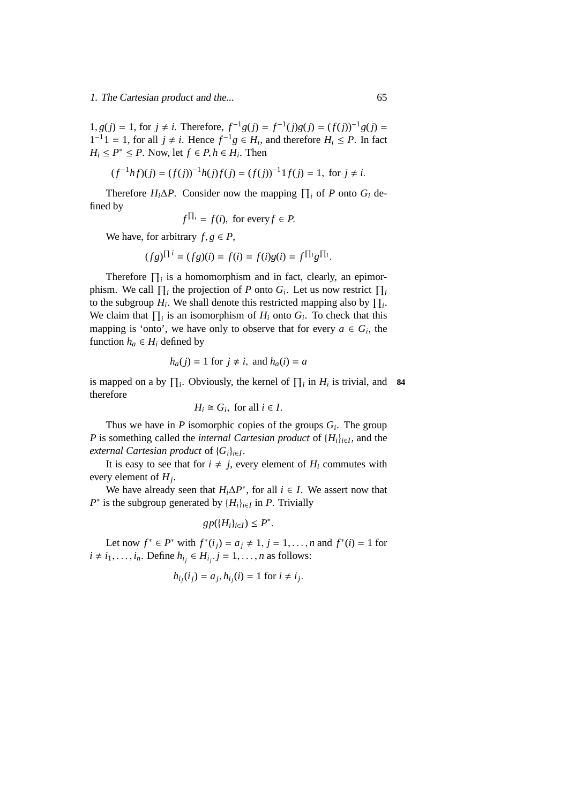1, *g*(*j*) = 1, for *j* ≠ *i*. Therefore,  $f^{-1}g(j) = f^{-1}(j)g(j) = (f(j))^{-1}g(j)$  =  $1^{-1}1 = 1$ , for all  $j \neq i$ . Hence  $f^{-1}g \in H_i$ , and therefore  $H_i \leq P$ . In fact  $H_i \le P^* \le P$ . Now, let  $f \in P$ ,  $h \in H_i$ . Then

$$
(f^{-1}hf)(j) = (f(j))^{-1}h(j)f(j) = (f(j))^{-1}1f(j) = 1, \text{ for } j \neq i.
$$

Therefore  $H_i \Delta P$ . Consider now the mapping  $\prod_i$  of *P* onto  $G_i$  defined by

$$
f^{\prod_i} = f(i)
$$
, for every  $f \in P$ .

We have, for arbitrary  $f, g \in P$ ,

$$
(fg)^{\prod i} = (fg)(i) = f(i) = f(i)g(i) = f^{\prod_i}g^{\prod_i}.
$$

Therefore  $\prod_i$  is a homomorphism and in fact, clearly, an epimorphism. We call  $\prod_i$  the projection of *P* onto  $G_i$ . Let us now restrict  $\prod_i$ to the subgroup  $H_i$ . We shall denote this restricted mapping also by  $\prod_i$ . We claim that  $\prod_i$  is an isomorphism of  $H_i$  onto  $G_i$ . To check that this mapping is 'onto', we have only to observe that for every  $a \in G_i$ , the function  $h_a \in H_i$  defined by

$$
h_a(j) = 1
$$
 for  $j \neq i$ , and  $h_a(i) = a$ 

is mapped on a by  $\prod_i$ . Obviously, the kernel of  $\prod_i$  in  $H_i$  is trivial, and **84** therefore

$$
H_i \cong G_i
$$
, for all  $i \in I$ .

Thus we have in  $P$  isomorphic copies of the groups  $G_i$ . The group *P* is something called the *internal Cartesian product* of {*Hi*}*i*∈*<sup>I</sup>* , and the *external Cartesian product* of {*Gi*}*i*∈*<sup>I</sup>* .

It is easy to see that for  $i \neq j$ , every element of  $H_i$  commutes with every element of *H<sup>j</sup>* .

We have already seen that  $H_i \Delta P^*$ , for all  $i \in I$ . We assert now that  $P^*$  is the subgroup generated by  $\{H_i\}_{i \in I}$  in *P*. Trivially

$$
gp(\{H_i\}_{i\in I}) \leq P^*.
$$

Let now  $f^* \in P^*$  with  $f^*(i_j) = a_j \neq 1, j = 1, ..., n$  and  $f^*(i) = 1$  for  $i \neq i_1, \ldots, i_n$ . Define  $h_{i_j} \in H_{i_j}$ .  $j = 1, \ldots, n$  as follows:

$$
h_{i_j}(i_j) = a_j, h_{i_j}(i) = 1 \text{ for } i \neq i_j.
$$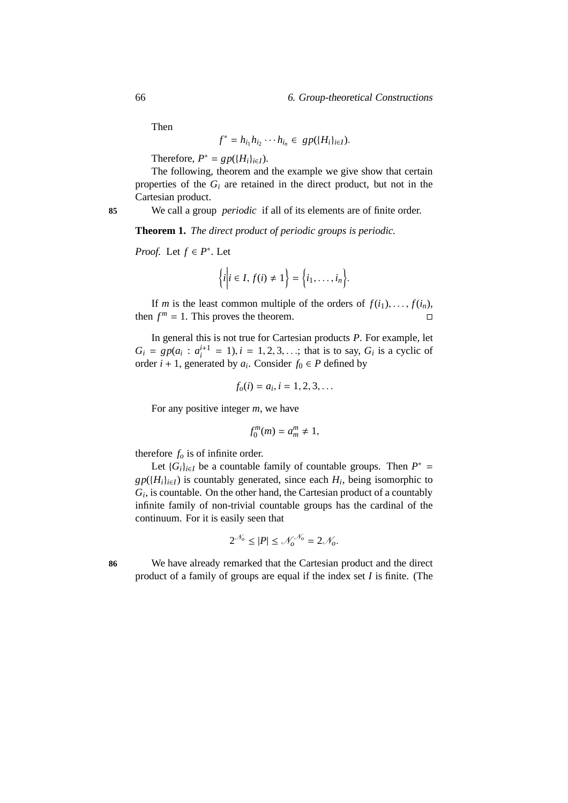Then

$$
f^* = h_{i_1} h_{i_2} \cdots h_{i_n} \in gp(\{H_i\}_{i \in I}).
$$

Therefore,  $P^* = gp(\lbrace H_i \rbrace_{i \in I})$ .

The following, theorem and the example we give show that certain properties of the  $G_i$  are retained in the direct product, but not in the Cartesian product.

**85** We call a group *periodic* if all of its elements are of finite order.

**Theorem 1.** *The direct product of periodic groups is periodic.*

*Proof.* Let  $f \in P^*$ . Let

$$
\bigg\{i\bigg|i\in I, f(i)\neq 1\bigg\}=\bigg\{i_1,\ldots,i_n\bigg\}.
$$

If *m* is the least common multiple of the orders of  $f(i_1), \ldots, f(i_n)$ , then  $f^m = 1$ . This proves the theorem.

In general this is not true for Cartesian products *P*. For example, let  $G_i = gp(a_i : a_i^{i+1} = 1), i = 1, 2, 3, ...;$  that is to say,  $G_i$  is a cyclic of order  $i + 1$ , generated by  $a_i$ . Consider  $f_0 \in P$  defined by

$$
f_o(i) = a_i, i = 1, 2, 3, \dots
$$

For any positive integer *m*, we have

$$
f_0^m(m)=a_m^m\neq 1,
$$

therefore *f<sup>o</sup>* is of infinite order.

Let  ${G_i}_{i \in I}$  be a countable family of countable groups. Then  $P^* =$  $gp({H_i}_{i \in I})$  is countably generated, since each  $H_i$ , being isomorphic to *Gi* , is countable. On the other hand, the Cartesian product of a countably infinite family of non-trivial countable groups has the cardinal of the continuum. For it is easily seen that

$$
2^{\mathcal{N}_o} \leq |P| \leq \mathcal{N}_o^{\mathcal{N}_o} = 2\mathcal{N}_o.
$$

**86** We have already remarked that the Cartesian product and the direct product of a family of groups are equal if the index set *I* is finite. (The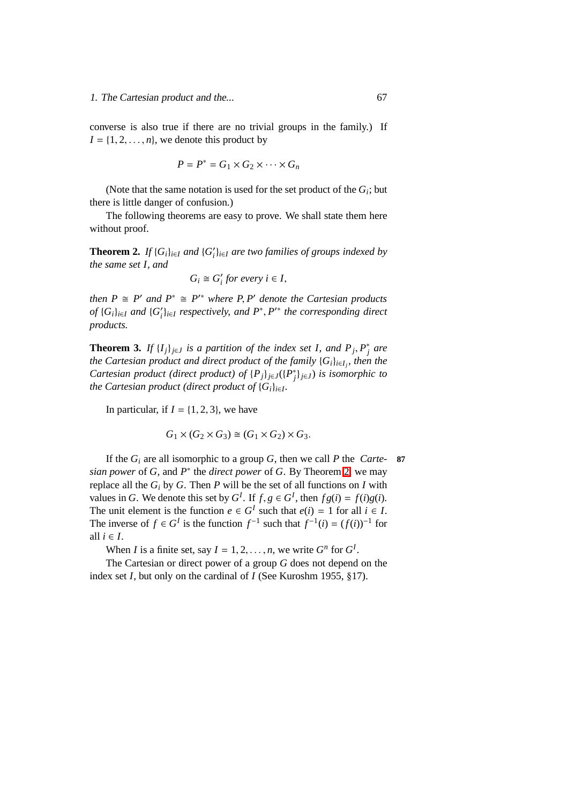converse is also true if there are no trivial groups in the family.) If  $I = \{1, 2, \ldots, n\}$ , we denote this product by

$$
P = P^* = G_1 \times G_2 \times \cdots \times G_n
$$

(Note that the same notation is used for the set product of the  $G_i$ ; but there is little danger of confusion.)

The following theorems are easy to prove. We shall state them here without proof.

**Theorem 2.** *If*  $\{G_i\}_{i\in I}$  *and*  $\{G'_i\}_{i\in I}$  *are two families of groups indexed by the same set I, and*

$$
G_i \cong G'_i \text{ for every } i \in I,
$$

*then*  $P \cong P'$  *and*  $P^* \cong P'^*$  *where*  $P, P'$  *denote the Cartesian products of* {*G*<sub>*i*</sub>}<sub>*i*∈*I and* {*G*<sub>*i*</sub><sup>*}*<sub>*i*∈*I*</sub> *respectively, and*  $P^*$ ,  $P'^*$  *the corresponding direct*</sub></sup> *products.*

**Theorem 3.** *If*  $\{I_j\}_{j \in J}$  *is a partition of the index set I, and*  $P_j$ ,  $P_j^*$  *are the Cartesian product and direct product of the family* {*Gi*}*i*∈*I<sup>j</sup> , then the Cartesian product (direct product) of*  ${P_j}_{j \in J}({P_j^*}_{j \in J})$  *is isomorphic to the Cartesian product (direct product of* {*Gi*}*i*∈*<sup>I</sup> .*

In particular, if  $I = \{1, 2, 3\}$ , we have

$$
G_1 \times (G_2 \times G_3) \cong (G_1 \times G_2) \times G_3.
$$

If the  $G_i$  are all isomorphic to a group  $G$ , then we call  $P$  the *Carte-* 87 *sian power* of *G*, and *P* ∗ the *direct power* of *G*. By Theorem [2,](#page-180-0) we may replace all the  $G_i$  by  $G$ . Then  $P$  will be the set of all functions on  $I$  with values in *G*. We denote this set by  $G^I$ . If  $f, g \in G^I$ , then  $fg(i) = f(i)g(i)$ . The unit element is the function  $e \in G^I$  such that  $e(i) = 1$  for all  $i \in I$ . The inverse of  $f \in G^I$  is the function  $f^{-1}$  such that  $f^{-1}(i) = (f(i))^{-1}$  for all  $i \in I$ .

When *I* is a finite set, say  $I = 1, 2, ..., n$ , we write  $G^n$  for  $G^I$ .

The Cartesian or direct power of a group *G* does not depend on the index set *I*, but only on the cardinal of *I* (See Kuroshm 1955, §17).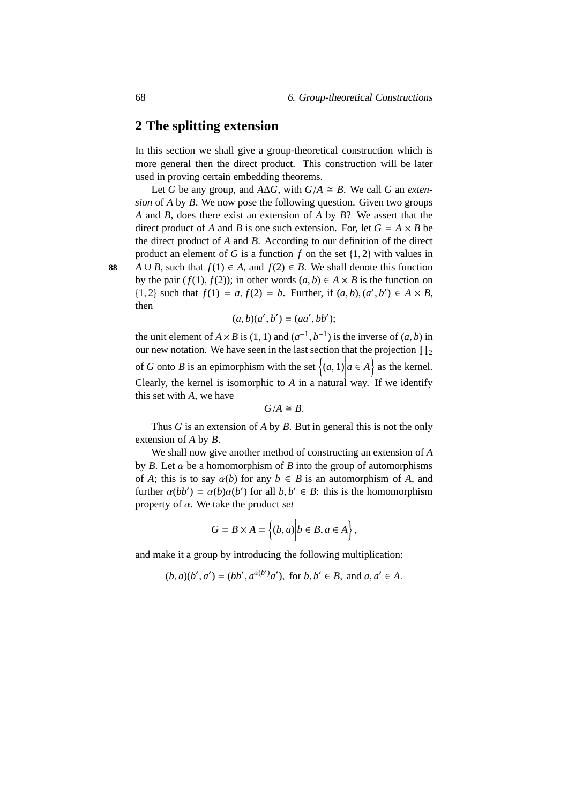## **2 The splitting extension**

In this section we shall give a group-theoretical construction which is more general then the direct product. This construction will be later used in proving certain embedding theorems.

Let *G* be any group, and  $A\Delta G$ , with  $G/A \cong B$ . We call *G* an *extension* of *A* by *B*. We now pose the following question. Given two groups *A* and *B*, does there exist an extension of *A* by *B*? We assert that the direct product of *A* and *B* is one such extension. For, let  $G = A \times B$  be the direct product of *A* and *B*. According to our definition of the direct product an element of *G* is a function *f* on the set {1, 2} with values in **88** *A* ∪ *B*, such that  $f(1) \in A$ , and  $f(2) \in B$ . We shall denote this function by the pair ( $f(1)$ ,  $f(2)$ ); in other words ( $a, b$ )  $\in A \times B$  is the function on {1, 2} such that *f*(1) = *a*, *f*(2) = *b*. Further, if  $(a, b)$ ,  $(a', b')$  ∈ *A* × *B*, then

$$
(a, b)(a', b') = (aa', bb');
$$

the unit element of  $A \times B$  is (1, 1) and  $(a^{-1}, b^{-1})$  is the inverse of  $(a, b)$  in our new notation. We have seen in the last section that the projection  $\prod_2$ of *G* onto *B* is an epimorphism with the set  $\{(a, 1) | a \in A\}$  as the kernel. Clearly, the kernel is isomorphic to *A* in a natural way. If we identify this set with *A*, we have

 $G/A \cong B$ .

Thus *G* is an extension of *A* by *B*. But in general this is not the only extension of *A* by *B*.

We shall now give another method of constructing an extension of *A* by *B*. Let  $\alpha$  be a homomorphism of *B* into the group of automorphisms of *A*; this is to say  $\alpha(b)$  for any  $b \in B$  is an automorphism of *A*, and further  $\alpha(bb') = \alpha(b)\alpha(b')$  for all  $b, b' \in B$ : this is the homomorphism property of α. We take the product *set*

$$
G = B \times A = \left\{ (b, a) \middle| b \in B, a \in A \right\},\
$$

and make it a group by introducing the following multiplication:

$$
(b, a)(b', a') = (bb', a^{\alpha(b')}a')
$$
, for  $b, b' \in B$ , and  $a, a' \in A$ .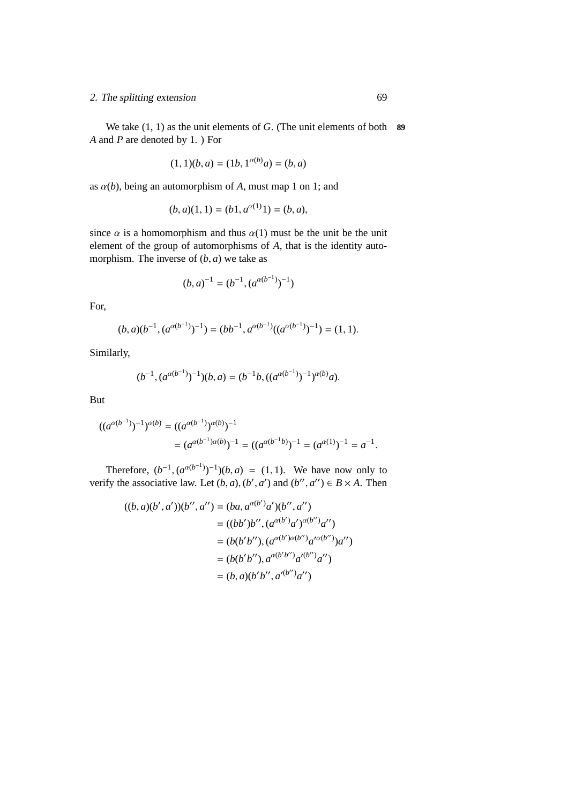#### 2. The splitting extension 69

We take (1, 1) as the unit elements of *G*. (The unit elements of both **89** *A* and *P* are denoted by 1. ) For

$$
(1,1)(b,a) = (1b,1^{\alpha(b)}a) = (b,a)
$$

as  $\alpha(b)$ , being an automorphism of *A*, must map 1 on 1; and

$$
(b, a)(1, 1) = (b1, a^{\alpha(1)}1) = (b, a),
$$

since  $\alpha$  is a homomorphism and thus  $\alpha(1)$  must be the unit be the unit element of the group of automorphisms of *A*, that is the identity automorphism. The inverse of  $(b, a)$  we take as

$$
(b,a)^{-1}=(b^{-1},(a^{\alpha(b^{-1})})^{-1})
$$

For,

$$
(b, a)(b^{-1}, (a^{\alpha(b^{-1})})^{-1}) = (bb^{-1}, a^{\alpha(b^{-1})}((a^{\alpha(b^{-1})})^{-1}) = (1, 1).
$$

Similarly,

$$
(b^{-1}, (a^{\alpha(b^{-1})})^{-1})(b, a) = (b^{-1}b, ((a^{\alpha(b^{-1})})^{-1})^{\alpha(b)}a).
$$

But

$$
((a^{\alpha(b^{-1})})^{-1})^{\alpha(b)} = ((a^{\alpha(b^{-1})})^{\alpha(b)})^{-1}
$$
  
= 
$$
(a^{\alpha(b^{-1})\alpha(b)})^{-1} = ((a^{\alpha(b^{-1}b)})^{-1} = (a^{\alpha(1)})^{-1} = a^{-1}.
$$

Therefore,  $(b^{-1}, (a^{\alpha(b^{-1})})^{-1})(b, a) = (1, 1)$ . We have now only to verify the associative law. Let  $(b, a)$ ,  $(b', a')$  and  $(b'', a'') \in B \times A$ . Then

$$
((b, a)(b', a'))(b'', a'') = (ba, a^{\alpha(b')}a')(b'', a'')
$$
  

$$
= ((bb')b'', (a^{\alpha(b')}a')^{\alpha(b'')}a'')
$$
  

$$
= (b(b'b''), (a^{\alpha(b')\alpha(b'')}a'^{\alpha(b'')})a'')
$$
  

$$
= (b(b'b''), a^{\alpha(b'b'')}a'^{(b'')}a'')
$$
  

$$
= (b, a)(b'b'', a'^{(b'')}a'')
$$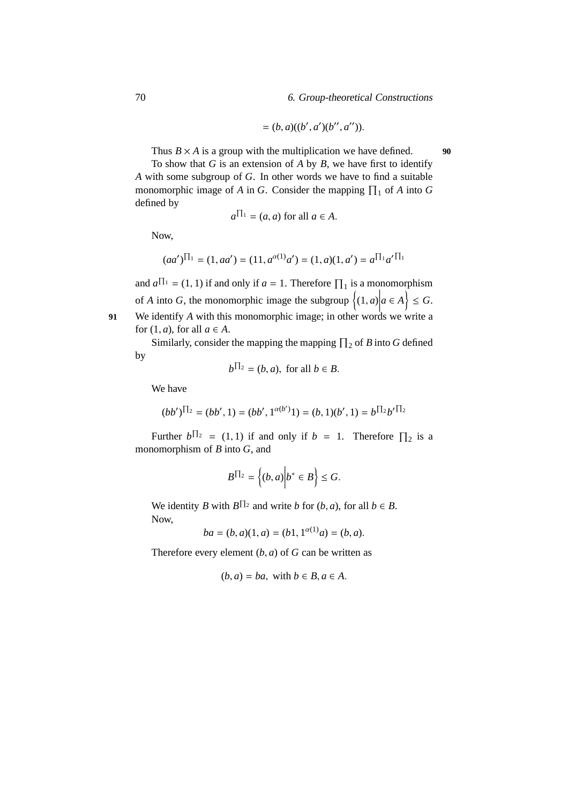$$
= (b, a)((b', a')(b'', a'')).
$$

Thus  $B \times A$  is a group with the multiplication we have defined. **90** 

To show that *G* is an extension of *A* by *B*, we have first to identify *A* with some subgroup of *G*. In other words we have to find a suitable monomorphic image of *A* in *G*. Consider the mapping  $\prod_1$  of *A* into *G* defined by

$$
a^{\prod_1} = (a, a)
$$
 for all  $a \in A$ .

Now,

$$
(aa')^{\prod_1} = (1, aa') = (11, a^{\alpha(1)}a') = (1, a)(1, a') = a^{\prod_1} a'^{\prod_1}
$$

and  $a^{\prod_1} = (1, 1)$  if and only if  $a = 1$ . Therefore  $\prod_1$  is a monomorphism of *A* into *G*, the monomorphic image the subgroup  $\{(1, a)$ <br>We identify *A* with this monomorphic image: in other word  $a \in A$   $\leq G$ .

**91** We identify *A* with this monomorphic image; in other words we write a for  $(1, a)$ , for all  $a \in A$ .

Similarly, consider the mapping the mapping  $\prod_2$  of *B* into *G* defined by

$$
b^{\prod_2} = (b, a), \text{ for all } b \in B.
$$

We have

$$
(bb')^{\prod_2}=(bb',1)=(bb',1^{\alpha(b')}\mathbf{1})=(b,1)(b',1)=b^{\prod_2}b'^{\prod_2}
$$

Further  $b^{\prod_2} = (1, 1)$  if and only if  $b = 1$ . Therefore  $\prod_2$  is a monomorphism of *B* into *G*, and

$$
B^{\prod_{2}} = \left\{ (b, a) \middle| b^* \in B \right\} \leq G.
$$

We identity *B* with  $B^{\prod_2}$  and write *b* for  $(b, a)$ , for all  $b \in B$ . Now,

$$
ba = (b, a)(1, a) = (b1, 1^{\alpha(1)}a) = (b, a).
$$

Therefore every element  $(b, a)$  of  $G$  can be written as

$$
(b, a) = ba
$$
, with  $b \in B, a \in A$ .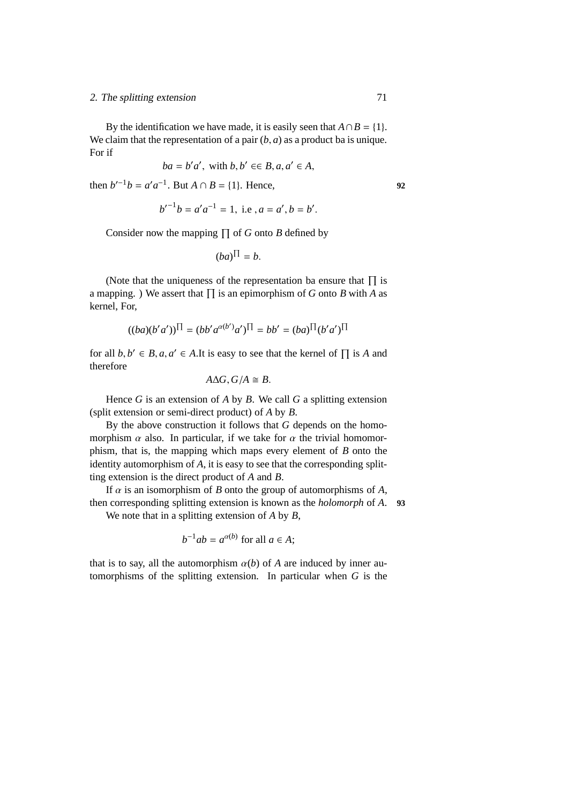#### 2. The splitting extension 71

By the identification we have made, it is easily seen that  $A \cap B = \{1\}$ . We claim that the representation of a pair  $(b, a)$  as a product ba is unique. For if

$$
ba = b'a', \text{ with } b, b' \in B, a, a' \in A,
$$

then  $b'^{-1}b = a'a^{-1}$ . But  $A \cap B = \{1\}$ . Hence, 92

$$
b'^{-1}b = a'a^{-1} = 1
$$
, i.e,  $a = a', b = b'$ .

Consider now the mapping  $\prod$  of *G* onto *B* defined by

$$
(ba)^{\Pi} = b.
$$

(Note that the uniqueness of the representation ba ensure that  $\Pi$  is a mapping. ) We assert that  $\Pi$  is an epimorphism of *G* onto *B* with *A* as kernel, For,

$$
((ba)(b'a'))^{\Pi} = (bb'a^{\alpha(b')}a')^{\Pi} = bb' = (ba)^{\Pi}(b'a')^{\Pi}
$$

for all  $b, b' \in B$ ,  $a, a' \in A$ . It is easy to see that the kernel of  $\prod$  is *A* and therefore

$$
A\Delta G, G/A \cong B.
$$

Hence *G* is an extension of *A* by *B*. We call *G* a splitting extension (split extension or semi-direct product) of *A* by *B*.

By the above construction it follows that *G* depends on the homomorphism  $\alpha$  also. In particular, if we take for  $\alpha$  the trivial homomorphism, that is, the mapping which maps every element of *B* onto the identity automorphism of *A*, it is easy to see that the corresponding splitting extension is the direct product of *A* and *B*.

If  $\alpha$  is an isomorphism of *B* onto the group of automorphisms of *A*, then corresponding splitting extension is known as the *holomorph* of *A*. **93** We note that in a splitting extension of *A* by *B*,

$$
b^{-1}ab = a^{\alpha(b)} \text{ for all } a \in A;
$$

that is to say, all the automorphism  $\alpha(b)$  of *A* are induced by inner automorphisms of the splitting extension. In particular when *G* is the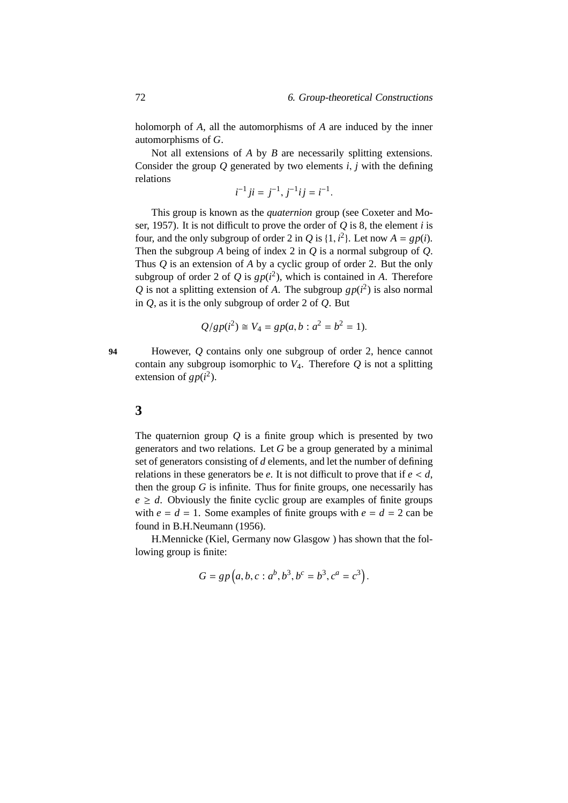holomorph of *A*, all the automorphisms of *A* are induced by the inner automorphisms of *G*.

Not all extensions of *A* by *B* are necessarily splitting extensions. Consider the group  $Q$  generated by two elements  $i$ ,  $j$  with the defining relations

$$
i^{-1}ji = j^{-1}, j^{-1}ij = i^{-1}.
$$

This group is known as the *quaternion* group (see Coxeter and Moser, 1957). It is not difficult to prove the order of *Q* is 8, the element *i* is four, and the only subgroup of order 2 in *Q* is {1,  $i^2$ }. Let now  $A = gp(i)$ . Then the subgroup *A* being of index 2 in *Q* is a normal subgroup of *Q*. Thus *Q* is an extension of *A* by a cyclic group of order 2. But the only subgroup of order 2 of Q is  $gp(i^2)$ , which is contained in A. Therefore Q is not a splitting extension of A. The subgroup  $gp(i^2)$  is also normal in *Q*, as it is the only subgroup of order 2 of *Q*. But

$$
Q/gp(i^2) \cong V_4 = gp(a, b : a^2 = b^2 = 1).
$$

**94** However, *Q* contains only one subgroup of order 2, hence cannot contain any subgroup isomorphic to  $V_4$ . Therefore  $Q$  is not a splitting extension of  $gp(i^2)$ .

#### **3**

The quaternion group *Q* is a finite group which is presented by two generators and two relations. Let *G* be a group generated by a minimal set of generators consisting of *d* elements, and let the number of defining relations in these generators be  $e$ . It is not difficult to prove that if  $e < d$ , then the group  $G$  is infinite. Thus for finite groups, one necessarily has  $e \geq d$ . Obviously the finite cyclic group are examples of finite groups with  $e = d = 1$ . Some examples of finite groups with  $e = d = 2$  can be found in B.H.Neumann (1956).

H.Mennicke (Kiel, Germany now Glasgow ) has shown that the following group is finite:

$$
G = gp(a, b, c : a^b, b^3, b^c = b^3, c^a = c^3).
$$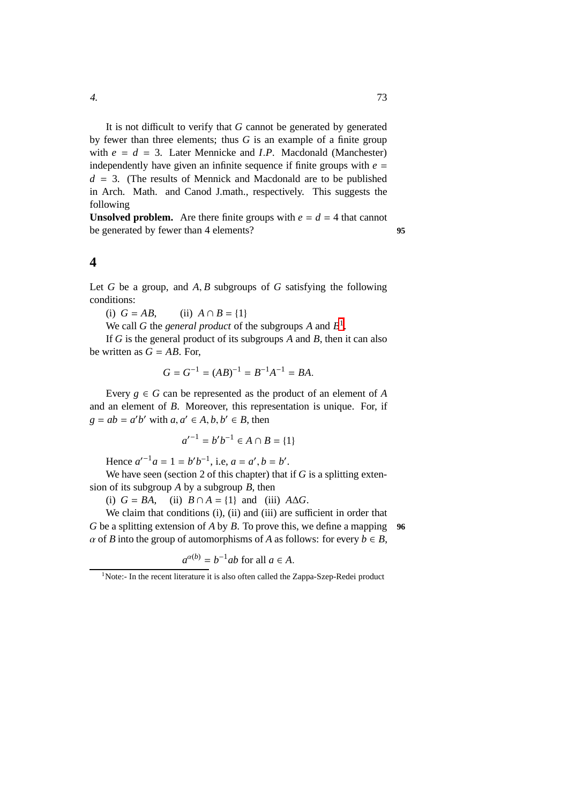It is not difficult to verify that *G* cannot be generated by generated by fewer than three elements; thus *G* is an example of a finite group with  $e = d = 3$ . Later Mennicke and *I.P.* Macdonald (Manchester) independently have given an infinite sequence if finite groups with  $e =$  $d = 3$ . (The results of Mennick and Macdonald are to be published in Arch. Math. and Canod J.math., respectively. This suggests the following

**Unsolved problem.** Are there finite groups with  $e = d = 4$  that cannot be generated by fewer than 4 elements? **95**

#### **4**

Let *G* be a group, and *A*, *B* subgroups of *G* satisfying the following conditions:

(i)  $G = AB$ , (ii)  $A \cap B = \{1\}$ 

We call G the *general product* of the subgroups  $A$  and  $B^1$  $B^1$ .

If *G* is the general product of its subgroups *A* and *B*, then it can also be written as  $G = AB$ . For,

$$
G = G^{-1} = (AB)^{-1} = B^{-1}A^{-1} = BA.
$$

Every  $g \in G$  can be represented as the product of an element of *A* and an element of *B*. Moreover, this representation is unique. For, if  $g = ab = a'b'$  with  $a, a' \in A, b, b' \in B$ , then

$$
a'^{-1} = b'b^{-1} \in A \cap B = \{1\}
$$

Hence  $a'^{-1}a = 1 = b'b^{-1}$ , i.e,  $a = a', b = b'$ .

We have seen (section 2 of this chapter) that if *G* is a splitting extension of its subgroup *A* by a subgroup *B*, then

(i)  $G = BA$ , (ii)  $B \cap A = \{1\}$  and (iii)  $A \Delta G$ .

We claim that conditions (i), (ii) and (iii) are sufficient in order that *G* be a splitting extension of *A* by *B*. To prove this, we define a mapping **96**  $\alpha$  of *B* into the group of automorphisms of *A* as follows: for every  $b \in B$ ,

$$
a^{\alpha(b)} = b^{-1}ab \text{ for all } a \in A.
$$

<span id="page-80-0"></span><sup>&</sup>lt;sup>1</sup>Note:- In the recent literature it is also often called the Zappa-Szep-Redei product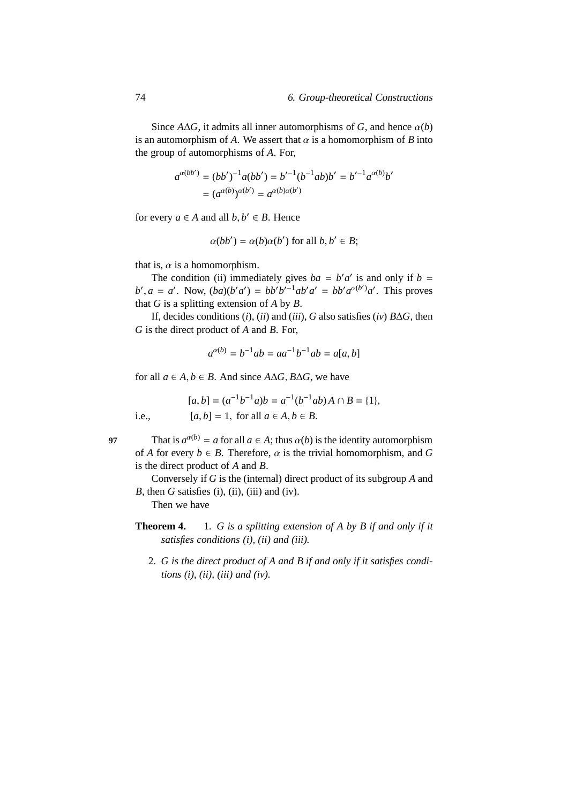Since  $A\Delta G$ , it admits all inner automorphisms of *G*, and hence  $\alpha(b)$ is an automorphism of *A*. We assert that  $\alpha$  is a homomorphism of *B* into the group of automorphisms of *A*. For,

$$
a^{\alpha(bb')} = (bb')^{-1}a(bb') = b'^{-1}(b^{-1}ab)b' = b'^{-1}a^{\alpha(b)}b'
$$
  
= 
$$
(a^{\alpha(b)})^{\alpha(b')} = a^{\alpha(b)\alpha(b')}
$$

for every  $a \in A$  and all  $b, b' \in B$ . Hence

$$
\alpha(bb') = \alpha(b)\alpha(b')
$$
 for all  $b, b' \in B$ ;

that is,  $\alpha$  is a homomorphism.

The condition (ii) immediately gives  $ba = b'a'$  is and only if  $b =$  $b'$ ,  $a = a'$ . Now,  $(ba)(b'a') = bb'b'^{-1}ab'a' = bb'a^{\alpha(b')}a'$ . This proves that *G* is a splitting extension of *A* by *B*.

If, decides conditions (*i*), (*ii*) and (*iii*), *G* also satisfies (*iv*) *B*∆*G*, then *G* is the direct product of *A* and *B*. For,

$$
a^{\alpha(b)} = b^{-1}ab = aa^{-1}b^{-1}ab = a[a, b]
$$

for all  $a \in A, b \in B$ . And since  $A \Delta G$ ,  $B \Delta G$ , we have

 $[a, b] = (a^{-1}b^{-1}a)b = a^{-1}(b^{-1}ab)A \cap B = \{1\},\$ i.e.,  $[a, b] = 1$ , for all  $a \in A, b \in B$ .

97 That is  $a^{\alpha(b)} = a$  for all  $a \in A$ ; thus  $\alpha(b)$  is the identity automorphism of *A* for every  $b \in B$ . Therefore,  $\alpha$  is the trivial homomorphism, and *G* is the direct product of *A* and *B*.

Conversely if *G* is the (internal) direct product of its subgroup *A* and *B*, then *G* satisfies (i), (ii), (iii) and (iv).

Then we have

- **Theorem 4.** 1. *G is a splitting extension of A by B if and only if it satisfies conditions (i), (ii) and (iii).*
	- 2. *G is the direct product of A and B if and only if it satisfies conditions (i), (ii), (iii) and (iv).*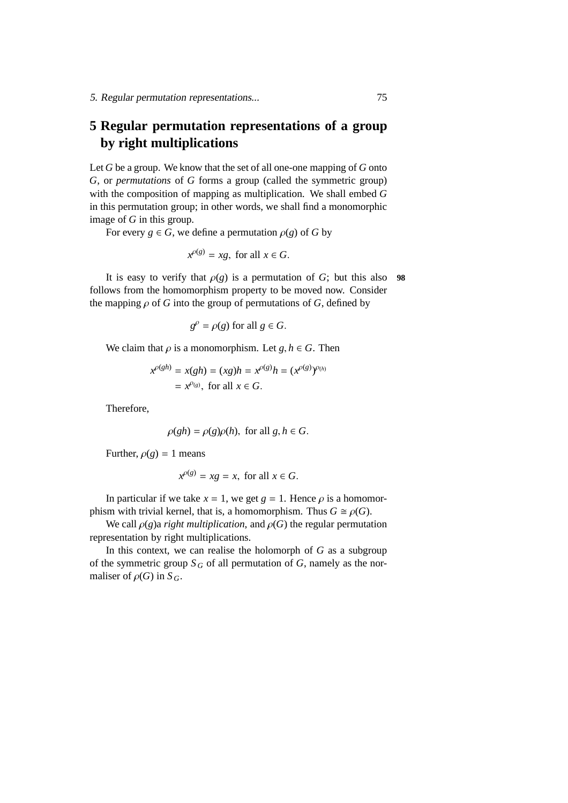# **5 Regular permutation representations of a group by right multiplications**

Let *G* be a group. We know that the set of all one-one mapping of *G* onto *G*, or *permutations* of *G* forms a group (called the symmetric group) with the composition of mapping as multiplication. We shall embed *G* in this permutation group; in other words, we shall find a monomorphic image of *G* in this group.

For every  $g \in G$ , we define a permutation  $\rho(g)$  of *G* by

$$
x^{\rho(g)} = xg, \text{ for all } x \in G.
$$

It is easy to verify that  $\rho(g)$  is a permutation of *G*; but this also **98** follows from the homomorphism property to be moved now. Consider the mapping  $\rho$  of *G* into the group of permutations of *G*, defined by

$$
g^{\rho} = \rho(g) \text{ for all } g \in G.
$$

We claim that  $\rho$  is a monomorphism. Let  $g, h \in G$ . Then

$$
x^{\rho(gh)} = x(gh) = (xg)h = x^{\rho(g)}h = (x^{\rho(g)})^{\rho(h)}
$$
  
=  $x^{\rho(g)}$ , for all  $x \in G$ .

Therefore,

$$
\rho(gh) = \rho(g)\rho(h), \text{ for all } g, h \in G.
$$

Further,  $\rho(g) = 1$  means

$$
x^{\rho(g)} = xg = x, \text{ for all } x \in G.
$$

In particular if we take  $x = 1$ , we get  $g = 1$ . Hence  $\rho$  is a homomorphism with trivial kernel, that is, a homomorphism. Thus  $G \cong \rho(G)$ .

We call  $\rho(g)$ a *right multiplication*, and  $\rho(G)$  the regular permutation representation by right multiplications.

In this context, we can realise the holomorph of *G* as a subgroup of the symmetric group  $S_G$  of all permutation of  $G$ , namely as the normaliser of  $\rho(G)$  in  $S_G$ .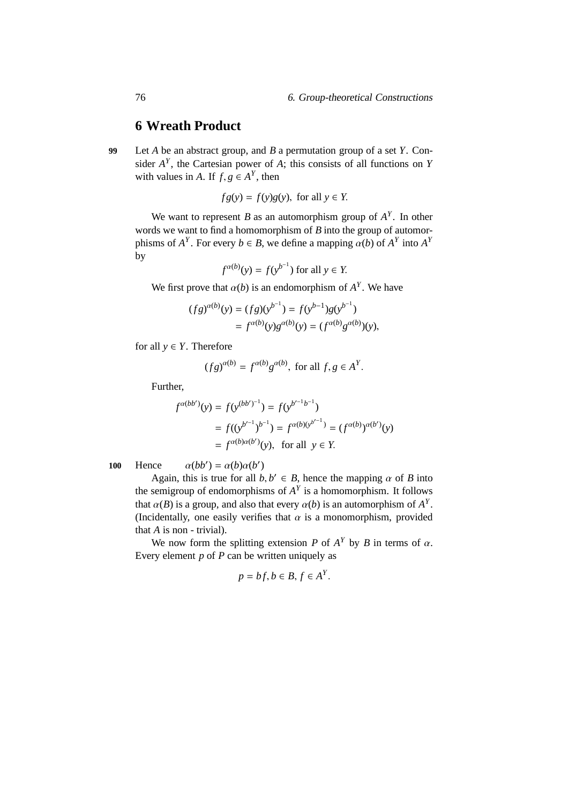# **6 Wreath Product**

**99** Let *A* be an abstract group, and *B* a permutation group of a set *Y*. Consider  $A<sup>Y</sup>$ , the Cartesian power of  $A$ ; this consists of all functions on *Y* with values in *A*. If  $f, g \in A^Y$ , then

$$
fg(y) = f(y)g(y), \text{ for all } y \in Y.
$$

We want to represent *B* as an automorphism group of  $A<sup>Y</sup>$ . In other words we want to find a homomorphism of *B* into the group of automorphisms of  $A^Y$ . For every  $b \in B$ , we define a mapping  $\alpha(b)$  of  $A^Y$  into  $A^Y$ by

$$
f^{\alpha(b)}(y) = f(y^{b^{-1}}) \text{ for all } y \in Y.
$$

We first prove that  $\alpha(b)$  is an endomorphism of  $A<sup>Y</sup>$ . We have

$$
(fg)^{\alpha(b)}(y) = (fg)(y^{b^{-1}}) = f(y^{b-1})g(y^{b^{-1}})
$$
  
=  $f^{\alpha(b)}(y)g^{\alpha(b)}(y) = (f^{\alpha(b)}g^{\alpha(b)})(y),$ 

for all  $y \in Y$ . Therefore

$$
(fg)^{\alpha(b)} = f^{\alpha(b)}g^{\alpha(b)}
$$
, for all  $f, g \in A^Y$ .

Further,

$$
f^{\alpha(bb')}(y) = f(y^{(bb')^{-1}}) = f(y^{b'^{-1}b^{-1}})
$$
  
=  $f((y^{b'^{-1}})^{b^{-1}}) = f^{\alpha(b)(y^{b'^{-1}})} = (f^{\alpha(b)})^{\alpha(b')}(y)$   
=  $f^{\alpha(b)\alpha(b')}(y)$ , for all  $y \in Y$ .

100 Hence  $\alpha(bb') = \alpha(b)\alpha(b')$ 

Again, this is true for all 
$$
b, b' \in B
$$
, hence the mapping  $\alpha$  of  $B$  into the semigroup of endomorphisms of  $A^Y$  is a homomorphism. It follows that  $\alpha(B)$  is a group, and also that every  $\alpha(b)$  is an automorphism of  $A^Y$ . (Incidentally, one easily verifies that  $\alpha$  is a monomorphism, provided that  $A$  is non-trivial).

We now form the splitting extension *P* of  $A<sup>Y</sup>$  by *B* in terms of  $\alpha$ . Every element *p* of *P* can be written uniquely as

$$
p = bf, b \in B, f \in A^Y.
$$

*Y*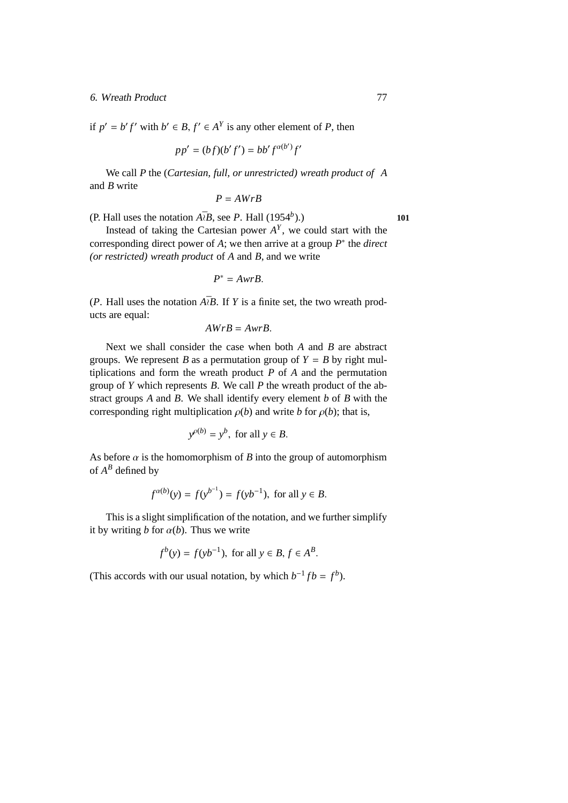#### 6. Wreath Product 77

if  $p' = b' f'$  with  $b' \in B$ ,  $f' \in A<sup>Y</sup>$  is any other element of *P*, then

$$
pp' = (bf)(b'f') = bb'f^{\alpha(b')}f'
$$

We call *P* the (*Cartesian, full, or unrestricted) wreath product of A* and *B* write

$$
P = AWrB
$$

(P. Hall uses the notation  $A\bar{b}B$ , see *P*. Hall (1954<sup>*b*</sup>).) ).) **101**

Instead of taking the Cartesian power  $A<sup>Y</sup>$ , we could start with the corresponding direct power of *A*; we then arrive at a group *P* ∗ the *direct (or restricted) wreath product* of *A* and *B*, and we write

$$
P^* = AwrB.
$$

(*P*. Hall uses the notation  $A\bar{z}B$ . If *Y* is a finite set, the two wreath products are equal:

$$
AWrB = AwrB.
$$

Next we shall consider the case when both *A* and *B* are abstract groups. We represent *B* as a permutation group of  $Y = B$  by right multiplications and form the wreath product *P* of *A* and the permutation group of *Y* which represents *B*. We call *P* the wreath product of the abstract groups *A* and *B*. We shall identify every element *b* of *B* with the corresponding right multiplication  $\rho(b)$  and write *b* for  $\rho(b)$ ; that is,

$$
y^{\rho(b)} = y^b, \text{ for all } y \in B.
$$

As before  $\alpha$  is the homomorphism of *B* into the group of automorphism of  $A^B$  defined by

$$
f^{\alpha(b)}(y) = f(y^{b^{-1}}) = f(yb^{-1}), \text{ for all } y \in B.
$$

This is a slight simplification of the notation, and we further simplify it by writing *b* for  $\alpha(b)$ . Thus we write

$$
f^{b}(y) = f(yb^{-1}), \text{ for all } y \in B, f \in A^{B}.
$$

(This accords with our usual notation, by which  $b^{-1}fb = f^b$ ).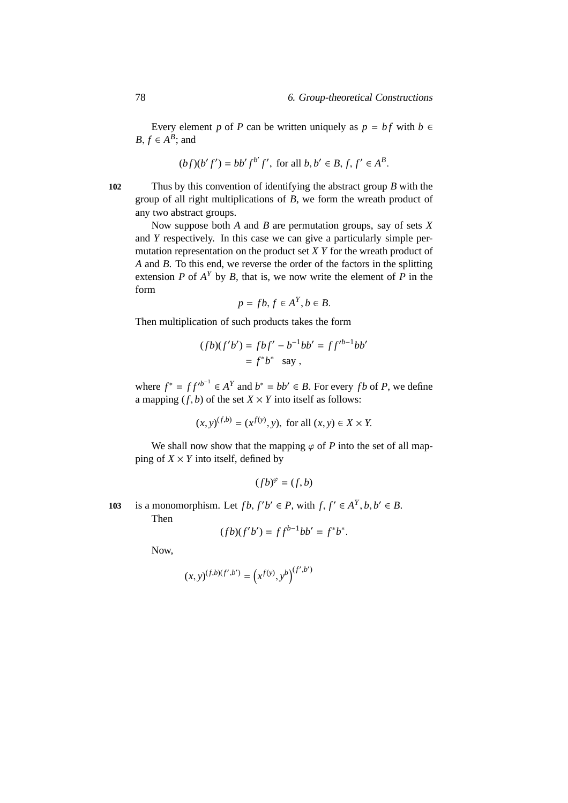Every element *p* of *P* can be written uniquely as  $p = bf$  with  $b \in$ *B*,  $f \in A^B$ ; and

$$
(bf)(b' f') = bb' f^{b'} f'
$$
, for all  $b, b' \in B, f, f' \in A^B$ .

**102** Thus by this convention of identifying the abstract group *B* with the group of all right multiplications of *B*, we form the wreath product of any two abstract groups.

Now suppose both *A* and *B* are permutation groups, say of sets *X* and *Y* respectively. In this case we can give a particularly simple permutation representation on the product set *X Y* for the wreath product of *A* and *B*. To this end, we reverse the order of the factors in the splitting extension *P* of  $A<sup>Y</sup>$  by *B*, that is, we now write the element of *P* in the form *Y*

$$
p = fb, f \in A^Y, b \in B.
$$

Then multiplication of such products takes the form

$$
(fb)(f'b') = fbf' - b^{-1}bb' = ff'^{b-1}bb'
$$
  
=  $f^*b^*$  say,

where  $f^* = ff'^{b^{-1}} \in A^Y$  and  $b^* = bb' \in B$ . For every *fb* of *P*, we define a mapping  $(f, b)$  of the set  $X \times Y$  into itself as follows:

$$
(x, y)^{(f,b)} = (x^{f(y)}, y)
$$
, for all  $(x, y) \in X \times Y$ .

We shall now show that the mapping  $\varphi$  of *P* into the set of all mapping of  $X \times Y$  into itself, defined by

$$
(fb)^{\varphi} = (f, b)
$$

103 is a monomorphism. Let  $fb, f'b' \in P$ , with  $f, f' \in A^Y, b, b' \in B$ .

Then

$$
(fb)(f'b') = ff^{b-1}bb' = f^*b^*.
$$

Now,

$$
(x,y)^{(f,b)(f',b')}=\left(x^{f(y)},y^{b}\right)^{(f',b')}
$$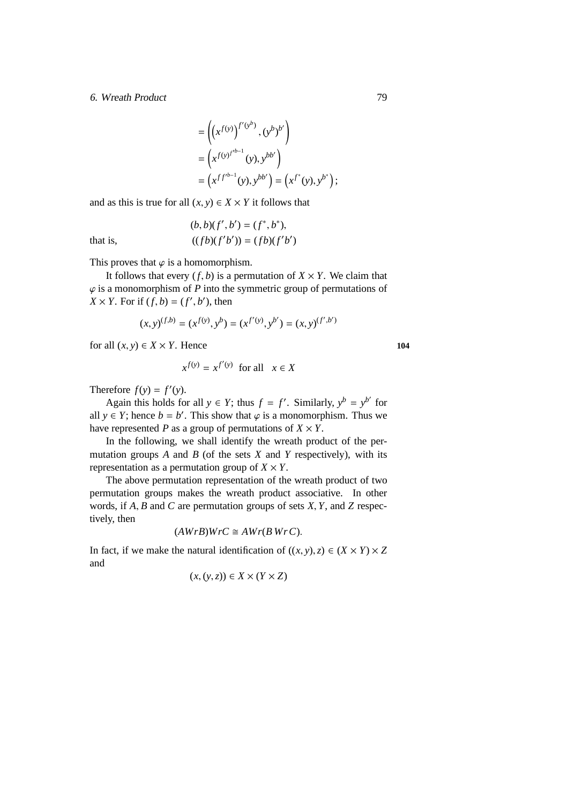#### 6. Wreath Product 79

that is,

$$
= \left( (x^{f(y)})^{f'(y^b)}, (y^b)^{b'} \right)
$$
  
=  $\left( x^{f(y)^{f'^{b-1}}}(y), y^{bb'} \right)$   
=  $\left( x^{f f'^{b-1}}(y), y^{bb'} \right) = \left( x^{f^*}(y), y^{b^*} \right);$ 

and as this is true for all  $(x, y) \in X \times Y$  it follows that

$$
(b, b)(f', b') = (f^*, b^*),
$$
  

$$
((fb)(f'b')) = (fb)(f'b')
$$

This proves that  $\varphi$  is a homomorphism.

It follows that every  $(f, b)$  is a permutation of  $X \times Y$ . We claim that  $\varphi$  is a monomorphism of  $P$  into the symmetric group of permutations of  $X \times Y$ . For if  $(f, b) = (f', b')$ , then

$$
(x, y)^{(f,b)} = (x^{f(y)}, y^b) = (x^{f'(y)}, y^{b'}) = (x, y)^{(f', b')}
$$

for all  $(x, y) \in X \times Y$ . Hence **104** 

$$
x^{f(y)} = x^{f'(y)} \text{ for all } x \in X
$$

Therefore  $f(y) = f'(y)$ .

Again this holds for all  $y \in Y$ ; thus  $f = f'$ . Similarly,  $y^b = y^{b'}$  for all  $y \in Y$ ; hence  $b = b'$ . This show that  $\varphi$  is a monomorphism. Thus we have represented *P* as a group of permutations of  $X \times Y$ .

In the following, we shall identify the wreath product of the permutation groups *A* and *B* (of the sets *X* and *Y* respectively), with its representation as a permutation group of  $X \times Y$ .

The above permutation representation of the wreath product of two permutation groups makes the wreath product associative. In other words, if *A*, *B* and *C* are permutation groups of sets *X*, *Y*, and *Z* respectively, then

$$
(AWrB)WrC \cong AWr(BWrC).
$$

In fact, if we make the natural identification of  $((x, y), z) \in (X \times Y) \times Z$ and

$$
(x, (y, z)) \in X \times (Y \times Z)
$$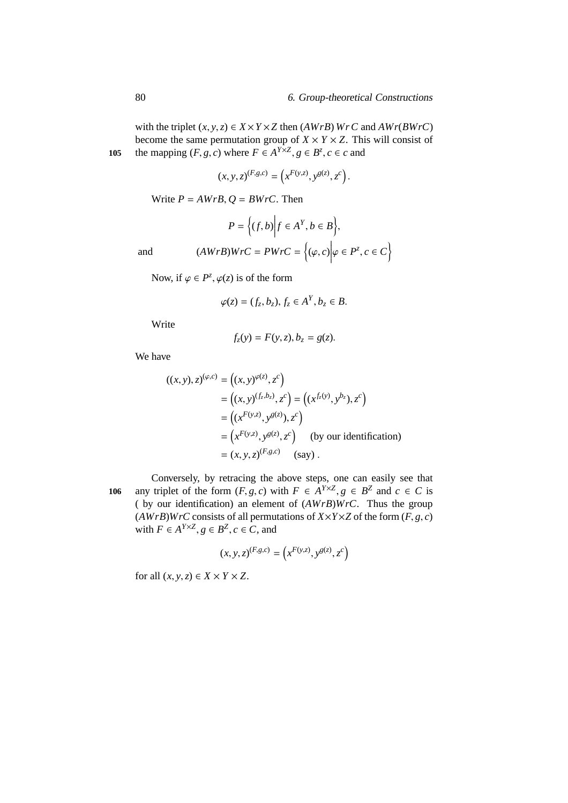with the triplet  $(x, y, z) \in X \times Y \times Z$  then  $(AWrB) WrC$  and  $AWr(BWrC)$ become the same permutation group of  $X \times Y \times Z$ . This will consist of 105 the mapping  $(F, g, c)$  where  $F \in A^{Y \times Z}, g \in B^z, c \in c$  and

$$
(x, y, z)^{(F,g,c)} = (x^{F(y,z)}, y^{g(z)}, z^c).
$$

Write  $P = AWrB$ ,  $Q = BWrC$ . Then

$$
P = \Big\{ (f, b) \Big| f \in A^Y, b \in B \Big\},\
$$

and 
$$
(AWrB)WrC = PWrC = \{(\varphi, c) | \varphi \in P^z, c \in C\}
$$

Now, if  $\varphi \in P^z$ ,  $\varphi(z)$  is of the form

$$
\varphi(z)=(f_z,b_z), f_z\in A^Y, b_z\in B.
$$

Write

$$
f_z(y) = F(y, z), b_z = g(z).
$$

We have

$$
((x, y), z)^{(\varphi, c)} = ((x, y)^{\varphi(z)}, z^c)
$$
  
=  $((x, y)^{(f_z, b_z)}, z^c) = ((x^{f_z(y)}, y^{b_z}), z^c)$   
=  $((x^{F(y, z)}, y^{g(z)}, z^c))$   
=  $(x^{F(y, z)}, y^{g(z)}, z^c)$  (by our identification)  
=  $(x, y, z)^{(F, g, c)}$  (say).

Conversely, by retracing the above steps, one can easily see that **106** any triplet of the form  $(F, g, c)$  with  $F \in A^{Y \times Z}, g \in B^Z$  and  $c \in C$  is ( by our identification) an element of (*AWrB*)*WrC*. Thus the group  $(AWrB)WrC$  consists of all permutations of  $X \times Y \times Z$  of the form  $(F, g, c)$ with  $F \in A^{Y \times Z}, g \in B^Z, c \in C$ , and

$$
(x, y, z)^{(F,g,c)} = (x^{F(y,z)}, y^{g(z)}, z^c)
$$

for all  $(x, y, z) \in X \times Y \times Z$ .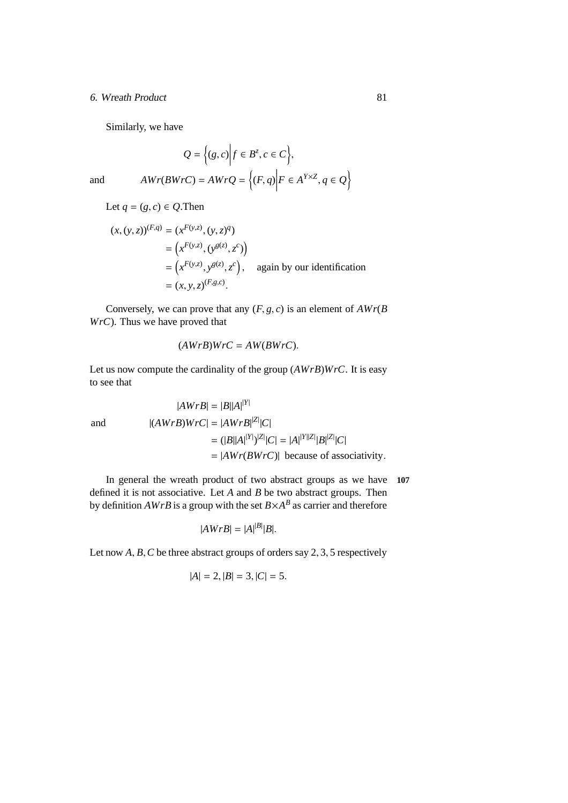#### 6. Wreath Product 81

Similarly, we have

$$
Q = \{(g, c) | f \in B^z, c \in C\},\
$$
  
and  

$$
AWr(BWrC) = AWrQ = \{(F, q) | F \in A^{Y \times Z}, q \in Q\}
$$

$$
Let q = (g, c) \in Q. Then
$$

$$
(x, (y, z))^{(F,q)} = (x^{F(y,z)}, (y, z)^q)
$$
  
=  $(x^{F(y,z)}, (y^{g(z)}, z^c))$   
=  $(x^{F(y,z)}, y^{g(z)}, z^c)$ , again by our identification  
=  $(x, y, z)^{(F,g,c)}$ .

Conversely, we can prove that any  $(F, g, c)$  is an element of  $AWr(B)$ *WrC*). Thus we have proved that

$$
(AWrB)WrC = AW(BWrC).
$$

Let us now compute the cardinality of the group (*AWrB*)*WrC*. It is easy to see that

$$
|AWrB| = |B||A|^{ |Y |}
$$
  
and  

$$
|(AWrB)WrC| = |AWrB|^{ |Z |} |C|
$$

$$
= (|B||A|^{ |Y |})^{|Z|} |C| = |A|^{ |Y||Z|} |B|^{ |Z |} |C|
$$

$$
= |AWr(BWrC)| \text{ because of associativity.}
$$

In general the wreath product of two abstract groups as we have **107** defined it is not associative. Let *A* and *B* be two abstract groups. Then by definition  $AWrB$  is a group with the set  $B \times A^B$  as carrier and therefore

$$
|AWrB| = |A|^{|B|} |B|.
$$

Let now *A*, *B*, *C* be three abstract groups of orders say 2, 3, 5 respectively

$$
|A| = 2, |B| = 3, |C| = 5.
$$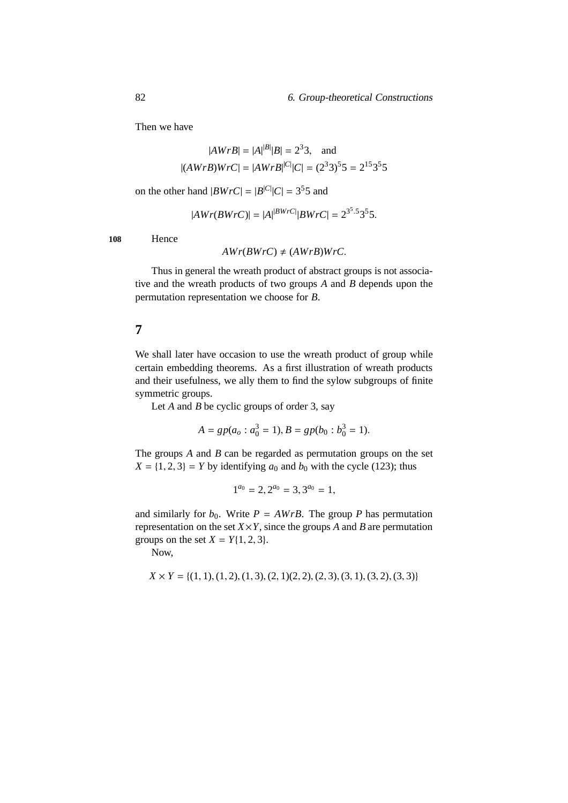Then we have

$$
|AWrB| = |A|^{|B|}|B| = 2^3 3
$$
, and  
 $|(AWrB)WrC| = |AWrB|^{|C|}|C| = (2^3 3)^5 5 = 2^{15} 3^5 5$ 

on the other hand  $|BWrC| = |B^{|C|}|C| = 3^55$  and

$$
|AWr(BWrC)| = |A|^{|BWrC|} |BWrC| = 2^{3^5.5} 3^5 5.
$$

**108** Hence

$$
AWr(BWrC) \neq (AWrB)WrC.
$$

Thus in general the wreath product of abstract groups is not associative and the wreath products of two groups *A* and *B* depends upon the permutation representation we choose for *B*.

## **7**

We shall later have occasion to use the wreath product of group while certain embedding theorems. As a first illustration of wreath products and their usefulness, we ally them to find the sylow subgroups of finite symmetric groups.

Let *A* and *B* be cyclic groups of order 3, say

$$
A = gp(a_o : a_0^3 = 1), B = gp(b_0 : b_0^3 = 1).
$$

The groups *A* and *B* can be regarded as permutation groups on the set  $X = \{1, 2, 3\} = Y$  by identifying  $a_0$  and  $b_0$  with the cycle (123); thus

$$
1^{a_0} = 2, 2^{a_0} = 3, 3^{a_0} = 1,
$$

and similarly for  $b_0$ . Write  $P = AWrB$ . The group P has permutation representation on the set  $X \times Y$ , since the groups *A* and *B* are permutation groups on the set  $X = Y\{1, 2, 3\}.$ 

Now,

$$
X \times Y = \{(1, 1), (1, 2), (1, 3), (2, 1), (2, 2), (2, 3), (3, 1), (3, 2), (3, 3)\}
$$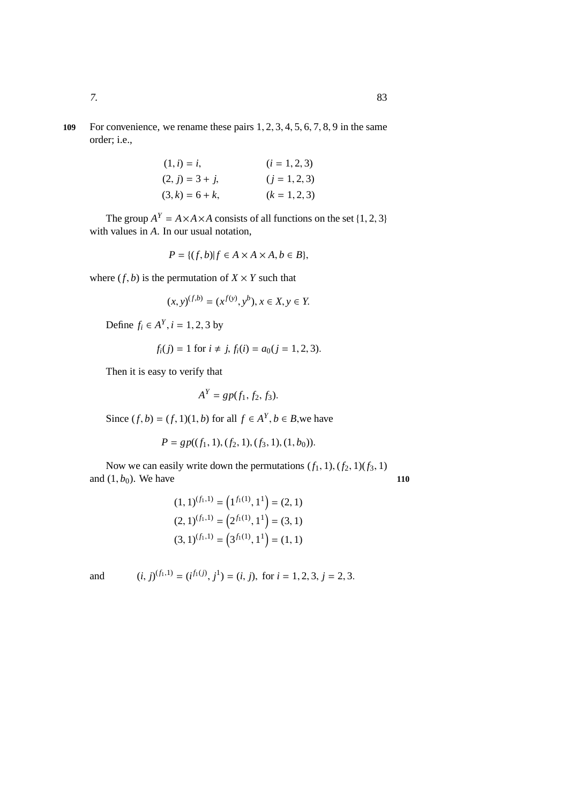**109** For convenience, we rename these pairs 1, 2, 3, 4, 5, 6, 7, 8, 9 in the same order; i.e.,

| $(1, i) = i$ ,     | $(i = 1, 2, 3)$ |
|--------------------|-----------------|
| $(2, j) = 3 + j$ , | $(j = 1, 2, 3)$ |
| $(3, k) = 6 + k,$  | $(k = 1, 2, 3)$ |

The group  $A^Y = A \times A \times A$  consists of all functions on the set {1, 2, 3} with values in *A*. In our usual notation,

$$
P = \{(f, b) | f \in A \times A \times A, b \in B\},\
$$

where  $(f, b)$  is the permutation of  $X \times Y$  such that

$$
(x, y)^{(f,b)} = (x^{f(y)}, y^b), x \in X, y \in Y.
$$

Define *f<sub>i</sub>* ∈  $A^Y$ , *i* = 1, 2, 3 by

$$
f_i(j) = 1
$$
 for  $i \neq j$ ,  $f_i(i) = a_0(j = 1, 2, 3)$ .

Then it is easy to verify that

$$
A^Y = gp(f_1, f_2, f_3).
$$

Since  $(f, b) = (f, 1)(1, b)$  for all  $f \in A^Y$ ,  $b \in B$ , we have

$$
P = gp((f_1, 1), (f_2, 1), (f_3, 1), (1, b_0)).
$$

Now we can easily write down the permutations  $(f_1, 1), (f_2, 1)(f_3, 1)$ and  $(1, b_0)$ . We have **110** 

$$
(1,1)^{(f_1,1)} = (1^{f_1(1)}, 1^1) = (2, 1)
$$

$$
(2,1)^{(f_1,1)} = (2^{f_1(1)}, 1^1) = (3, 1)
$$

$$
(3,1)^{(f_1,1)} = (3^{f_1(1)}, 1^1) = (1, 1)
$$

and  $(i, j)^{(f_1, 1)} = (i^{f_1(j)}, j^1) = (i, j)$ , for  $i = 1, 2, 3, j = 2, 3$ .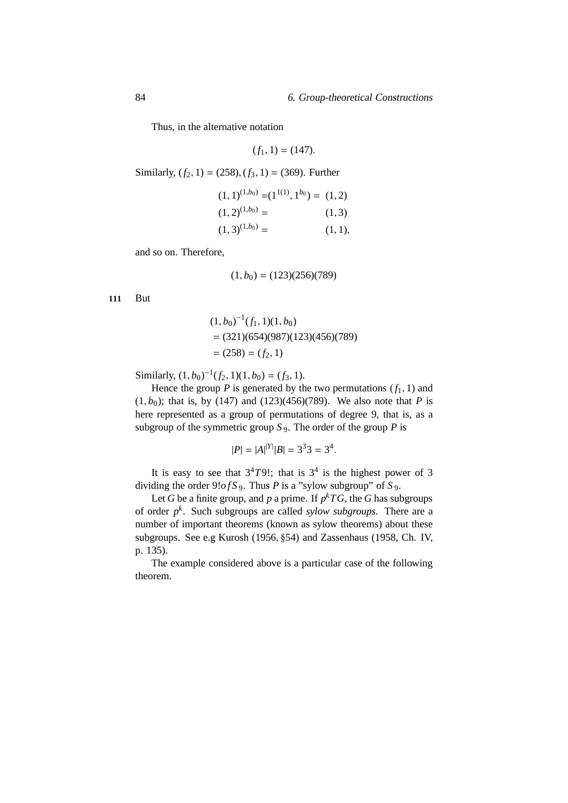Thus, in the alternative notation

$$
(f_1, 1) = (147).
$$

Similarly,  $(f_2, 1) = (258)$ ,  $(f_3, 1) = (369)$ . Further

$$
(1, 1)^{(1, b_0)} = (1^{1(1)}, 1^{b_0}) = (1, 2)
$$

$$
(1, 2)^{(1, b_0)} = (1, 3)
$$

$$
(1, 3)^{(1, b_0)} = (1, 1),
$$

and so on. Therefore,

$$
(1,b_0)=(123)(256)(789)\\
$$

**111** But

$$
(1, b0)-1(f1, 1)(1, b0)
$$
  
= (321)(654)(987)(123)(456)(789)  
= (258) = (f<sub>2</sub>, 1)

Similarly,  $(1, b_0)^{-1}(f_2, 1)(1, b_0) = (f_3, 1).$ 

Hence the group  $P$  is generated by the two permutations  $(f_1, 1)$  and  $(1, b_0)$ ; that is, by (147) and (123)(456)(789). We also note that *P* is here represented as a group of permutations of degree 9, that is, as a subgroup of the symmetric group  $S_9$ . The order of the group  $P$  is

$$
|P| = |A|^{|Y|} |B| = 3^3 3 = 3^4.
$$

It is easy to see that  $3^4T9!$ ; that is  $3^4$  is the highest power of 3 dividing the order  $9!ofS_9$ . Thus *P* is a "sylow subgroup" of *S*<sub>9</sub>.

Let *G* be a finite group, and *p* a prime. If  $p^k T G$ , the *G* has subgroups of order *p k* . Such subgroups are called *sylow subgroups.* There are a number of important theorems (known as sylow theorems) about these subgroups. See e.g Kurosh (1956, §54) and Zassenhaus (1958, Ch. IV, p. 135).

The example considered above is a particular case of the following theorem.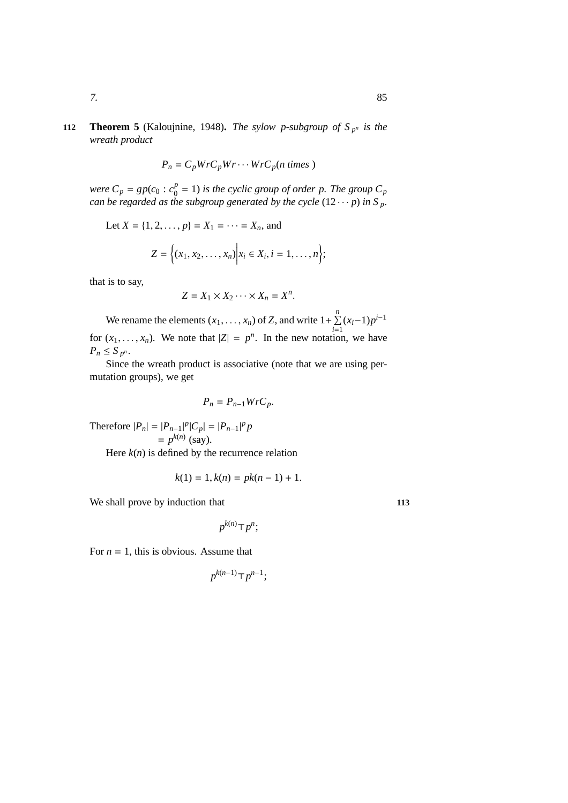## **112 Theorem 5** (Kaloujnine, 1948). *The sylow p-subgroup of*  $S_{p^n}$  *is the wreath product*

$$
P_n = C_p W r C_p W r \cdots W r C_p (n \text{ times})
$$

*were*  $C_p = gp(c_0 : c_0^p)$  $\binom{p}{0}$  = 1) *is the cyclic group of order p. The group*  $C_p$ *can be regarded as the subgroup generated by the cycle*  $(12 \cdots p)$  *in* S<sub>*p*</sub>.

Let 
$$
X = \{1, 2, ..., p\} = X_1 = \cdots = X_n
$$
, and

$$
Z = \Big\{ (x_1, x_2, \ldots, x_n) \Big| x_i \in X_i, i = 1, \ldots, n \Big\};
$$

that is to say,

$$
Z = X_1 \times X_2 \cdots \times X_n = X^n.
$$

We rename the elements  $(x_1, \ldots, x_n)$  of *Z*, and write  $1 + \sum_{i=1}^n (x_i - 1)p^{i-1}$ for  $(x_1, \ldots, x_n)$ . We note that  $|Z| = p^n$ . In the new notation, we have  $P_n \leq S_{p^n}$ .

Since the wreath product is associative (note that we are using permutation groups), we get

$$
P_n = P_{n-1} W r C_p.
$$

Therefore  $|P_n| = |P_{n-1}|^p |C_p| = |P_{n-1}|^p p$  $= p^{k(n)}$  (say). Here  $k(n)$  is defined by the recurrence relation

$$
k(1) = 1, k(n) = pk(n - 1) + 1.
$$

We shall prove by induction that **113** 

$$
p^{k(n)} \top p^n;
$$

For  $n = 1$ , this is obvious. Assume that

$$
p^{k(n-1)} \top p^{n-1};
$$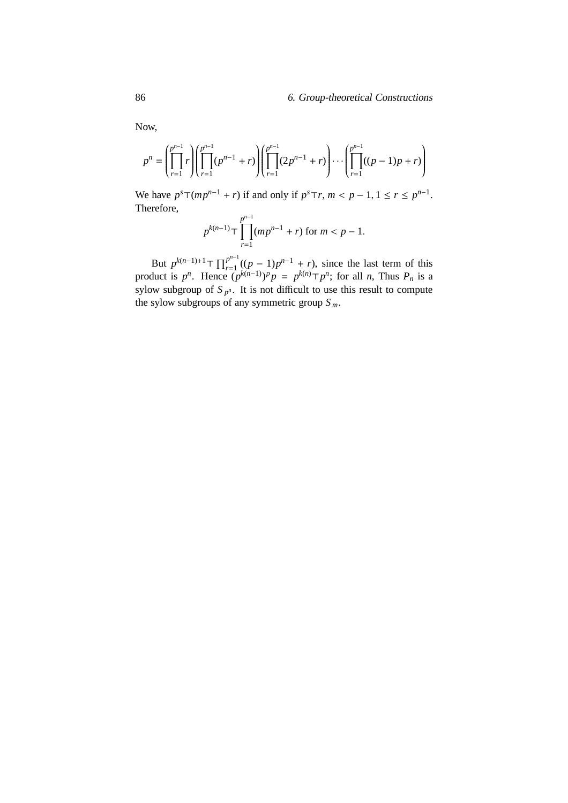Now,

$$
p^{n} = \left(\prod_{r=1}^{p^{n-1}} r\right) \left(\prod_{r=1}^{p^{n-1}} (p^{n-1} + r)\right) \left(\prod_{r=1}^{p^{n-1}} (2p^{n-1} + r)\right) \cdots \left(\prod_{r=1}^{p^{n-1}} ((p-1)p + r)\right)
$$

We have  $p^{s} \top (mp^{n-1} + r)$  if and only if  $p^{s} \top r$ ,  $m < p - 1, 1 \le r \le p^{n-1}$ . Therefore,

$$
p^{k(n-1)} \top \prod_{r=1}^{p^{n-1}} (mp^{n-1} + r)
$$
 for  $m < p - 1$ .

But  $p^{k(n-1)+1}$   $\top$   $\prod_{r=1}^{p^{n-1}}$  $p^{n-1}$  ((*p* − 1)*p*<sup>*n*-1</sup> + *r*), since the last term of this product is  $p^n$ . Hence  $(p^{k(n-1)})^p p = p^{k(n)} \top p^n$ ; for all *n*, Thus  $P_n$  is a sylow subgroup of  $S_{p^n}$ . It is not difficult to use this result to compute the sylow subgroups of any symmetric group *S <sup>m</sup>*.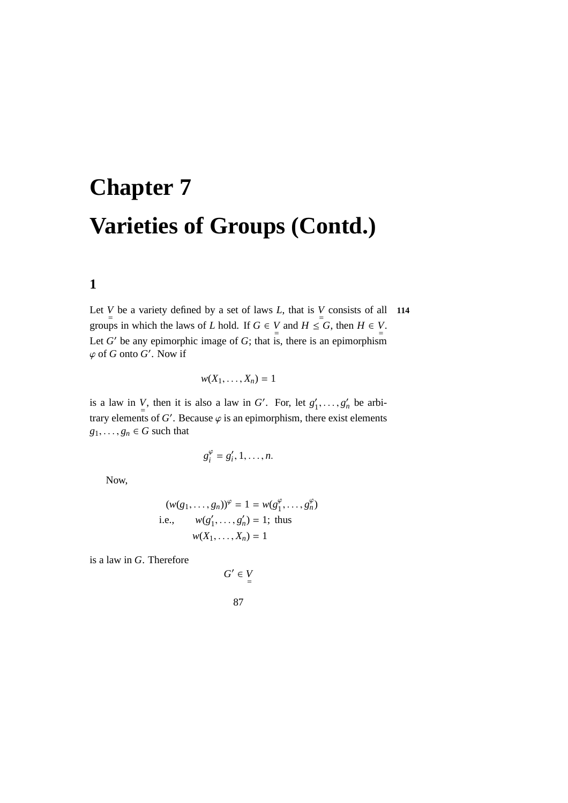# **Chapter 7 Varieties of Groups (Contd.)**

# **1**

Let *V* be a variety defined by a set of laws *L*, that is *V* consists of all **114** groups in which the laws of *L* hold. If  $G \in V$  and  $H \leq G$ , then  $H \in V$ . Let  $G'$  be any epimorphic image of  $G$ ; that is, there is an epimorphism  $\varphi$  of *G* onto *G'*. Now if

$$
w(X_1,\ldots,X_n)=1
$$

is a law in *V*, then it is also a law in *G'*. For, let  $g'_1$  $j_1', \ldots, g_n'$  be arbitrary elements of  $G'$ . Because  $\varphi$  is an epimorphism, there exist elements  $g_1, \ldots, g_n \in G$  such that

$$
g_i^{\varphi}=g_i',1,\ldots,n.
$$

Now,

$$
(w(g_1, ..., g_n))^{\varphi} = 1 = w(g_1^{\varphi}, ..., g_n^{\varphi})
$$
  
i.e.,  $w(g_1', ..., g_n') = 1$ ; thus  
 $w(X_1, ..., X_n) = 1$ 

is a law in *G*. Therefore

$$
G' \in V
$$
  

$$
87
$$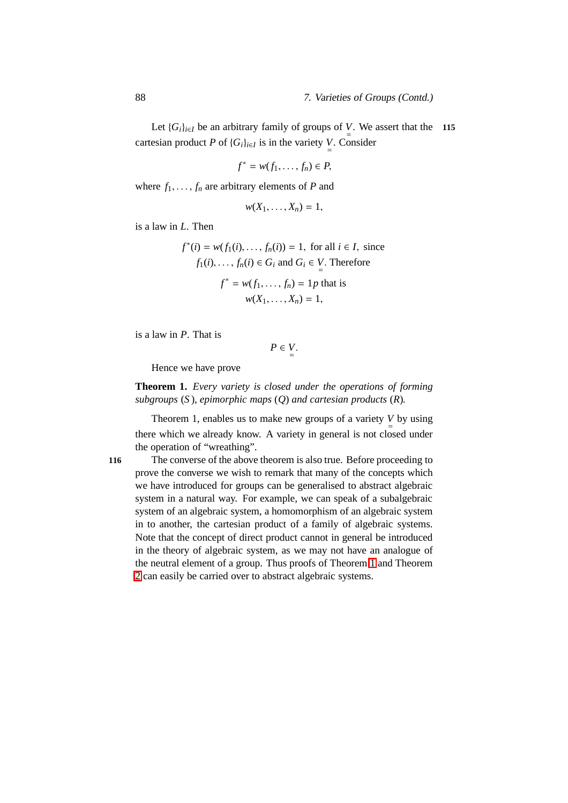Let  $\{G_i\}_{i \in I}$  be an arbitrary family of groups of *V*. We assert that the **115** cartesian product *P* of  ${G_i}_{i \in I}$  is in the variety *V*. Consider

$$
f^* = w(f_1, \ldots, f_n) \in P
$$

where  $f_1, \ldots, f_n$  are arbitrary elements of *P* and

$$
w(X_1,\ldots,X_n)=1,
$$

is a law in *L*. Then

$$
f^*(i) = w(f_1(i), \dots, f_n(i)) = 1, \text{ for all } i \in I, \text{ since}
$$
  

$$
f_1(i), \dots, f_n(i) \in G_i \text{ and } G_i \in V. \text{ Therefore}
$$
  

$$
f^* = w(f_1, \dots, f_n) = 1p \text{ that is}
$$
  

$$
w(X_1, \dots, X_n) = 1,
$$

is a law in *P*. That is

$$
P\in V_{\equiv}.
$$

Hence we have prove

**Theorem 1.** *Every variety is closed under the operations of forming subgroups* (*S* )*, epimorphic maps* (*Q*) *and cartesian products* (*R*)*.*

Theorem 1, enables us to make new groups of a variety  $\bigvee_{n=1}^{\infty}$  by using there which we already know. A variety in general is not closed under the operation of "wreathing".

**116** The converse of the above theorem is also true. Before proceeding to prove the converse we wish to remark that many of the concepts which we have introduced for groups can be generalised to abstract algebraic system in a natural way. For example, we can speak of a subalgebraic system of an algebraic system, a homomorphism of an algebraic system in to another, the cartesian product of a family of algebraic systems. Note that the concept of direct product cannot in general be introduced in the theory of algebraic system, as we may not have an analogue of the neutral element of a group. Thus proofs of Theorem [1](#page-178-0) and Theorem [2](#page-180-0) can easily be carried over to abstract algebraic systems.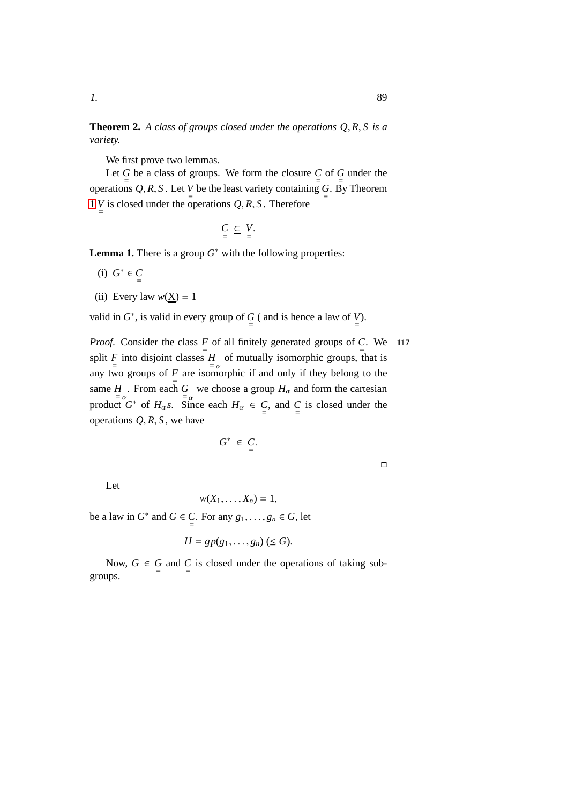**Theorem 2.** *A class of groups closed under the operations Q*, *R*, *S is a variety.*

We first prove two lemmas.

Let  $\frac{G}{p}$  be a class of groups. We form the closure  $\frac{C}{p}$  of  $\frac{G}{p}$  under the operations Q, R, S. Let  $V$  be the least variety containing  $G$ . By Theorem [1](#page-178-0) *V* is closed under the operations  $Q, R, S$ . Therefore

$$
\underset{=}{C} \subseteq V.
$$

**Lemma 1.** There is a group  $G^*$  with the following properties:

- (i)  $G^*$  ∈  $C$
- (ii) Every law  $w(X) = 1$

valid in  $G^*$ , is valid in every group of  $G$  ( and is hence a law of  $V$ ).

*Proof.* Consider the class  $\frac{F}{p}$  of all finitely generated groups of  $\frac{C}{q}$ . We **117** split *F* into disjoint classes *H* of mutually isomorphic groups, that is any two groups of  $\frac{F}{p}$  are isomorphic if and only if they belong to the same *H*<sub>c</sub>. From each *G* we choose a group  $H_\alpha$  and form the cartesian product  $G^*$  of  $H_\alpha s$ . Since each  $H_\alpha \in C$ , and  $C$  is closed under the operations  $Q, R, S$ , we have

$$
G^* \in C.
$$

Let

$$
w(X_1,\ldots,X_n)=1,
$$

be a law in  $G^*$  and  $G \in \mathbb{C}$ . For any  $g_1, \ldots, g_n \in G$ , let

$$
H = gp(g_1, \ldots, g_n) \, (\le G).
$$

Now,  $G \in G$  and  $C$  is closed under the operations of taking subgroups.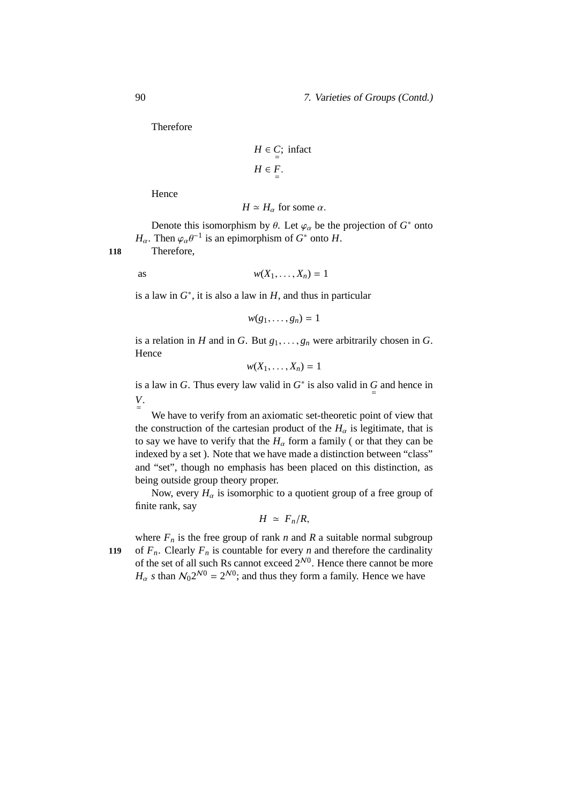#### 90 7. Varieties of Groups (Contd.)

Therefore

$$
H \in C; \text{ infact}
$$

$$
H \in F.
$$

$$
=
$$

Hence

$$
H \simeq H_{\alpha}
$$
 for some  $\alpha$ .

Denote this isomorphism by  $\theta$ . Let  $\varphi_{\alpha}$  be the projection of  $G^*$  onto *H*<sub>α</sub>. Then  $\varphi_{\alpha} \theta^{-1}$  is an epimorphism of *G*<sup>\*</sup> onto *H*.

**118** Therefore,

as 
$$
w(X_1, \ldots, X_n) = 1
$$

is a law in  $G^*$ , it is also a law in  $H$ , and thus in particular

$$
w(g_1,\ldots,g_n)=1
$$

is a relation in *H* and in *G*. But  $g_1, \ldots, g_n$  were arbitrarily chosen in *G*. Hence

$$
w(X_1,\ldots,X_n)=1
$$

is a law in *G*. Thus every law valid in  $G^*$  is also valid in  $\frac{G}{F}$  and hence in *V* = .

We have to verify from an axiomatic set-theoretic point of view that the construction of the cartesian product of the  $H_\alpha$  is legitimate, that is to say we have to verify that the  $H_\alpha$  form a family (or that they can be indexed by a set ). Note that we have made a distinction between "class" and "set", though no emphasis has been placed on this distinction, as being outside group theory proper.

Now, every  $H_{\alpha}$  is isomorphic to a quotient group of a free group of finite rank, say

$$
H \simeq F_n/R,
$$

where  $F_n$  is the free group of rank *n* and *R* a suitable normal subgroup **119** of  $F_n$ . Clearly  $F_n$  is countable for every *n* and therefore the cardinality of the set of all such Rs cannot exceed  $2^{N0}$ . Hence there cannot be more  $H_{\alpha}$  *s* than  $\mathcal{N}_0 2^{\mathcal{N}0} = 2^{\mathcal{N}0}$ ; and thus they form a family. Hence we have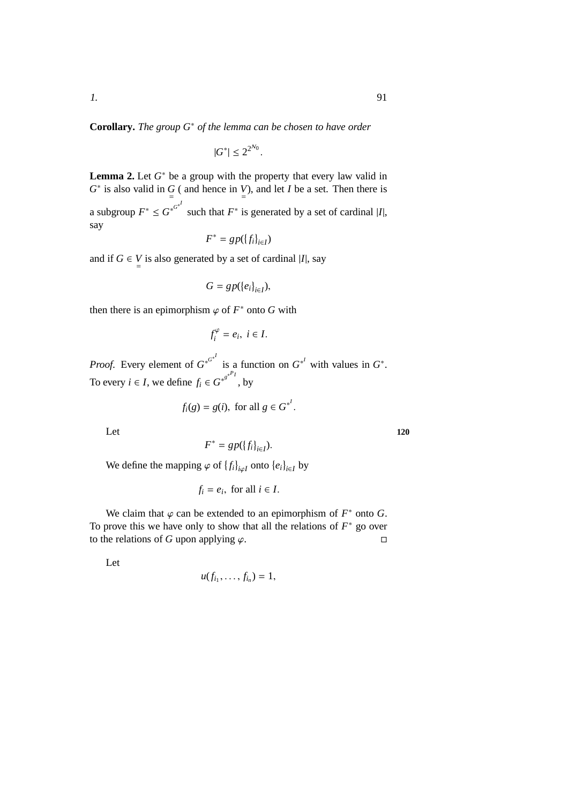**Corollary.** *The group G*<sup>∗</sup> *of the lemma can be chosen to have order*

$$
|G^*| \le 2^{2^{\mathcal{N}_0}}
$$

.

**Lemma 2.** Let  $G^*$  be a group with the property that every law valid in  $G^*$  is also valid in  $G$  ( and hence in *V*), and let *I* be a set. Then there is a subgroup  $F^* \leq G^{*^{G^*}}$  such that  $F^*$  is generated by a set of cardinal |*I*|, say

$$
F^* = gp(\{f_i\}_{i \in I})
$$

and if  $G \in V$  is also generated by a set of cardinal |*I*|, say

$$
G=gp(\{e_i\}_{i\in I}),
$$

then there is an epimorphism  $\varphi$  of  $F^*$  onto G with

$$
f_i^{\varphi} = e_i, \ i \in I.
$$

*Proof.* Every element of  $G^{*^{G^{*^f}}}$  is a function on  $G^{*^I}$  with values in  $G^*$ . To every *i*  $\in$  *I*, we define  $f_i \in G^{*^{g^{*^{p_i}}}}$ , by

$$
f_i(g) = g(i), \text{ for all } g \in G^{*^I}.
$$

Let 120

 $F^* = gp(\{f_i\}_{i \in I}).$ 

We define the mapping  $\varphi$  of  $\{f_i\}_{i \varphi I}$  onto  $\{e_i\}_{i \in I}$  by

$$
f_i = e_i, \text{ for all } i \in I.
$$

We claim that  $\varphi$  can be extended to an epimorphism of  $F^*$  onto  $G$ . To prove this we have only to show that all the relations of  $F^*$  go over to the relations of *G* upon applying  $\varphi$ .

Let

$$
u(f_{i_1},\ldots,f_{i_n})=1,
$$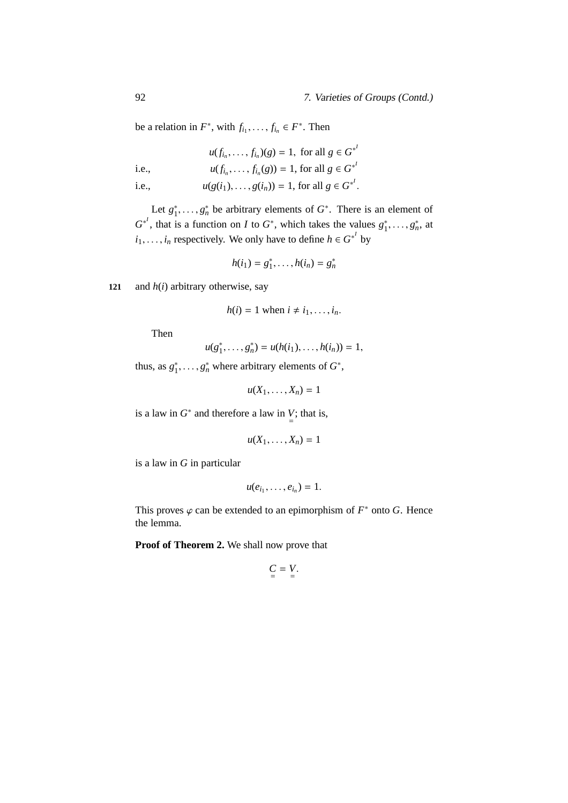#### 92 7. Varieties of Groups (Contd.)

be a relation in  $F^*$ , with  $f_{i_1}, \ldots, f_{i_n} \in F^*$ . Then

$$
u(f_{i_n},\ldots,f_{i_n})(g) = 1, \text{ for all } g \in G^{*}
$$

i.e., 
$$
u(f_{i_n},..., f_{i_n}(g)) = 1
$$
, for all  $g \in G^{*}$ 

i.e.,  $u(g(i_1),..., g(i_n)) = 1$ , for all  $g \in G^{*'}$ .

Let  $g_1^*$  $i_1^*, \ldots, j_n^*$  be arbitrary elements of  $G^*$ . There is an element of  $G^{*}$ , that is a function on *I* to  $G^*$ , which takes the values  $g_1^*$  $i_1^*, \ldots, g_n^*,$  at  $i_1, \ldots, i_n$  respectively. We only have to define  $h \in G^{*'}$  by

$$
h(i_1) = g_1^*, \ldots, h(i_n) = g_n^*
$$

**121** and *h*(*i*) arbitrary otherwise, say

$$
h(i) = 1 \text{ when } i \neq i_1, \ldots, i_n.
$$

Then

$$
u(g_1^*,\ldots,g_n^*)=u(h(i_1),\ldots,h(i_n))=1,
$$

thus, as  $g_1^*$  $n_1^*, \ldots, n_n^*$  where arbitrary elements of  $G^*$ ,

$$
u(X_1,\ldots,X_n)=1
$$

is a law in  $G^*$  and therefore a law in  $\bigcup_{n=1}^{\infty}$  that is,

$$
u(X_1,\ldots,X_n)=1
$$

is a law in *G* in particular

$$
u(e_{i_1},\ldots,e_{i_n})=1.
$$

This proves  $\varphi$  can be extended to an epimorphism of  $F^*$  onto G. Hence the lemma.

**Proof of Theorem 2.** We shall now prove that

$$
\underline{C} = \underline{V}.
$$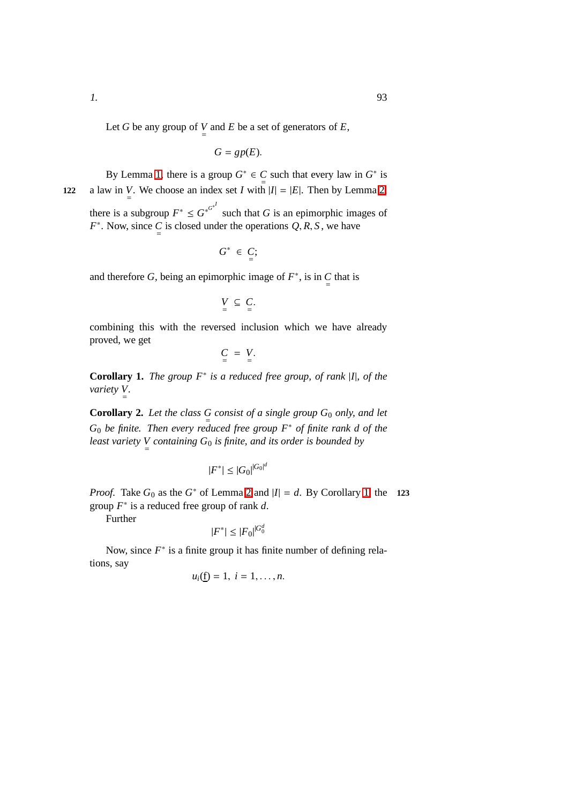Let *G* be any group of *V* and *E* be a set of generators of *E*,

$$
G=gp(E).
$$

By Lemma [1,](#page-178-0) there is a group  $G^* \in C$  such that every law in  $G^*$  is  $\leq$ 122 a law in *V*. We choose an index set *I* with  $|I| = |E|$ . Then by Lemma [2,](#page-180-0) there is a subgroup  $F^* \leq G^{*^{G*}}$  such that *G* is an epimorphic images of

 $F^*$ . Now, since  $C$  is closed under the operations  $Q, R, S$ , we have

$$
G^* \in C;
$$

and therefore *G*, being an epimorphic image of  $F^*$ , is in  $\underset{=}{C}$  that is

 $V \subseteq C$ .

combining this with the reversed inclusion which we have already proved, we get

 $C = V$ .

**Corollary 1.** *The group F*<sup>∗</sup> *is a reduced free group, of rank* |*I*|*, of the variety V* = *.*

**Corollary 2.** Let the class  $G$  consist of a single group  $G_0$  only, and let *G*<sup>0</sup> *be finite. Then every reduced free group F*<sup>∗</sup> *of finite rank d of the least variety V* = *containing G*<sup>0</sup> *is finite, and its order is bounded by*

$$
|F^*| \leq |G_0|^{|G_0|^d}
$$

*Proof.* Take  $G_0$  as the  $G^*$  of Lemma [2](#page-180-0) and  $|I| = d$ . By Corollary [1,](#page-178-1) the **123** group *F* ∗ is a reduced free group of rank *d*.

Further

$$
|F^*| \le |F_0|^{|G_0^d}
$$

Now, since  $F^*$  is a finite group it has finite number of defining relations, say

$$
u_i(\underline{f})=1, i=1,\ldots,n.
$$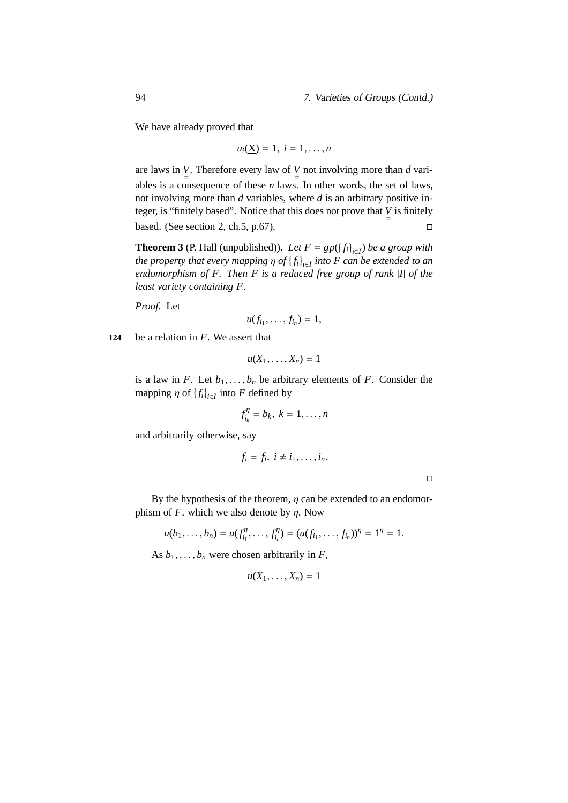We have already proved that

$$
u_i(\underline{X})=1, i=1,\ldots,n
$$

are laws in *V*. Therefore every law of *V* not involving more than *d* variables is a consequence of these *n* laws. In other words, the set of laws, not involving more than *d* variables, where *d* is an arbitrary positive integer, is "finitely based". Notice that this does not prove that  $V =$ based. (See section 2, ch.5, p.67).  $\square$ 

**Theorem 3** (P. Hall (unpublished)). *Let*  $F = gp(\{f_i\}_{i \in I})$  *be a group with the property that every mapping* η *of fi i*∈*I into F can be extended to an endomorphism of F. Then F is a reduced free group of rank* |*I*| *of the least variety containing F.*

*Proof.* Let

$$
u(f_{i_1},\ldots,f_{i_n})=1,
$$

**124** be a relation in *F*. We assert that

$$
u(X_1,\ldots,X_n)=1
$$

is a law in *F*. Let  $b_1, \ldots, b_n$  be arbitrary elements of *F*. Consider the mapping  $\eta$  of  $\{f_i\}_{i \in I}$  into *F* defined by

$$
f_{i_k}^{\eta} = b_k, \ k = 1, \ldots, n
$$

and arbitrarily otherwise, say

$$
f_i=f_i, i\neq i_1,\ldots,i_n.
$$

 $\Box$ 

By the hypothesis of the theorem,  $\eta$  can be extended to an endomorphism of  $F$ . which we also denote by  $\eta$ . Now

$$
u(b_1,\ldots,b_n)=u(f_{i_1}^{\eta},\ldots,f_{i_n}^{\eta})=(u(f_{i_1},\ldots,f_{i_n}))^{\eta}=1^{\eta}=1.
$$

As  $b_1, \ldots, b_n$  were chosen arbitrarily in *F*,

$$
u(X_1,\ldots,X_n)=1
$$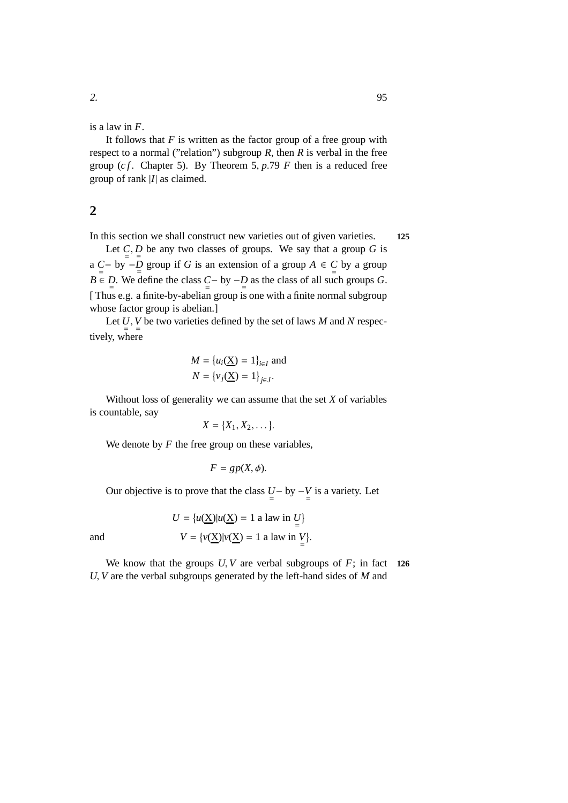is a law in *F*.

It follows that  $F$  is written as the factor group of a free group with respect to a normal ("relation") subgroup  $R$ , then  $R$  is verbal in the free group ( $cf$ . Chapter 5). By Theorem 5,  $p.79$  *F* then is a reduced free group of rank |*I*| as claimed.

## **2**

In this section we shall construct new varieties out of given varieties. **125**

Let  $C, D$  be any two classes of groups. We say that a group G is a  $\underset{=}{C}$  by −*D* group if *G* is an extension of a group  $A \in \underset{=}{C}$  by a group *B* ∈ *D*. We define the class  $C - by -D$  as the class of all such groups *G*. [ Thus e.g. a finite-by-abelian group is one with a finite normal subgroup whose factor group is abelian.]

Let  $U, V$  be two varieties defined by the set of laws *M* and *N* respectively, where

$$
M = \{u_i(\underline{X}) = 1\}_{i \in I} \text{ and}
$$
  

$$
N = \{v_j(\underline{X}) = 1\}_{j \in J}.
$$

Without loss of generality we can assume that the set *X* of variables is countable, say

$$
X = \{X_1, X_2, \ldots\}.
$$

We denote by  $F$  the free group on these variables,

$$
F = gp(X, \phi).
$$

Our objective is to prove that the class  $U - by -V$  is a variety. Let

$$
U = \{u(\underline{X})|u(\underline{X}) = 1 \text{ a law in } \underline{U}\}
$$
  
and 
$$
V = \{v(\underline{X})|v(\underline{X}) = 1 \text{ a law in } \underline{V}\}.
$$

We know that the groups  $U, V$  are verbal subgroups of  $F$ ; in fact **126** *U*, *V* are the verbal subgroups generated by the left-hand sides of *M* and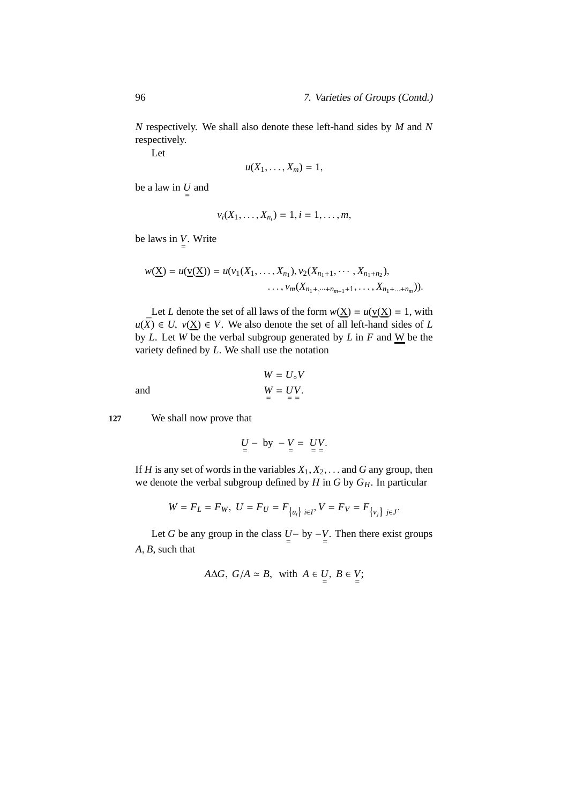*N* respectively. We shall also denote these left-hand sides by *M* and *N* respectively.

Let

$$
u(X_1,\ldots,X_m)=1,
$$

be a law in  $\underset{=}{U}$  and

$$
v_i(X_1,\ldots,X_{n_i})=1, i=1,\ldots,m,
$$

be laws in  $V$ . Write

$$
w(\underline{X}) = u(\underline{v}(\underline{X})) = u(v_1(X_1, \ldots, X_{n_1}), v_2(X_{n_1+1}, \cdots, X_{n_1+n_2}),
$$
  
...,  $v_m(X_{n_1+,\cdots+n_{m-1}+1}, \ldots, X_{n_1+\cdots+n_m})).$ 

Let *L* denote the set of all laws of the form  $w(X) = u(v(X)) = 1$ , with *u*( $\bar{X}$ ) ∈ *U*, *v*( $\underline{X}$ ) ∈ *V*. We also denote the set of all left-hand sides of *L* by *L*. Let *W* be the verbal subgroup generated by *L* in *F* and  $\underline{W}$  be the variety defined by *L*. We shall use the notation

and 
$$
W = U_{\circ}V
$$

$$
W = UV.
$$

$$
= \frac{W}{V} = \frac{V}{V}
$$

**127** We shall now prove that

$$
\underline{U} - by - V = UV.
$$

If *H* is any set of words in the variables  $X_1, X_2, \ldots$  and *G* any group, then we denote the verbal subgroup defined by *H* in *G* by *GH*. In particular

$$
W = F_L = F_W, \ U = F_U = F_{\{u_i\} \ i \in I}, \ V = F_V = F_{\{v_j\} \ j \in J}.
$$

Let *G* be any group in the class  $U - by -V$ . Then there exist groups *A*, *B*, such that

$$
A \Delta G
$$
,  $G/A \simeq B$ , with  $A \in U$ ,  $B \in V$ ;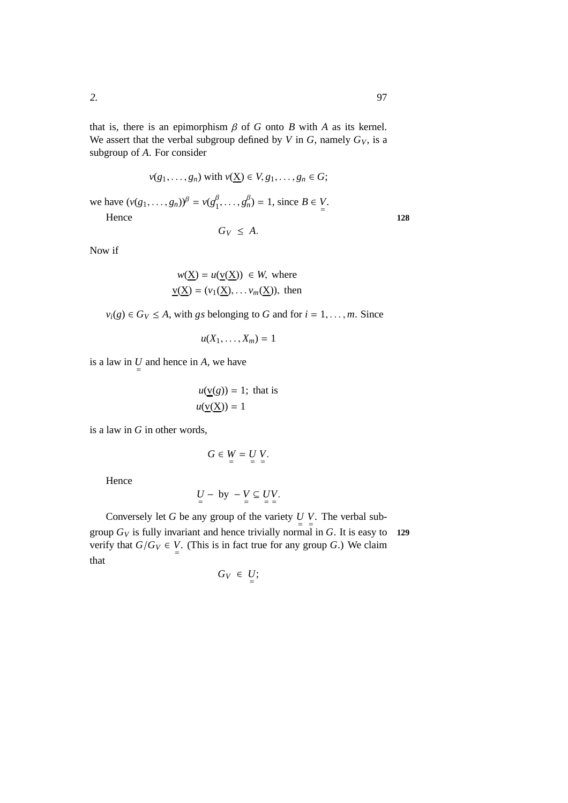that is, there is an epimorphism  $\beta$  of  $G$  onto  $B$  with  $A$  as its kernel. We assert that the verbal subgroup defined by *V* in *G*, namely  $G_V$ , is a subgroup of *A*. For consider

$$
v(g_1, \dots, g_n) \text{ with } v(\underline{X}) \in V, g_1, \dots, g_n \in G;
$$
  
we have  $(v(g_1, \dots, g_n))^{\beta} = v(g_1^{\beta}, \dots, g_n^{\beta}) = 1$ , since  $B \in V$ .  
Hence

$$
G_V \leq A.
$$

Now if

$$
w(\underline{X}) = u(\underline{v}(\underline{X})) \in W, \text{ where}
$$
  

$$
\underline{v}(\underline{X}) = (v_1(\underline{X}), \dots, v_m(\underline{X})), \text{ then}
$$

 $v_i(g) \in G_V \leq A$ , with *gs* belonging to *G* and for  $i = 1, \ldots, m$ . Since

$$
u(X_1,\ldots,X_m)=1
$$

is a law in  $\underset{=}{U}$  and hence in *A*, we have

$$
u(\underline{v}(g)) = 1; \text{ that is}
$$

$$
u(\underline{v}(\underline{X})) = 1
$$

is a law in *G* in other words,

$$
G\in W=U V.
$$

Hence

$$
\underset{=}{U} - by - V \subseteq \underset{=}{U}V.
$$

Conversely let *G* be any group of the variety  $U V$ . The verbal subgroup  $G_V$  is fully invariant and hence trivially normal in  $G$ . It is easy to **129** verify that  $G/G_V \in V$ . (This is in fact true for any group *G*.) We claim that

$$
G_V \in U;
$$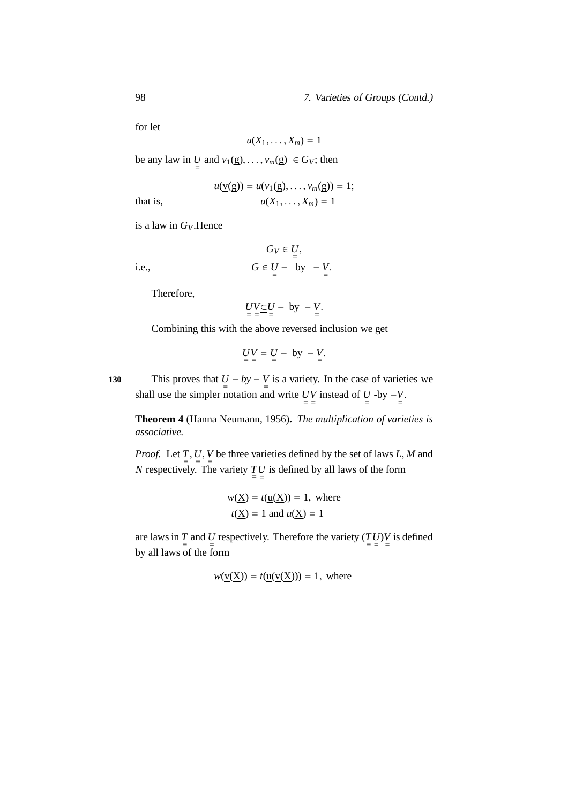#### 98 7. Varieties of Groups (Contd.)

for let

$$
u(X_1,\ldots,X_m)=1
$$

be any law in  $\underline{U}$  and  $v_1(\underline{g}), \ldots, v_m(\underline{g}) \in G_V$ ; then

$$
u(\underline{v}(g)) = u(v_1(g), \dots, v_m(g)) = 1;
$$
  

$$
u(X_1, \dots, X_m) = 1
$$

that is,

$$
u(X_1,\ldots,X_m)=
$$

is a law in *GV*.Hence

*i.e.*,

$$
G_V \in U,
$$
  

$$
G \in U - \text{ by } -V.
$$

Therefore,

$$
\underbrace{UV\_U}_{=}\underbrace{-}U - by - V.
$$

Combining this with the above reversed inclusion we get

$$
UV = U - by - V.
$$

130 This proves that  $U - by - V$  is a variety. In the case of varieties we shall use the simpler notation and write  $UV$  instead of  $U$  -by  $-V$ .

**Theorem 4** (Hanna Neumann, 1956)**.** *The multiplication of varieties is associative.*

*Proof.* Let *T* , *U* , *V* be three varieties defined by the set of laws *L*, *M* and  $\frac{1}{2}$ ,  $\frac{0}{2}$ ,  $\frac{1}{2}$ *N* respectively. The variety  $\frac{TV}{I}$  is defined by all laws of the form

$$
w(\underline{X}) = t(\underline{u}(\underline{X})) = 1, \text{ where}
$$
  

$$
t(\underline{X}) = 1 \text{ and } u(\underline{X}) = 1
$$

are laws in  $\frac{T}{p}$  and  $\frac{U}{p}$  respectively. Therefore the variety  $\left(\frac{T}{U}\right)V$  is defined by all laws of the form

$$
w(\underline{v}(\underline{X})) = t(\underline{u}(\underline{v}(\underline{X}))) = 1, \text{ where}
$$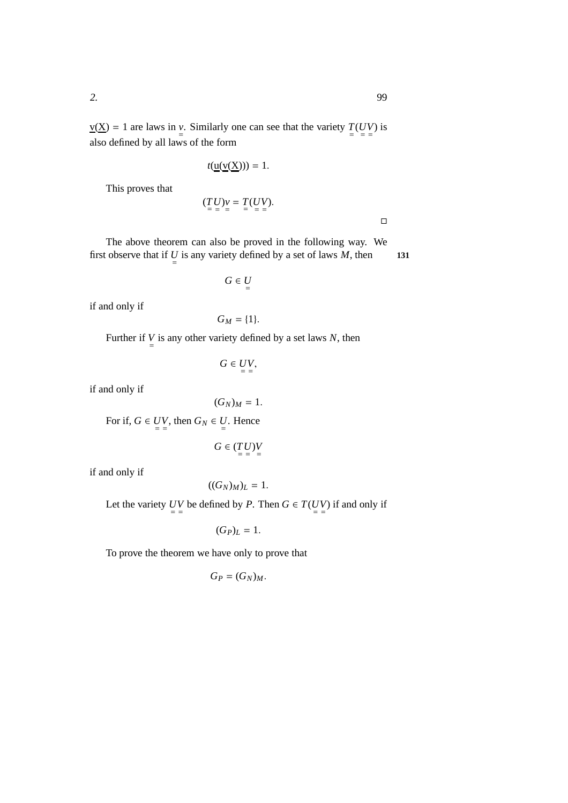$\Box$ 

 $\underline{v}(\underline{X}) = 1$  are laws in  $\underline{v}$ . Similarly one can see that the variety  $\underline{T}(UV)$  is also defined by all laws of the form

$$
t(\underline{\mathsf{u}}(\underline{\mathsf{v}}(\underline{\mathsf{X}})))=1.
$$

This proves that

$$
(\underline{T}\underline{U})\underline{v} = \underline{T}(\underline{U}\underline{V}).
$$

The above theorem can also be proved in the following way. We first observe that if  $U =$  is any variety defined by a set of laws  $M$ , then **131** 

 $G \in U$ 

if and only if

$$
G_M=\{1\}.
$$

Further if  $V$  is any other variety defined by a set laws *N*, then

$$
G\in UV,
$$

if and only if

 $(G_N)_M = 1.$ 

For if,  $G \in UV$ , then  $G_N \in U$ . Hence

$$
G \in (\underbrace{T}_{=}\underbrace{U}_{=})\underbrace{V}_{=}
$$

if and only if

$$
((G_N)_M)_L=1.
$$

Let the variety *UV* be defined by *P*. Then  $G \in T(UV)$  if and only if

$$
(G_P)_L=1.
$$

To prove the theorem we have only to prove that

$$
G_P=(G_N)_M.
$$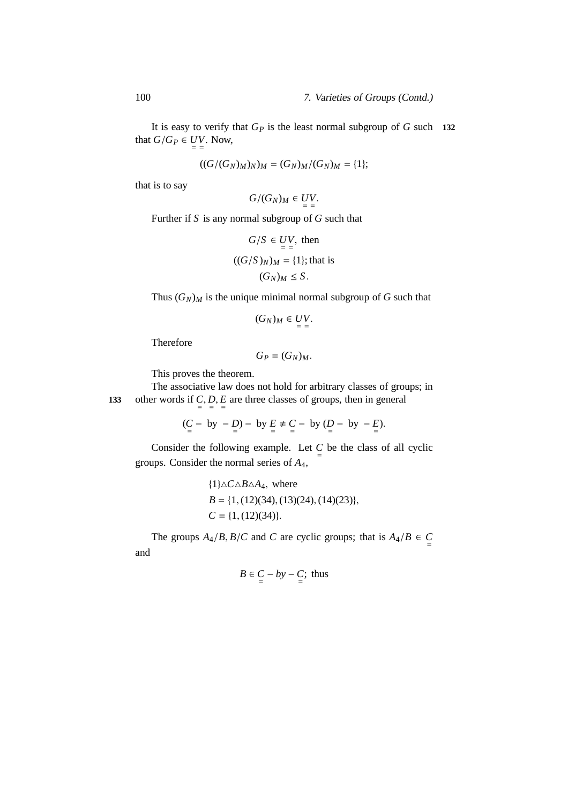It is easy to verify that *G<sup>P</sup>* is the least normal subgroup of *G* such **132** that  $G/G_P \in UV$ . Now,

$$
((G/(G_N)_M)_N)_M = (G_N)_M/(G_N)_M = \{1\};
$$

that is to say

$$
G/(G_N)_M \in UV.
$$

Further if *S* is any normal subgroup of *G* such that

$$
G/S \in UV, \text{ then}
$$

$$
((G/S)_N)_M = \{1\}; \text{that is}
$$

$$
(G_N)_M \leq S.
$$

Thus  $(G_N)_M$  is the unique minimal normal subgroup of *G* such that

$$
(G_N)_M\in UV.
$$

Therefore

$$
G_P=(G_N)_M.
$$

This proves the theorem.

The associative law does not hold for arbitrary classes of groups; in 133 other words if  $C$ ,  $D$ ,  $E$  are three classes of groups, then in general

$$
(C - by - D) - by E \neq C - by (D - by - E).
$$

Consider the following example. Let  $\frac{C}{p}$  be the class of all cyclic groups. Consider the normal series of *A*4,

$$
\{1\}\triangle C\triangle B\triangle A_4, \text{ where}
$$
  
\n
$$
B = \{1, (12)(34), (13)(24), (14)(23)\},
$$
  
\n
$$
C = \{1, (12)(34)\}.
$$

The groups  $A_4/B$ ,  $B/C$  and *C* are cyclic groups; that is  $A_4/B \in C$ and

$$
B \in C - by - C; thus
$$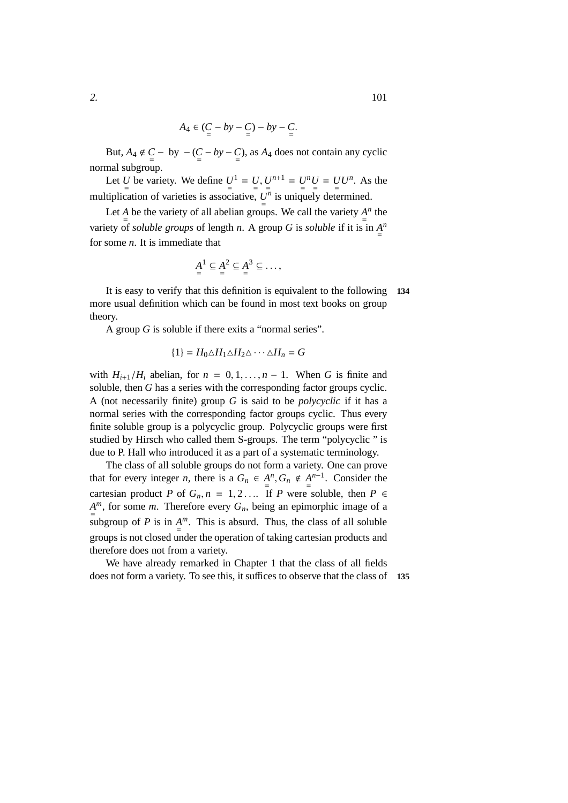$$
A_4 \in (\underbrace{C}_{=} - by - \underbrace{C}_{=} ) - by - \underbrace{C}_{=}.
$$

But,  $A_4 \notin C$  – by –  $(C - by - C)$ , as  $A_4$  does not contain any cyclic normal subgroup.

Let *U* be variety. We define  $U^1 = U, U^{n+1} = U^n U = U U^n$ . As the multiplication of varieties is associative,  $U_{\frac{1}{2}}$ *n* is uniquely determined.

Let *A* be the variety of all abelian groups. We call the variety  $\frac{A}{p}$ *n* the variety of *soluble groups* of length *n*. A group *G* is *soluble* if it is in  $\frac{A}{p}$ *n* for some *n*. It is immediate that

$$
\underline{A}^1 \subseteq \underline{A}^2 \subseteq \underline{A}^3 \subseteq \ldots,
$$

It is easy to verify that this definition is equivalent to the following **134** more usual definition which can be found in most text books on group theory.

A group *G* is soluble if there exits a "normal series".

$$
\{1\} = H_0 \triangle H_1 \triangle H_2 \triangle \cdots \triangle H_n = G
$$

with  $H_{i+1}/H_i$  abelian, for  $n = 0, 1, \ldots, n-1$ . When *G* is finite and soluble, then *G* has a series with the corresponding factor groups cyclic. A (not necessarily finite) group *G* is said to be *polycyclic* if it has a normal series with the corresponding factor groups cyclic. Thus every finite soluble group is a polycyclic group. Polycyclic groups were first studied by Hirsch who called them S-groups. The term "polycyclic " is due to P. Hall who introduced it as a part of a systematic terminology.

The class of all soluble groups do not form a variety. One can prove that for every integer *n*, there is a  $G_n \in A$  $^n$ ,  $G_n \notin A$ *n*−1 . Consider the cartesian product *P* of  $G_n$ ,  $n = 1, 2, \ldots$  If *P* were soluble, then  $P \in$  $A^m$ , for some *m*. Therefore every  $G_n$ , being an epimorphic image of a subgroup of *P* is in  $A^m$ . This is absurd. Thus, the class of all soluble groups is not closed under the operation of taking cartesian products and therefore does not from a variety.

We have already remarked in Chapter 1 that the class of all fields does not form a variety. To see this, it suffices to observe that the class of **<sup>135</sup>**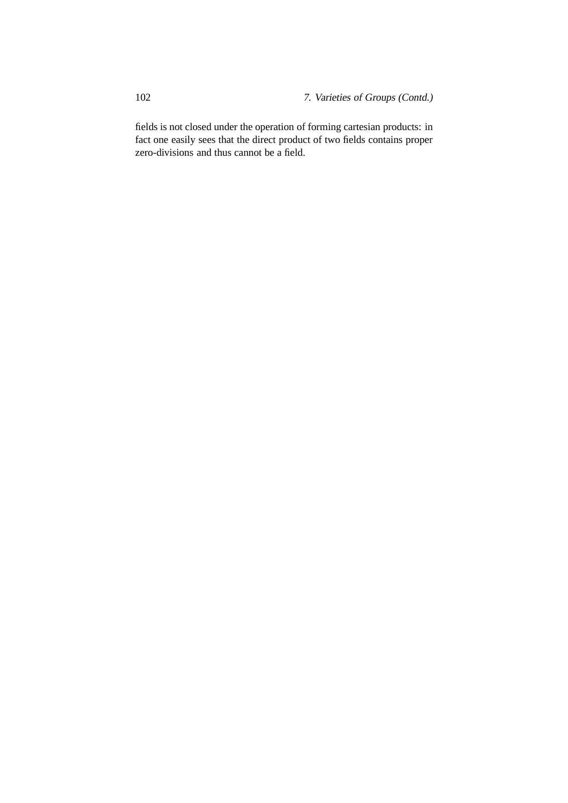fields is not closed under the operation of forming cartesian products: in fact one easily sees that the direct product of two fields contains proper zero-divisions and thus cannot be a field.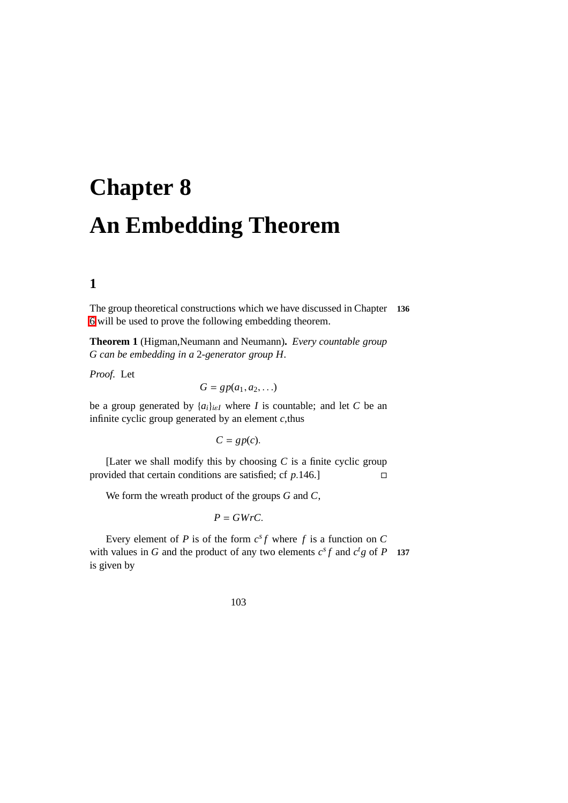# **Chapter 8 An Embedding Theorem**

# **1**

The group theoretical constructions which we have discussed in Chapter **136** [6](#page-70-0) will be used to prove the following embedding theorem.

**Theorem 1** (Higman,Neumann and Neumann)**.** *Every countable group G can be embedding in a* 2*-generator group H.*

*Proof.* Let

$$
G=gp(a_1,a_2,\ldots)
$$

be a group generated by  $\{a_i\}_{i \in I}$  where *I* is countable; and let *C* be an infinite cyclic group generated by an element *c*,thus

 $C = gp(c)$ .

[Later we shall modify this by choosing  $C$  is a finite cyclic group provided that certain conditions are satisfied; cf *p*.146.]

We form the wreath product of the groups *G* and *C*,

$$
P = GWrC.
$$

Every element of *P* is of the form  $c^s f$  where *f* is a function on *C* with values in *G* and the product of any two elements  $c^s f$  and  $c^t g$  of *P* 137 is given by

103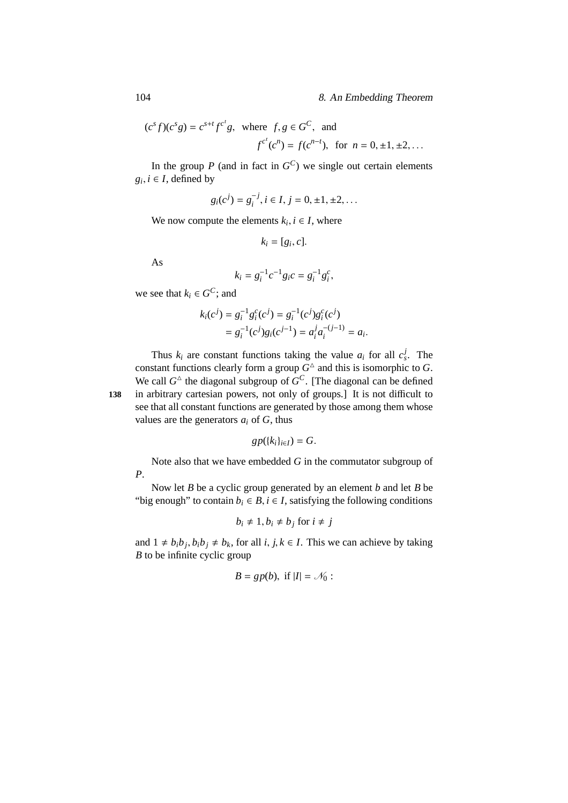$$
(c^s f)(c^s g) = c^{s+t} f^{c^t} g
$$
, where  $f, g \in G^C$ , and  
 $f^{c^t}(c^n) = f(c^{n-t})$ , for  $n = 0, \pm 1, \pm 2, ...$ 

In the group  $P$  (and in fact in  $G^C$ ) we single out certain elements  $g_i, i \in I$ , defined by

$$
g_i(c^j) = g_i^{-j}, i \in I, j = 0, \pm 1, \pm 2, \dots
$$

We now compute the elements  $k_i$ ,  $i \in I$ , where

$$
k_i = [g_i, c].
$$

As

$$
k_i = g_i^{-1}c^{-1}g_ic = g_i^{-1}g_i^c,
$$

we see that  $k_i \in G^C$ ; and

$$
k_i(c^j) = g_i^{-1} g_i^c(c^j) = g_i^{-1}(c^j) g_i^c(c^j)
$$
  
=  $g_i^{-1}(c^j) g_i(c^{j-1}) = a_i^j a_i^{-(j-1)} = a_i.$ 

Thus  $k_i$  are constant functions taking the value  $a_i$  for all  $c_s^j$ . The constant functions clearly form a group  $G^{\Delta}$  and this is isomorphic to G. We call  $G^{\triangle}$  the diagonal subgroup of  $G^C$ . [The diagonal can be defined **<sup>138</sup>** in arbitrary cartesian powers, not only of groups.] It is not difficult to see that all constant functions are generated by those among them whose values are the generators  $a_i$  of  $G$ , thus

$$
gp({k_i}_{i\in I})=G.
$$

Note also that we have embedded *G* in the commutator subgroup of *P*.

Now let *B* be a cyclic group generated by an element *b* and let *B* be "big enough" to contain  $b_i \in B$ ,  $i \in I$ , satisfying the following conditions

$$
b_i \neq 1, b_i \neq b_j \text{ for } i \neq j
$$

and  $1 \neq b_i b_j, b_i b_j \neq b_k$ , for all *i*, *j*,  $k \in I$ . This we can achieve by taking *B* to be infinite cyclic group

$$
B = gp(b), \text{ if } |I| = \mathcal{N}_0:
$$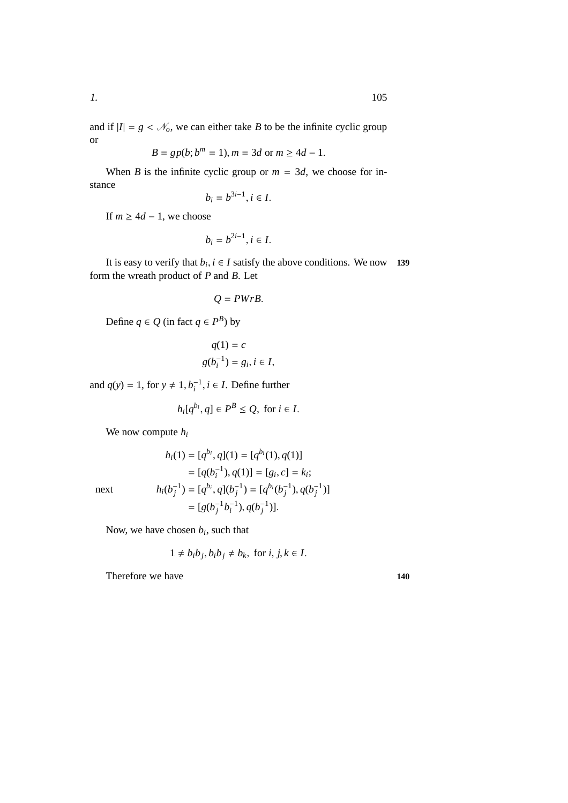and if  $|I| = g < \mathcal{N}_o$ , we can either take *B* to be the infinite cyclic group or

$$
B = gp(b; bm = 1), m = 3d \text{ or } m \ge 4d - 1.
$$

When *B* is the infinite cyclic group or  $m = 3d$ , we choose for instance

$$
b_i = b^{3i-1}, i \in I.
$$

If  $m \geq 4d - 1$ , we choose

$$
b_i = b^{2i-1}, i \in I.
$$

It is easy to verify that  $b_i$ ,  $i \in I$  satisfy the above conditions. We now **139** form the wreath product of *P* and *B*. Let

$$
Q=PWrB.
$$

Define  $q \in Q$  (in fact  $q \in P^B$ ) by

$$
q(1) = c
$$
  

$$
g(b_i^{-1}) = g_i, i \in I,
$$

and  $q(y) = 1$ , for  $y \neq 1$ ,  $b_i^{-1}$ ,  $i \in I$ . Define further

$$
h_i[q^{b_i}, q] \in P^B \le Q, \text{ for } i \in I.
$$

We now compute *h<sup>i</sup>*

$$
h_i(1) = [q^{b_i}, q](1) = [q^{b_i}(1), q(1)]
$$
  
=  $[q(b_i^{-1}), q(1)] = [g_i, c] = k_i;$   

$$
h_i(b_j^{-1}) = [q^{b_i}, q](b_j^{-1}) = [q^{b_i}(b_j^{-1}), q(b_j^{-1})]
$$
  
=  $[g(b_j^{-1}b_i^{-1}), q(b_j^{-1})].$ 

next *hi*(*b*

Now, we have chosen *b<sup>i</sup>* , such that

$$
1 \neq b_i b_j, b_i b_j \neq b_k
$$
, for  $i, j, k \in I$ .

Therefore we have **140**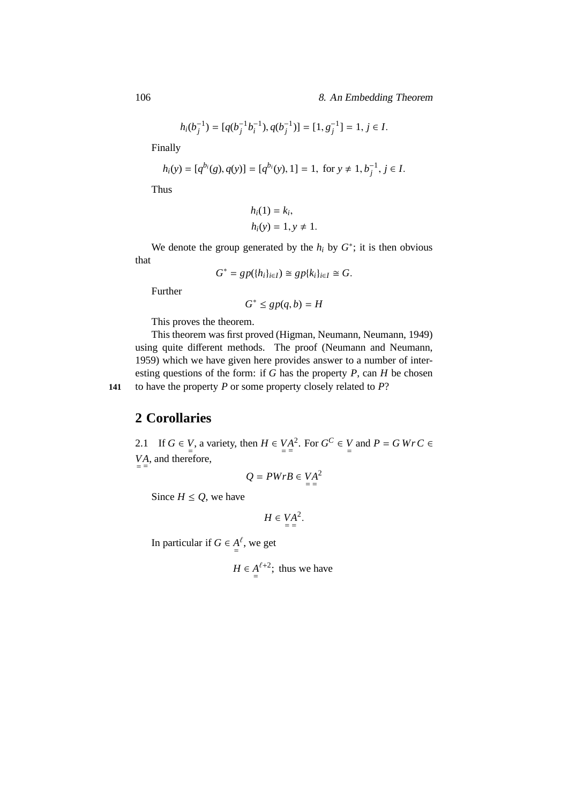$$
h_i(b_j^{-1}) = [q(b_j^{-1}b_i^{-1}), q(b_j^{-1})] = [1, g_j^{-1}] = 1, j \in I.
$$

Finally

$$
h_i(y) = [q^{b_i}(g), q(y)] = [q^{b_i}(y), 1] = 1, \text{ for } y \neq 1, b_j^{-1}, j \in I.
$$

Thus

$$
h_i(1) = k_i,
$$
  

$$
h_i(y) = 1, y \neq 1.
$$

We denote the group generated by the  $h_i$  by  $G^*$ ; it is then obvious that

$$
G^* = gp(\{h_i\}_{i \in I}) \cong gp\{k_i\}_{i \in I} \cong G.
$$

Further

$$
G^* \le gp(q, b) = H
$$

This proves the theorem.

This theorem was first proved (Higman, Neumann, Neumann, 1949) using quite different methods. The proof (Neumann and Neumann, 1959) which we have given here provides answer to a number of interesting questions of the form: if *G* has the property *P*, can *H* be chosen **141** to have the property *P* or some property closely related to *P*?

**2 Corollaries**

2.1 If  $G \in V$ , a variety, then  $H \in VA$ <sup>2</sup>. For  $G^C \in V$  and  $P = G \, Wr \, C \in V$  $VA$ , and therefore,

$$
Q = PWrB \in VA^2
$$

Since  $H \leq Q$ , we have

$$
H \in \underset{=}{VA}^2.
$$

In particular if  $G \in A$  $\ell$ , we get

$$
H \in \underline{A}^{\ell+2}
$$
; thus we have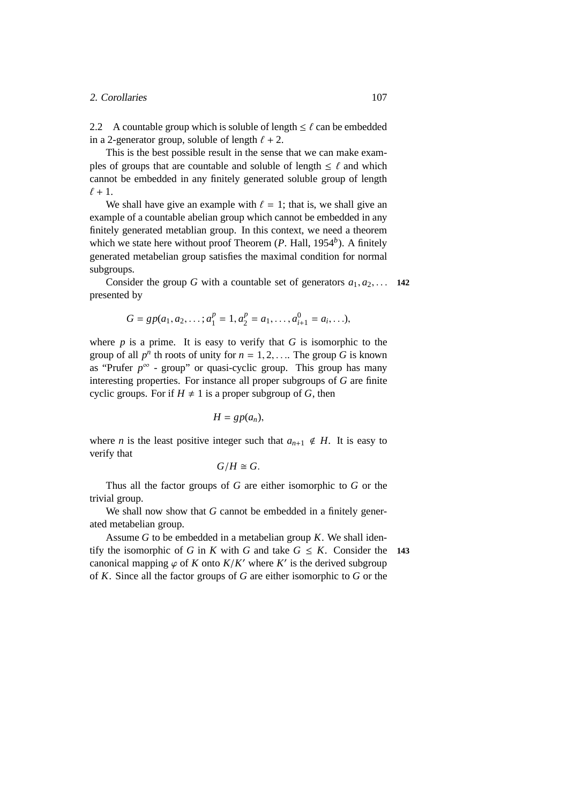#### 2. Corollaries 107

2.2 A countable group which is soluble of length  $\leq \ell$  can be embedded in a 2-generator group, soluble of length  $\ell + 2$ .

This is the best possible result in the sense that we can make examples of groups that are countable and soluble of length  $\leq \ell$  and which cannot be embedded in any finitely generated soluble group of length  $\ell + 1$ .

We shall have give an example with  $\ell = 1$ ; that is, we shall give an example of a countable abelian group which cannot be embedded in any finitely generated metablian group. In this context, we need a theorem which we state here without proof Theorem (*P*. Hall, 1954<sup>b</sup>). A finitely generated metabelian group satisfies the maximal condition for normal subgroups.

Consider the group *G* with a countable set of generators  $a_1, a_2, \ldots$  142 presented by

$$
G = gp(a_1, a_2, \dots; a_1^p = 1, a_2^p = a_1, \dots, a_{i+1}^0 = a_i, \dots),
$$

where  $p$  is a prime. It is easy to verify that  $G$  is isomorphic to the group of all  $p^n$  th roots of unity for  $n = 1, 2, \ldots$  The group *G* is known as "Prufer  $p^{\infty}$  - group" or quasi-cyclic group. This group has many interesting properties. For instance all proper subgroups of *G* are finite cyclic groups. For if  $H \neq 1$  is a proper subgroup of *G*, then

$$
H=gp(a_n),
$$

where *n* is the least positive integer such that  $a_{n+1} \notin H$ . It is easy to verify that

$$
G/H\cong G.
$$

Thus all the factor groups of *G* are either isomorphic to *G* or the trivial group.

We shall now show that *G* cannot be embedded in a finitely generated metabelian group.

Assume *G* to be embedded in a metabelian group *K*. We shall identify the isomorphic of *G* in *K* with *G* and take  $G \leq K$ . Consider the 143 canonical mapping  $\varphi$  of *K* onto  $K/K'$  where  $K'$  is the derived subgroup of *K*. Since all the factor groups of *G* are either isomorphic to *G* or the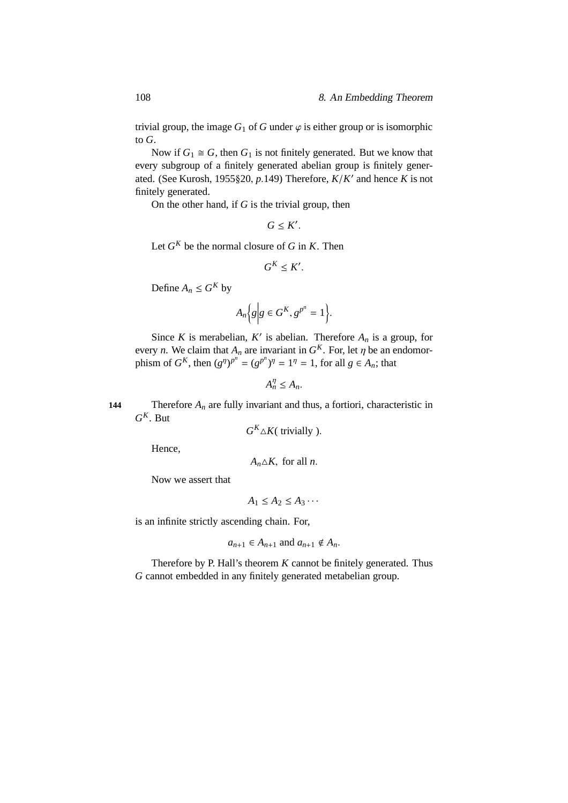trivial group, the image  $G_1$  of  $G$  under  $\varphi$  is either group or is isomorphic to *G*.

Now if  $G_1 \cong G$ , then  $G_1$  is not finitely generated. But we know that every subgroup of a finitely generated abelian group is finitely generated. (See Kurosh, 1955§20, *p*.149) Therefore, *K*/*K* ′ and hence *K* is not finitely generated.

On the other hand, if *G* is the trivial group, then

$$
G\leq K'.
$$

Let  $G^K$  be the normal closure of  $G$  in  $K$ . Then

$$
G^K \leq K'.
$$

Define  $A_n \leq G^K$  by

$$
A_n\Big\{g\Big|g\in G^K, g^{p^n}=1\Big\}.
$$

Since *K* is merabelian, *K'* is abelian. Therefore  $A_n$  is a group, for every *n*. We claim that  $A_n$  are invariant in  $G^K$ . For, let  $\eta$  be an endomorphism of *G*<sup>*K*</sup>, then  $(g<sup>n</sup>)<sup>p<sup>n</sup></sup> = (g<sup>p<sup>n</sup></sup>)<sup>n</sup> = 1<sup>n</sup> = 1$ , for all  $g \in A_n$ ; that

$$
A_n^{\eta} \leq A_n.
$$

**144** Therefore *A<sup>n</sup>* are fully invariant and thus, a fortiori, characteristic in  $G^K$ . But

 $G^K \triangle K$ ( trivially ).

Hence,

 $A_n \triangle K$ , for all *n*.

Now we assert that

 $A_1 \leq A_2 \leq A_3 \cdots$ 

is an infinite strictly ascending chain. For,

$$
a_{n+1} \in A_{n+1} \text{ and } a_{n+1} \notin A_n.
$$

Therefore by P. Hall's theorem *K* cannot be finitely generated. Thus *G* cannot embedded in any finitely generated metabelian group.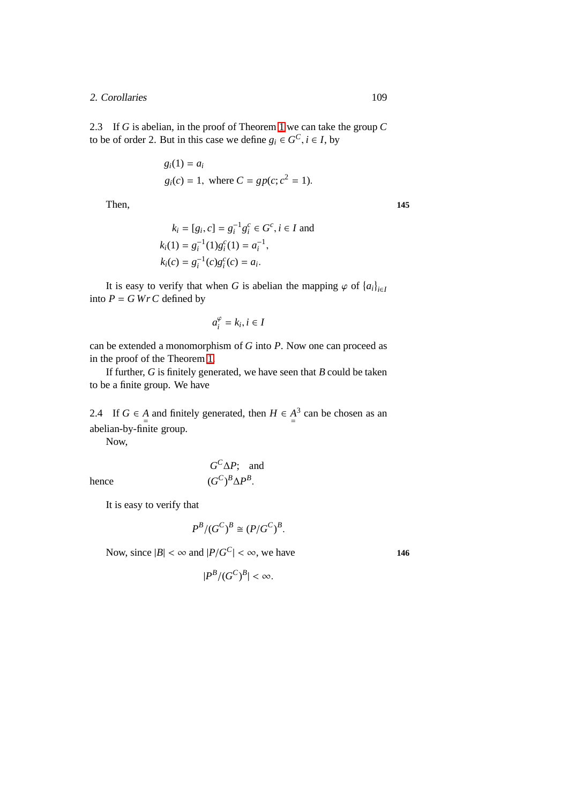#### 2. Corollaries 109

2.3 If *G* is abelian, in the proof of Theorem [1](#page-178-0) we can take the group *C* to be of order 2. But in this case we define  $g_i \in G^C$ ,  $i \in I$ , by

$$
g_i(1) = a_i
$$
  
 
$$
g_i(c) = 1, \text{ where } C = gp(c; c^2 = 1).
$$

Then, 145

$$
k_i = [g_i, c] = g_i^{-1} g_i^c \in G^c, i \in I \text{ and}
$$
  
\n
$$
k_i(1) = g_i^{-1}(1) g_i^c(1) = a_i^{-1},
$$
  
\n
$$
k_i(c) = g_i^{-1}(c) g_i^c(c) = a_i.
$$

It is easy to verify that when *G* is abelian the mapping  $\varphi$  of  $\{a_i\}_{i \in I}$ into  $P = G WrC$  defined by

$$
a_i^{\varphi} = k_i, i \in I
$$

can be extended a monomorphism of *G* into *P*. Now one can proceed as in the proof of the Theorem [1.](#page-178-0)

If further, *G* is finitely generated, we have seen that *B* could be taken to be a finite group. We have

2.4 If  $G \in A$  and finitely generated, then  $H \in A$ <sup>3</sup> can be chosen as an abelian-by-finite group.

Now,

$$
G^C \Delta P
$$
; and  
 $(G^C)^B \Delta P^B$ .

hence (*G*

It is easy to verify that

$$
P^B/(G^C)^B \cong (P/G^C)^B.
$$

Now, since  $|B| < \infty$  and  $|P/G^C| < \infty$ , we have **146** 

$$
|P^B/(G^C)^B| < \infty.
$$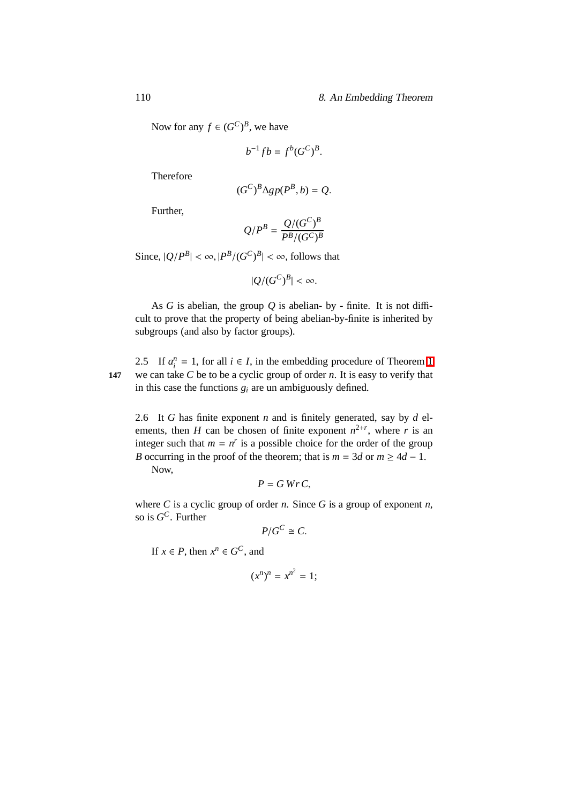#### 110 8. An Embedding Theorem

Now for any  $f \in (G^C)^B$ , we have

$$
b^{-1}fb = f^b(G^C)^B.
$$

Therefore

$$
(G^C)^B \Delta g p(P^B, b) = Q.
$$

Further,

$$
Q/P^B = \frac{Q/(G^C)^B}{P^B/(G^C)^B}
$$

Since,  $|Q/P^B| < \infty$ ,  $|P^B/(G^C)^B| < \infty$ , follows that

$$
|Q/(G^C)^B| < \infty.
$$

As  $G$  is abelian, the group  $Q$  is abelian- by - finite. It is not difficult to prove that the property of being abelian-by-finite is inherited by subgroups (and also by factor groups).

2.5 If  $a_i^n = 1$  $a_i^n = 1$ , for all  $i \in I$ , in the embedding procedure of Theorem 1 **147** we can take *C* be to be a cyclic group of order *n*. It is easy to verify that in this case the functions  $g_i$  are un ambiguously defined.

2.6 It *G* has finite exponent *n* and is finitely generated, say by *d* elements, then *H* can be chosen of finite exponent  $n^{2+r}$ , where *r* is an integer such that  $m = n^r$  is a possible choice for the order of the group *B* occurring in the proof of the theorem; that is  $m = 3d$  or  $m \geq 4d - 1$ . Now,

$$
P = G \, Wr \, C,
$$

where *C* is a cyclic group of order *n*. Since *G* is a group of exponent *n*, so is *G <sup>C</sup>*. Further

$$
P/G^C \cong C.
$$

If  $x \in P$ , then  $x^n \in G^C$ , and

$$
(x^n)^n = x^{n^2} = 1;
$$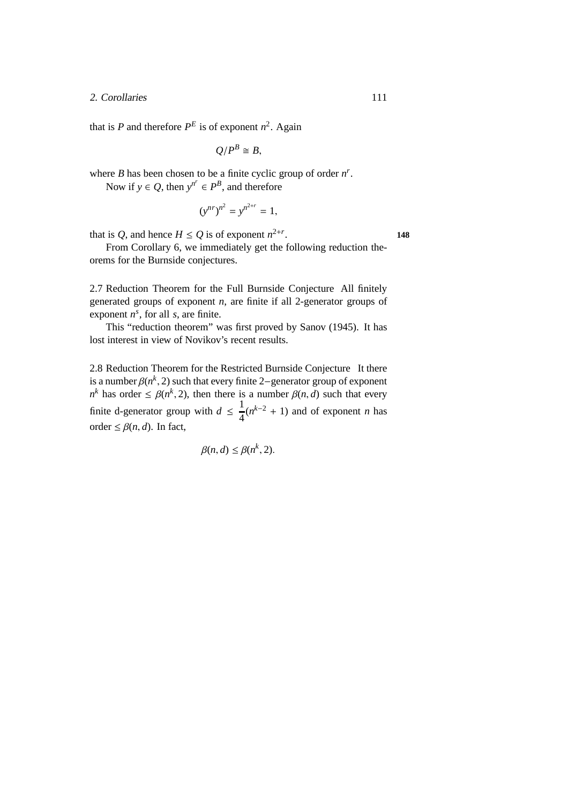#### 2. Corollaries 111

that is *P* and therefore  $P^E$  is of exponent  $n^2$ . Again

 $Q/P^B \cong B$ ,

where *B* has been chosen to be a finite cyclic group of order  $n^r$ .

Now if  $y \in Q$ , then  $y^{n^r} \in P^B$ , and therefore

$$
(y^{nr})^{n^2} = y^{n^{2+r}} = 1,
$$

that is *Q*, and hence  $H \le Q$  is of exponent  $n^{2+r}$ 

From Corollary 6, we immediately get the following reduction theorems for the Burnside conjectures.

2.7 Reduction Theorem for the Full Burnside Conjecture All finitely generated groups of exponent *n*, are finite if all 2-generator groups of exponent  $n^s$ , for all *s*, are finite.

This "reduction theorem" was first proved by Sanov (1945). It has lost interest in view of Novikov's recent results.

2.8 Reduction Theorem for the Restricted Burnside Conjecture It there is a number  $\beta(n^k, 2)$  such that every finite 2−generator group of exponent *n*<sup>k</sup> has order  $\leq \beta(n^k, 2)$ , then there is a number  $\beta(n, d)$  such that every finite d-generator group with  $d \leq \frac{1}{4}$  $\frac{1}{4}(n^{k-2} + 1)$  and of exponent *n* has order  $\leq \beta(n, d)$ . In fact,

$$
\beta(n,d) \leq \beta(n^k, 2).
$$

. **148**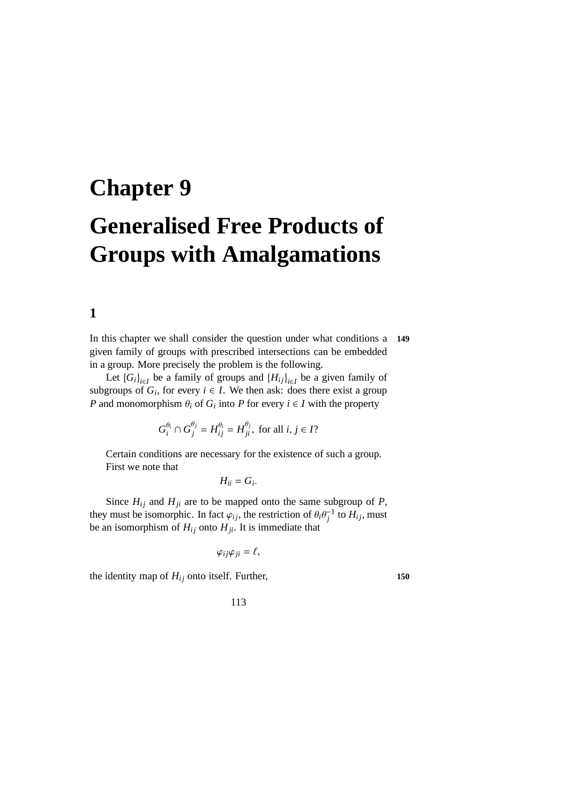# **Chapter 9 Generalised Free Products of Groups with Amalgamations**

# **1**

In this chapter we shall consider the question under what conditions a **149** given family of groups with prescribed intersections can be embedded in a group. More precisely the problem is the following.

Let  $\{G_i\}_{i \in I}$  be a family of groups and  $\{H_{ij}\}_{i \in I}$  be a given family of subgroups of  $G_i$ , for every  $i \in I$ . We then ask: does there exist a group *P* and monomorphism  $\theta_i$  of  $G_i$  into *P* for every  $i \in I$  with the property

$$
G_i^{\theta_i} \cap G_j^{\theta_j} = H_{ij}^{\theta_i} = H_{ji}^{\theta_j}, \text{ for all } i, j \in I?
$$

Certain conditions are necessary for the existence of such a group. First we note that

 $H_{ii} = G_i$ .

Since  $H_{ij}$  and  $H_{ji}$  are to be mapped onto the same subgroup of *P*, they must be isomorphic. In fact  $\varphi_{ij}$ , the restriction of  $\theta_i \theta_j^{-1}$  to  $H_{ij}$ , must be an isomorphism of  $H_{ij}$  onto  $H_{ji}$ . It is immediate that

$$
\varphi_{ij}\varphi_{ji}=\ell,
$$

the identity map of  $H_{ij}$  onto itself. Further,  $150$ 

113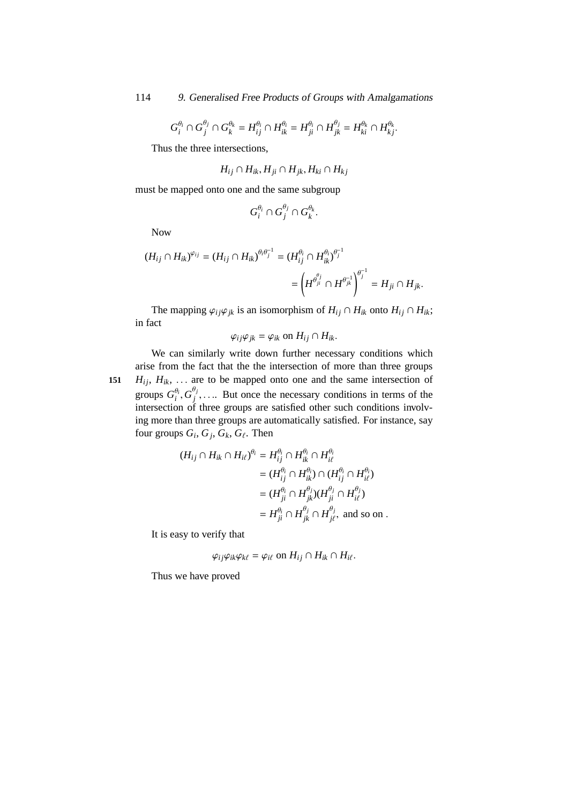$$
G_i^{\theta_i} \cap G_j^{\theta_j} \cap G_k^{\theta_k} = H_{ij}^{\theta_i} \cap H_{ik}^{\theta_i} = H_{ji}^{\theta_i} \cap H_{jk}^{\theta_j} = H_{ki}^{\theta_k} \cap H_{kj}^{\theta_k}.
$$

Thus the three intersections,

$$
H_{ij} \cap H_{ik}, H_{ji} \cap H_{jk}, H_{ki} \cap H_{kj}
$$

must be mapped onto one and the same subgroup

$$
G_i^{\theta_i} \cap G_j^{\theta_j} \cap G_k^{\theta_k}.
$$

Now

$$
(H_{ij} \cap H_{ik})^{\varphi_{ij}} = (H_{ij} \cap H_{ik})^{\theta_i \theta_j^{-1}} = (H_{ij}^{\theta_i} \cap H_{ik}^{\theta_i})^{\theta_j^{-1}} = H_{ji} \cap H_{jk}^{\theta_i}.
$$

The mapping  $\varphi_{ij}\varphi_{jk}$  is an isomorphism of  $H_{ij} \cap H_{ik}$  onto  $H_{ij} \cap H_{ik}$ ; in fact

$$
\varphi_{ij}\varphi_{jk}=\varphi_{ik} \text{ on } H_{ij}\cap H_{ik}.
$$

We can similarly write down further necessary conditions which arise from the fact that the the intersection of more than three groups **151**  $H_{ij}$ ,  $H_{ik}$ , ... are to be mapped onto one and the same intersection of groups  $G_i^{\theta_i}$  $_{i}^{\theta_{i}},G_{j}^{\theta_{j}}$  $j$ ,.... But once the necessary conditions in terms of the intersection of three groups are satisfied other such conditions involving more than three groups are automatically satisfied. For instance, say four groups  $G_i$ ,  $G_j$ ,  $G_k$ ,  $G_\ell$ . Then

$$
(H_{ij} \cap H_{ik} \cap H_{i\ell})^{\theta_i} = H_{ij}^{\theta_i} \cap H_{ik}^{\theta_i} \cap H_{i\ell}^{\theta_i}
$$
  
\n
$$
= (H_{ij}^{\theta_i} \cap H_{ik}^{\theta_i}) \cap (H_{ij}^{\theta_i} \cap H_{i\ell}^{\theta_i})
$$
  
\n
$$
= (H_{ji}^{\theta_i} \cap H_{jk}^{\theta_j})(H_{ji}^{\theta_j} \cap H_{i\ell}^{\theta_j})
$$
  
\n
$$
= H_{ji}^{\theta_i} \cap H_{jk}^{\theta_j} \cap H_{j\ell}^{\theta_j}, \text{ and so on.}
$$

It is easy to verify that

$$
\varphi_{ij}\varphi_{ik}\varphi_{k\ell}=\varphi_{i\ell} \text{ on } H_{ij}\cap H_{ik}\cap H_{i\ell}.
$$

Thus we have proved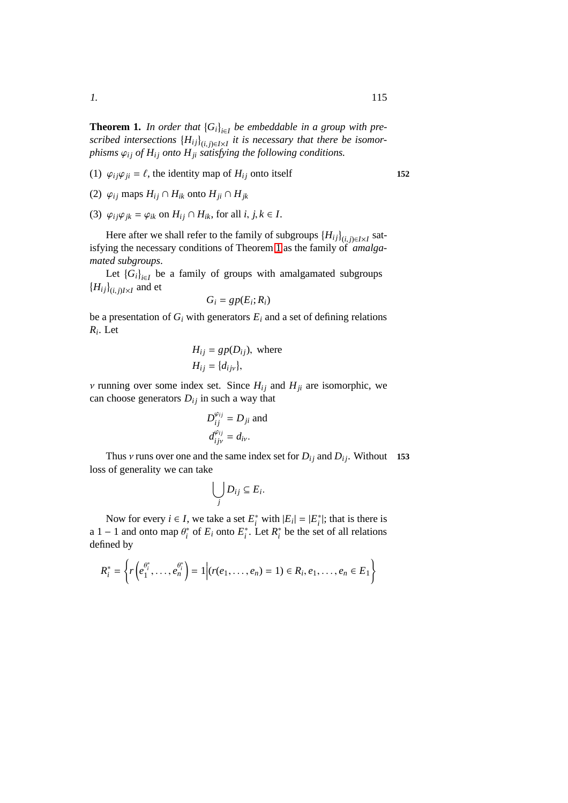**Theorem 1.** In order that  ${G_i}_{i \in I}$  be embeddable in a group with pre $s$ *cribed intersections*  $\{H_{ij}\}_{(i,j)\in I\times I}$  *it is necessary that there be isomorphisms*  $\varphi_{ij}$  *of*  $H_{ij}$  *onto*  $H_{ji}$  *satisfying the following conditions.* 

- (1)  $\varphi_{ij}\varphi_{ji} = \ell$ , the identity map of  $H_{ij}$  onto itself **152**
- (2)  $\varphi_{ij}$  maps  $H_{ij} \cap H_{ik}$  onto  $H_{ji} \cap H_{ik}$
- (3)  $\varphi_{ij}\varphi_{ik} = \varphi_{ik}$  on  $H_{ij} \cap H_{ik}$ , for all *i*, *j*,  $k \in I$ .

Here after we shall refer to the family of subgroups  $\{H_{ij}\}_{(i,j)\in I\times I}$  satisfying the necessary conditions of Theorem [1](#page-178-0) as the family of *amalgamated subgroups*.

Let  ${G_i}_{i \in I}$  be a family of groups with amalgamated subgroups  $\{H_{ij}\}_{(i,j)I\times I}$  and et

$$
G_i = gp(E_i; R_i)
$$

be a presentation of  $G_i$  with generators  $E_i$  and a set of defining relations *Ri* . Let

$$
H_{ij} = gp(D_{ij}), \text{ where}
$$
  

$$
H_{ij} = \{d_{ijv}\},
$$

*v* running over some index set. Since  $H_{ij}$  and  $H_{ji}$  are isomorphic, we can choose generators  $D_{ij}$  in such a way that

$$
D_{ij}^{\varphi_{ij}} = D_{ji}
$$
 and  

$$
d_{ijv}^{\varphi_{ij}} = d_{iv}.
$$

Thus v runs over one and the same index set for  $D_{ij}$  and  $D_{ij}$ . Without 153 loss of generality we can take

$$
\bigcup_j D_{ij} \subseteq E_i.
$$

Now for every  $i \in I$ , we take a set  $E_i^*$  with  $|E_i| = |E_i^*|$ ; that is there is a 1 – 1 and onto map  $\theta_i^*$  of  $E_i$  onto  $E_i^*$ . Let  $R_i^*$  be the set of all relations defined by

$$
R_i^* = \left\{ r \left( e_1^{\theta_i^*}, \ldots, e_n^{\theta_i^*} \right) = 1 \middle| (r(e_1, \ldots, e_n) = 1) \in R_i, e_1, \ldots, e_n \in E_1 \right\}
$$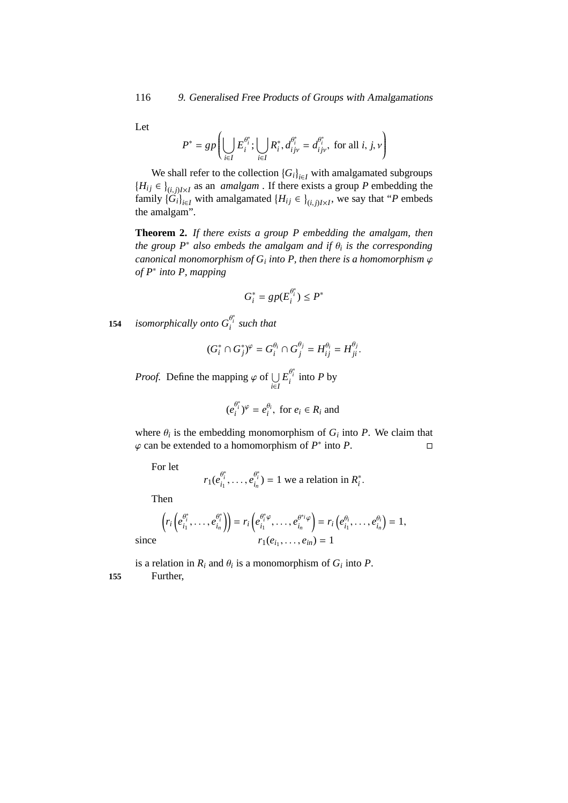Let

$$
P^* = gp\left(\bigcup_{i \in I} E_i^{\theta_i^*}; \bigcup_{i \in I} R_i^*, d_{ijv}^{\theta_i^*} = d_{ijv}^{\theta_i^*}, \text{ for all } i, j, v\right)
$$

We shall refer to the collection  ${G_i}_{i \in I}$  with amalgamated subgroups  ${H_{ij} \in \}_{(i,j)I \times I}$  as an *amalgam*. If there exists a group *P* embedding the family  $\{G_i\}_{i \in I}$  with amalgamated  $\{H_{ij} \in \}_{(i,j)I \times I}$ , we say that "*P* embeds the amalgam".

**Theorem 2.** *If there exists a group P embedding the amalgam, then the group P*<sup>∗</sup> *also embeds the amalgam and if* θ*<sup>i</sup> is the corresponding canonical monomorphism of G<sup>i</sup> into P, then there is a homomorphism* ϕ *of P*<sup>∗</sup> *into P, mapping*

$$
G_i^* = gp(E_i^{\theta_i^*}) \le P^*
$$

**154** *isomorphically onto*  $G_i^{\theta_i^*}$  *such that* 

$$
(G_i^* \cap G_j^*)^{\varphi} = G_i^{\theta_i} \cap G_j^{\theta_j} = H_{ij}^{\theta_i} = H_{ji}^{\theta_j}.
$$

*Proof.* Define the mapping  $\varphi$  of  $\bigcup_{i \in I}$  $E_i^{\theta_i^*}$  into *P* by

$$
(e_i^{\theta_i^*})^{\varphi} = e_i^{\theta_i}, \text{ for } e_i \in R_i \text{ and}
$$

where  $\theta_i$  is the embedding monomorphism of  $G_i$  into P. We claim that  $\varphi$  can be extended to a homomorphism of  $P^*$  into  $P$ .

For let

$$
r_1(e_{i_1}^{\theta_i^*},\ldots,e_{i_n}^{\theta_i^*})=1
$$
 we a relation in  $R_i^*$ .

Then

$$
\left(r_i\left(e_{i_1}^{\theta_i^*},\ldots,e_{i_n}^{\theta_i^*}\right)\right)=r_i\left(e_{i_1}^{\theta_i^*}\varphi,\ldots,e_{i_n}^{\theta^*i}\varphi\right)=r_i\left(e_{i_1}^{\theta_i},\ldots,e_{i_n}^{\theta_i}\right)=1,
$$
  
since 
$$
r_1(e_{i_1},\ldots,e_{i_n})=1
$$

is a relation in  $R_i$  and  $\theta_i$  is a monomorphism of  $G_i$  into  $P$ . **155** Further,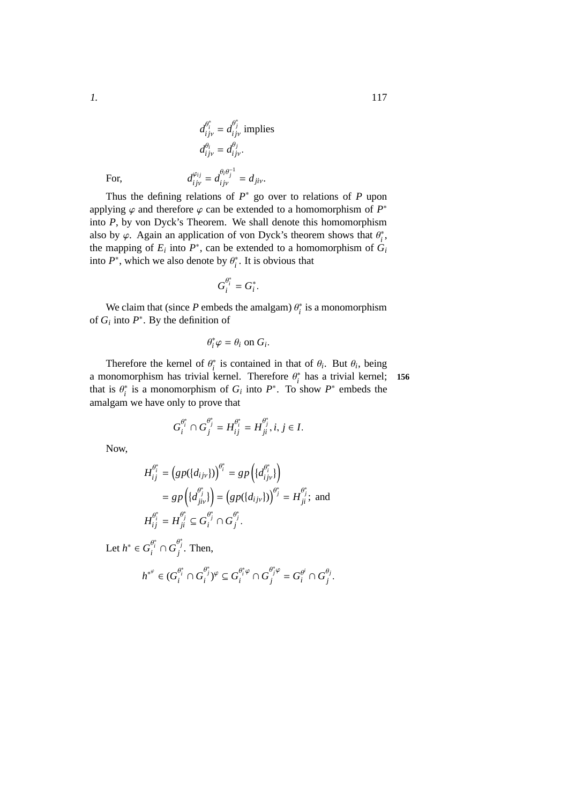For, *d*

Thus the defining relations of  $P^*$  go over to relations of  $P$  upon applying  $\varphi$  and therefore  $\varphi$  can be extended to a homomorphism of  $P^*$ into *P*, by von Dyck's Theorem. We shall denote this homomorphism also by  $\varphi$ . Again an application of von Dyck's theorem shows that  $\theta_i^*$ , the mapping of  $E_i$  into  $P^*$ , can be extended to a homomorphism of  $G_i$ into  $P^*$ , which we also denote by  $\theta_i^*$ . It is obvious that

 $\frac{\varphi_{ij}}{ijv} = d \frac{\theta_i \theta_j^{-1}}{ijv} = d_{jiv}.$ 

 $d_i^{\theta_i}$  $\frac{\theta_i}{ijv} = d_{ij}^{\theta_j}$ 

ϕ*i j*

$$
G_i^{\theta_i^*}=G_i^*.
$$

We claim that (since  $P$  embeds the amalgam)  $\theta_i^*$  is a monomorphism of  $G_i$  into  $P^*$ . By the definition of

$$
\theta_i^* \varphi = \theta_i \text{ on } G_i.
$$

Therefore the kernel of  $\theta_i^*$  is contained in that of  $\theta_i$ . But  $\theta_i$ , being a monomorphism has trivial kernel. Therefore  $\theta_i^*$  has a trivial kernel; **156** that is  $\theta_i^*$  is a monomorphism of  $G_i$  into  $P^*$ . To show  $P^*$  embeds the amalgam we have only to prove that

$$
G_i^{\theta_i^*}\cap G_j^{\theta_j^*}=H_{ij}^{\theta_i^*}=H_{ji}^{\theta_j^*}, i,j\in I.
$$

Now,

$$
H_{ij}^{\theta_i^*} = \left( gp(\lbrace d_{ijv} \rbrace) \right)^{\theta_i^*} = gp \left( \lbrace d_{ijv}^{\theta_i^*} \rbrace \right)
$$
  
\n
$$
= gp \left( \lbrace d_{jiv}^{\theta_j^*} \rbrace \right) = \left( gp(\lbrace d_{ijv} \rbrace) \right)^{\theta_j^*} = H_{ji}^{\theta_j^*}; \text{ and}
$$
  
\n
$$
H_{ij}^{\theta_i^*} = H_{ji}^{\theta_j^*} \subseteq G_i^{\theta_j^*} \cap G_j^{\theta_j^*}.
$$
  
\nLet  $h^* \in G_i^{\theta_i^*} \cap G_j^{\theta_j^*}$ . Then,  
\n
$$
h^{*^{\varphi}} \in (G_i^{\theta_i^*} \cap G_i^{\theta_j^*})^{\varphi} \subseteq G_i^{\theta_i^* \varphi} \cap G_j^{\theta_j^* \varphi} = G_i^{\theta_i^*} \cap G_j^{\theta_j^*}.
$$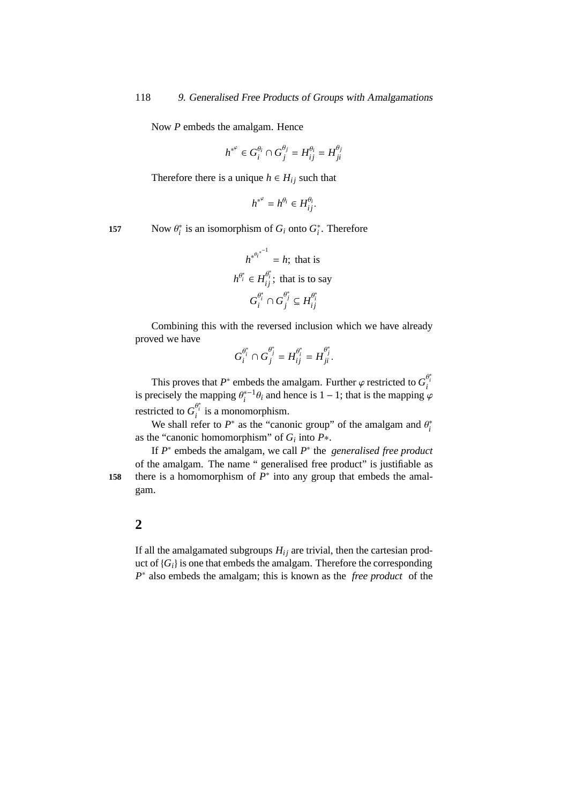Now *P* embeds the amalgam. Hence

$$
h^{*^{\varphi}} \in G_i^{\theta_i} \cap G_j^{\theta_j} = H_{ij}^{\theta_i} = H_{ji}^{\theta_j}
$$

Therefore there is a unique  $h \in H_{ij}$  such that

$$
h^{*^{\varphi}} = h^{\theta_i} \in H_{ij}^{\theta_i}.
$$

157 Now  $\theta_i^*$  is an isomorphism of  $G_i$  onto  $G_i^*$ . Therefore

$$
h^{*^{\theta_i^{*^{-1}}}} = h; \text{ that is}
$$
  

$$
h^{\theta_i^*} \in H_{ij}^{\theta_i^*}; \text{ that is to say}
$$
  

$$
G_i^{\theta_i^*} \cap G_j^{\theta_j^*} \subseteq H_{ij}^{\theta_i^*}
$$

Combining this with the reversed inclusion which we have already proved we have

$$
G_i^{\theta_i^*} \cap G_j^{\theta_j^*} = H_{ij}^{\theta_i^*} = H_{ji}^{\theta_j^*}.
$$

This proves that  $P^*$  embeds the amalgam. Further  $\varphi$  restricted to  $G_i^{\theta_i^*}$ is precisely the mapping  $\theta_i^{*-1}\theta_i$  and hence is 1 − 1; that is the mapping  $\varphi$ restricted to  $G_i^{\theta_i^*}$  is a monomorphism.

We shall refer to  $P^*$  as the "canonic group" of the amalgam and  $\theta_i^*$ as the "canonic homomorphism" of *G<sup>i</sup>* into *P*∗.

If  $P^*$  embeds the amalgam, we call  $P^*$  the *generalised free product* of the amalgam. The name " generalised free product" is justifiable as **158** there is a homomorphism of  $P^*$  into any group that embeds the amalgam.

### **2**

If all the amalgamated subgroups  $H_{ij}$  are trivial, then the cartesian product of  ${G_i}$  is one that embeds the amalgam. Therefore the corresponding *P*<sup>∗</sup> also embeds the amalgam; this is known as the *free product* of the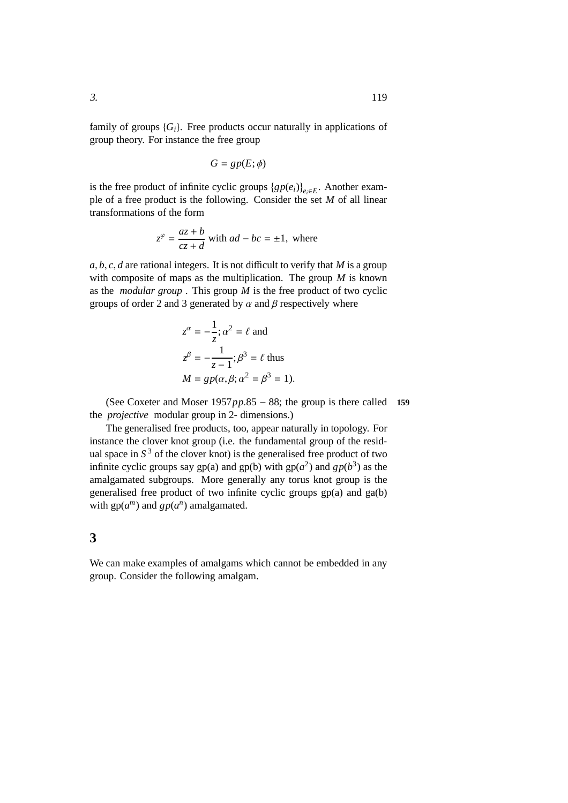family of groups  ${G_i}$ . Free products occur naturally in applications of group theory. For instance the free group

$$
G = gp(E; \phi)
$$

is the free product of infinite cyclic groups  $\{gp(e_i)\}_{e_i \in E}$ . Another example of a free product is the following. Consider the set *M* of all linear transformations of the form

$$
z^{\varphi} = \frac{az+b}{cz+d}
$$
 with  $ad - bc = \pm 1$ , where

 $a, b, c, d$  are rational integers. It is not difficult to verify that *M* is a group with composite of maps as the multiplication. The group *M* is known as the *modular group* . This group *M* is the free product of two cyclic groups of order 2 and 3 generated by  $\alpha$  and  $\beta$  respectively where

$$
z^{\alpha} = -\frac{1}{z}; \alpha^2 = \ell \text{ and}
$$
  

$$
z^{\beta} = -\frac{1}{z - 1}; \beta^3 = \ell \text{ thus}
$$
  

$$
M = gp(\alpha, \beta; \alpha^2 = \beta^3 = 1).
$$

(See Coxeter and Moser 1957*pp*.85 − 88; the group is there called **159** the *projective* modular group in 2- dimensions.)

The generalised free products, too, appear naturally in topology. For instance the clover knot group (i.e. the fundamental group of the residual space in  $S<sup>3</sup>$  of the clover knot) is the generalised free product of two infinite cyclic groups say gp(a) and gp(b) with  $gp(a^2)$  and  $gp(b^3)$  as the amalgamated subgroups. More generally any torus knot group is the generalised free product of two infinite cyclic groups gp(a) and ga(b) with  $gp(a^m)$  and  $gp(a^n)$  amalgamated.

## **3**

We can make examples of amalgams which cannot be embedded in any group. Consider the following amalgam.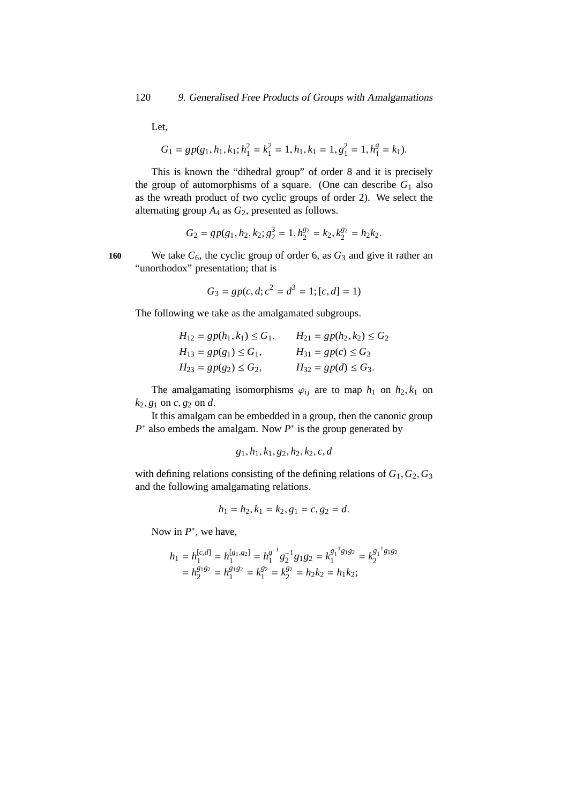Let,

$$
G_1 = gp(g_1, h_1, k_1; h_1^2 = k_1^2 = 1, h_1, k_1 = 1, g_1^2 = 1, h_1^g = k_1).
$$

This is known the "dihedral group" of order 8 and it is precisely the group of automorphisms of a square. (One can describe  $G_1$  also as the wreath product of two cyclic groups of order 2). We select the alternating group *A*<sup>4</sup> as *G*2, presented as follows.

$$
G_2=gp(g_1,h_2,k_2;g_2^3=1,h_2^{g_2}=k_2,k_2^{g_2}=h_2k_2.
$$

160 We take  $C_6$ , the cyclic group of order 6, as  $G_3$  and give it rather an "unorthodox" presentation; that is

$$
G_3 = gp(c, d; c^2 = d^3 = 1; [c, d] = 1)
$$

The following we take as the amalgamated subgroups.

| $H_{12} = gp(h_1, k_1) \le G_1,$ | $H_{21} = gp(h_2, k_2) \le G_2$ |
|----------------------------------|---------------------------------|
| $H_{13} = gp(g_1) \le G_1,$      | $H_{31} = gp(c) \le G_3$        |
| $H_{23} = gp(g_2) \le G_2,$      | $H_{32} = gp(d) \le G_3.$       |

The amalgamating isomorphisms  $\varphi_{ij}$  are to map  $h_1$  on  $h_2, k_1$  on  $k_2, g_1$  on *c*,  $g_2$  on *d*.

It this amalgam can be embedded in a group, then the canonic group  $P^*$  also embeds the amalgam. Now  $P^*$  is the group generated by

$$
g_1, h_1, k_1, g_2, h_2, k_2, c, d
$$

with defining relations consisting of the defining relations of  $G_1, G_2, G_3$ and the following amalgamating relations.

$$
h_1 = h_2, k_1 = k_2, g_1 = c, g_2 = d.
$$

Now in  $P^*$ , we have,

$$
h_1 = h_1^{[c,d]} = h_1^{[g_1,g_2]} = h_1^{g^{-1}} g_2^{-1} g_1 g_2 = k_1^{g_1^{-1} g_1 g_2} = k_2^{g_1^{-1} g_1 g_2}
$$
  
= 
$$
h_2^{g_1 g_2} = h_1^{g_1 g_2} = k_1^{g_2} = k_2^{g_2} = h_2 k_2 = h_1 k_2;
$$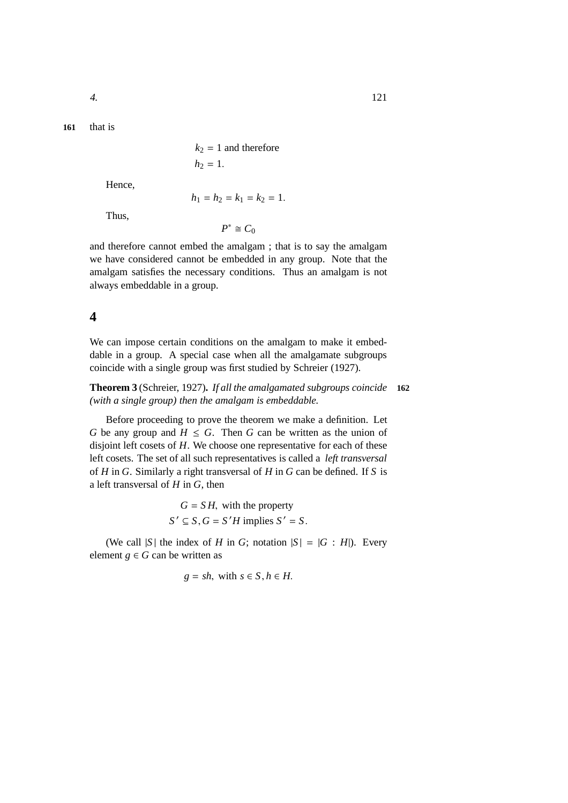**161** that is

 $k_2 = 1$  and therefore  $h_2 = 1$ .

Hence,

 $h_1 = h_2 = k_1 = k_2 = 1.$ 

Thus,

 $P^* \cong C_0$ 

and therefore cannot embed the amalgam ; that is to say the amalgam we have considered cannot be embedded in any group. Note that the amalgam satisfies the necessary conditions. Thus an amalgam is not always embeddable in a group.

## **4**

We can impose certain conditions on the amalgam to make it embeddable in a group. A special case when all the amalgamate subgroups coincide with a single group was first studied by Schreier (1927).

**Theorem 3** (Schreier, 1927)**.** *If all the amalgamated subgroups coincide* **162** *(with a single group) then the amalgam is embeddable.*

Before proceeding to prove the theorem we make a definition. Let *G* be any group and  $H \leq G$ . Then *G* can be written as the union of disjoint left cosets of *H*. We choose one representative for each of these left cosets. The set of all such representatives is called a *left transversal* of *H* in *G*. Similarly a right transversal of *H* in *G* can be defined. If *S* is a left transversal of *H* in *G*, then

> $G = S H$ , with the property  $S' \subseteq S$ ,  $G = S'H$  implies  $S' = S$ .

(We call |S| the index of *H* in *G*; notation  $|S| = |G : H|$ ). Every element  $g \in G$  can be written as

$$
g = sh, \text{ with } s \in S, h \in H.
$$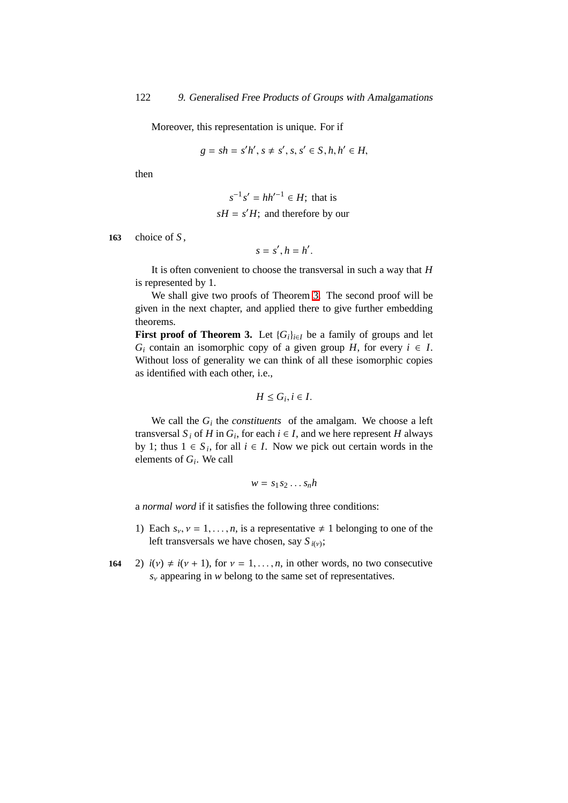Moreover, this representation is unique. For if

$$
g = sh = s'h', s \neq s', s, s' \in S, h, h' \in H,
$$

then

$$
s^{-1} s' = hh'^{-1} \in H
$$
; that is  

$$
sH = s'H
$$
; and therefore by our

**163** choice of *S* ,

$$
s=s',h=h'.
$$

It is often convenient to choose the transversal in such a way that *H* is represented by 1.

We shall give two proofs of Theorem [3.](#page-185-0) The second proof will be given in the next chapter, and applied there to give further embedding theorems.

**First proof of Theorem 3.** Let  ${G_i}_{i \in I}$  be a family of groups and let *G*<sup>*i*</sup> contain an isomorphic copy of a given group *H*, for every  $i \in I$ . Without loss of generality we can think of all these isomorphic copies as identified with each other, i.e.,

$$
H\leq G_i, i\in I.
$$

We call the  $G_i$  the *constituents* of the amalgam. We choose a left transversal  $S_i$  of  $H$  in  $G_i$ , for each  $i \in I$ , and we here represent  $H$  always by 1; thus  $1 \in S_i$ , for all  $i \in I$ . Now we pick out certain words in the elements of *G<sup>i</sup>* . We call

$$
w = s_1 s_2 \dots s_n h
$$

a *normal word* if it satisfies the following three conditions:

- 1) Each  $s_v$ ,  $v = 1, \ldots, n$ , is a representative  $\neq 1$  belonging to one of the left transversals we have chosen, say  $S_{i(v)}$ ;
- **164** 2)  $i(v) \neq i(v + 1)$ , for  $v = 1, \ldots, n$ , in other words, no two consecutive *s*<sup>ν</sup> appearing in *w* belong to the same set of representatives.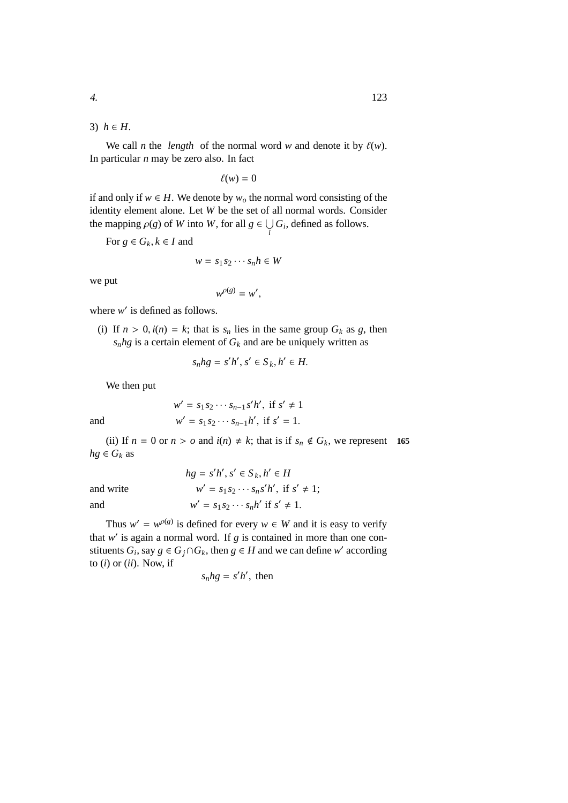3)  $h \in H$ .

We call *n* the *length* of the normal word *w* and denote it by  $\ell(w)$ . In particular *n* may be zero also. In fact

 $\ell(w) = 0$ 

if and only if  $w \in H$ . We denote by  $w<sub>o</sub>$  the normal word consisting of the identity element alone. Let *W* be the set of all normal words. Consider the mapping  $\rho(g)$  of *W* into *W*, for all  $g \in \bigcup_i G_i$ , defined as follows.

For  $g \in G_k, k \in I$  and

$$
w = s_1 s_2 \cdots s_n h \in W
$$

we put

$$
w^{\rho(g)}=w',
$$

where *w'* is defined as follows.

(i) If  $n > 0$ ,  $i(n) = k$ ; that is  $s_n$  lies in the same group  $G_k$  as g, then  $s_n h$ g is a certain element of  $G_k$  and are be uniquely written as

$$
s_n hg = s'h', s' \in S_k, h' \in H.
$$

We then put

$$
w' = s_1 s_2 \cdots s_{n-1} s'h', \text{ if } s' \neq 1
$$
  
and 
$$
w' = s_1 s_2 \cdots s_{n-1} h', \text{ if } s' = 1.
$$

(ii) If  $n = 0$  or  $n > o$  and  $i(n) \neq k$ ; that is if  $s_n \notin G_k$ , we represent 165  $hg \in G_k$  as

|           | $hg = s'h', s' \in S_k, h' \in H$                  |
|-----------|----------------------------------------------------|
| and write | $w' = s_1 s_2 \cdots s_n s' h'$ , if $s' \neq 1$ ; |
| and       | $w' = s_1 s_2 \cdots s_n h'$ if $s' \neq 1$ .      |

Thus  $w' = w^{\rho(g)}$  is defined for every  $w \in W$  and it is easy to verify that  $w'$  is again a normal word. If  $g$  is contained in more than one constituents  $G_i$ , say  $g \in G_j \cap G_k$ , then  $g \in H$  and we can define *w*' according to (*i*) or (*ii*). Now, if

$$
s_n hg = s'h'
$$
, then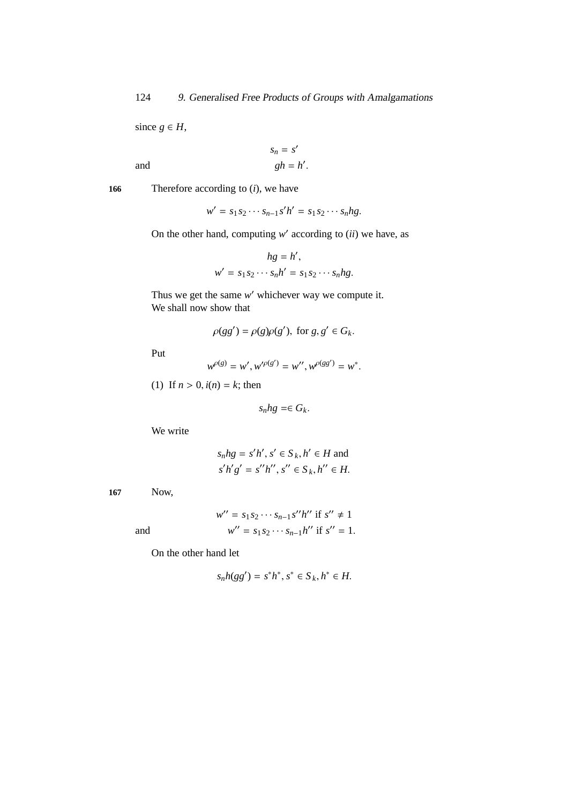since  $g \in H$ ,

and 
$$
s_n = s'
$$

$$
gh = h'.
$$

**166** Therefore according to (*i*), we have

$$
w' = s_1 s_2 \cdots s_{n-1} s'h' = s_1 s_2 \cdots s_n h g.
$$

On the other hand, computing  $w'$  according to  $(ii)$  we have, as

$$
hg = h',
$$
  

$$
w' = s_1 s_2 \cdots s_n h' = s_1 s_2 \cdots s_n hg.
$$

Thus we get the same w' whichever way we compute it. We shall now show that

$$
\rho(gg') = \rho(g)\rho(g'), \text{ for } g, g' \in G_k.
$$

Put

$$
w^{\rho(g)} = w', w'^{\rho(g')} = w'', w^{\rho(gg')} = w^*.
$$

(1) If  $n > 0$ ,  $i(n) = k$ ; then

$$
s_n hg = \in G_k.
$$

We write

$$
s_n hg = s'h', s' \in S_k, h' \in H \text{ and}
$$
  

$$
s'h'g' = s'h'', s'' \in S_k, h'' \in H.
$$

**167** Now,

$$
w'' = s_1 s_2 \cdots s_{n-1} s'' h'' \text{ if } s'' \neq 1
$$
  

$$
w'' = s_1 s_2 \cdots s_{n-1} h'' \text{ if } s'' = 1.
$$

and *w*

On the other hand let

$$
s_n h(gg') = s^*h^*, s^* \in S_k, h^* \in H.
$$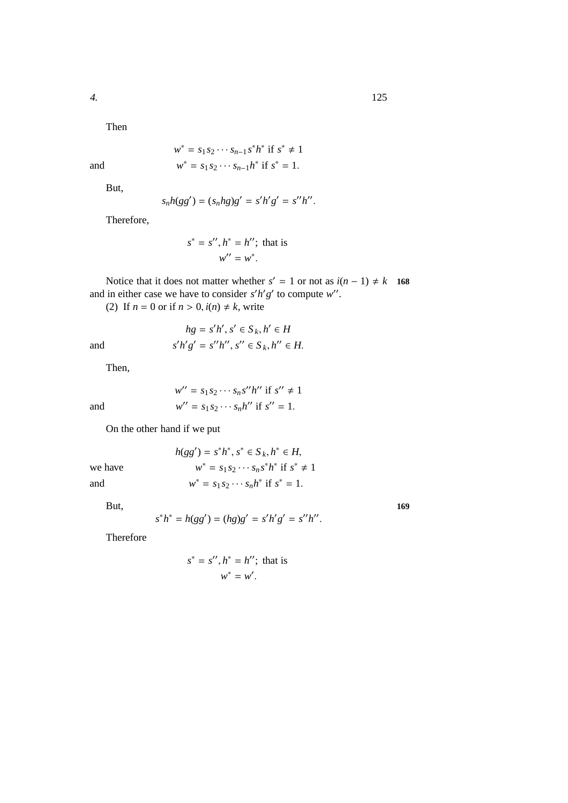Then

$$
w^* = s_1 s_2 \cdots s_{n-1} s^* h^* \text{ if } s^* \neq 1
$$
  

$$
w^* = s_1 s_2 \cdots s_{n-1} h^* \text{ if } s^* = 1.
$$

But,

and *w*

$$
s_n h(gg') = (s_n hg)g' = s'h'g' = s''h''.
$$

Therefore,

$$
s^* = s'', h^* = h''; \text{ that is}
$$

$$
w'' = w^*.
$$

Notice that it does not matter whether  $s' = 1$  or not as  $i(n - 1) \neq k$  **168** and in either case we have to consider  $s'h'g'$  to compute  $w''$ .

(2) If  $n = 0$  or if  $n > 0$ ,  $i(n) \neq k$ , write

$$
hg = s'h', s' \in S_k, h' \in H
$$
  

$$
s'h'g' = s''h'', s'' \in S_k, h'' \in H.
$$

Then,

and *s*

and *w*

$$
w'' = s_1 s_2 \cdots s_n s'' h''
$$
 if  $s'' \neq 1$   

$$
w'' = s_1 s_2 \cdots s_n h''
$$
 if  $s'' = 1$ .

On the other hand if we put

 $h(gg') = s^*h^*, s^* \in S_k, h^* \in H$ , we have *w* \* =  $s_1 s_2 \cdots s_n s^* h^*$  if  $s^* \neq 1$ and *w* \* =  $s_1 s_2 \cdots s_n h^*$  if  $s^* = 1$ .

But, **169**

$$
s^*h^* = h(gg') = (hg)g' = s'h'g' = s''h''.
$$

Therefore

$$
s^* = s'', h^* = h''; \text{ that is}
$$

$$
w^* = w'.
$$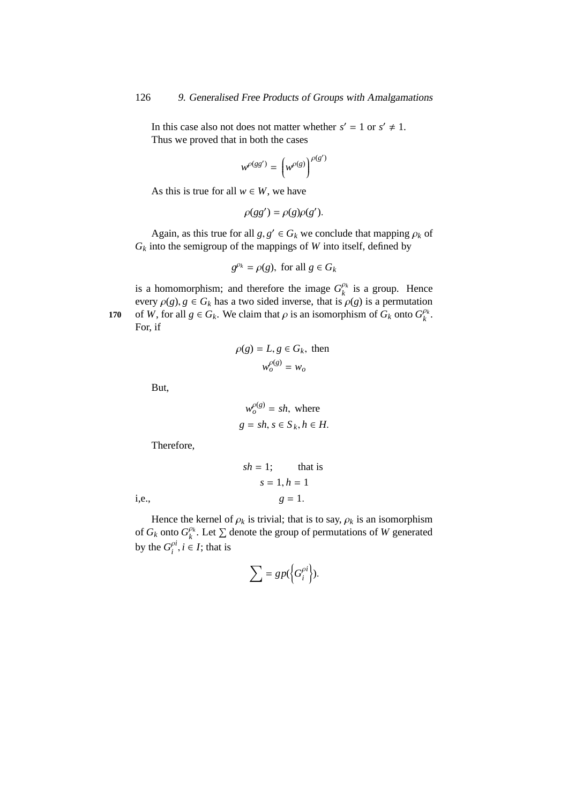In this case also not does not matter whether  $s' = 1$  or  $s' \neq 1$ . Thus we proved that in both the cases

$$
w^{\rho(gg')} = \left(w^{\rho(g)}\right)^{\rho(g')}
$$

As this is true for all  $w \in W$ , we have

$$
\rho(gg') = \rho(g)\rho(g').
$$

Again, as this true for all  $g, g' \in G_k$  we conclude that mapping  $\rho_k$  of  $G_k$  into the semigroup of the mappings of *W* into itself, defined by

$$
g^{\rho_k} = \rho(g), \text{ for all } g \in G_k
$$

is a homomorphism; and therefore the image  $G_k^{\rho_k}$  $\frac{\rho_k}{k}$  is a group. Hence every  $\rho(g)$ ,  $g \in G_k$  has a two sided inverse, that is  $\rho(g)$  is a permutation of *W*, for all  $g \in G_k$ . We claim that  $\rho$  is an isomorphism of  $G_k$  onto  $G_k^{\rho_k}$ 170 of *W*, for all  $g \in G_k$ . We claim that  $\rho$  is an isomorphism of  $G_k$  onto  $G_k^{\rho_k}$ . For, if

$$
\rho(g) = L, g \in G_k, \text{ then}
$$

$$
w_o^{\rho(g)} = w_o
$$

But,

$$
w_o^{\rho(g)} = sh, \text{ where}
$$
  
 
$$
g = sh, s \in S_k, h \in H.
$$

Therefore,

$$
sh = 1;
$$
 that is  

$$
s = 1, h = 1
$$
  
i.e., 
$$
g = 1.
$$

Hence the kernel of  $\rho_k$  is trivial; that is to say,  $\rho_k$  is an isomorphism of  $G_k$  onto  $G_k^{\rho_k}$  $\ell_k^{\rho_k}$ . Let  $\Sigma$  denote the group of permutations of *W* generated by the  $G_i^{\rho i}$  $i^{n}$ , *i*  $\in I$ ; that is

$$
\sum = gp(\left\{G_i^{\rho i}\right\}).
$$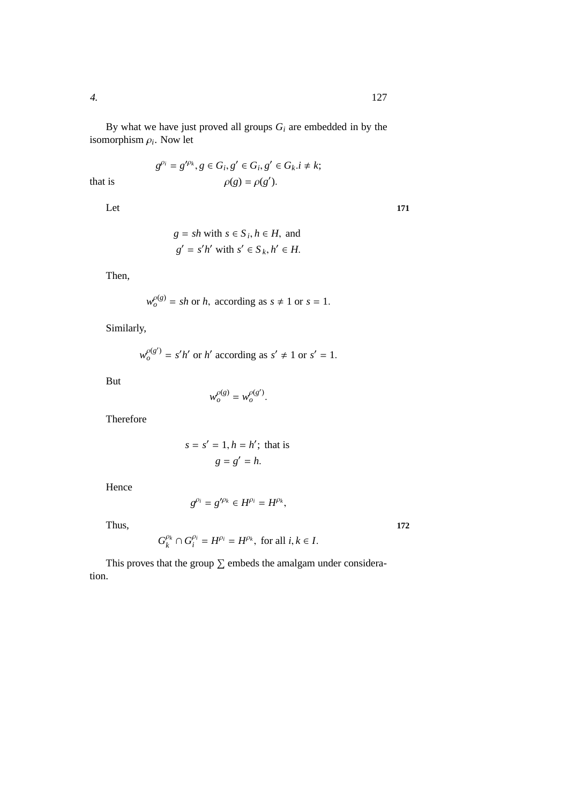By what we have just proved all groups  $G_i$  are embedded in by the isomorphism ρ*<sup>i</sup>* . Now let

$$
g^{\rho_i} = g'^{\rho_k}, g \in G_i, g' \in G_i, g' \in G_k. i \neq k;
$$
  

$$
\rho(g) = \rho(g').
$$

that is

Let 171

$$
g = sh
$$
 with  $s \in S_i$ ,  $h \in H$ , and  
\n $g' = s'h'$  with  $s' \in S_k$ ,  $h' \in H$ .

Then,

$$
w_o^{\rho(g)} = sh \text{ or } h, \text{ according as } s \neq 1 \text{ or } s = 1.
$$

Similarly,

$$
w_o^{\rho(g')} = s'h'
$$
 or h' according as  $s' \neq 1$  or  $s' = 1$ .

But

$$
w_o^{\rho(g)} = w_o^{\rho(g')}.
$$

Therefore

$$
s = s' = 1, h = h';
$$
 that is  

$$
g = g' = h.
$$

Hence

$$
g^{\rho_i}=g'^{\rho_k}\in H^{\rho_i}=H^{\rho_k},
$$

Thus, **172**

$$
G_k^{\rho_k} \cap G_i^{\rho_i} = H^{\rho_i} = H^{\rho_k}, \text{ for all } i, k \in I.
$$

This proves that the group  $\Sigma$  embeds the amalgam under consideration.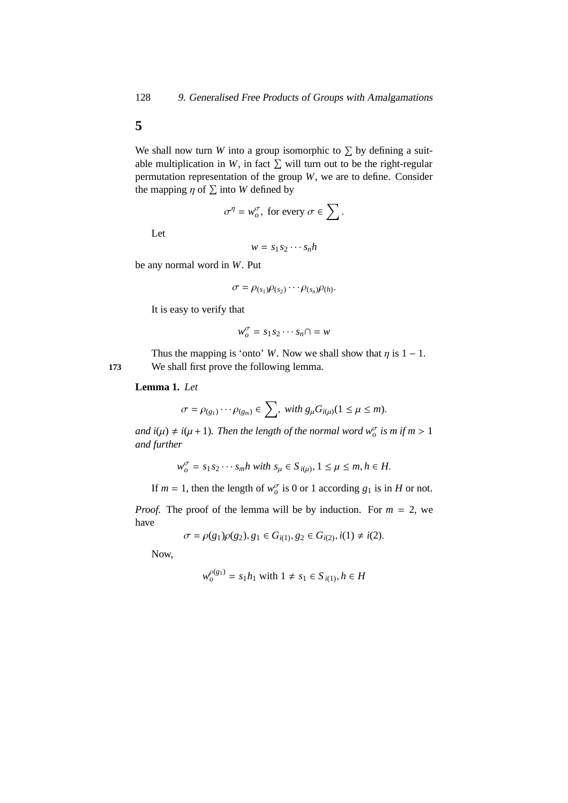**5**

We shall now turn *W* into a group isomorphic to  $\Sigma$  by defining a suitable multiplication in *W*, in fact  $\Sigma$  will turn out to be the right-regular permutation representation of the group *W*, we are to define. Consider the mapping  $\eta$  of  $\Sigma$  into *W* defined by

$$
\sigma^{\eta} = w^{\sigma}_{o}, \text{ for every } \sigma \in \sum.
$$

Let

$$
w = s_1 s_2 \cdots s_n h
$$

be any normal word in *W*. Put

$$
\sigma = \rho_{(s_1)}\rho_{(s_2)}\cdots\rho_{(s_n)}\rho_{(h)}.
$$

It is easy to verify that

$$
w_o^{\sigma} = s_1 s_2 \cdots s_n \cap = w
$$

Thus the mapping is 'onto' *W*. Now we shall show that  $\eta$  is 1 − 1. **173** We shall first prove the following lemma.

#### **Lemma 1.** *Let*

$$
\sigma = \rho_{(g_1)} \cdots \rho_{(g_m)} \in \sum, \text{ with } g_\mu G_{i(\mu)} (1 \leq \mu \leq m).
$$

*and*  $i(\mu) \neq i(\mu + 1)$ . Then the length of the normal word  $w_o^{\sigma}$  is m if  $m > 1$ *and further*

$$
w_o^{\sigma} = s_1 s_2 \cdots s_m h \text{ with } s_{\mu} \in S_{i(\mu)}, 1 \le \mu \le m, h \in H.
$$

If  $m = 1$ , then the length of  $w_o^{\sigma}$  is 0 or 1 according  $g_1$  is in *H* or not.

*Proof.* The proof of the lemma will be by induction. For  $m = 2$ , we have

$$
\sigma = \rho(g_1)\rho(g_2), g_1 \in G_{i(1)}, g_2 \in G_{i(2)}, i(1) \neq i(2).
$$

Now,

$$
w_o^{\rho(g_1)} = s_1 h_1 \text{ with } 1 \neq s_1 \in S_{i(1)}, h \in H
$$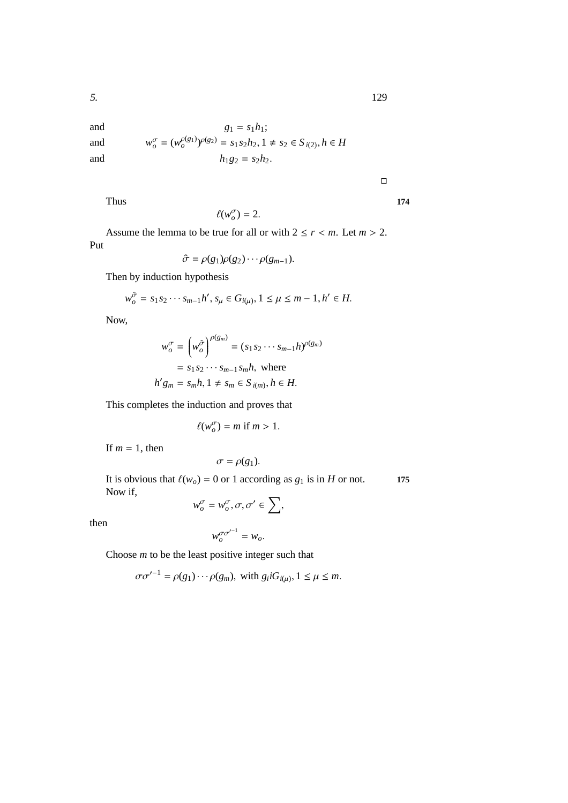and *w*

and  
\n
$$
g_1 = s_1 h_1;
$$
  
\nand  
\n $w_o^{\sigma} = (w_o^{\rho(g_1)})^{\rho(g_2)} = s_1 s_2 h_2, 1 \neq s_2 \in S_{i(2)}, h \in H$   
\nand  
\n $h_1 g_2 = s_2 h_2.$ 

 $\Box$ 

Thus **174**

$$
\ell(w^{\sigma}_o)=2.
$$

Assume the lemma to be true for all or with  $2 \le r < m$ . Let  $m > 2$ . Put

$$
\hat{\sigma} = \rho(g_1)\rho(g_2)\cdots \rho(g_{m-1}).
$$

Then by induction hypothesis

$$
w_o^{\hat{\sigma}} = s_1 s_2 \cdots s_{m-1} h', s_\mu \in G_{i(\mu)}, 1 \le \mu \le m-1, h' \in H.
$$

Now,

$$
w_o^{\sigma} = \left(w_o^{\hat{\sigma}}\right)^{\rho(g_m)} = (s_1 s_2 \cdots s_{m-1} h)^{\rho(g_m)}
$$
  
=  $s_1 s_2 \cdots s_{m-1} s_m h$ , where  

$$
h' g_m = s_m h, 1 \neq s_m \in S_{i(m)}, h \in H.
$$

This completes the induction and proves that

$$
\ell(w_o^{\sigma}) = m \text{ if } m > 1.
$$

If  $m = 1$ , then

$$
\sigma = \rho(g_1).
$$

It is obvious that  $\ell(w_o) = 0$  or 1 according as  $g_1$  is in *H* or not. **175** Now if,

$$
w^{\sigma}_{o} = w^{\sigma}_{o}, \sigma, \sigma' \in \sum,
$$

then

$$
w_o^{\sigma\sigma'^{-1}}=w_o.
$$

Choose *m* to be the least positive integer such that

$$
\sigma \sigma'^{-1} = \rho(g_1) \cdots \rho(g_m), \text{ with } g_i i G_{i(\mu)}, 1 \le \mu \le m.
$$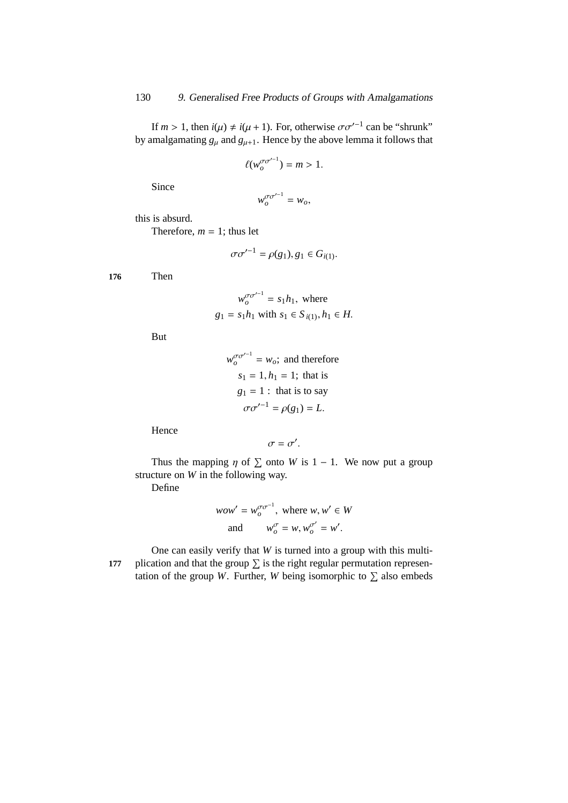If  $m > 1$ , then  $i(\mu) \neq i(\mu + 1)$ . For, otherwise  $\sigma \sigma'^{-1}$  can be "shrunk" by amalgamating  $g_{\mu}$  and  $g_{\mu+1}$ . Hence by the above lemma it follows that

$$
\ell(w_o^{\sigma\sigma'^{-1}})=m>1.
$$

Since

$$
w_o^{\sigma\sigma'^{-1}} = w_o,
$$

this is absurd.

Therefore,  $m = 1$ ; thus let

$$
\sigma\sigma'^{-1} = \rho(g_1), g_1 \in G_{i(1)}.
$$

**176** Then

$$
w_o^{\sigma \sigma^{-1}} = s_1 h_1, \text{ where}
$$
  
 
$$
g_1 = s_1 h_1 \text{ with } s_1 \in S_{i(1)}, h_1 \in H.
$$

But

$$
w_o^{\sigma \sigma'^{-1}} = w_o;
$$
 and therefore  
\n
$$
s_1 = 1, h_1 = 1;
$$
 that is  
\n
$$
g_1 = 1:
$$
 that is to say  
\n
$$
\sigma \sigma'^{-1} = \rho(g_1) = L.
$$

Hence

$$
\sigma=\sigma'.
$$

Thus the mapping  $\eta$  of  $\Sigma$  onto *W* is 1 – 1. We now put a group structure on *W* in the following way.

Define

$$
wow' = w_o^{\sigma \sigma^{-1}}, \text{ where } w, w' \in W
$$
  
and 
$$
w_o^{\sigma} = w, w_o^{\sigma'} = w'.
$$

One can easily verify that *W* is turned into a group with this multi-177 plication and that the group  $\Sigma$  is the right regular permutation representation of the group *W*. Further, *W* being isomorphic to  $\Sigma$  also embeds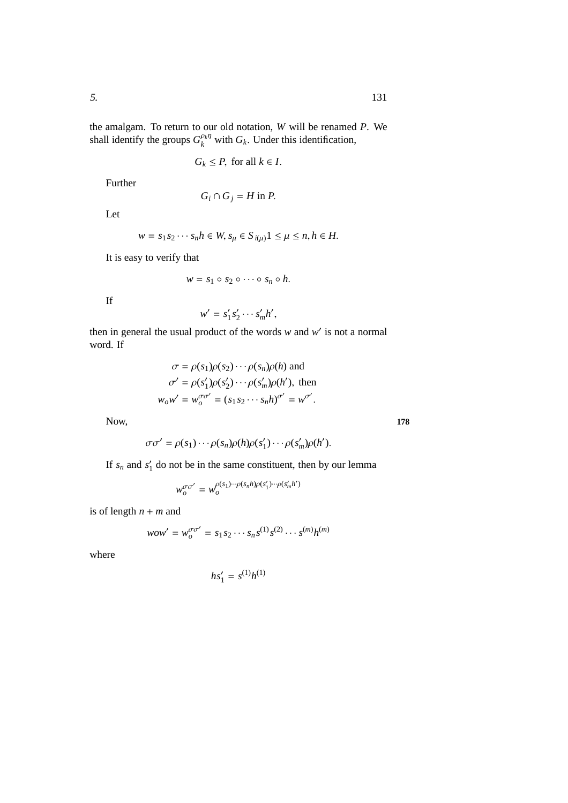the amalgam. To return to our old notation, *W* will be renamed *P*. We shall identify the groups  $G_k^{\rho_k \eta}$  $g_k^{\rho_k \eta}$  with  $G_k$ . Under this identification,

$$
G_k \leq P
$$
, for all  $k \in I$ .

Further

$$
G_i \cap G_j = H \text{ in } P.
$$

Let

$$
w = s_1 s_2 \cdots s_n h \in W, s_\mu \in S_{i(\mu)} 1 \le \mu \le n, h \in H.
$$

It is easy to verify that

$$
w = s_1 \circ s_2 \circ \cdots \circ s_n \circ h.
$$

If

$$
w' = s'_1 s'_2 \cdots s'_m h',
$$

then in general the usual product of the words  $w$  and  $w'$  is not a normal word. If

$$
\sigma = \rho(s_1)\rho(s_2)\cdots\rho(s_n)\rho(h) \text{ and}
$$

$$
\sigma' = \rho(s'_1)\rho(s'_2)\cdots\rho(s'_m)\rho(h'), \text{ then}
$$

$$
w_0w' = w_0^{\sigma\sigma'} = (s_1s_2\cdots s_nh)^{\sigma'} = w^{\sigma'}.
$$

Now, **178**

$$
\sigma\sigma' = \rho(s_1)\cdots\rho(s_n)\rho(h)\rho(s'_1)\cdots\rho(s'_m)\rho(h').
$$

If  $s_n$  and  $s'_1$  do not be in the same constituent, then by our lemma

$$
w_o^{\sigma\sigma'} = w_o^{\rho(s_1)\cdots\rho(s_n h)\rho(s'_1)\cdots\rho(s'_m h')}
$$

is of length  $n + m$  and

$$
wow' = w_o^{\sigma \sigma'} = s_1 s_2 \cdots s_n s^{(1)} s^{(2)} \cdots s^{(m)} h^{(m)}
$$

where

$$
h s_1' = s^{(1)} h^{(1)}
$$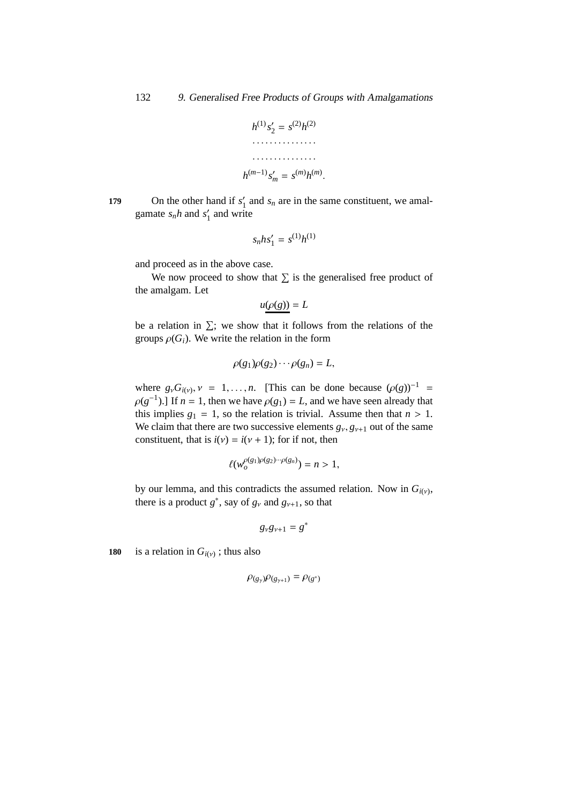

On the other hand if *s* ′ 179 On the other hand if  $s'_1$  and  $s_n$  are in the same constituent, we amalgamate  $s_n h$  and  $s'_1$  $\frac{7}{1}$  and write

$$
s_n h s_1' = s^{(1)} h^{(1)}
$$

and proceed as in the above case.

We now proceed to show that  $\Sigma$  is the generalised free product of the amalgam. Let

$$
u(\rho(g))=L
$$

be a relation in  $\Sigma$ ; we show that it follows from the relations of the groups  $\rho(G_i)$ . We write the relation in the form

$$
\rho(g_1)\rho(g_2)\cdots \rho(g_n)=L,
$$

where  $g_{\nu}G_{i(\nu)}, \nu = 1, \ldots, n$ . [This can be done because  $(\rho(g))^{-1}$  =  $\rho(g^{-1})$ .] If  $n = 1$ , then we have  $\rho(g_1) = L$ , and we have seen already that this implies  $g_1 = 1$ , so the relation is trivial. Assume then that  $n > 1$ . We claim that there are two successive elements  $g_v, g_{v+1}$  out of the same constituent, that is  $i(v) = i(v + 1)$ ; for if not, then

$$
\ell(w_o^{\rho(g_1)\rho(g_2)\cdots \rho(g_n)})=n>1,
$$

by our lemma, and this contradicts the assumed relation. Now in  $G_{i(v)}$ , there is a product  $g^*$ , say of  $g_\nu$  and  $g_{\nu+1}$ , so that

$$
g_{\nu}g_{\nu+1}=g^*
$$

180 is a relation in  $G_i(y)$ ; thus also

$$
\rho_{(g_\gamma)}\rho_{(g_{\gamma+1})} = \rho_{(g^*)}
$$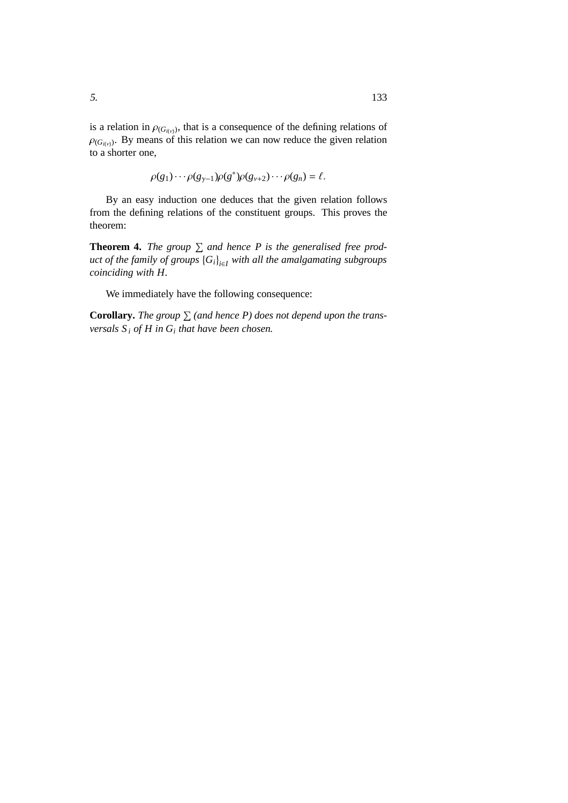is a relation in  $\rho_{(G_{i(v)})}$ , that is a consequence of the defining relations of  $\rho_{(G_{i(v)})}$ . By means of this relation we can now reduce the given relation to a shorter one,

 $\rho(g_1) \cdots \rho(g_{\gamma-1}) \rho(g^*) \rho(g_{\nu+2}) \cdots \rho(g_n) = \ell.$ 

By an easy induction one deduces that the given relation follows from the defining relations of the constituent groups. This proves the theorem:

**Theorem 4.** The group  $\sum$  and hence P is the generalised free prod*uct of the family of groups Gi <sup>i</sup>*∈*<sup>I</sup> with all the amalgamating subgroups coinciding with H.*

We immediately have the following consequence:

**Corollary.** The group  $\sum$  (and hence P) does not depend upon the trans*versals S <sup>i</sup> of H in G<sup>i</sup> that have been chosen.*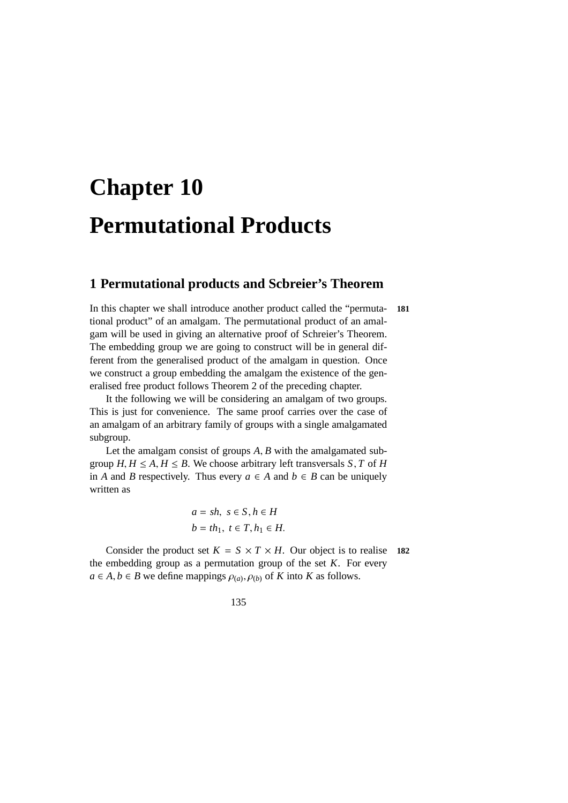# **Chapter 10 Permutational Products**

## **1 Permutational products and Scbreier's Theorem**

In this chapter we shall introduce another product called the "permuta- **181** tional product" of an amalgam. The permutational product of an amalgam will be used in giving an alternative proof of Schreier's Theorem. The embedding group we are going to construct will be in general different from the generalised product of the amalgam in question. Once we construct a group embedding the amalgam the existence of the generalised free product follows Theorem 2 of the preceding chapter.

It the following we will be considering an amalgam of two groups. This is just for convenience. The same proof carries over the case of an amalgam of an arbitrary family of groups with a single amalgamated subgroup.

Let the amalgam consist of groups *A*, *B* with the amalgamated subgroup  $H, H \leq A, H \leq B$ . We choose arbitrary left transversals  $S, T$  of  $H$ in *A* and *B* respectively. Thus every *a* ∈ *A* and *b* ∈ *B* can be uniquely written as

$$
a = sh, s \in S, h \in H
$$
  

$$
b = th_1, t \in T, h_1 \in H.
$$

Consider the product set  $K = S \times T \times H$ . Our object is to realise 182 the embedding group as a permutation group of the set *K*. For every  $a \in A, b \in B$  we define mappings  $\rho_{(a)}, \rho_{(b)}$  of *K* into *K* as follows.

135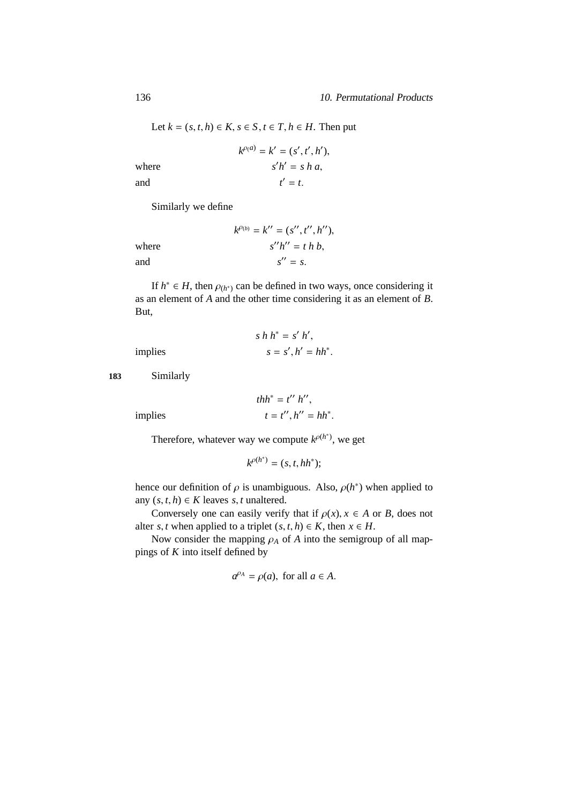Let 
$$
k = (s, t, h) \in K
$$
,  $s \in S$ ,  $t \in T$ ,  $h \in H$ . Then put

where  
\n
$$
k^{\rho(a)} = k' = (s', t', h'),
$$
\n
$$
s'h' = s h a,
$$
\n
$$
t' = t.
$$

Similarly we define

|       | $k^{\rho_{(b)}} = k^{\prime\prime} = (s^{\prime\prime}, t^{\prime\prime}, h^{\prime\prime}),$ |
|-------|-----------------------------------------------------------------------------------------------|
| where | $s''h'' = t h b$ ,                                                                            |
| and   | $s'' = s$ .                                                                                   |

If  $h^* \in H$ , then  $\rho_{(h^*)}$  can be defined in two ways, once considering it as an element of *A* and the other time considering it as an element of *B*. But,

$$
s h h^* = s' h',
$$
  
s  

$$
s = s', h' = h h^*.
$$

*implies* 

**183** Similarly

$$
thh^* = t'' h'',
$$

$$
t = t'', h'' = hh^*.
$$

 $i$  *implies* 

Therefore, whatever way we compute  $k^{\rho(h^*)}$ , we get

$$
k^{\rho(h^*)} = (s, t, hh^*);
$$

hence our definition of  $\rho$  is unambiguous. Also,  $\rho(h^*)$  when applied to any  $(s, t, h) \in K$  leaves *s*, *t* unaltered.

Conversely one can easily verify that if  $\rho(x)$ ,  $x \in A$  or *B*, does not alter *s*, *t* when applied to a triplet  $(s, t, h) \in K$ , then  $x \in H$ .

Now consider the mapping  $\rho_A$  of *A* into the semigroup of all mappings of *K* into itself defined by

$$
a^{\rho_A} = \rho(a), \text{ for all } a \in A.
$$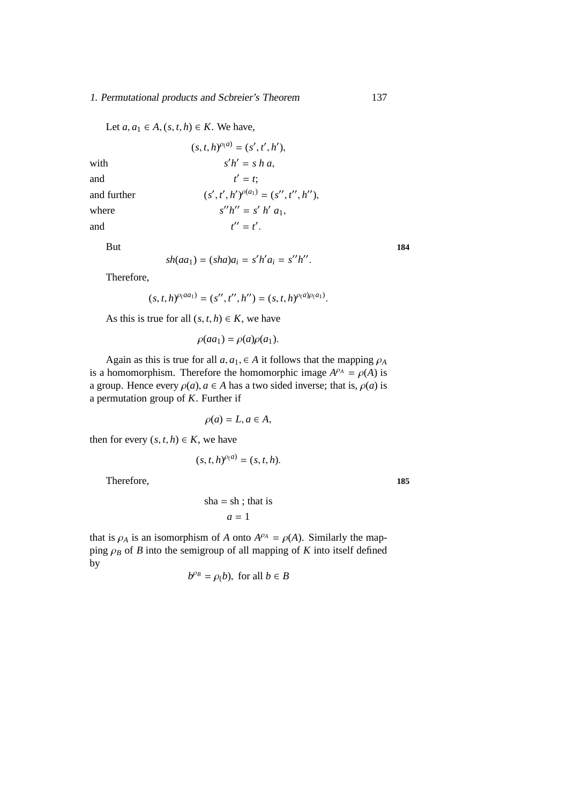#### 1. Permutational products and Scbreier's Theorem 137

Let  $a, a_1 \in A$ ,  $(s, t, h) \in K$ . We have,

|             | $(s, t, h)^{\rho(a)} = (s', t', h'),$         |
|-------------|-----------------------------------------------|
| with        | $s'h' = s h a$ ,                              |
| and         | $t' = t$                                      |
| and further | $(s', t', h')^{\rho(a_1)} = (s'', t'', h''),$ |
| where       | $s''h'' = s'h' a_1$ .                         |
| and         | $t'' = t'$ .                                  |

But **184** 

$$
sh(aa_1) = (sha)a_i = s'h'a_i = s''h''.
$$

Therefore,

$$
(s, t, h)^{\rho(a a_1)} = (s'', t'', h'') = (s, t, h)^{\rho(a)\rho(a_1)}.
$$

As this is true for all  $(s, t, h) \in K$ , we have

$$
\rho(aa_1) = \rho(a)\rho(a_1).
$$

Again as this is true for all  $a, a_1 \in A$  it follows that the mapping  $\rho_A$ is a homomorphism. Therefore the homomorphic image  $A^{\rho A} = \rho(A)$  is a group. Hence every  $\rho(a)$ ,  $a \in A$  has a two sided inverse; that is,  $\rho(a)$  is a permutation group of *K*. Further if

$$
\rho(a) = L, a \in A,
$$

then for every  $(s, t, h) \in K$ , we have

$$
(s,t,h)^{\rho(a)}=(s,t,h).
$$

Therefore, 185

$$
sha = sh ; that is
$$

$$
a = 1
$$

that is  $\rho_A$  is an isomorphism of *A* onto  $A^{\rho_A} = \rho(A)$ . Similarly the mapping  $\rho_B$  of *B* into the semigroup of all mapping of *K* into itself defined by

$$
b^{\rho_B} = \rho(b), \text{ for all } b \in B
$$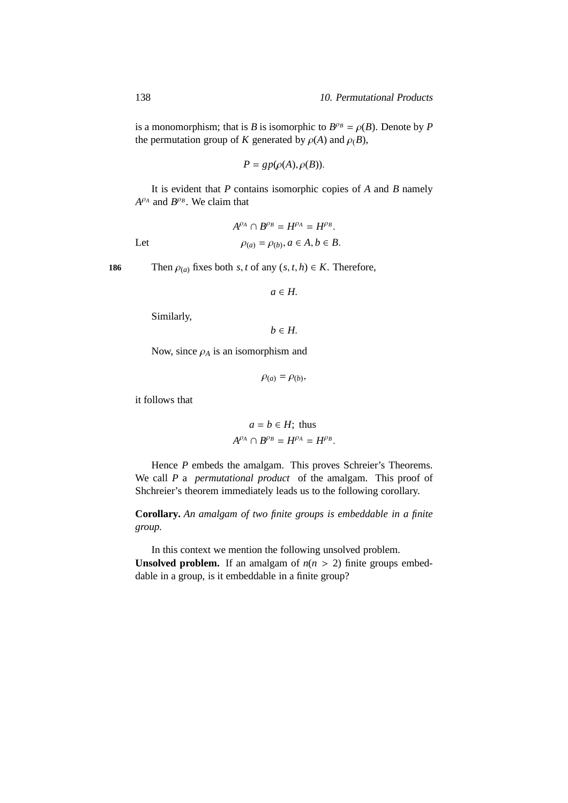is a monomorphism; that is *B* is isomorphic to  $B^{\rho_B} = \rho(B)$ . Denote by *P* the permutation group of *K* generated by  $\rho(A)$  and  $\rho(B)$ ,

$$
P = gp(\rho(A), \rho(B)).
$$

It is evident that *P* contains isomorphic copies of *A* and *B* namely  $A^{\rho_A}$  and  $B^{\rho_B}$ . We claim that

$$
A^{\rho_A} \cap B^{\rho_B} = H^{\rho_A} = H^{\rho_B}.
$$
  
Let 
$$
\rho_{(a)} = \rho_{(b)}, a \in A, b \in B.
$$

**186** Then  $\rho_{(a)}$  fixes both *s*, *t* of any  $(s, t, h) \in K$ . Therefore,

$$
a\in H.
$$

Similarly,

 $b \in H$ .

Now, since  $\rho_A$  is an isomorphism and

 $\rho_{(a)} = \rho_{(b)},$ 

it follows that

$$
a = b \in H
$$
; thus  

$$
A^{\rho_A} \cap B^{\rho_B} = H^{\rho_A} = H^{\rho_B}.
$$

Hence *P* embeds the amalgam. This proves Schreier's Theorems. We call *P* a *permutational product* of the amalgam. This proof of Shchreier's theorem immediately leads us to the following corollary.

**Corollary.** *An amalgam of two finite groups is embeddable in a finite group.*

In this context we mention the following unsolved problem. **Unsolved problem.** If an amalgam of  $n(n > 2)$  finite groups embeddable in a group, is it embeddable in a finite group?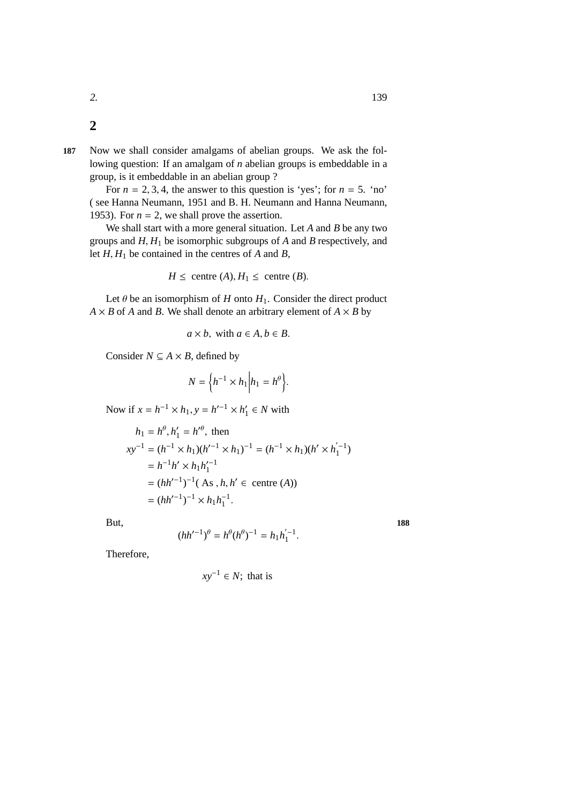**2**

**187** Now we shall consider amalgams of abelian groups. We ask the following question: If an amalgam of *n* abelian groups is embeddable in a group, is it embeddable in an abelian group ?

For  $n = 2, 3, 4$ , the answer to this question is 'yes'; for  $n = 5$ . 'no' ( see Hanna Neumann, 1951 and B. H. Neumann and Hanna Neumann, 1953). For  $n = 2$ , we shall prove the assertion.

We shall start with a more general situation. Let *A* and *B* be any two groups and *H*, *H*<sup>1</sup> be isomorphic subgroups of *A* and *B* respectively, and let *H*, *H*<sup>1</sup> be contained in the centres of *A* and *B*,

$$
H \leq \text{centre}(A), H_1 \leq \text{centre}(B).
$$

Let  $\theta$  be an isomorphism of *H* onto  $H_1$ . Consider the direct product  $A \times B$  of *A* and *B*. We shall denote an arbitrary element of  $A \times B$  by

$$
a \times b
$$
, with  $a \in A, b \in B$ .

Consider  $N \subseteq A \times B$ , defined by

$$
N = \left\{ h^{-1} \times h_1 \middle| h_1 = h^{\theta} \right\}.
$$

Now if  $x = h^{-1} \times h_1$ ,  $y = h'^{-1} \times h'_1$  $l'_1 \in N$  with

$$
h_1 = h^{\theta}, h'_1 = h'^{\theta}, \text{ then}
$$
  
\n
$$
xy^{-1} = (h^{-1} \times h_1)(h'^{-1} \times h_1)^{-1} = (h^{-1} \times h_1)(h' \times h'_1)^{-1}
$$
  
\n
$$
= h^{-1}h' \times h_1h'_1
$$
  
\n
$$
= (hh'^{-1})^{-1}(\text{ As }, h, h' \in \text{ centre (A)})
$$
  
\n
$$
= (hh'^{-1})^{-1} \times h_1h_1^{-1}.
$$

But, **188**

$$
(hh'^{-1})^{\theta} = h^{\theta}(h^{\theta})^{-1} = h_1h_1^{'-1}
$$

.

Therefore,

$$
xy^{-1} \in N
$$
; that is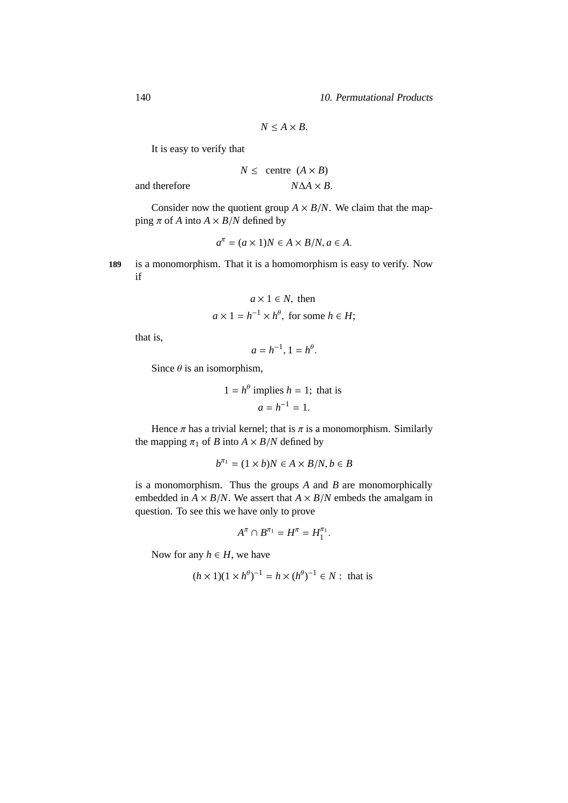140 10. Permutational Products

$$
N \le A \times B.
$$

It is easy to verify that

$$
N \le \text{centre } (A \times B)
$$

$$
N\Delta A \times B
$$

 $\alpha$ <sup>*A*</sup>  $\beta$  *A*  $\beta$  *A*  $\beta$  *A*  $\beta$ 

Consider now the quotient group  $A \times B/N$ . We claim that the mapping  $\pi$  of *A* into  $A \times B/N$  defined by

$$
a^{\pi} = (a \times 1)N \in A \times B/N, a \in A.
$$

**189** is a monomorphism. That it is a homomorphism is easy to verify. Now if

$$
a \times 1 \in N
$$
, then  
 $a \times 1 = h^{-1} \times h^{\theta}$ , for some  $h \in H$ ;

that is,

$$
a=h^{-1}, 1=h^{\theta}.
$$

Since  $\theta$  is an isomorphism,

$$
1 = h^{\theta}
$$
 implies  $h = 1$ ; that is  

$$
a = h^{-1} = 1.
$$

θ

Hence  $\pi$  has a trivial kernel; that is  $\pi$  is a monomorphism. Similarly the mapping  $\pi_1$  of *B* into  $A \times B/N$  defined by

$$
b^{\pi_1} = (1 \times b)N \in A \times B/N, b \in B
$$

is a monomorphism. Thus the groups *A* and *B* are monomorphically embedded in  $A \times B/N$ . We assert that  $A \times B/N$  embeds the amalgam in question. To see this we have only to prove

$$
A^{\pi} \cap B^{\pi_1} = H^{\pi} = H_1^{\pi_1}.
$$

Now for any  $h \in H$ , we have

$$
(h \times 1)(1 \times h^{\theta})^{-1} = h \times (h^{\theta})^{-1} \in N : \text{ that is}
$$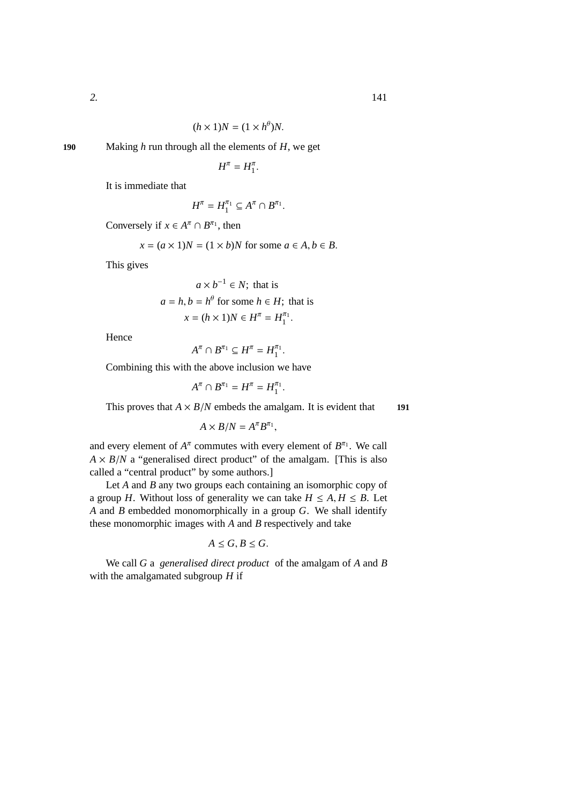$$
(h \times 1)N = (1 \times h^{\theta})N.
$$

**190** Making *h* run through all the elements of *H*, we get

 $H^{\pi} = H_1^{\pi}$ .

It is immediate that

$$
H^{\pi}=H_1^{\pi_1}\subseteq A^{\pi}\cap B^{\pi_1}.
$$

Conversely if  $x \in A^{\pi} \cap B^{\pi_1}$ , then

$$
x = (a \times 1)N = (1 \times b)N
$$
 for some  $a \in A, b \in B$ .

This gives

$$
a \times b^{-1} \in N
$$
; that is  
\n $a = h, b = h^{\theta}$  for some  $h \in H$ ; that is  
\n $x = (h \times 1)N \in H^{\pi} = H_1^{\pi_1}$ .

Hence

$$
A^{\pi} \cap B^{\pi_1} \subseteq H^{\pi} = H_1^{\pi_1}.
$$

Combining this with the above inclusion we have

$$
A^{\pi} \cap B^{\pi_1} = H^{\pi} = H_1^{\pi_1}.
$$

This proves that  $A \times B/N$  embeds the amalgam. It is evident that **191** 

$$
A \times B/N = A^{\pi} B^{\pi_1},
$$

and every element of  $A^{\pi}$  commutes with every element of  $B^{\pi_1}$ . We call  $A \times B/N$  a "generalised direct product" of the amalgam. [This is also called a "central product" by some authors.]

Let *A* and *B* any two groups each containing an isomorphic copy of a group *H*. Without loss of generality we can take  $H \leq A, H \leq B$ . Let *A* and *B* embedded monomorphically in a group *G*. We shall identify these monomorphic images with *A* and *B* respectively and take

$$
A\leq G, B\leq G.
$$

We call *G* a *generalised direct product* of the amalgam of *A* and *B* with the amalgamated subgroup *H* if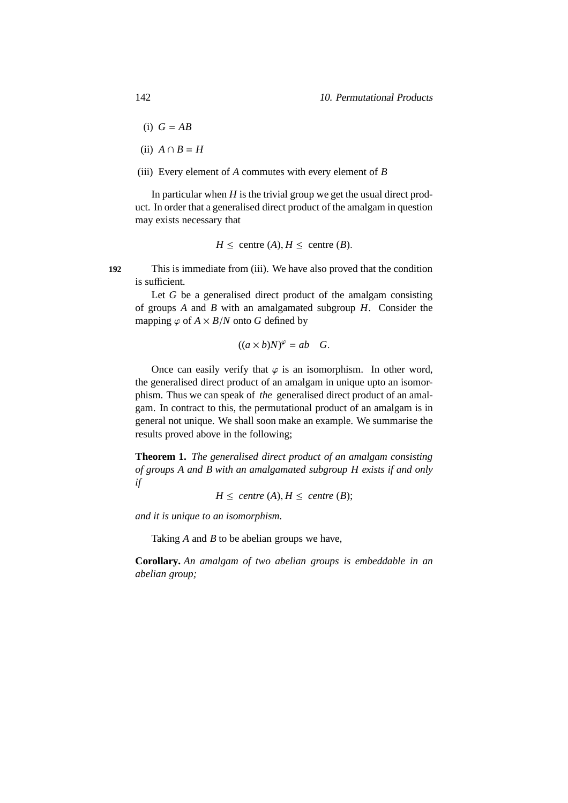- (i)  $G = AB$
- (ii)  $A \cap B = H$
- (iii) Every element of *A* commutes with every element of *B*

In particular when *H* is the trivial group we get the usual direct product. In order that a generalised direct product of the amalgam in question may exists necessary that

$$
H \leq \text{centre}(A), H \leq \text{centre}(B).
$$

**192** This is immediate from (iii). We have also proved that the condition is sufficient.

Let *G* be a generalised direct product of the amalgam consisting of groups *A* and *B* with an amalgamated subgroup *H*. Consider the mapping  $\varphi$  of  $A \times B/N$  onto G defined by

$$
((a \times b)N)^{\varphi} = ab \quad G.
$$

Once can easily verify that  $\varphi$  is an isomorphism. In other word, the generalised direct product of an amalgam in unique upto an isomorphism. Thus we can speak of *the* generalised direct product of an amalgam. In contract to this, the permutational product of an amalgam is in general not unique. We shall soon make an example. We summarise the results proved above in the following;

**Theorem 1.** *The generalised direct product of an amalgam consisting of groups A and B with an amalgamated subgroup H exists if and only if*

 $H \leq$  *centre*  $(A), H \leq$  *centre*  $(B)$ ;

*and it is unique to an isomorphism.*

Taking *A* and *B* to be abelian groups we have,

**Corollary.** *An amalgam of two abelian groups is embeddable in an abelian group;*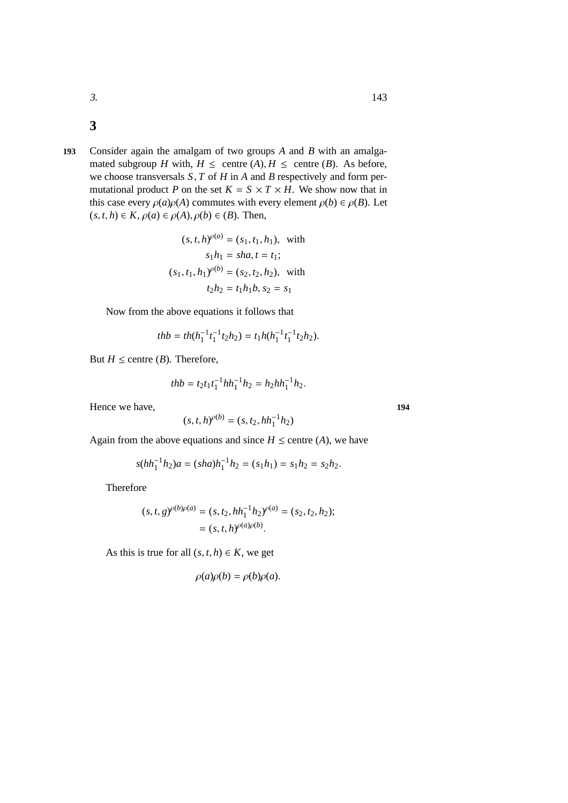- **3**
- **193** Consider again the amalgam of two groups *A* and *B* with an amalgamated subgroup *H* with,  $H \le$  centre  $(A), H \le$  centre  $(B)$ . As before, we choose transversals *S*, *T* of *H* in *A* and *B* respectively and form permutational product *P* on the set  $K = S \times T \times H$ . We show now that in this case every  $\rho(a)\rho(A)$  commutes with every element  $\rho(b) \in \rho(B)$ . Let  $(s, t, h) \in K$ ,  $\rho(a) \in \rho(A)$ ,  $\rho(b) \in (B)$ . Then,

$$
(s, t, h)^{o(a)} = (s_1, t_1, h_1), \text{ with}
$$

$$
s_1 h_1 = sha, t = t_1;
$$

$$
(s_1, t_1, h_1)^{o(b)} = (s_2, t_2, h_2), \text{ with}
$$

$$
t_2 h_2 = t_1 h_1 b, s_2 = s_1
$$

Now from the above equations it follows that

$$
thb = th(h_1^{-1}t_1^{-1}t_2h_2) = t_1h(h_1^{-1}t_1^{-1}t_2h_2).
$$

But  $H \leq$  centre (*B*). Therefore,

$$
thb = t_2 t_1 t_1^{-1} h h_1^{-1} h_2 = h_2 h h_1^{-1} h_2.
$$

Hence we have,  $194$ 

$$
(s, t, h)^{\rho(b)} = (s, t_2, hh_1^{-1}h_2)
$$

Again from the above equations and since  $H \leq$  centre (*A*), we have

$$
s(hh_1^{-1}h_2)a = (sha)h_1^{-1}h_2 = (s_1h_1) = s_1h_2 = s_2h_2.
$$

Therefore

$$
(s, t, g)^{\rho(b)\rho(a)} = (s, t_2, hh_1^{-1}h_2)^{\rho(a)} = (s_2, t_2, h_2);
$$
  
= 
$$
(s, t, h)^{\rho(a)\rho(b)}.
$$

As this is true for all  $(s, t, h) \in K$ , we get

$$
\rho(a)\rho(b) = \rho(b)\rho(a).
$$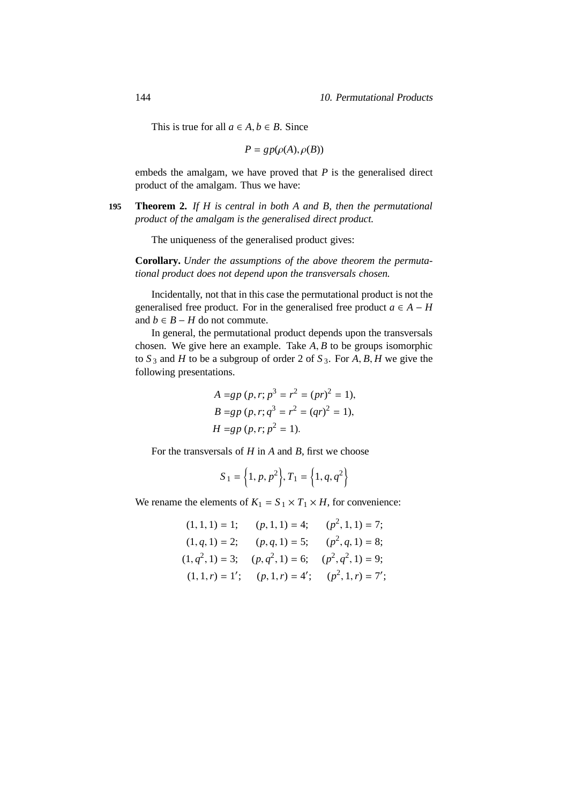This is true for all  $a \in A, b \in B$ . Since

$$
P = gp(\rho(A), \rho(B))
$$

embeds the amalgam, we have proved that *P* is the generalised direct product of the amalgam. Thus we have:

**195 Theorem 2.** *If H is central in both A and B, then the permutational product of the amalgam is the generalised direct product.*

The uniqueness of the generalised product gives:

**Corollary.** *Under the assumptions of the above theorem the permutational product does not depend upon the transversals chosen.*

Incidentally, not that in this case the permutational product is not the generalised free product. For in the generalised free product  $a \in A - H$ and *b* ∈ *B* − *H* do not commute.

In general, the permutational product depends upon the transversals chosen. We give here an example. Take *A*, *B* to be groups isomorphic to  $S_3$  and  $H$  to be a subgroup of order 2 of  $S_3$ . For  $A, B, H$  we give the following presentations.

$$
A = gp (p, r; p3 = r2 = (pr)2 = 1),
$$
  
\n
$$
B = gp (p, r; q3 = r2 = (qr)2 = 1),
$$
  
\n
$$
H = gp (p, r; p2 = 1).
$$

For the transversals of *H* in *A* and *B*, first we choose

$$
S_1 = \left\{1, p, p^2\right\}, T_1 = \left\{1, q, q^2\right\}
$$

We rename the elements of  $K_1 = S_1 \times T_1 \times H$ , for convenience:

$$
(1, 1, 1) = 1; \t(p, 1, 1) = 4; \t(p^2, 1, 1) = 7; (1, q, 1) = 2; \t(p, q, 1) = 5; \t(p^2, q, 1) = 8; (1, q^2, 1) = 3; \t(p, q^2, 1) = 6; \t(p^2, q^2, 1) = 9; (1, 1, r) = 1'; \t(p, 1, r) = 4'; \t(p^2, 1, r) = 7';
$$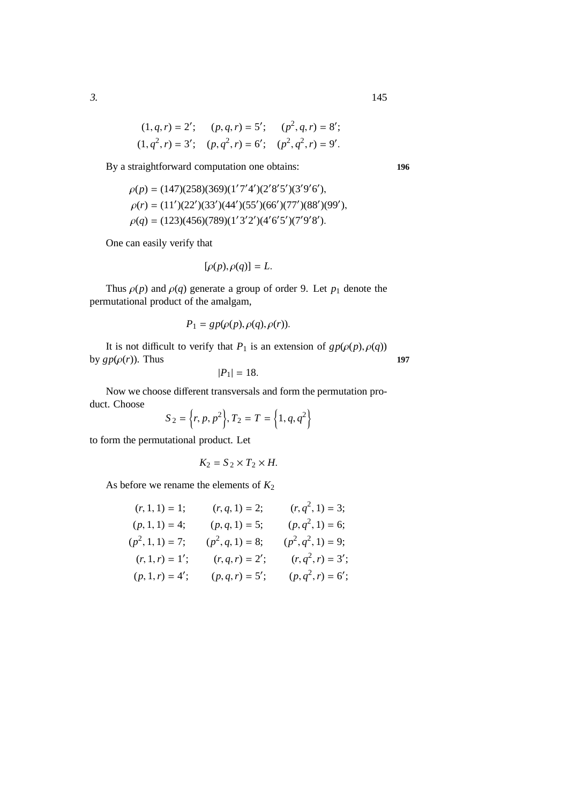$$
(1, q, r) = 2'; \t(p, q, r) = 5'; \t(p2, q, r) = 8';(1, q2, r) = 3'; \t(p, q2, r) = 6'; \t(p2, q2, r) = 9'.
$$

By a straightforward computation one obtains: **196**

$$
\rho(p) = (147)(258)(369)(1'7'4')(2'8'5')(3'9'6'),
$$
  
\n
$$
\rho(r) = (11')(22')(33')(44')(55')(66')(77')(88')(99'),
$$
  
\n
$$
\rho(q) = (123)(456)(789)(1'3'2')(4'6'5')(7'9'8').
$$

One can easily verify that

$$
[\rho(p), \rho(q)] = L.
$$

Thus  $\rho(p)$  and  $\rho(q)$  generate a group of order 9. Let  $p_1$  denote the permutational product of the amalgam,

$$
P_1= gp(\rho(p), \rho(q), \rho(r)).
$$

It is not difficult to verify that  $P_1$  is an extension of  $gp(\rho(p), \rho(q))$ by  $gp(\rho(r))$ . Thus **197** 

$$
|P_1|=18.
$$

Now we choose different transversals and form the permutation product. Choose  $\overline{a}$  $\Delta$  $\epsilon$  $\Delta$ 

$$
S_2 = \{r, p, p^2\}, T_2 = T = \{1, q, q^2\}
$$

to form the permutational product. Let

$$
K_2 = S_2 \times T_2 \times H.
$$

As before we rename the elements of  $K_2$ 

$$
(r, 1, 1) = 1; \t(r, q, 1) = 2; \t(r, q2, 1) = 3; (p, 1, 1) = 4; \t(p, q, 1) = 5; \t(p, q2, 1) = 6; (p2, 1, 1) = 7; \t(p2, q, 1) = 8; \t(p2, q2, 1) = 9; (r, 1, r) = 1'; \t(r, q, r) = 2'; \t(r, q2, r) = 3'; (p, 1, r) = 4'; \t(p, q, r) = 5'; \t(p, q2, r) = 6';
$$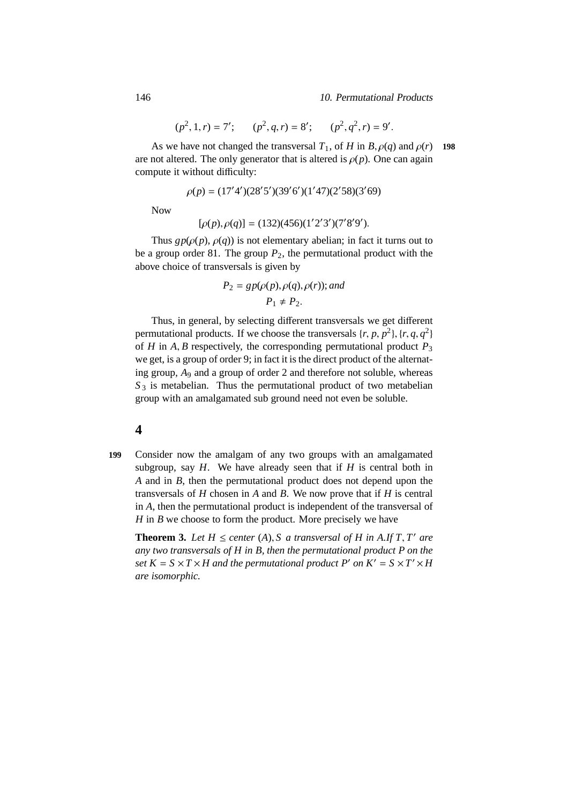146 10. Permutational Products

$$
(p^2, 1, r) = 7'; \qquad (p^2, q, r) = 8'; \qquad (p^2, q^2, r) = 9'.
$$

As we have not changed the transversal  $T_1$ , of *H* in *B*,  $\rho(q)$  and  $\rho(r)$  198 are not altered. The only generator that is altered is  $\rho(p)$ . One can again compute it without difficulty:

$$
\rho(p) = (17'4')(28'5')(39'6')(1'47)(2'58)(3'69)
$$

Now

$$
[\rho(p), \rho(q)] = (132)(456)(1'2'3')(7'8'9').
$$

Thus  $gp(\rho(p), \rho(q))$  is not elementary abelian; in fact it turns out to be a group order 81. The group  $P_2$ , the permutational product with the above choice of transversals is given by

$$
P_2 = gp(\rho(p), \rho(q), \rho(r)); and
$$
  

$$
P_1 \neq P_2.
$$

Thus, in general, by selecting different transversals we get different permutational products. If we choose the transversals  $\{r, p, p^2\}$ ,  $\{r, q, q^2\}$ of *H* in *A*, *B* respectively, the corresponding permutational product  $P_3$ we get, is a group of order 9; in fact it is the direct product of the alternating group, *A*<sup>9</sup> and a group of order 2 and therefore not soluble, whereas  $S_3$  is metabelian. Thus the permutational product of two metabelian group with an amalgamated sub ground need not even be soluble.

### **4**

**199** Consider now the amalgam of any two groups with an amalgamated subgroup, say *H*. We have already seen that if *H* is central both in *A* and in *B*, then the permutational product does not depend upon the transversals of *H* chosen in *A* and *B*. We now prove that if *H* is central in *A*, then the permutational product is independent of the transversal of *H* in *B* we choose to form the product. More precisely we have

**Theorem 3.** Let  $H \leq$  *center* (A), *S a transversal of*  $H$  *in* A.If  $T$ ,  $T'$  are *any two transversals of H in B, then the permutational product P on the set*  $K = S \times T \times H$  *and the permutational product*  $P'$  *on*  $K' = S \times T' \times H$ *are isomorphic.*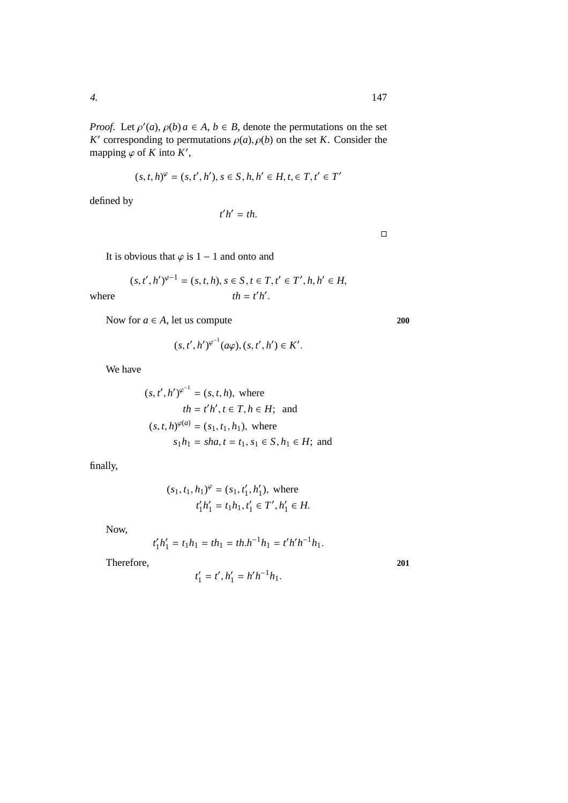*Proof.* Let  $\rho'(a)$ ,  $\rho(b)$   $a \in A$ ,  $b \in B$ , denote the permutations on the set *K*<sup> $\prime$ </sup> corresponding to permutations  $\rho(a)$ ,  $\rho(b)$  on the set *K*. Consider the mapping  $\varphi$  of *K* into *K'*,

$$
(s, t, h)^{\varphi} = (s, t', h'), s \in S, h, h' \in H, t \in T, t' \in T'
$$

defined by

$$
h'=th.
$$

*t* ′

 $\Box$ 

It is obvious that  $\varphi$  is 1 – 1 and onto and

$$
(s, t', h')^{\varphi-1} = (s, t, h), s \in S, t \in T, t' \in T', h, h' \in H,
$$
  
 $th = t'h'.$ 

 $where$ 

Now for  $a \in A$ , let us compute 200

$$
(s, t', h')^{\varphi^{-1}}(a\varphi), (s, t', h') \in K'.
$$

We have

$$
(s, t', h')^{\varphi^{-1}} = (s, t, h)
$$
, where  
\n $th = t'h', t \in T, h \in H$ ; and  
\n $(s, t, h)^{\varphi(a)} = (s_1, t_1, h_1)$ , where  
\n $s_1h_1 = sha, t = t_1, s_1 \in S, h_1 \in H$ ; and

finally,

$$
(s_1, t_1, h_1)^{\varphi} = (s_1, t'_1, h'_1)
$$
, where  
 $t'_1h'_1 = t_1h_1, t'_1 \in T', h'_1 \in H$ .

Now,

$$
t_1'h_1' = t_1h_1 = th_1 = th.h^{-1}h_1 = t'h'h^{-1}h_1.
$$

Therefore, 201

$$
t_1' = t', h_1' = h'h^{-1}h_1.
$$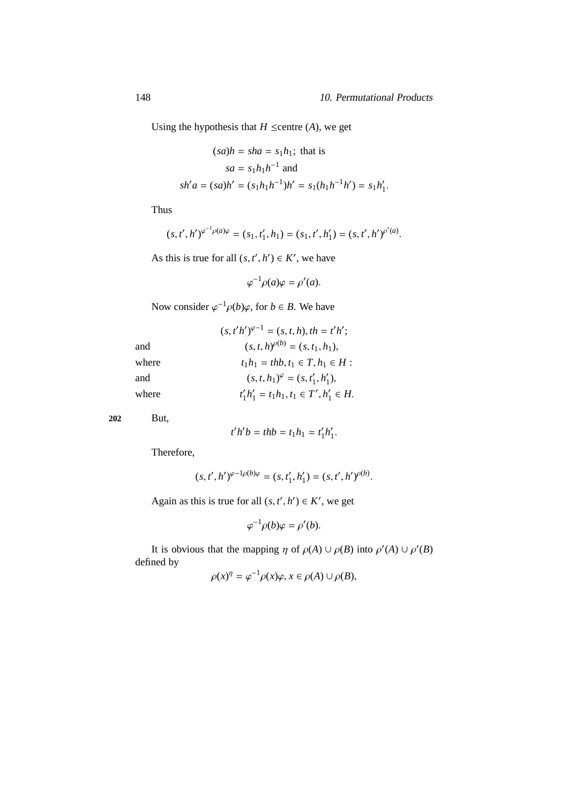Using the hypothesis that  $H \leq$ centre (*A*), we get

$$
(sa)h = sha = s_1h_1; \text{ that is}
$$

$$
sa = s_1h_1h^{-1} \text{ and}
$$

$$
sh'a = (sa)h' = (s_1h_1h^{-1})h' = s_1(h_1h^{-1}h') = s_1h'_1.
$$

Thus

$$
(s, t', h')^{\varphi^{-1}\rho(a)\varphi} = (s_1, t'_1, h_1) = (s_1, t', h'_1) = (s, t', h')^{\rho'(a)}.
$$

As this is true for all  $(s, t', h') \in K'$ , we have

 $\varphi^{-1}\rho(a)\varphi = \rho'(a).$ 

Now consider  $\varphi^{-1} \rho(b) \varphi$ , for  $b \in B$ . We have

|       | $(s, t'h')^{\varphi-1} = (s, t, h), th = t'h';$ |
|-------|-------------------------------------------------|
| and   | $(s, t, h)_{\rho(b)} = (s, t_1, h_1),$          |
| where | $t_1h_1 = thb, t_1 \in T, h_1 \in H$ :          |
| and   | $(s, t, h_1)^{\varphi} = (s, t'_1, h'_1),$      |
| where | $t'_1h'_1 = t_1h_1, t_1 \in T', h'_1 \in H.$    |

**202** But,

$$
t'h'b = thb = t_1h_1 = t'_1h'_1.
$$

Therefore,

$$
(s, t', h')^{\varphi - 1\rho(b)\varphi} = (s, t'_1, h'_1) = (s, t', h')^{\rho(b)}.
$$

Again as this is true for all  $(s, t', h') \in K'$ , we get

$$
\varphi^{-1}\rho(b)\varphi = \rho'(b).
$$

It is obvious that the mapping  $\eta$  of  $\rho(A) \cup \rho(B)$  into  $\rho'(A) \cup \rho'(B)$ defined by −1

$$
\rho(x)^{\eta} = \varphi^{-1} \rho(x) \varphi, x \in \rho(A) \cup \rho(B),
$$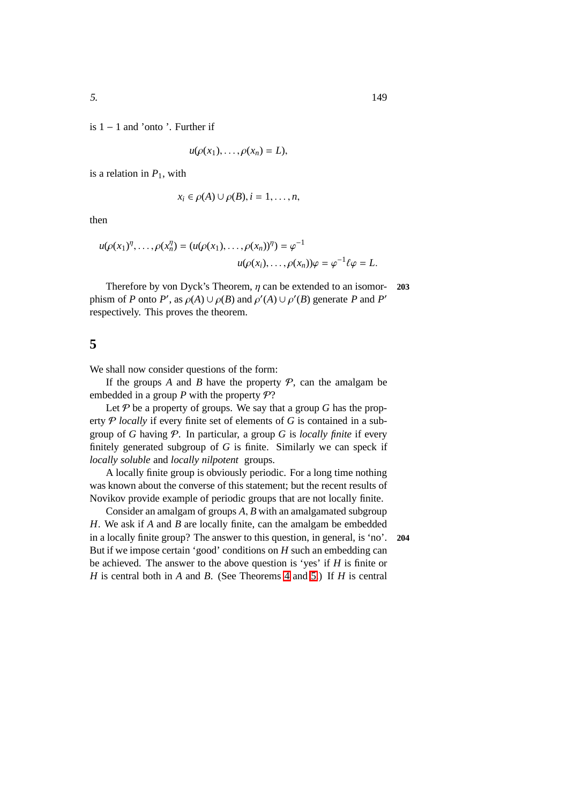is 1 − 1 and 'onto '. Further if

$$
u(\rho(x_1),\ldots,\rho(x_n)=L),
$$

is a relation in  $P_1$ , with

$$
x_i \in \rho(A) \cup \rho(B), i = 1, \ldots, n,
$$

then

$$
u(\rho(x_1)^{\eta},\ldots,\rho(x_n^{\eta})=(u(\rho(x_1),\ldots,\rho(x_n))^{\eta})=\varphi^{-1}
$$
  

$$
u(\rho(x_i),\ldots,\rho(x_n))\varphi=\varphi^{-1}\ell\varphi=L.
$$

Therefore by von Dyck's Theorem, η can be extended to an isomor- **203** phism of *P* onto *P'*, as  $\rho(A) \cup \rho(B)$  and  $\rho'(A) \cup \rho'(B)$  generate *P* and *P'* respectively. This proves the theorem.

### **5**

We shall now consider questions of the form:

If the groups *A* and *B* have the property  $P$ , can the amalgam be embedded in a group  $P$  with the property  $P$ ?

Let  $P$  be a property of groups. We say that a group  $G$  has the property P *locally* if every finite set of elements of *G* is contained in a subgroup of *G* having P. In particular, a group *G* is *locally finite* if every finitely generated subgroup of *G* is finite. Similarly we can speck if *locally soluble* and *locally nilpotent* groups.

A locally finite group is obviously periodic. For a long time nothing was known about the converse of this statement; but the recent results of Novikov provide example of periodic groups that are not locally finite.

Consider an amalgam of groups *A*, *B* with an amalgamated subgroup *H*. We ask if *A* and *B* are locally finite, can the amalgam be embedded in a locally finite group? The answer to this question, in general, is 'no'. **204** But if we impose certain 'good' conditions on *H* such an embedding can be achieved. The answer to the above question is 'yes' if *H* is finite or *H* is central both in *A* and *B*. (See Theorems [4](#page-193-0) and [5.](#page-159-0)) If *H* is central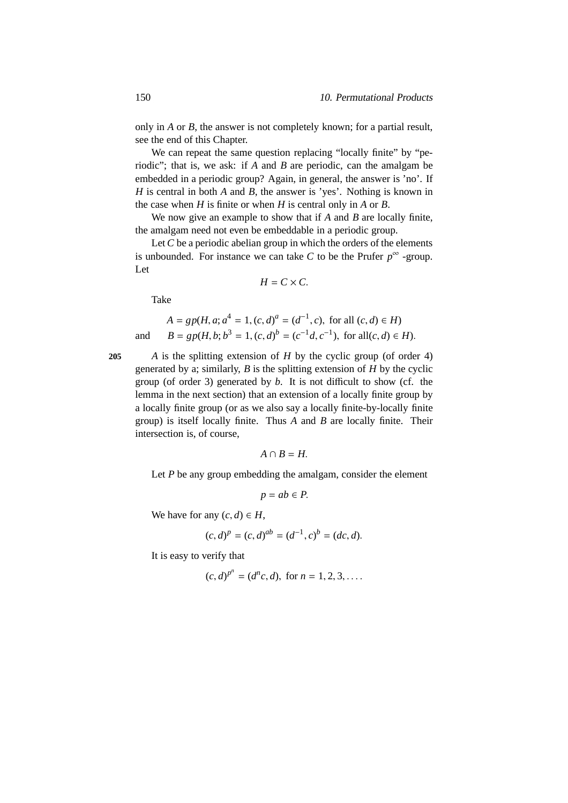only in *A* or *B*, the answer is not completely known; for a partial result, see the end of this Chapter.

We can repeat the same question replacing "locally finite" by "periodic"; that is, we ask: if *A* and *B* are periodic, can the amalgam be embedded in a periodic group? Again, in general, the answer is 'no'. If *H* is central in both *A* and *B*, the answer is 'yes'. Nothing is known in the case when *H* is finite or when *H* is central only in *A* or *B*.

We now give an example to show that if *A* and *B* are locally finite, the amalgam need not even be embeddable in a periodic group.

Let *C* be a periodic abelian group in which the orders of the elements is unbounded. For instance we can take *C* to be the Prufer  $p^{\infty}$  -group. Let

$$
H=C\times C.
$$

Take

$$
A = gp(H, a; a4 = 1, (c, d)a = (d-1, c), \text{ for all } (c, d) \in H)
$$
  
and 
$$
B = gp(H, b; b3 = 1, (c, d)b = (c-1d, c-1), \text{ for all } (c, d) \in H).
$$

**205** *A* is the splitting extension of *H* by the cyclic group (of order 4) generated by a; similarly, *B* is the splitting extension of *H* by the cyclic group (of order 3) generated by *b*. It is not difficult to show (cf. the lemma in the next section) that an extension of a locally finite group by a locally finite group (or as we also say a locally finite-by-locally finite group) is itself locally finite. Thus *A* and *B* are locally finite. Their intersection is, of course,

$$
A\cap B=H.
$$

Let *P* be any group embedding the amalgam, consider the element

$$
p = ab \in P.
$$

We have for any  $(c, d) \in H$ ,

$$
(c,d)^p = (c,d)^{ab} = (d^{-1},c)^b = (dc,d).
$$

It is easy to verify that

$$
(c, d)^{p^n} = (d^n c, d)
$$
, for  $n = 1, 2, 3, ...$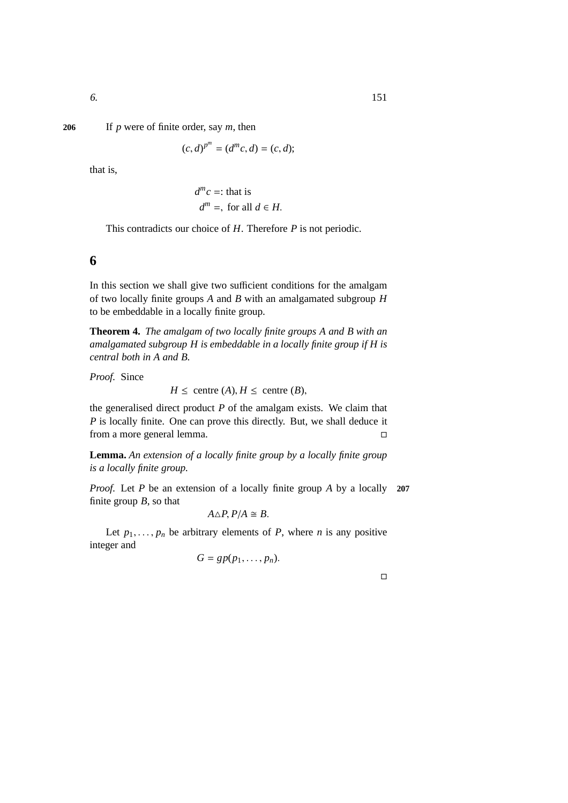6. 151

#### **206** If *p* were of finite order, say *m*, then

$$
(c,d)^{p^m} = (d^m c, d) = (c,d);
$$

that is,

$$
d^m c =: \text{that is}
$$
  

$$
d^m =, \text{ for all } d \in H.
$$

This contradicts our choice of *H*. Therefore *P* is not periodic.

## **6**

In this section we shall give two sufficient conditions for the amalgam of two locally finite groups *A* and *B* with an amalgamated subgroup *H* to be embeddable in a locally finite group.

**Theorem 4.** *The amalgam of two locally finite groups A and B with an amalgamated subgroup H is embeddable in a locally finite group if H is central both in A and B.*

*Proof.* Since

$$
H \leq
$$
 centre  $(A), H \leq$  centre  $(B),$ 

the generalised direct product *P* of the amalgam exists. We claim that *P* is locally finite. One can prove this directly. But, we shall deduce it from a more general lemma.

**Lemma.** *An extension of a locally finite group by a locally finite group is a locally finite group.*

*Proof.* Let *P* be an extension of a locally finite group *A* by a locally **207** finite group *B*, so that

$$
A \triangle P, P/A \cong B.
$$

Let  $p_1, \ldots, p_n$  be arbitrary elements of *P*, where *n* is any positive integer and

$$
G=gp(p_1,\ldots,p_n).
$$

 $\Box$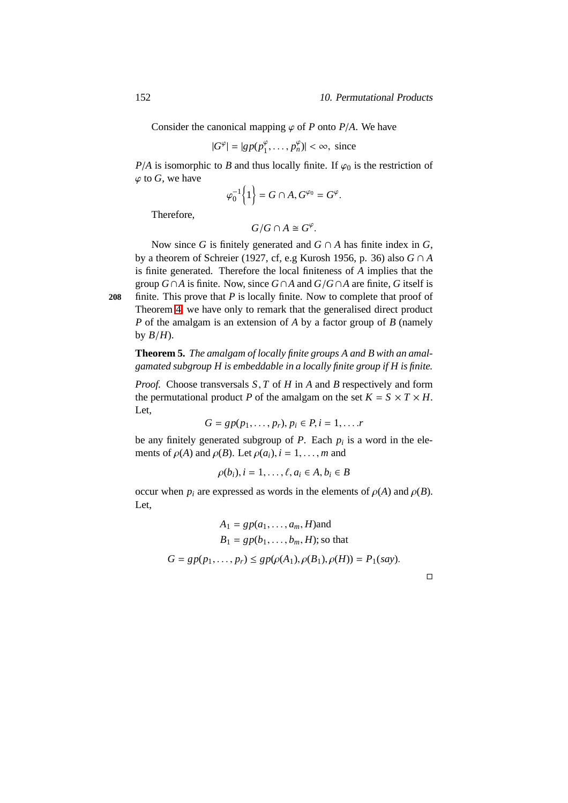Consider the canonical mapping  $\varphi$  of *P* onto *P*/*A*. We have

$$
|G^{\varphi}| = |gp(p_1^{\varphi}, \dots, p_n^{\varphi})| < \infty, \text{ since }
$$

*P*/*A* is isomorphic to *B* and thus locally finite. If  $\varphi_0$  is the restriction of  $\varphi$  to *G*, we have

$$
\varphi_0^{-1}\Big\{1\Big\}=G\cap A, G^{\varphi_0}=G^{\varphi}.
$$

Therefore,

$$
G/G\cap A\cong G^{\varphi}.
$$

Now since *G* is finitely generated and  $G \cap A$  has finite index in  $G$ , by a theorem of Schreier (1927, cf, e.g Kurosh 1956, p. 36) also *G* ∩ *A* is finite generated. Therefore the local finiteness of *A* implies that the group *G*∩*A* is finite. Now, since *G*∩*A* and *G*/*G*∩*A* are finite, *G* itself is

<span id="page-159-0"></span>**208** finite. This prove that *P* is locally finite. Now to complete that proof of Theorem [4,](#page-193-0) we have only to remark that the generalised direct product *P* of the amalgam is an extension of *A* by a factor group of *B* (namely by  $B/H$ ).

**Theorem 5.** *The amalgam of locally finite groups A and B with an amalgamated subgroup H is embeddable in a locally finite group if H is finite.*

*Proof.* Choose transversals *S*, *T* of *H* in *A* and *B* respectively and form the permutational product *P* of the amalgam on the set  $K = S \times T \times H$ . Let,

$$
G=gp(p_1,\ldots,p_r), p_i\in P, i=1,\ldots.r
$$

be any finitely generated subgroup of *P*. Each *p<sup>i</sup>* is a word in the elements of  $\rho(A)$  and  $\rho(B)$ . Let  $\rho(a_i)$ ,  $i = 1, \ldots, m$  and

$$
\rho(b_i), i = 1, \ldots, \ell, a_i \in A, b_i \in B
$$

occur when  $p_i$  are expressed as words in the elements of  $\rho(A)$  and  $\rho(B)$ . Let,

$$
A_1 = gp(a_1, ..., a_m, H)
$$
 and  

$$
B_1 = gp(b_1, ..., b_m, H)
$$
; so that  

$$
G = gp(p_1, ..., p_r) \le gp(\rho(A_1), \rho(B_1), \rho(H)) = P_1(say).
$$

 $\Box$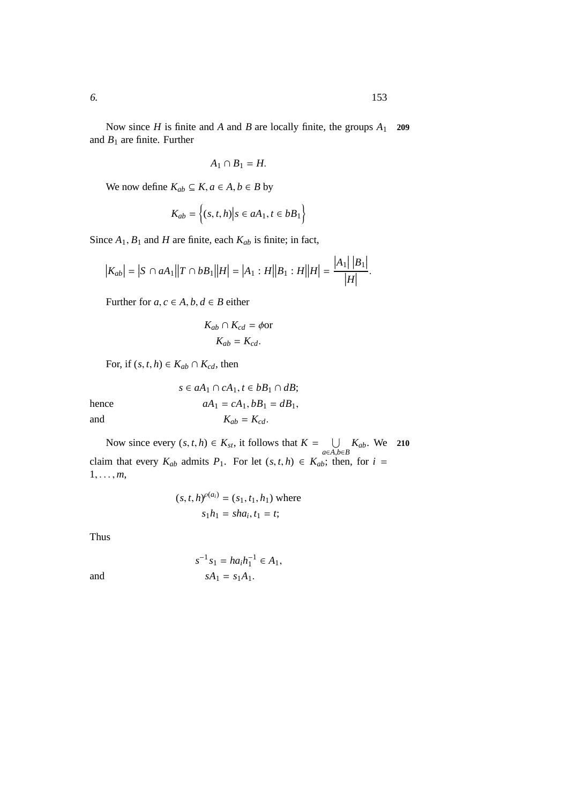Now since *H* is finite and *A* and *B* are locally finite, the groups *A*<sup>1</sup> **209** and  $B_1$  are finite. Further

$$
A_1 \cap B_1 = H.
$$

We now define  $K_{ab} \subseteq K$ ,  $a \in A$ ,  $b \in B$  by

$$
K_{ab} = \left\{ (s, t, h) \middle| s \in aA_1, t \in bB_1 \right\}
$$

Since  $A_1$ ,  $B_1$  and  $H$  are finite, each  $K_{ab}$  is finite; in fact,

$$
|K_{ab}|=|S\cap aA_1||T\cap bB_1||H|=|A_1:H||B_1:H||H|=\frac{|A_1||B_1|}{|H|}.
$$

Further for  $a, c \in A, b, d \in B$  either

$$
K_{ab} \cap K_{cd} = \phi \text{or}
$$

$$
K_{ab} = K_{cd}.
$$

For, if  $(s, t, h) \in K_{ab} \cap K_{cd}$ , then

*s* ∈  $aA_1$  ∩  $cA_1$ ,  $t \in bB_1$  ∩  $dB$ ; hence  $aA_1 = cA_1, bB_1 = dB_1$ , and  $K_{ab} = K_{cd}$ .

Now since every  $(s, t, h) \in K_{st}$ , it follows that  $K = \bigcup_{a \in A, b \in B} K_{ab}$ . We 210 claim that every  $K_{ab}$  admits  $P_1$ . For let  $(s, t, h) \in K_{ab}$ ; then, for  $i =$  $1, \ldots, m$ ,

$$
(s, t, h)^{\rho(a_i)} = (s_1, t_1, h_1)
$$
 where  
 $s_1h_1 = sha_i, t_1 = t;$ 

Thus

and 
$$
s^{-1} s_1 = h a_i h_1^{-1} \in A_1,
$$

$$
sA_1 = s_1 A_1.
$$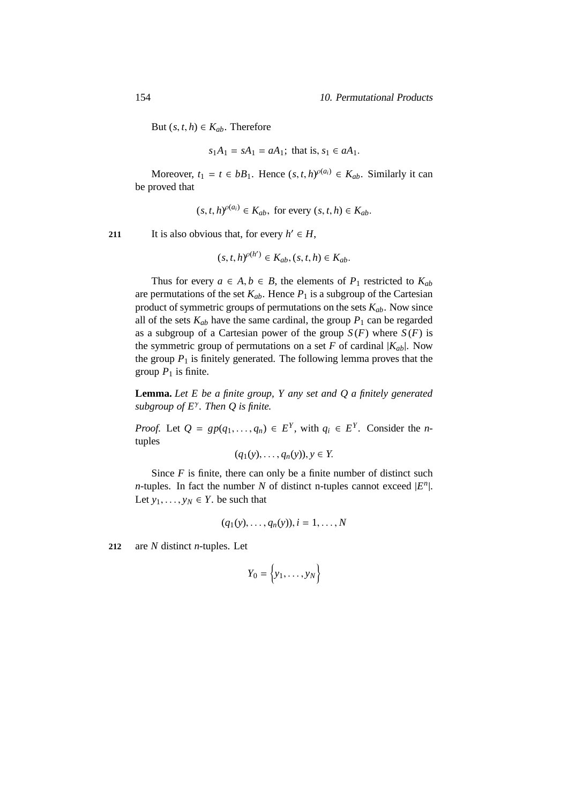But  $(s, t, h) \in K_{ab}$ . Therefore

$$
s_1A_1 = sA_1 = aA_1
$$
; that is,  $s_1 \in aA_1$ .

Moreover,  $t_1 = t \in bB_1$ . Hence  $(s, t, h)$ <sup> $\rho(a_i) \in K_{ab}$ . Similarly it can</sup> be proved that

$$
(s, t, h)^{o(a_i)} \in K_{ab}
$$
, for every  $(s, t, h) \in K_{ab}$ .

211 It is also obvious that, for every  $h' \in H$ ,

$$
(s,t,h)^{\rho(h')} \in K_{ab}, (s,t,h) \in K_{ab}.
$$

Thus for every  $a \in A, b \in B$ , the elements of  $P_1$  restricted to  $K_{ab}$ are permutations of the set  $K_{ab}$ . Hence  $P_1$  is a subgroup of the Cartesian product of symmetric groups of permutations on the sets  $K_{ab}$ . Now since all of the sets  $K_{ab}$  have the same cardinal, the group  $P_1$  can be regarded as a subgroup of a Cartesian power of the group  $S(F)$  where  $S(F)$  is the symmetric group of permutations on a set  $F$  of cardinal  $|K_{ab}|$ . Now the group  $P_1$  is finitely generated. The following lemma proves that the group  $P_1$  is finite.

**Lemma.** *Let E be a finite group, Y any set and Q a finitely generated subgroup of E*<sup>γ</sup> *. Then Q is finite.*

*Proof.* Let  $Q = gp(q_1, \ldots, q_n) \in E^Y$ , with  $q_i \in E^Y$ . Consider the *n*tuples

$$
(q_1(y),\ldots,q_n(y)), y \in Y.
$$

Since  $F$  is finite, there can only be a finite number of distinct such *n*-tuples. In fact the number *N* of distinct n-tuples cannot exceed  $|E^n|$ . Let  $y_1, \ldots, y_N \in Y$ . be such that

$$
(q_1(y),\ldots,q_n(y)), i=1,\ldots,N
$$

**212** are *N* distinct *n*-tuples. Let

$$
Y_0 = \left\{y_1, \ldots, y_N\right\}
$$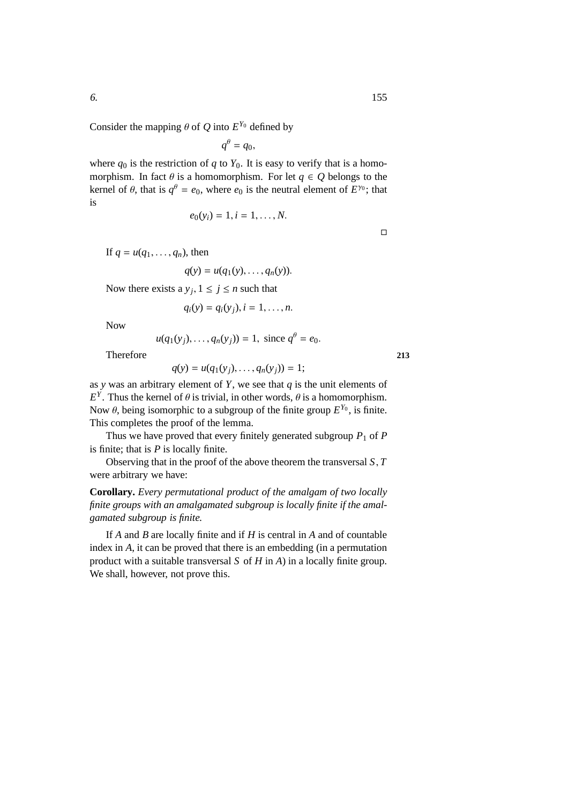Consider the mapping  $\theta$  of  $Q$  into  $E^{Y_0}$  defined by

 $q^{\theta} = q_0,$ 

where  $q_0$  is the restriction of  $q$  to  $Y_0$ . It is easy to verify that is a homomorphism. In fact  $\theta$  is a homomorphism. For let  $q \in Q$  belongs to the kernel of  $\theta$ , that is  $q^{\theta} = e_0$ , where  $e_0$  is the neutral element of  $E^{\gamma_0}$ ; that is

$$
e_0(y_i) = 1, i = 1, ..., N.
$$

 $\Box$ 

If  $q = u(q_1, \ldots, q_n)$ , then

$$
q(y) = u(q_1(y), \ldots, q_n(y)).
$$

Now there exists a  $y_j$ ,  $1 \le j \le n$  such that

$$
q_i(y) = q_i(y_j), i = 1, \ldots, n.
$$

Now

 $u(q_1(y_j),...,q_n(y_j)) = 1$ , since  $q^{\theta} = e_0$ .

Therefore **213**

 $q(y) = u(q_1(y_i), \ldots, q_n(y_i)) = 1;$ 

as *y* was an arbitrary element of *Y*, we see that *q* is the unit elements of  $E<sup>Y</sup>$ . Thus the kernel of  $\theta$  is trivial, in other words,  $\theta$  is a homomorphism. Now  $\theta$ , being isomorphic to a subgroup of the finite group  $E^{Y_0}$ , is finite. This completes the proof of the lemma.

Thus we have proved that every finitely generated subgroup  $P_1$  of  $P$ is finite; that is *P* is locally finite.

Observing that in the proof of the above theorem the transversal *S*, *T* were arbitrary we have:

**Corollary.** *Every permutational product of the amalgam of two locally finite groups with an amalgamated subgroup is locally finite if the amalgamated subgroup is finite.*

If *A* and *B* are locally finite and if *H* is central in *A* and of countable index in *A*, it can be proved that there is an embedding (in a permutation product with a suitable transversal *S* of *H* in *A*) in a locally finite group. We shall, however, not prove this.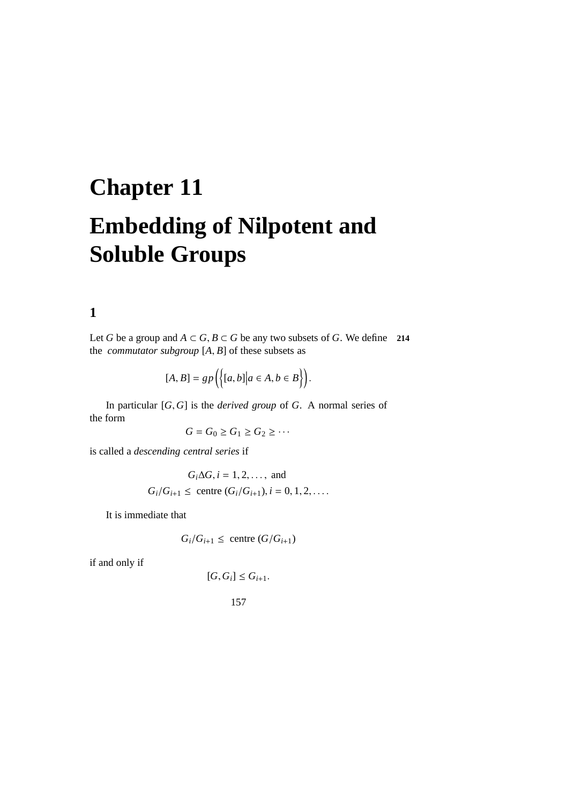## **Chapter 11 Embedding of Nilpotent and Soluble Groups**

**1**

Let *G* be a group and *A* ⊂ *G*, *B* ⊂ *G* be any two subsets of *G*. We define 214 the *commutator subgroup*  $[A, B]$  of these subsets as

$$
[A, B] = gp\Big(\Big\{ [a, b] \big| a \in A, b \in B \Big\} \Big).
$$

In particular [*G*, *G*] is the *derived group* of *G*. A normal series of the form

$$
G=G_0\geq G_1\geq G_2\geq\cdots
$$

is called a *descending central series* if

$$
G_i \Delta G, i = 1, 2, ...,
$$
 and  
 $G_i / G_{i+1} \le$  centre  $(G_i / G_{i+1}), i = 0, 1, 2, ...$ 

It is immediate that

$$
G_i/G_{i+1} \le \text{centre } (G/G_{i+1})
$$

if and only if

 $[G, G_i] \leq G_{i+1}.$ 

157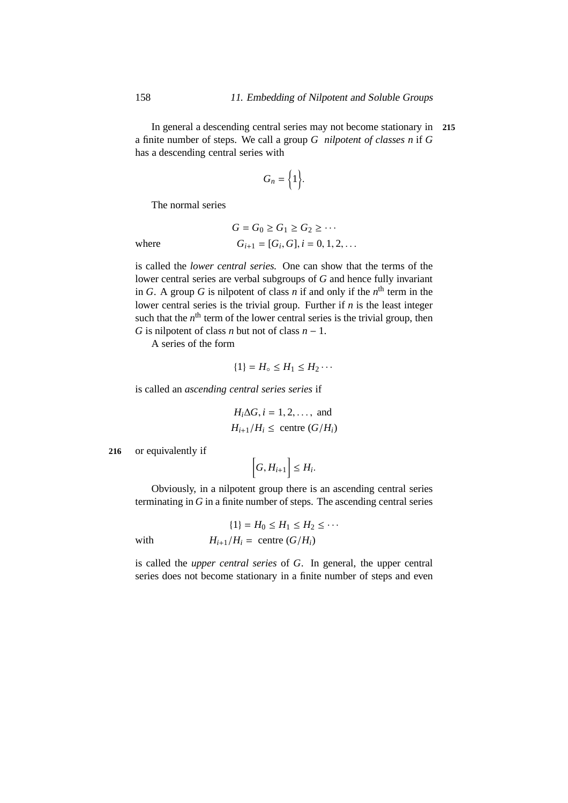In general a descending central series may not become stationary in **215** a finite number of steps. We call a group *G nilpotent of classes n* if *G* has a descending central series with

$$
G_n = \Big\{1\Big\}.
$$

The normal series

 $where$ 

$$
G = G_0 \ge G_1 \ge G_2 \ge \cdots
$$
  
\n
$$
G_{i+1} = [G_i, G], i = 0, 1, 2, \dots
$$

is called the *lower central series.* One can show that the terms of the lower central series are verbal subgroups of *G* and hence fully invariant in *G*. A group *G* is nilpotent of class *n* if and only if the  $n^{\text{th}}$  term in the lower central series is the trivial group. Further if *n* is the least integer such that the  $n<sup>th</sup>$  term of the lower central series is the trivial group, then *G* is nilpotent of class *n* but not of class  $n - 1$ .

A series of the form

$$
\{1\} = H_{\circ} \leq H_1 \leq H_2 \cdots
$$

is called an *ascending central series series* if

$$
H_i \Delta G, i = 1, 2, \dots, \text{ and}
$$
  

$$
H_{i+1}/H_i \le \text{centre } (G/H_i)
$$

**216** or equivalently if

$$
\bigg[G,H_{i+1}\bigg]\leq H_i.
$$

Obviously, in a nilpotent group there is an ascending central series terminating in *G* in a finite number of steps. The ascending central series

$$
\{1\} = H_0 \le H_1 \le H_2 \le \cdots
$$
  
with 
$$
H_{i+1}/H_i = \text{centre } (G/H_i)
$$

is called the *upper central series* of *G*. In general, the upper central series does not become stationary in a finite number of steps and even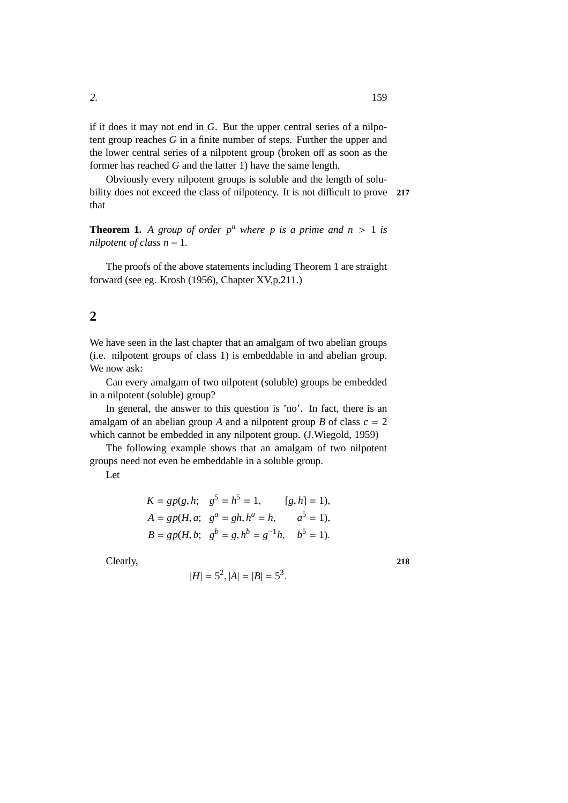if it does it may not end in *G*. But the upper central series of a nilpotent group reaches *G* in a finite number of steps. Further the upper and the lower central series of a nilpotent group (broken off as soon as the former has reached *G* and the latter 1) have the same length.

Obviously every nilpotent groups is soluble and the length of solubility does not exceed the class of nilpotency. It is not difficult to prove **<sup>217</sup>** that

**Theorem 1.** A group of order  $p^n$  where p is a prime and  $n > 1$  is *nilpotent of class n* − 1*.*

The proofs of the above statements including Theorem 1 are straight forward (see eg. Krosh (1956), Chapter XV,p.211.)

## <span id="page-166-0"></span>**2**

We have seen in the last chapter that an amalgam of two abelian groups (i.e. nilpotent groups of class 1) is embeddable in and abelian group. We now ask:

Can every amalgam of two nilpotent (soluble) groups be embedded in a nilpotent (soluble) group?

In general, the answer to this question is 'no'. In fact, there is an amalgam of an abelian group *A* and a nilpotent group *B* of class  $c = 2$ which cannot be embedded in any nilpotent group. (J.Wiegold, 1959)

The following example shows that an amalgam of two nilpotent groups need not even be embeddable in a soluble group.

Let

$$
K = gp(g, h; g5 = h5 = 1, [g, h] = 1),
$$
  
\n
$$
A = gp(H, a; ga = gh, ha = h, a5 = 1),
$$
  
\n
$$
B = gp(H, b; gb = g, hb = g-1h, b5 = 1).
$$

Clearly, **218**

$$
|H| = 5^2, |A| = |B| = 5^3.
$$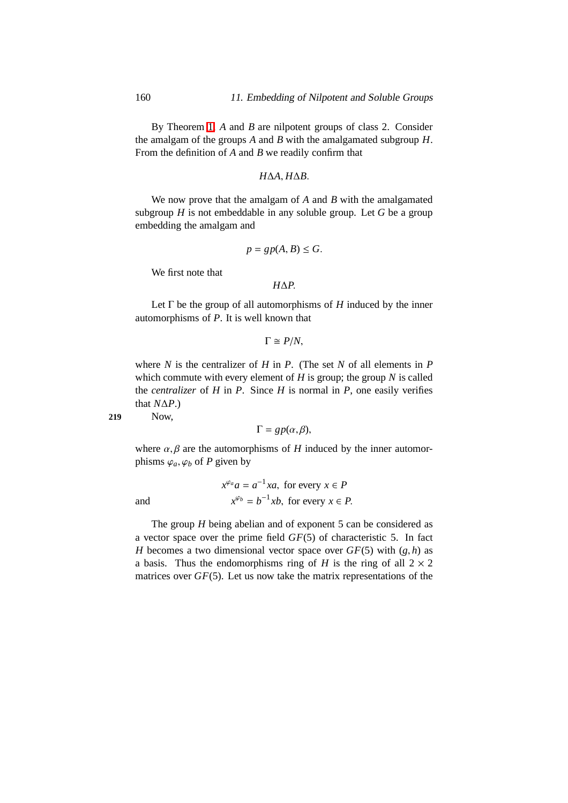By Theorem [1,](#page-178-0) *A* and *B* are nilpotent groups of class 2. Consider the amalgam of the groups *A* and *B* with the amalgamated subgroup *H*. From the definition of *A* and *B* we readily confirm that

#### *H*∆*A*, *H*∆*B*.

We now prove that the amalgam of *A* and *B* with the amalgamated subgroup *H* is not embeddable in any soluble group. Let *G* be a group embedding the amalgam and

$$
p = gp(A, B) \le G.
$$

We first note that

$$
H\Delta P.
$$

Let  $\Gamma$  be the group of all automorphisms of  $H$  induced by the inner automorphisms of *P*. It is well known that

$$
\Gamma \cong P/N,
$$

where *N* is the centralizer of *H* in *P*. (The set *N* of all elements in *P* which commute with every element of  $H$  is group; the group  $N$  is called the *centralizer* of  $H$  in  $P$ . Since  $H$  is normal in  $P$ , one easily verifies that  $N\Delta P$ .)

**219** Now,

$$
\Gamma = gp(\alpha, \beta),
$$

where  $\alpha$ ,  $\beta$  are the automorphisms of *H* induced by the inner automorphisms  $\varphi_a$ ,  $\varphi_b$  of *P* given by

and 
$$
x^{\varphi_a} a = a^{-1} x a, \text{ for every } x \in P
$$

$$
x^{\varphi_b} = b^{-1} x b, \text{ for every } x \in P.
$$

The group *H* being abelian and of exponent 5 can be considered as a vector space over the prime field *GF*(5) of characteristic 5. In fact *H* becomes a two dimensional vector space over  $GF(5)$  with  $(g, h)$  as a basis. Thus the endomorphisms ring of *H* is the ring of all  $2 \times 2$ matrices over *GF*(5). Let us now take the matrix representations of the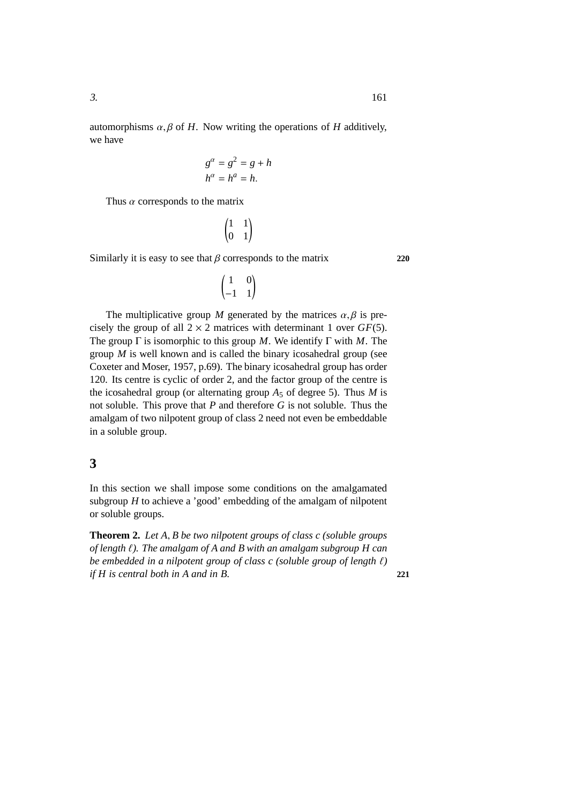automorphisms  $\alpha$ ,  $\beta$  of *H*. Now writing the operations of *H* additively, we have

$$
g^{\alpha} = g^2 = g + h
$$

$$
h^{\alpha} = h^{\alpha} = h.
$$

Thus  $\alpha$  corresponds to the matrix

$$
\begin{pmatrix} 1 & 1 \\ 0 & 1 \end{pmatrix}
$$

Similarly it is easy to see that  $\beta$  corresponds to the matrix **220** 

 $\begin{pmatrix} 1 & 0 \\ -1 & 1 \end{pmatrix}$ 

The multiplicative group *M* generated by the matrices  $\alpha$ ,  $\beta$  is precisely the group of all  $2 \times 2$  matrices with determinant 1 over *GF*(5). The group Γ is isomorphic to this group *M*. We identify Γ with *M*. The group *M* is well known and is called the binary icosahedral group (see Coxeter and Moser, 1957, p.69). The binary icosahedral group has order 120. Its centre is cyclic of order 2, and the factor group of the centre is the icosahedral group (or alternating group  $A_5$  of degree 5). Thus *M* is not soluble. This prove that *P* and therefore *G* is not soluble. Thus the amalgam of two nilpotent group of class 2 need not even be embeddable in a soluble group.

## **3**

In this section we shall impose some conditions on the amalgamated subgroup *H* to achieve a 'good' embedding of the amalgam of nilpotent or soluble groups.

**Theorem 2.** *Let A*, *B be two nilpotent groups of class c (soluble groups of length* ℓ*). The amalgam of A and B with an amalgam subgroup H can be embedded in a nilpotent group of class c (soluble group of length* ℓ*) if H is central both in A and in B.* **221**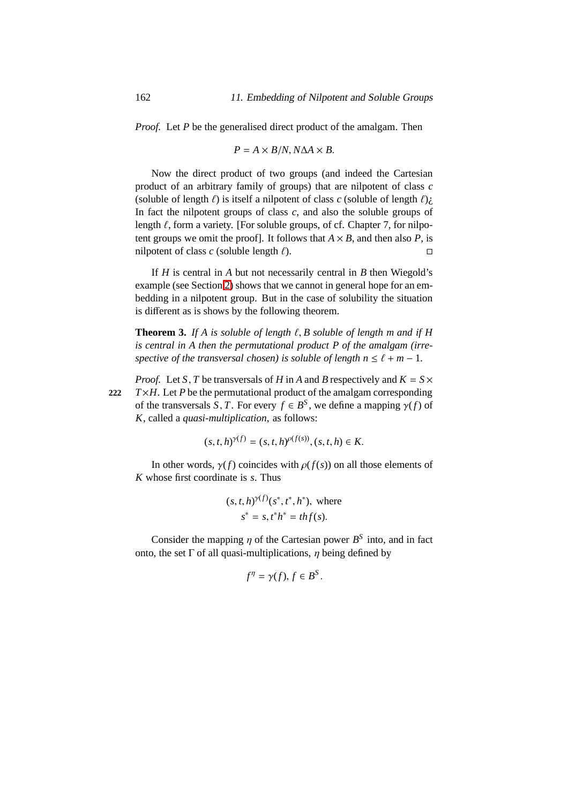*Proof.* Let *P* be the generalised direct product of the amalgam. Then

$$
P = A \times B/N, N\Delta A \times B.
$$

Now the direct product of two groups (and indeed the Cartesian product of an arbitrary family of groups) that are nilpotent of class *c* (soluble of length  $\ell$ ) is itself a nilpotent of class  $c$  (soluble of length  $\ell$ )*i*. In fact the nilpotent groups of class  $c$ , and also the soluble groups of length  $\ell$ , form a variety. [For soluble groups, of cf. Chapter 7, for nilpotent groups we omit the proof]. It follows that  $A \times B$ , and then also *P*, is nilpotent of class  $c$  (soluble length  $\ell$ ).

If *H* is central in *A* but not necessarily central in *B* then Wiegold's example (see Section [2\)](#page-166-0) shows that we cannot in general hope for an embedding in a nilpotent group. But in the case of solubility the situation is different as is shows by the following theorem.

**Theorem 3.** *If A is soluble of length*  $\ell$ , *B soluble of length m and if H is central in A then the permutational product P of the amalgam (irrespective of the transversal chosen) is soluble of length*  $n \leq \ell + m - 1$ *.* 

*Proof.* Let *S*, *T* be transversals of *H* in *A* and *B* respectively and  $K = S \times$ 222  $T \times H$ . Let *P* be the permutational product of the amalgam corresponding of the transversals *S*, *T*. For every  $f \in B^S$ , we define a mapping  $\gamma(f)$  of *K*, called a *quasi-multiplication*, as follows:

$$
(s, t, h)^{\gamma(f)} = (s, t, h)^{\rho(f(s))}, (s, t, h) \in K.
$$

In other words,  $\gamma(f)$  coincides with  $\rho(f(s))$  on all those elements of *K* whose first coordinate is *s*. Thus

$$
(s, t, h)^{\gamma(f)}(s^*, t^*, h^*)
$$
, where  
 $s^* = s, t^*h^* = thf(s)$ .

γ(*f*)

Consider the mapping  $\eta$  of the Cartesian power  $B^S$  into, and in fact onto, the set  $\Gamma$  of all quasi-multiplications,  $\eta$  being defined by

$$
f^{\eta} = \gamma(f), f \in B^{S}.
$$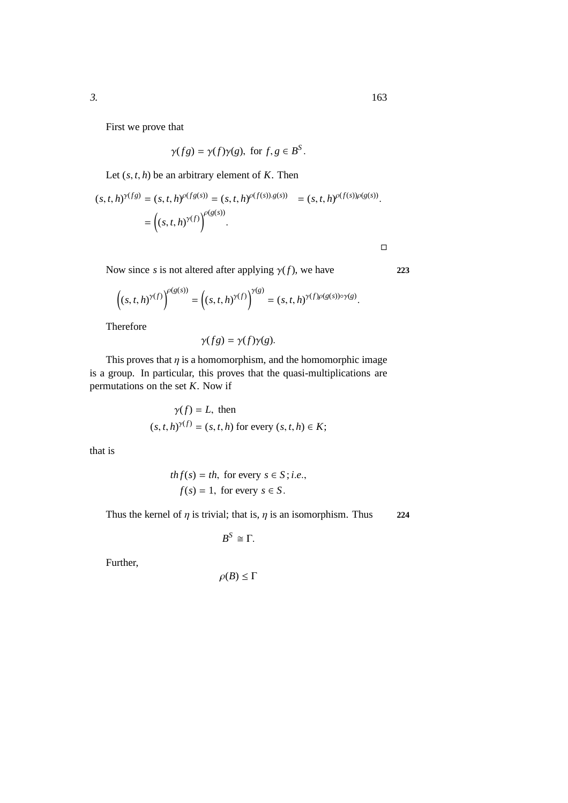First we prove that

$$
\gamma(fg) = \gamma(f)\gamma(g), \text{ for } f, g \in B^S.
$$

Let  $(s, t, h)$  be an arbitrary element of *K*. Then

$$
(s, t, h)^{\gamma(fg)} = (s, t, h)^{\rho(fg(s))} = (s, t, h)^{\rho(f(s)).g(s))} = (s, t, h)^{\rho(f(s))\rho(g(s))}.
$$

$$
= ((s, t, h)^{\gamma(f)})^{\rho(g(s))}.
$$

Now since *s* is not altered after applying  $\gamma(f)$ , we have **223** 

$$
\left( (s,t,h)^{\gamma(f)} \right)^{\rho(g(s))} = \left( (s,t,h)^{\gamma(f)} \right)^{\gamma(g)} = (s,t,h)^{\gamma(f)\rho(g(s)) \circ \gamma(g)}.
$$

Therefore

$$
\gamma(fg) = \gamma(f)\gamma(g).
$$

This proves that  $\eta$  is a homomorphism, and the homomorphic image is a group. In particular, this proves that the quasi-multiplications are permutations on the set *K*. Now if

$$
\gamma(f) = L
$$
, then  
\n $(s, t, h)^{\gamma(f)} = (s, t, h)$  for every  $(s, t, h) \in K$ ;

that is

$$
thf(s) = th, \text{ for every } s \in S; i.e.,
$$
  

$$
f(s) = 1, \text{ for every } s \in S.
$$

Thus the kernel of  $\eta$  is trivial; that is,  $\eta$  is an isomorphism. Thus **224** 

$$
B^S\cong\Gamma.
$$

Further,

$$
\rho(B) \leq \Gamma
$$

 $\Box$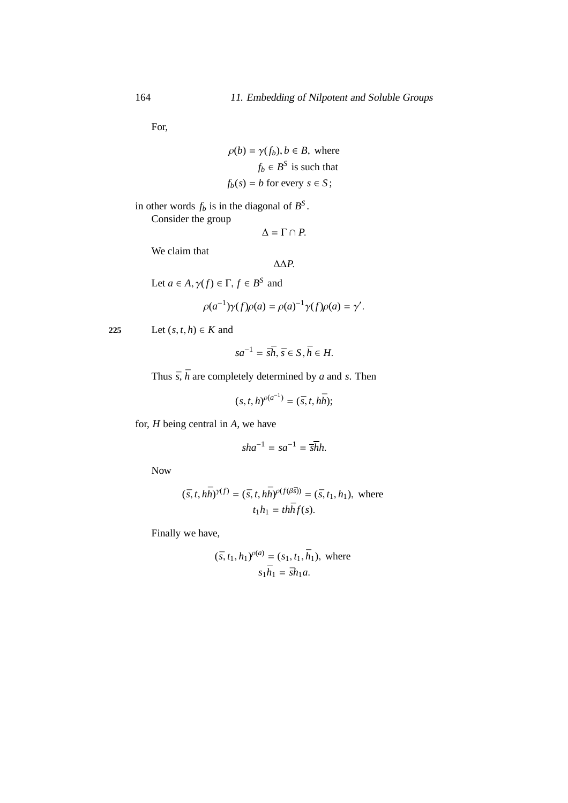For,

$$
\rho(b) = \gamma(f_b), b \in B, \text{ where}
$$
  

$$
f_b \in B^S \text{ is such that}
$$
  

$$
f_b(s) = b \text{ for every } s \in S;
$$

in other words  $f_b$  is in the diagonal of  $B^S$ . Consider the group

$$
\Delta = \Gamma \cap P.
$$

We claim that

$$
\Delta \Delta P.
$$

Let  $a \in A$ ,  $\gamma(f) \in \Gamma$ ,  $f \in B^S$  and

$$
\rho(a^{-1})\gamma(f)\rho(a) = \rho(a)^{-1}\gamma(f)\rho(a) = \gamma'.
$$

225 Let  $(s, t, h) \in K$  and

$$
sa^{-1} = \bar{s}\bar{h}, \bar{s} \in S, \bar{h} \in H.
$$

Thus  $\bar{s}$ ,  $\bar{h}$  are completely determined by *a* and *s*. Then

$$
(s, t, h)^{\rho(a^{-1})} = (\bar{s}, t, h\bar{h});
$$

for, *H* being central in *A*, we have

$$
sha^{-1} = sa^{-1} = \overline{sh}h.
$$

Now

$$
(\bar{s}, t, h\bar{h})^{\gamma(f)} = (\bar{s}, t, h\bar{h})^{\rho(f(\beta\bar{s}))} = (\bar{s}, t_1, h_1), \text{ where}
$$
  

$$
t_1 h_1 = th\bar{h}f(s).
$$

Finally we have,

$$
(\bar{s}, t_1, h_1)^{\rho(a)} = (s_1, t_1, \bar{h}_1)
$$
, where  

$$
s_1\bar{h}_1 = \bar{s}h_1a.
$$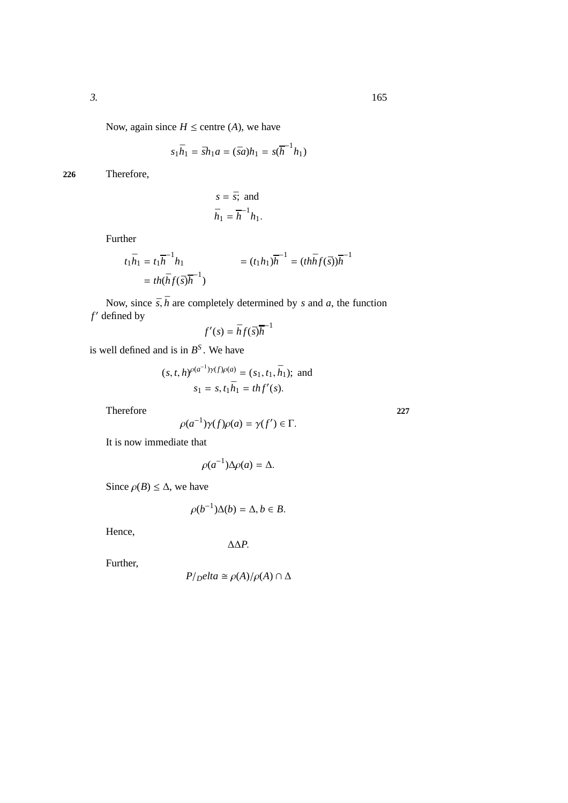Now, again since  $H \le$  centre (*A*), we have

$$
s_1\bar{h}_1 = \bar{s}h_1a = (\bar{s}a)h_1 = s(\bar{h}^{-1}h_1)
$$

**226** Therefore,

$$
s = \bar{s}; \text{ and}
$$

$$
\bar{h}_1 = \bar{h}^{-1} h_1.
$$

Further

$$
t_1\bar{h}_1 = t_1\bar{h}_1 h_1 = (t_1h_1)\bar{h}_1 = (th\bar{h}_1f(\bar{s}))\bar{h}_1
$$
  
=  $th(\bar{h}_1f(\bar{s})\bar{h}_1)$ 

Now, since  $\bar{s}$ ,  $\bar{h}$  are completely determined by *s* and *a*, the function *f* ′ defined by −1

$$
f'(s) = \bar{h}f(\bar{s})\bar{h}^{-1}
$$

is well defined and is in  $B^S$ . We have

$$
(s, t, h)^{\rho(a^{-1})\gamma(f)\rho(a)} = (s_1, t_1, \bar{h}_1);
$$
 and  
 $s_1 = s, t_1\bar{h}_1 = thf'(s).$ 

Therefore **227**

 $\rho(a^{-1})\gamma(f)\rho(a) = \gamma(f') \in \Gamma.$ 

It is now immediate that

$$
\rho(a^{-1})\Delta\rho(a) = \Delta.
$$

Since  $\rho(B) \leq \Delta$ , we have

 $\rho(b^{-1})\Delta(b) = \Delta, b \in B.$ 

Hence,

∆∆*P*.

Further,

$$
P/Delta \cong \rho(A)/\rho(A) \cap \Delta
$$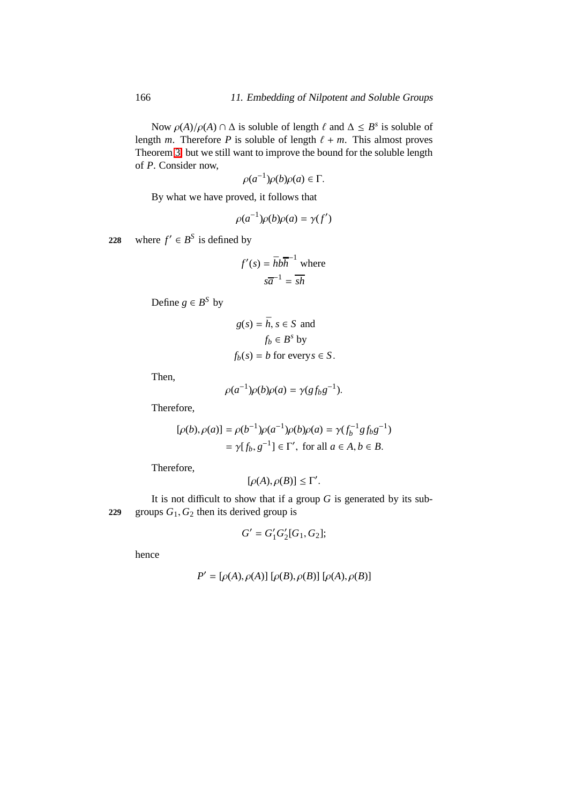Now  $\rho(A)/\rho(A) \cap \Delta$  is soluble of length  $\ell$  and  $\Delta \leq B^s$  is soluble of length *m*. Therefore *P* is soluble of length  $\ell + m$ . This almost proves Theorem [3;](#page-185-0) but we still want to improve the bound for the soluble length of *P*. Consider now,

$$
\rho(a^{-1})\rho(b)\rho(a) \in \Gamma.
$$

By what we have proved, it follows that

$$
\rho(a^{-1})\rho(b)\rho(a) = \gamma(f')
$$

228 where  $f' \in B^S$  is defined by

$$
f'(s) = \bar{h}b\bar{h}^{-1} \text{ where}
$$

$$
s\bar{a}^{-1} = \bar{sh}
$$

Define  $g \in B^S$  by

$$
g(s) = \bar{h}, s \in S \text{ and}
$$
  

$$
f_b \in B^s \text{ by}
$$
  

$$
f_b(s) = b \text{ for every } s \in S.
$$

Then,

$$
\rho(a^{-1})\rho(b)\rho(a) = \gamma(gf_b g^{-1}).
$$

Therefore,

$$
[\rho(b), \rho(a)] = \rho(b^{-1})\rho(a^{-1})\rho(b)\rho(a) = \gamma(f_b^{-1}gfg^{-1})
$$
  
=  $\gamma[f_b, g^{-1}] \in \Gamma'$ , for all  $a \in A, b \in B$ .

Therefore,

$$
[\rho(A), \rho(B)] \leq \Gamma'.
$$

It is not difficult to show that if a group *G* is generated by its sub-**229** groups  $G_1$ ,  $G_2$  then its derived group is

$$
G'=G'_{1}G'_{2}[G_{1},G_{2}];\\
$$

hence

$$
P' = [\rho(A), \rho(A)] [\rho(B), \rho(B)] [\rho(A), \rho(B)]
$$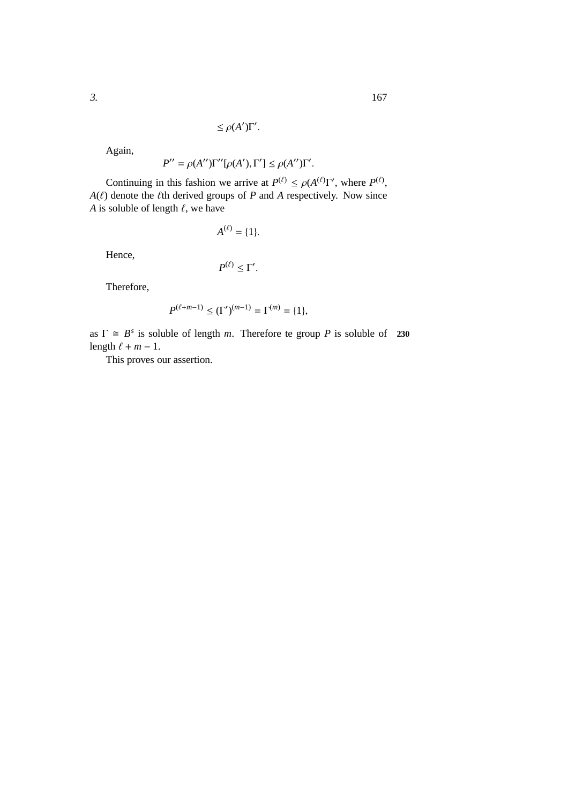$$
\leq \rho(A')\Gamma'.
$$

Again,

$$
P'' = \rho(A'')\Gamma''[\rho(A'), \Gamma'] \le \rho(A'')\Gamma'.
$$

Continuing in this fashion we arrive at  $P^{(\ell)} \le \rho(A^{(\ell)}\Gamma')$ , where  $P^{(\ell)}$ ,  $A(\ell)$  denote the  $\ell$ th derived groups of *P* and *A* respectively. Now since *A* is soluble of length  $\ell$ , we have

Hence,

$$
P^{(\ell)} \leq \Gamma'.
$$

 $A^{(\ell)} = \{1\}.$ 

Therefore,

$$
P^{(\ell+m-1)} \leq (\Gamma')^{(m-1)} = \Gamma^{(m)} = \{1\},\
$$

as  $\Gamma \cong B^s$  is soluble of length *m*. Therefore te group *P* is soluble of 230 length  $\ell + m - 1$ .

This proves our assertion.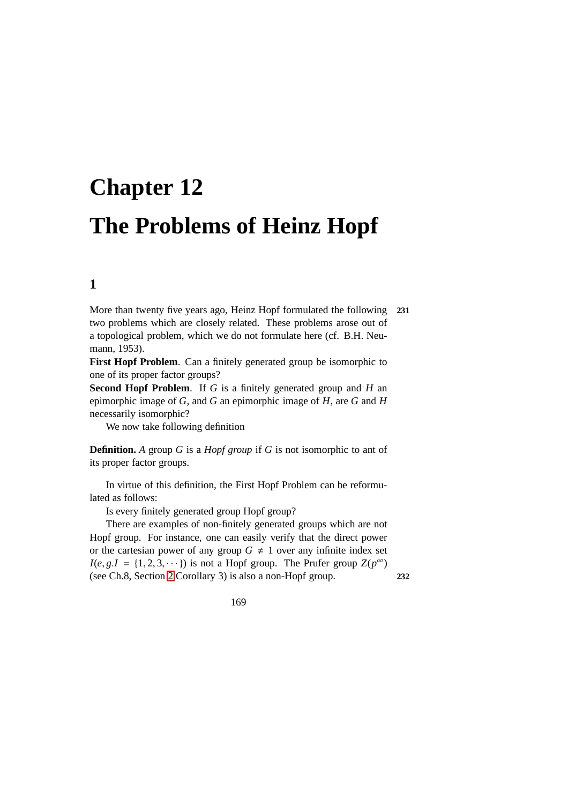# **Chapter 12 The Problems of Heinz Hopf**

## **1**

More than twenty five years ago, Heinz Hopf formulated the following **231** two problems which are closely related. These problems arose out of a topological problem, which we do not formulate here (cf. B.H. Neumann, 1953).

First Hopf Problem. Can a finitely generated group be isomorphic to one of its proper factor groups?

**Second Hopf Problem**. If *G* is a finitely generated group and *H* an epimorphic image of *G*, and *G* an epimorphic image of *H*, are *G* and *H* necessarily isomorphic?

We now take following definition

**Definition.** *A* group *G* is a *Hopf group* if *G* is not isomorphic to ant of its proper factor groups.

In virtue of this definition, the First Hopf Problem can be reformulated as follows:

Is every finitely generated group Hopf group?

There are examples of non-finitely generated groups which are not Hopf group. For instance, one can easily verify that the direct power or the cartesian power of any group  $G \neq 1$  over any infinite index set  $I(e, g.I = \{1, 2, 3, \cdots\})$  is not a Hopf group. The Prufer group  $Z(p^{\infty})$ (see Ch.8, Section [2](#page-113-0) Corollary 3) is also a non-Hopf group. **232**

169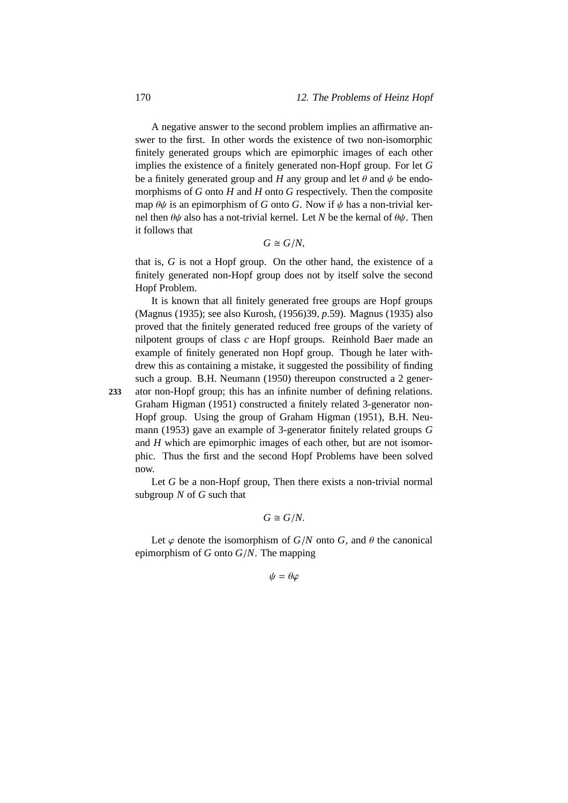A negative answer to the second problem implies an affirmative answer to the first. In other words the existence of two non-isomorphic finitely generated groups which are epimorphic images of each other implies the existence of a finitely generated non-Hopf group. For let *G* be a finitely generated group and *H* any group and let  $\theta$  and  $\psi$  be endomorphisms of *G* onto *H* and *H* onto *G* respectively. Then the composite map  $\theta \psi$  is an epimorphism of *G* onto *G*. Now if  $\psi$  has a non-trivial kernel then  $\theta\psi$  also has a not-trivial kernel. Let *N* be the kernal of  $\theta\psi$ . Then it follows that

$$
G\cong G/N,
$$

that is, *G* is not a Hopf group. On the other hand, the existence of a finitely generated non-Hopf group does not by itself solve the second Hopf Problem.

It is known that all finitely generated free groups are Hopf groups (Magnus (1935); see also Kurosh, (1956)39, *p*.59). Magnus (1935) also proved that the finitely generated reduced free groups of the variety of nilpotent groups of class *c* are Hopf groups. Reinhold Baer made an example of finitely generated non Hopf group. Though he later withdrew this as containing a mistake, it suggested the possibility of finding such a group. B.H. Neumann (1950) thereupon constructed a 2 gener-

**233** ator non-Hopf group; this has an infinite number of defining relations. Graham Higman (1951) constructed a finitely related 3-generator non-Hopf group. Using the group of Graham Higman (1951), B.H. Neumann (1953) gave an example of 3-generator finitely related groups *G* and *H* which are epimorphic images of each other, but are not isomorphic. Thus the first and the second Hopf Problems have been solved now.

Let *G* be a non-Hopf group, Then there exists a non-trivial normal subgroup *N* of *G* such that

$$
G\cong G/N.
$$

Let  $\varphi$  denote the isomorphism of  $G/N$  onto  $G$ , and  $\theta$  the canonical epimorphism of *G* onto *G*/*N*. The mapping

 $\psi = \theta \omega$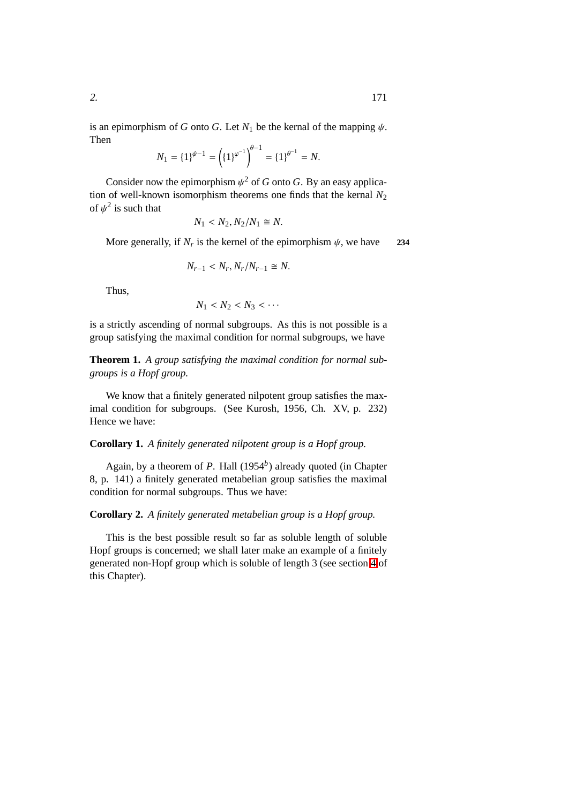is an epimorphism of *G* onto *G*. Let  $N_1$  be the kernal of the mapping  $\psi$ . Then

$$
N_1 = \{1\}^{\psi - 1} = \left(\{1\}^{\varphi^{-1}}\right)^{\theta - 1} = \{1\}^{\theta^{-1}} = N.
$$

Consider now the epimorphism  $\psi^2$  of *G* onto *G*. By an easy application of well-known isomorphism theorems one finds that the kernal  $N_2$ of  $\psi^2$  is such that

$$
N_1 < N_2, N_2/N_1 \cong N.
$$

More generally, if  $N_r$  is the kernel of the epimorphism  $\psi$ , we have 234

$$
N_{r-1} < N_r, N_r / N_{r-1} \cong N.
$$

Thus,

$$
N_1 < N_2 < N_3 < \cdots
$$

<span id="page-178-0"></span>is a strictly ascending of normal subgroups. As this is not possible is a group satisfying the maximal condition for normal subgroups, we have

**Theorem 1.** *A group satisfying the maximal condition for normal subgroups is a Hopf group.*

We know that a finitely generated nilpotent group satisfies the maximal condition for subgroups. (See Kurosh, 1956, Ch. XV, p. 232) Hence we have:

#### **Corollary 1.** *A finitely generated nilpotent group is a Hopf group.*

Again, by a theorem of *P*. Hall (1954*<sup>b</sup>* ) already quoted (in Chapter 8, p. 141) a finitely generated metabelian group satisfies the maximal condition for normal subgroups. Thus we have:

#### **Corollary 2.** *A finitely generated metabelian group is a Hopf group.*

This is the best possible result so far as soluble length of soluble Hopf groups is concerned; we shall later make an example of a finitely generated non-Hopf group which is soluble of length 3 (see section [4](#page-186-0) of this Chapter).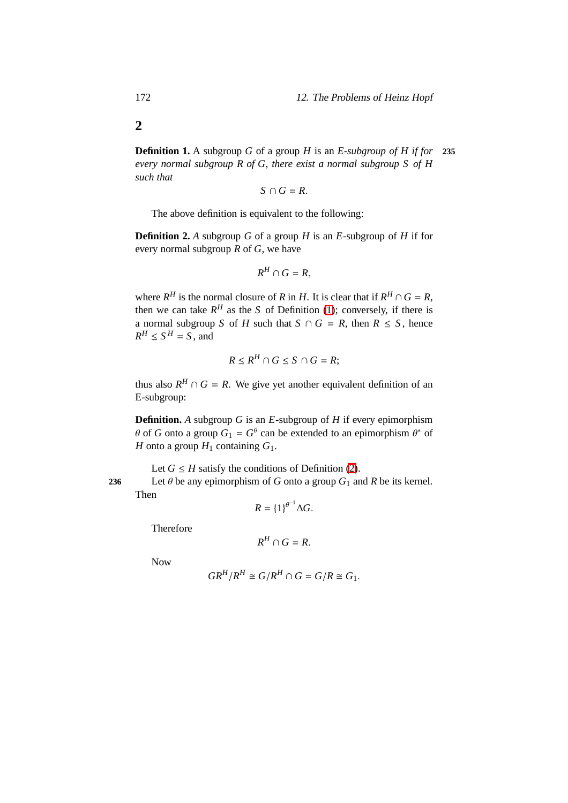**Definition 1.** A subgroup *G* of a group *H* is an *E-subgroup of H if for* **235** *every normal subgroup R of G, there exist a normal subgroup S of H such that*

$$
S\cap G=R.
$$

The above definition is equivalent to the following:

<span id="page-179-1"></span>**Definition 2.** *A* subgroup *G* of a group *H* is an *E*-subgroup of *H* if for every normal subgroup *R* of *G*, we have

$$
R^H \cap G = R,
$$

where  $R^H$  is the normal closure of *R* in *H*. It is clear that if  $R^H \cap G = R$ , then we can take  $R^H$  as the *S* of Definition [\(1\)](#page-179-0); conversely, if there is a normal subgroup *S* of *H* such that  $S \cap G = R$ , then  $R \leq S$ , hence  $R^H \le S^H = S$ , and

$$
R \le R^H \cap G \le S \cap G = R;
$$

thus also  $R^H \cap G = R$ . We give yet another equivalent definition of an E-subgroup:

**Definition.** *A* subgroup *G* is an *E*-subgroup of *H* if every epimorphism  $\theta$  of *G* onto a group  $G_1 = G^{\theta}$  can be extended to an epimorphism  $\theta^*$  of *H* onto a group  $H_1$  containing  $G_1$ .

Let  $G \leq H$  satisfy the conditions of Definition [\(2\)](#page-179-1). **236** Let  $\theta$  be any epimorphism of *G* onto a group  $G_1$  and *R* be its kernel.

Then

$$
R = \{1\}^{\theta^{-1}} \Delta G.
$$

Therefore

$$
R^H \cap G = R.
$$

Now

$$
GR^H/R^H \cong G/R^H \cap G = G/R \cong G_1.
$$

<span id="page-179-0"></span>**2**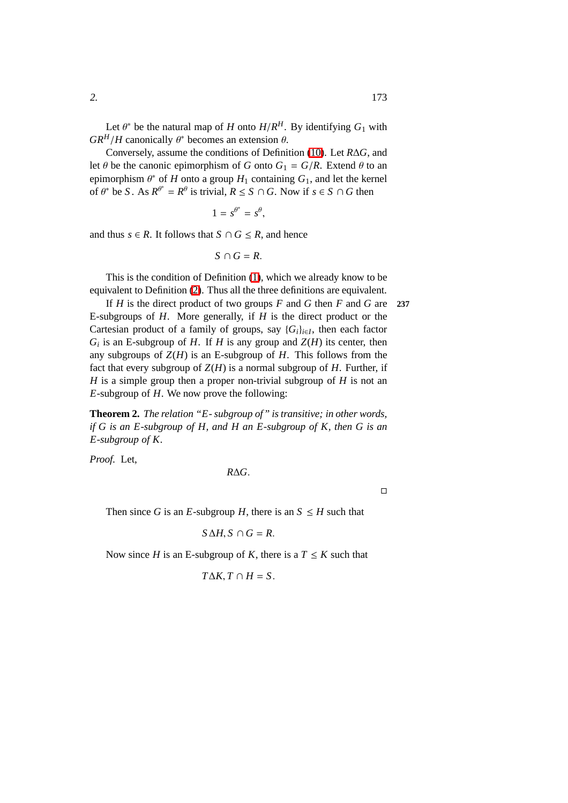Conversely, assume the conditions of Definition [\(10\)](#page-179-0). Let *R*∆*G*, and let  $\theta$  be the canonic epimorphism of *G* onto  $G_1 = G/R$ . Extend  $\theta$  to an epimorphism  $\theta^*$  of *H* onto a group  $H_1$  containing  $G_1$ , and let the kernel of  $\theta^*$  be *S*. As  $R^{\theta^*} = R^{\theta}$  is trivial,  $R \le S \cap G$ . Now if  $s \in S \cap G$  then

$$
1 = s^{\theta^*} = s^{\theta},
$$

and thus  $s \in R$ . It follows that  $S \cap G \leq R$ , and hence

 $S \cap G = R$ .

This is the condition of Definition [\(1\)](#page-179-1), which we already know to be equivalent to Definition [\(2\)](#page-179-2). Thus all the three definitions are equivalent.

If *H* is the direct product of two groups *F* and *G* then *F* and *G* are **237** E-subgroups of *H*. More generally, if *H* is the direct product or the Cartesian product of a family of groups, say  ${G_i}_{i \in I}$ , then each factor  $G_i$  is an E-subgroup of *H*. If *H* is any group and  $Z(H)$  its center, then any subgroups of  $Z(H)$  is an E-subgroup of *H*. This follows from the fact that every subgroup of  $Z(H)$  is a normal subgroup of *H*. Further, if *H* is a simple group then a proper non-trivial subgroup of *H* is not an *E*-subgroup of *H*. We now prove the following:

**Theorem 2.** *The relation "E- subgroup of" is transitive; in other words, if G is an E-subgroup of H, and H an E-subgroup of K, then G is an E-subgroup of K.*

*Proof.* Let,

$$
R\Delta G.
$$

 $\Box$ 

Then since *G* is an *E*-subgroup *H*, there is an  $S \leq H$  such that

$$
S \Delta H, S \cap G = R.
$$

Now since *H* is an E-subgroup of *K*, there is a  $T \leq K$  such that

$$
T\Delta K, T\cap H=S.
$$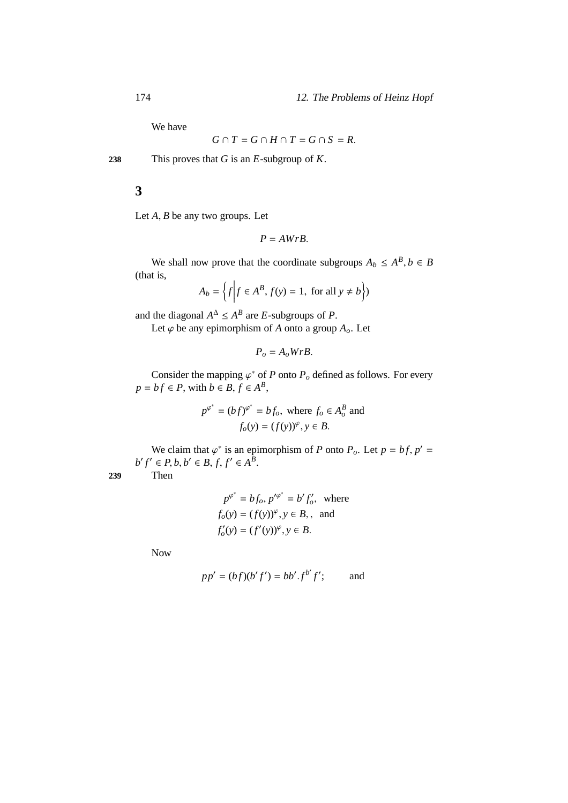We have

$$
G \cap T = G \cap H \cap T = G \cap S = R.
$$

**238** This proves that *G* is an *E*-subgroup of *K*.

**3**

Let *A*, *B* be any two groups. Let

$$
P = AWrB.
$$

We shall now prove that the coordinate subgroups  $A_b \le A^B$ ,  $b \in B$ (that is,

$$
A_b = \left\{ f \middle| f \in A^B, f(y) = 1, \text{ for all } y \neq b \right\}
$$

and the diagonal  $A^{\Delta} \le A^B$  are *E*-subgroups of *P*.

Let  $\varphi$  be any epimorphism of *A* onto a group  $A_0$ . Let

$$
P_o = A_o W r B.
$$

Consider the mapping  $\varphi^*$  of *P* onto  $P_o$  defined as follows. For every  $p = bf \in P$ , with  $b \in B, f \in A^B$ ,

$$
p^{\varphi^*} = (bf)^{\varphi^*} = bf_o, \text{ where } f_o \in A_o^B \text{ and}
$$

$$
f_o(y) = (f(y))^{\varphi}, y \in B.
$$

We claim that  $\varphi^*$  is an epimorphism of *P* onto  $P_o$ . Let  $p = bf$ ,  $p' =$  $b' f' \in P, b, b' \in B, f, f' \in A^B$ .

**239** Then

$$
p^{\varphi^*} = bf_o, p'^{\varphi^*} = b' f'_o, \text{ where}
$$
  
\n
$$
f_o(y) = (f(y))^{\varphi}, y \in B, \text{ and}
$$
  
\n
$$
f'_o(y) = (f'(y))^{\varphi}, y \in B.
$$

Now

$$
pp' = (bf)(b'f') = bb'.f^{b'}f'; \qquad \text{and}
$$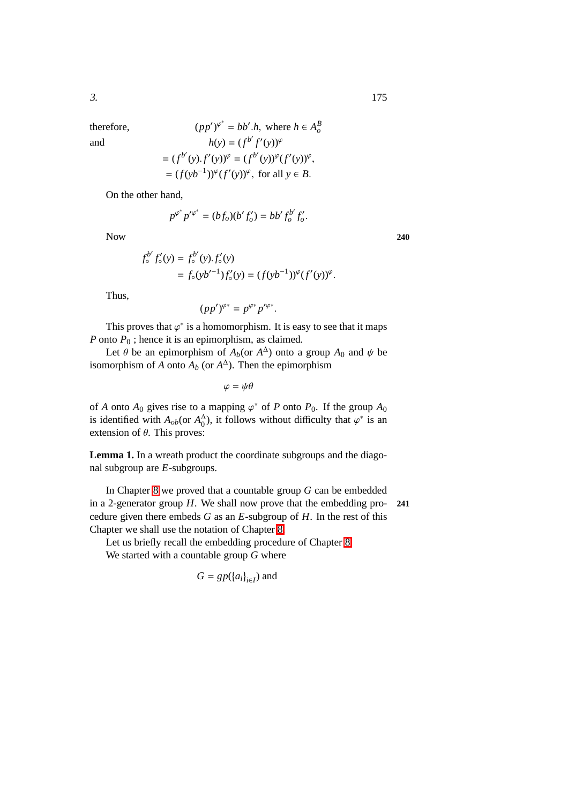therefore.

therefore,  
\n
$$
(pp')^{\varphi^*} = bb'.h, \text{ where } h \in A_o^B
$$
\nand  
\n
$$
h(y) = (f^{b'} f'(y))^{\varphi}
$$
\n
$$
= (f^{b'} (y).f'(y))^{\varphi} = (f^{b'} (y))^{\varphi} (f'(y))^{\varphi},
$$
\n
$$
= (f(yb^{-1}))^{\varphi} (f'(y))^{\varphi}, \text{ for all } y \in B.
$$

On the other hand,

$$
p^{\varphi^*} p'^{\varphi^*} = (bf_o)(b' f'_o) = bb' f_o^{b'} f'_o.
$$

Now 240

$$
f_o^{b'} f_o'(y) = f_o^{b'}(y) \cdot f_o'(y)
$$
  
=  $f_o(yb'^{-1})f_o'(y) = (f(yb^{-1}))^{\varphi}(f'(y))^{\varphi}$ .

Thus,

$$
(pp')^{\varphi*} = p^{\varphi*}p'^{\varphi*}.
$$

This proves that  $\varphi^*$  is a homomorphism. It is easy to see that it maps *P* onto *P*<sub>0</sub>; hence it is an epimorphism, as claimed.

Let  $\theta$  be an epimorphism of  $A_b$ (or  $A^{\Delta}$ ) onto a group  $A_0$  and  $\psi$  be isomorphism of  $\overrightarrow{A}$  onto  $\overrightarrow{A}_b$  (or  $A^{\Delta}$ ). Then the epimorphism

 $\varphi = \psi \theta$ 

of *A* onto  $A_0$  gives rise to a mapping  $\varphi^*$  of *P* onto  $P_0$ . If the group  $A_0$ is identified with  $A_{ob}$ (or  $A_0^{\Delta}$ )  $\phi$ <sup>1</sup>), it follows without difficulty that  $\varphi^*$  is an extension of  $\theta$ . This proves:

<span id="page-182-0"></span>**Lemma 1.** In a wreath product the coordinate subgroups and the diagonal subgroup are *E*-subgroups.

In Chapter [8](#page-110-0) we proved that a countable group *G* can be embedded in a 2-generator group *H*. We shall now prove that the embedding pro- **241** cedure given there embeds *G* as an *E*-subgroup of *H*. In the rest of this Chapter we shall use the notation of Chapter [8.](#page-110-0)

Let us briefly recall the embedding procedure of Chapter [8.](#page-110-0) We started with a countable group *G* where

$$
G = gp(\{a_i\}_{i \in I})
$$
 and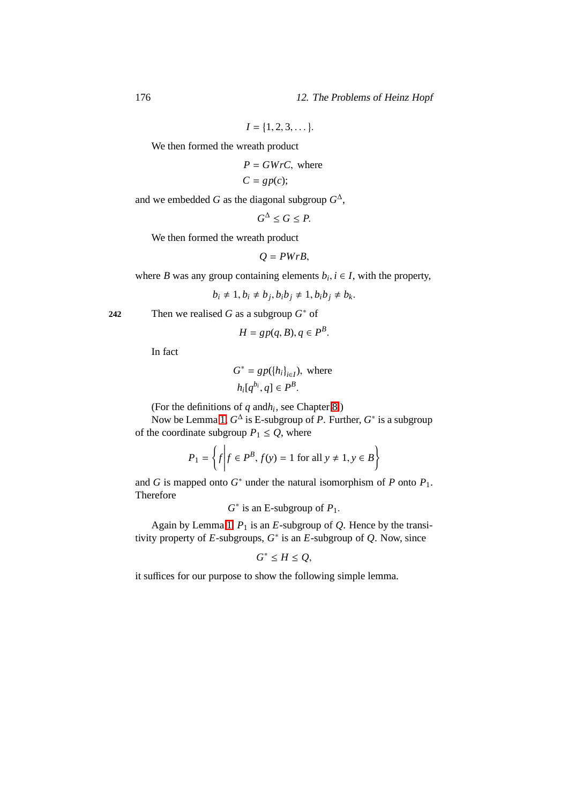176 12. The Problems of Heinz Hopf

$$
I = \{1, 2, 3, \dots\}.
$$

We then formed the wreath product

$$
P = GWrC, \text{ where}
$$

$$
C=gp(c);
$$

and we embedded *G* as the diagonal subgroup  $G^{\Delta}$ ,

$$
G^{\Delta} \leq G \leq P.
$$

We then formed the wreath product

$$
Q = PWrB,
$$

where *B* was any group containing elements  $b_i, i \in I$ , with the property,

$$
b_i \neq 1, b_i \neq b_j, b_i b_j \neq 1, b_i b_j \neq b_k.
$$

**242** Then we realised *G* as a subgroup  $G^*$  of

$$
H = gp(q, B), q \in P^B.
$$

In fact

$$
G^* = gp(\{h_i\}_{i \in I}), \text{ where}
$$

$$
h_i[q^{b_i}, q] \in P^B.
$$

(For the definitions of  $q$  and  $h_i$ , see Chapter [8.](#page-110-0))

Now be Lemma [1,](#page-182-0)  $G^{\Delta}$  is E-subgroup of *P*. Further,  $G^*$  is a subgroup of the coordinate subgroup  $P_1 \leq Q$ , where

$$
P_1 = \left\{ f \middle| f \in P^B, f(y) = 1 \text{ for all } y \neq 1, y \in B \right\}
$$

and *G* is mapped onto  $G^*$  under the natural isomorphism of *P* onto  $P_1$ . Therefore

 $G^*$  is an E-subgroup of  $P_1$ .

Again by Lemma [1,](#page-182-0)  $P_1$  is an *E*-subgroup of *Q*. Hence by the transitivity property of  $E$ -subgroups,  $G^*$  is an  $E$ -subgroup of  $Q$ . Now, since

$$
G^* \le H \le Q,
$$

<span id="page-183-0"></span>it suffices for our purpose to show the following simple lemma.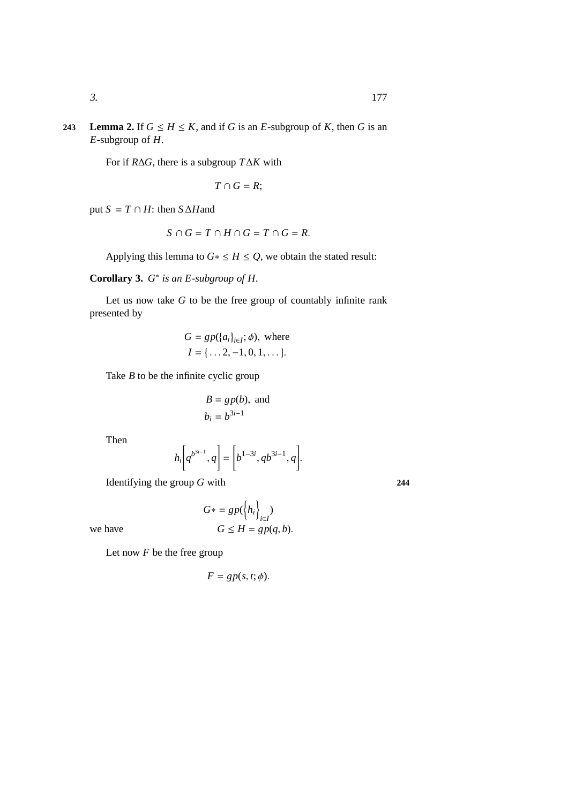**243 Lemma 2.** If  $G \leq H \leq K$ , and if *G* is an *E*-subgroup of *K*, then *G* is an *E*-subgroup of *H*.

For if *R*∆*G*, there is a subgroup *T*∆*K* with

$$
T\cap G=R;
$$

put  $S = T \cap H$ : then  $S \triangle H$ and

$$
S \cap G = T \cap H \cap G = T \cap G = R.
$$

Applying this lemma to  $G^* \leq H \leq Q$ , we obtain the stated result:

**Corollary 3.** *G* ∗ *is an E-subgroup of H.*

Let us now take *G* to be the free group of countably infinite rank presented by

$$
G = gp({a_i}_{i \in I}; \phi), \text{ where}
$$
  

$$
I = {\ldots 2, -1, 0, 1, \ldots}.
$$

Take *B* to be the infinite cyclic group

$$
B = gp(b), \text{ and}
$$

$$
b_i = b^{3i-1}
$$

Then

$$
h_i\bigg[q^{b^{3i-1}},q\bigg] = \bigg[b^{1-3i},qb^{3i-1},q\bigg].
$$

Identifying the group *G* with **244**

$$
G* = gp(\left\{h_i\right\}_{i \in I})
$$
  
we have 
$$
G \le H = gp(q, b).
$$

Let now *F* be the free group

$$
F = gp(s, t; \phi).
$$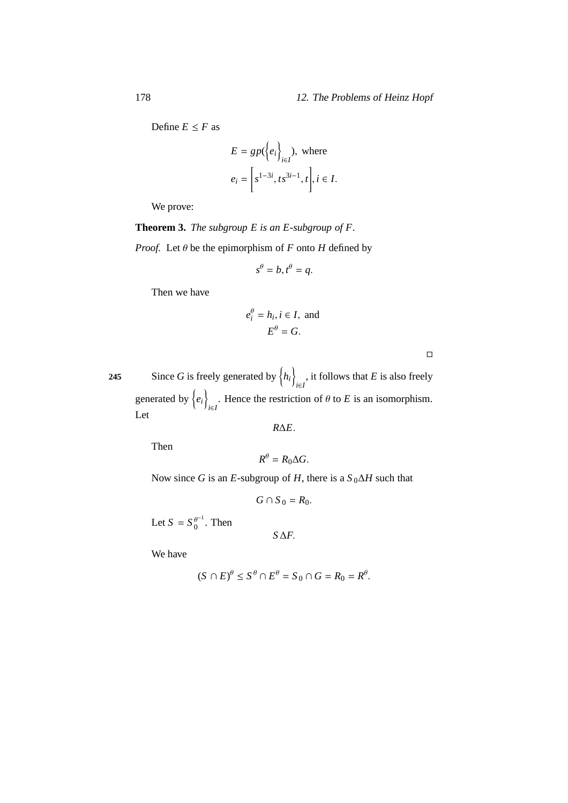### 178 12. The Problems of Heinz Hopf

Define  $E \leq F$  as

$$
E = gp(\{e_i\}_{i \in I}), \text{ where}
$$

$$
e_i = \left[s^{1-3i}, ts^{3i-1}, t\right], i \in I.
$$

We prove:

<span id="page-185-0"></span>**Theorem 3.** *The subgroup E is an E-subgroup of F. Proof.* Let  $\theta$  be the epimorphism of *F* onto *H* defined by

$$
s^{\theta} = b, t^{\theta} = q.
$$

Then we have

$$
e_i^{\theta} = h_i, i \in I, \text{ and}
$$

$$
E^{\theta} = G.
$$

Since *G* is freely generated by  $\{h_i\}$ 245 Since *G* is freely generated by  $\langle h_i \rangle_{i \in I}$ , it follows that *E* is also freely generated by  $\{e_i\}$ . Hence the restriction of  $\theta$  to *E* is an isomorphism. Let

*R*∆*E*.

Then

$$
R^{\theta}=R_0\Delta G.
$$

Now since *G* is an *E*-subgroup of *H*, there is a  $S_0 \Delta H$  such that

*G* ∩ *S*<sub>0</sub> =  $R_0$ .

Let  $S = S_0^{\theta^{-1}}$  $\int_0^{\theta^{-1}}$ . Then

*S*∆*F*.

We have

$$
(S \cap E)^{\theta} \le S^{\theta} \cap E^{\theta} = S_0 \cap G = R_0 = R^{\theta}.
$$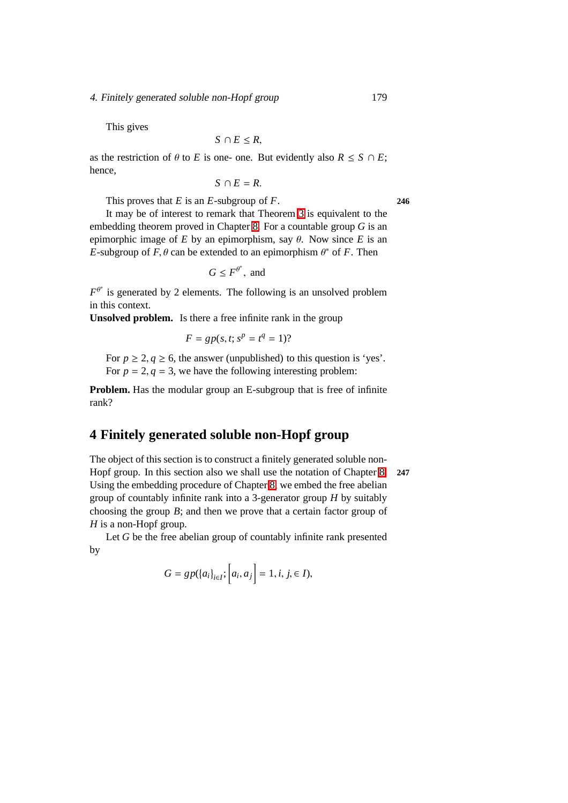#### 4. Finitely generated soluble non-Hopf group 179

This gives

$$
S\cap E\leq R,
$$

as the restriction of  $\theta$  to *E* is one- one. But evidently also  $R \leq S \cap E$ ; hence,

 $S \cap E = R$ .

This proves that *E* is an *E*-subgroup of *F*. **246**

It may be of interest to remark that Theorem [3](#page-185-0) is equivalent to the embedding theorem proved in Chapter [8.](#page-110-0) For a countable group *G* is an epimorphic image of  $E$  by an epimorphism, say  $\theta$ . Now since  $E$  is an *E*-subgroup of  $F$ ,  $\theta$  can be extended to an epimorphism  $\theta^*$  of  $F$ . Then

 $G \leq F^{\theta^*}$ , and

 $F^{\theta^*}$  is generated by 2 elements. The following is an unsolved problem in this context.

**Unsolved problem.** Is there a free infinite rank in the group

$$
F = gp(s, t; s^p = t^q = 1)?
$$

For  $p \ge 2, q \ge 6$ , the answer (unpublished) to this question is 'yes'. For  $p = 2$ ,  $q = 3$ , we have the following interesting problem:

**Problem.** Has the modular group an E-subgroup that is free of infinite rank?

## **4 Finitely generated soluble non-Hopf group**

The object of this section is to construct a finitely generated soluble non-Hopf group. In this section also we shall use the notation of Chapter [8.](#page-110-0) **247** Using the embedding procedure of Chapter [8,](#page-110-0) we embed the free abelian group of countably infinite rank into a 3-generator group *H* by suitably choosing the group *B*; and then we prove that a certain factor group of *H* is a non-Hopf group.

Let *G* be the free abelian group of countably infinite rank presented by

$$
G = gp({a_i}_{i \in I}; [a_i, a_j] = 1, i, j, \in I),
$$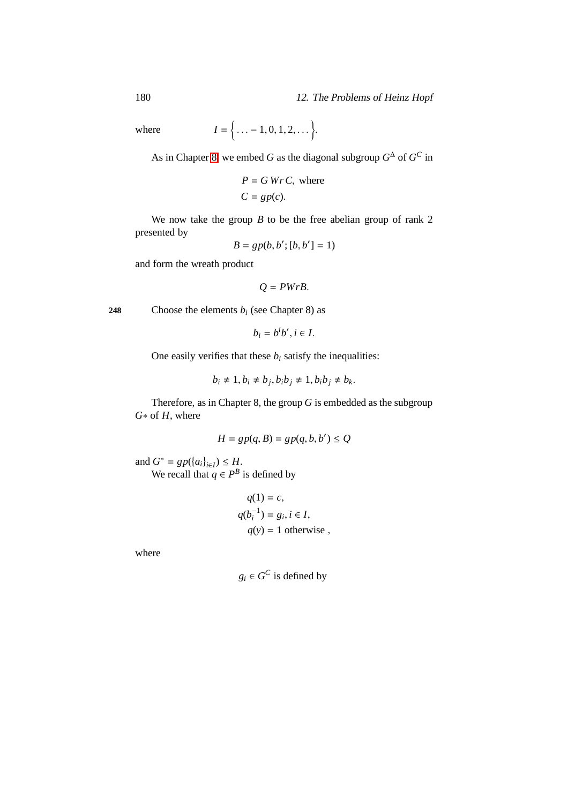180 12. The Problems of Heinz Hopf

 $where$ 

 $\{\ldots -1, 0, 1, 2, \ldots\}.$ 

As in Chapter [8,](#page-110-0) we embed *G* as the diagonal subgroup  $G^{\Delta}$  of  $G^C$  in

$$
P = G \, Wr \, C, \text{ where } C = gp(c).
$$

We now take the group *B* to be the free abelian group of rank 2 presented by

$$
B = gp(b, b'; [b, b'] = 1)
$$

and form the wreath product

$$
Q=PWrB.
$$

**248** Choose the elements  $b_i$  (see Chapter 8) as

$$
b_i=b^ib', i\in I.
$$

One easily verifies that these  $b_i$  satisfy the inequalities:

$$
b_i \neq 1, b_i \neq b_j, b_i b_j \neq 1, b_i b_j \neq b_k
$$

Therefore, as in Chapter 8, the group *G* is embedded as the subgroup *G*∗ of *H*, where

$$
H = gp(q, B) = gp(q, b, b') \le Q
$$

and  $G^* = gp(\{a_i\}_{i \in I}) \le H$ . We recall that  $q \in P^B$  is defined by

$$
q(1) = c,
$$
  
\n
$$
q(b_i^{-1}) = g_i, i \in I,
$$
  
\n
$$
q(y) = 1 \text{ otherwise,}
$$

where

$$
g_i \in G^C
$$
 is defined by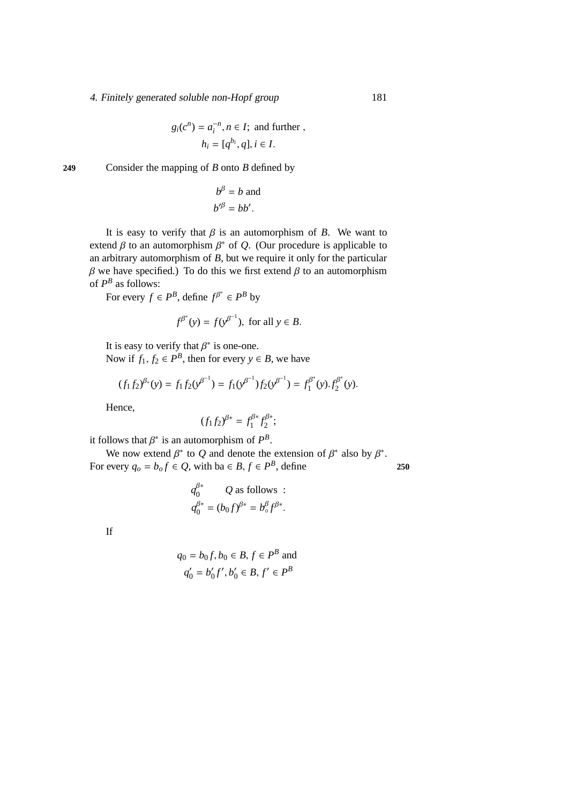### 4. Finitely generated soluble non-Hopf group 181

$$
g_i(c^n) = a_i^{-n}, n \in I
$$
; and further,  
 $h_i = [q^{b_i}, q], i \in I$ .

249 Consider the mapping of 
$$
B
$$
 onto  $B$  defined by

$$
b^{\beta} = b \text{ and}
$$
  

$$
b'^{\beta} = bb'.
$$

It is easy to verify that  $\beta$  is an automorphism of *B*. We want to extend  $\beta$  to an automorphism  $\beta^*$  of  $Q$ . (Our procedure is applicable to an arbitrary automorphism of *B*, but we require it only for the particular  $β$  we have specified.) To do this we first extend  $β$  to an automorphism of  $P^B$  as follows:

For every  $f \in P^B$ , define  $f^{\beta^*} \in P^B$  by

$$
f^{\beta^*}(y) = f(y^{\beta^{-1}}), \text{ for all } y \in B.
$$

It is easy to verify that  $\beta^*$  is one-one. Now if  $f_1, f_2 \in P^B$ , then for every  $y \in B$ , we have

$$
(f_1f_2)^{\beta*}(y) = f_1f_2(y^{\beta^{-1}}) = f_1(y^{\beta^{-1}})f_2(y^{\beta^{-1}}) = f_1^{\beta^*}(y).f_2^{\beta^*}(y).
$$

Hence,

$$
(f_1f_2)^{\beta*} = f_1^{\beta*}f_2^{\beta*};
$$

it follows that  $\beta^*$  is an automorphism of  $P^B$ .

We now extend  $\beta^*$  to Q and denote the extension of  $\beta^*$  also by  $\beta^*$ . For every  $q_o = b_o f \in Q$ , with ba  $\in B, f \in P^B$ , define 250

$$
q_0^{\beta^*} \qquad Q \text{ as follows :}
$$
  

$$
q_0^{\beta^*} = (b_0 f)^{\beta^*} = b_0^{\beta} f^{\beta^*}.
$$

If

$$
q_0 = b_0 f, b_0 \in B, f \in P^B
$$
 and  
 $q'_0 = b'_0 f', b'_0 \in B, f' \in P^B$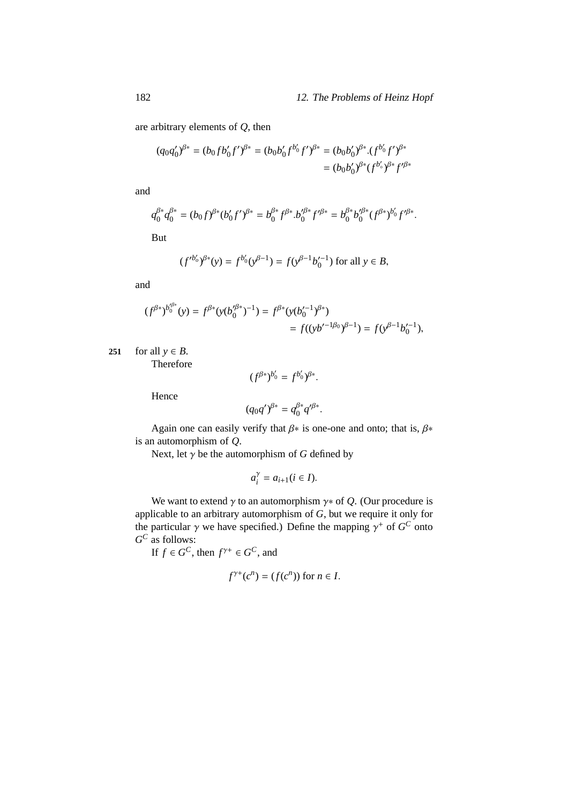.

are arbitrary elements of *Q*, then

$$
(q_0 q'_0)^{\beta^*} = (b_0 f b'_0 f')^{\beta^*} = (b_0 b'_0 f^{b'_0} f')^{\beta^*} = (b_0 b'_0)^{\beta^*} \cdot (f^{b'_0} f')^{\beta^*}
$$

$$
= (b_0 b'_0)^{\beta^*} (f^{b'_0})^{\beta^*} f'^{\beta^*}
$$

and

$$
q_0^{\beta*} q_0^{\beta*} = (b_0 f)^{\beta*} (b'_0 f')^{\beta*} = b_0^{\beta*} f^{\beta*} . b'_0^{\beta*} f'^{\beta*} = b_0^{\beta*} b'_0^{\beta*} (f^{\beta*})^{b'_0} f'^{\beta*}
$$

But

$$
(f'^{b'_0})^{\beta*}(y) = f^{b'_0}(y^{\beta-1}) = f(y^{\beta-1}b'_0{}^{-1})
$$
 for all  $y \in B$ ,

and

$$
\begin{aligned} (f^{\beta *})^{b_0'^{\beta *}}(y) &= f^{\beta *}(y(b_0'^{\beta *})^{-1}) = f^{\beta *}(y(b_0'^{-1})^{\beta *}) \\ &= f((yb'^{-1}\beta_0)^{\beta-1}) = f(y^{\beta-1}b_0'^{-1}), \end{aligned}
$$

**251** for all  $y \in B$ .

Therefore

$$
(f^{\beta*})^{b_0'} = f^{b_0'}\mathcal{S}^*.
$$

Hence

$$
(q_0 q')^{\beta*} = q_0^{\beta*} q'^{\beta*}.
$$

Again one can easily verify that  $\beta$ <sup>\*</sup> is one-one and onto; that is,  $\beta$ <sup>\*</sup> is an automorphism of *Q*.

Next, let  $\gamma$  be the automorphism of *G* defined by

$$
a_i^{\gamma} = a_{i+1} (i \in I).
$$

We want to extend  $\gamma$  to an automorphism  $\gamma *$  of  $Q$ . (Our procedure is applicable to an arbitrary automorphism of *G*, but we require it only for the particular  $\gamma$  we have specified.) Define the mapping  $\gamma^+$  of  $G^C$  onto *G <sup>C</sup>* as follows:

If  $f \in G^C$ , then  $f^{\gamma+} \in G^C$ , and

$$
f^{\gamma+}(c^n) = (f(c^n)) \text{ for } n \in I.
$$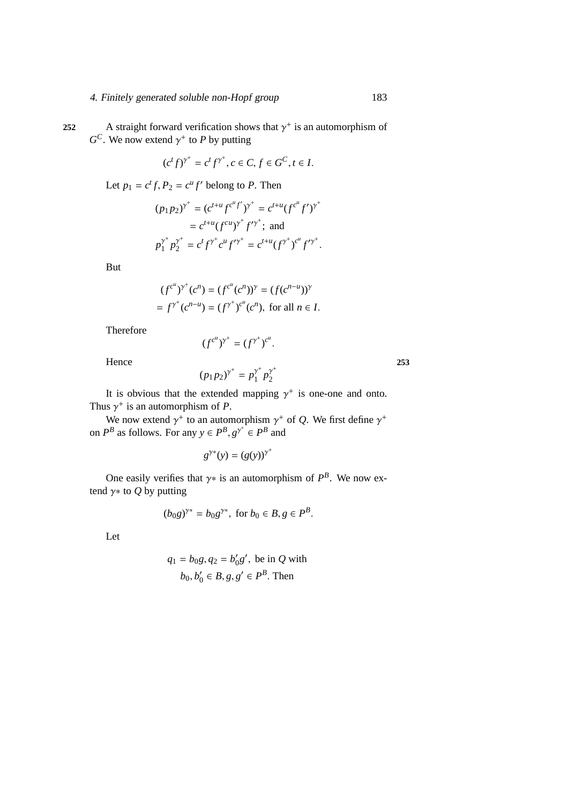252 A straight forward verification shows that  $\gamma^+$  is an automorphism of  $G^C$ . We now extend  $\gamma^+$  to *P* by putting

$$
(c^t f)^{\gamma^+} = c^t f^{\gamma^+}, c \in C, f \in G^C, t \in I.
$$

Let  $p_1 = c^t f$ ,  $P_2 = c^u f'$  belong to *P*. Then

$$
(p_1p_2)^{\gamma^+} = (c^{t+u} f^{c^u} f')^{\gamma^+} = c^{t+u} (f^{c^u} f')^{\gamma^+}
$$
  
=  $c^{t+u} (f^{cu})^{\gamma^+} f'^{\gamma^+};$  and  

$$
p_1^{\gamma^+} p_2^{\gamma^+} = c^t f^{\gamma^+} c^u f'^{\gamma^+} = c^{t+u} (f^{\gamma^+})^{c^u} f'^{\gamma^+}.
$$

But

$$
(f^{c^n})^{\gamma^+}(c^n) = (f^{c^n}(c^n))^{\gamma} = (f(c^{n-u}))^{\gamma}
$$
  
=  $f^{\gamma^+}(c^{n-u}) = (f^{\gamma^+})^{c^n}(c^n)$ , for all  $n \in I$ .

Therefore

$$
(f^{c^u})^{\gamma^+} = (f^{\gamma^+})^{c^u}
$$

.

Hence **253**

$$
(p_1p_2)^{\gamma^+} = p_1^{\gamma^+}p_2^{\gamma^+}
$$

It is obvious that the extended mapping  $\gamma^+$  is one-one and onto. Thus  $\gamma^+$  is an automorphism of *P*.

We now extend  $\gamma^+$  to an automorphism  $\gamma^+$  of Q. We first define  $\gamma^+$ on  $P^B$  as follows. For any  $y \in P^B$ ,  $g^{\gamma^*} \in P^B$  and

$$
g^{\gamma*}(y) = (g(y))^{\gamma^+}
$$

One easily verifies that  $\gamma$ <sup>\*</sup> is an automorphism of  $P^B$ . We now extend  $\gamma$ <sup>\*</sup> to *Q* by putting

$$
(b_0 g)^{\gamma*} = b_0 g^{\gamma*}, \text{ for } b_0 \in B, g \in P^B.
$$

Let

$$
q_1 = b_0g, q_2 = b'_0g',
$$
 be in Q with  
 $b_0, b'_0 \in B, g, g' \in P^B$ . Then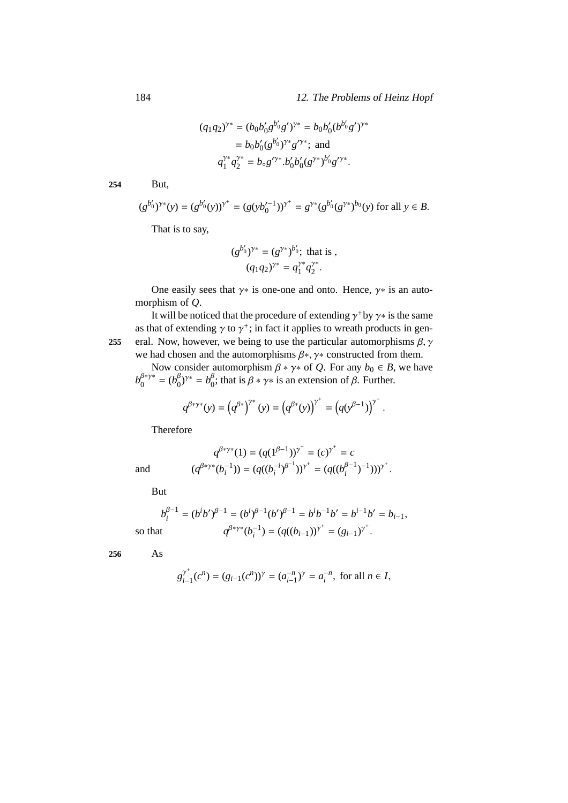$$
(q_1 q_2)^{\gamma^*} = (b_0 b'_0 g^{b'_0} g')^{\gamma^*} = b_0 b'_0 (b^{b'_0} g')^{\gamma^*}
$$
  
=  $b_0 b'_0 (g^{b'_0})^{\gamma^*} g'^{\gamma^*};$  and  

$$
q_1^{\gamma^*} q_2^{\gamma^*} = b_0 g'^{\gamma^*}. b'_0 b'_0 (g^{\gamma^*})^{b'_0} g'^{\gamma^*}.
$$

**254** But,

$$
(g^{b'_0})^{\gamma*}(y) = (g^{b'_0}(y))^{\gamma^+} = (g(yb_0'^{-1}))^{\gamma^+} = g^{\gamma*}(g^{b'_0}(g^{\gamma*})^{b_0}(y)) \text{ for all } y \in B.
$$

That is to say,

$$
(g^{b'_0})^{\gamma*} = (g^{\gamma*})^{b'_0}; \text{ that is },
$$

$$
(q_1q_2)^{\gamma*} = q_1^{\gamma*}q_2^{\gamma*}.
$$

One easily sees that  $\gamma *$  is one-one and onto. Hence,  $\gamma *$  is an automorphism of *Q*.

It will be noticed that the procedure of extending  $\gamma$ <sup>+</sup> by  $\gamma$ <sup>\*</sup> is the same as that of extending  $\gamma$  to  $\gamma^+$ ; in fact it applies to wreath products in gen-**255** eral. Now, however, we being to use the particular automorphisms  $\beta$ ,  $\gamma$ we had chosen and the automorphisms  $\beta^*$ ,  $\gamma^*$  constructed from them.

Now consider automorphism  $\beta * \gamma *$  of *Q*. For any  $b_0 \in B$ , we have *b* β∗γ∗  $b_0^{\beta*\gamma*} = (b_0^\beta)$  $b_0^{\beta}$ )<sup>γ∗</sup> =  $b_0^{\beta}$  $\int_0^\beta$ ; that is  $\beta * \gamma *$  is an extension of  $\beta$ . Further.

$$
q^{\beta^* y^*}(y) = (q^{\beta^*})^{\gamma^*}(y) = (q^{\beta^*}(y))^{\gamma^*} = (q(y^{\beta-1}))^{\gamma^*}.
$$

Therefore

$$
q^{\beta*\gamma*}(1) = (q(1^{\beta-1}))^{\gamma^+} = (c)^{\gamma^+} = c
$$
  

$$
(q^{\beta*\gamma*}(b_i^{-1})) = (q((b_i^{-i})^{\beta^{-1}}))^{\gamma^+} = (q((b_i^{\beta-1})^{-1})))^{\gamma^+}.
$$

But

and (*q*

$$
b_i^{\beta-1} = (b^i b')^{\beta-1} = (b^i)^{\beta-1} (b')^{\beta-1} = b^i b^{-1} b' = b^{i-1} b' = b_{i-1},
$$
  
so that 
$$
q^{\beta * \gamma *}(b_i^{-1}) = (q((b_{i-1}))^{\gamma^+} = (g_{i-1})^{\gamma^+}.
$$

**256** As

$$
g_{i-1}^{\gamma^+}(c^n) = (g_{i-1}(c^n))^{\gamma} = (a_{i-1}^{-n})^{\gamma} = a_i^{-n}, \text{ for all } n \in I,
$$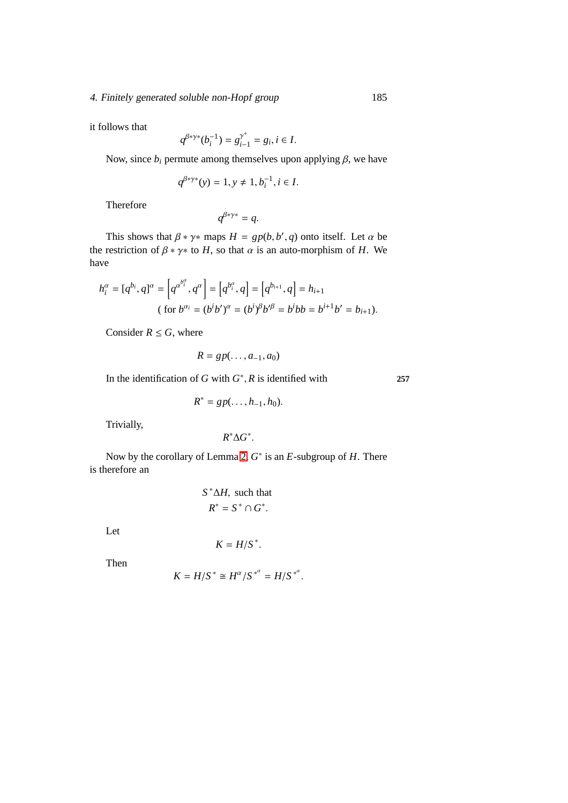### 4. Finitely generated soluble non-Hopf group 185

it follows that

$$
q^{\beta*\gamma*}(b_i^{-1})=g_{i-1}^{\gamma^+}=g_i, i\in I.
$$

Now, since  $b_i$  permute among themselves upon applying  $\beta$ , we have

$$
q^{\beta*\gamma*}(y) = 1, y \neq 1, b_i^{-1}, i \in I.
$$

Therefore

$$
q^{\beta*\gamma*}=q.
$$

This shows that  $\beta * \gamma *$  maps  $H = gp(b, b', q)$  onto itself. Let  $\alpha$  be the restriction of  $\beta * \gamma *$  to *H*, so that  $\alpha$  is an auto-morphism of *H*. We have

$$
h_i^{\alpha} = [q^{b_i}, q]^{\alpha} = \left[q^{\alpha^{b_i^{\alpha}}}, q^{\alpha}\right] = \left[q^{b_i^{\alpha}}, q\right] = \left[q^{b_{i+1}}, q\right] = h_{i+1}
$$
\n(for  $b^{\alpha_i} = (b^i b')^{\alpha} = (b^i)^{\beta} b'^{\beta} = b^i b b = b^{i+1} b' = b_{i+1}$ ).

Consider  $R \leq G$ , where

$$
R = gp(\ldots, a_{-1}, a_0)
$$

In the identification of *G* with  $G^*$ , *R* is identified with **257** 

$$
R^* = gp(\ldots, h_{-1}, h_0).
$$

Trivially,

$$
R^*\Delta G^*.
$$

Now by the corollary of Lemma [2,](#page-183-0) *G* ∗ is an *E*-subgroup of *H*. There is therefore an

$$
S^*\Delta H
$$
, such that  
 $R^* = S^* \cap G^*$ .

Let

$$
K = H/S^*.
$$

Then

$$
K = H/S^* \cong H^{\alpha}/S^{*^{\alpha}} = H/S^{*^{\alpha}}.
$$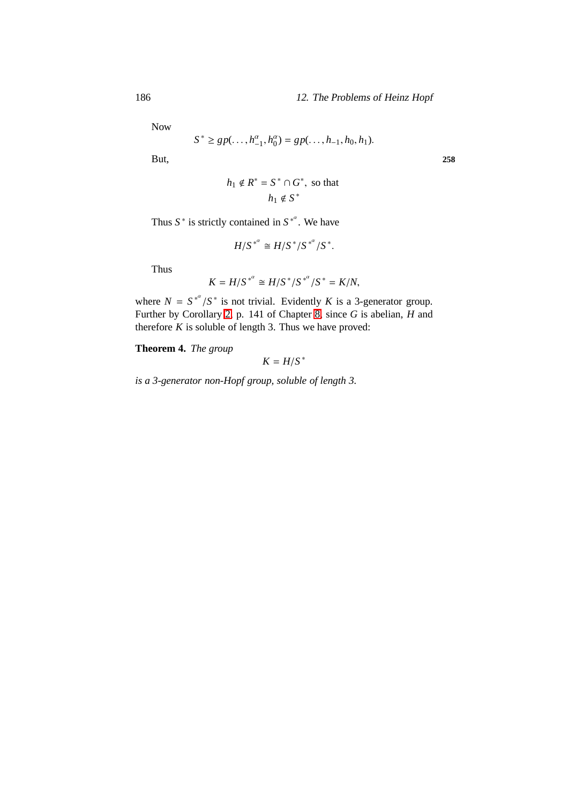Now

$$
S^* \ge gp(\ldots, h_{-1}^{\alpha}, h_0^{\alpha}) = gp(\ldots, h_{-1}, h_0, h_1).
$$

But, **258**

$$
h_1 \notin R^* = S^* \cap G^*, \text{ so that}
$$

$$
h_1 \notin S^*
$$

Thus  $S^*$  is strictly contained in  $S^{*^{\alpha}}$ . We have

$$
H/S^{*^{\alpha}} \cong H/S^*/S^{*^{\alpha}}/S^*.
$$

Thus

$$
K = H/S^{*^{\alpha}} \cong H/S^{*}/S^{*^{\alpha}}/S^{*} = K/N,
$$

where  $N = S^{*^{\alpha}}/S^*$  is not trivial. Evidently *K* is a 3-generator group. Further by Corollary [2,](#page-178-0) p. 141 of Chapter [8,](#page-110-0) since *G* is abelian, *H* and therefore  $K$  is soluble of length 3. Thus we have proved:

**Theorem 4.** *The group*

 $K = H/S^*$ 

*is a 3-generator non-Hopf group, soluble of length 3.*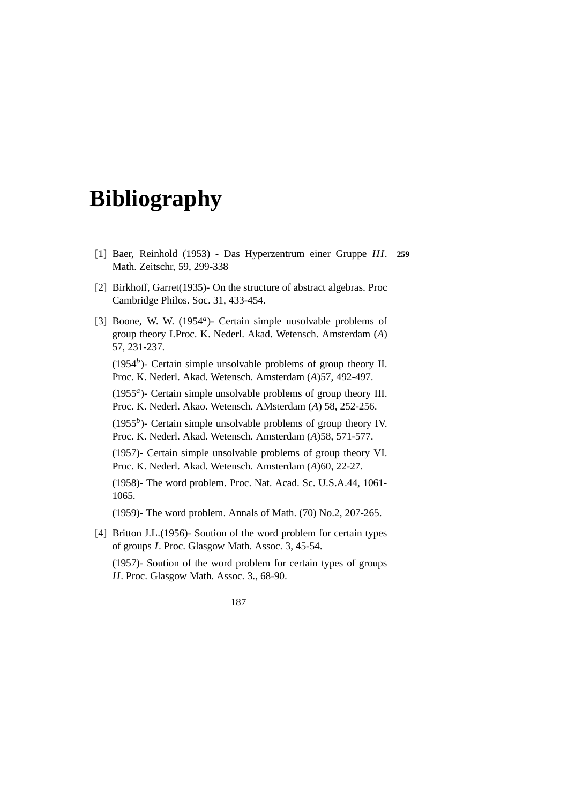# **Bibliography**

- [1] Baer, Reinhold (1953) Das Hyperzentrum einer Gruppe *III*. **259** Math. Zeitschr, 59, 299-338
- [2] Birkhoff, Garret(1935)- On the structure of abstract algebras. Proc Cambridge Philos. Soc. 31, 433-454.
- [3] Boone, W. W. (1954<sup>a</sup>) Certain simple uusolvable problems of group theory I.Proc. K. Nederl. Akad. Wetensch. Amsterdam (*A*) 57, 231-237.

(1954*<sup>b</sup>* )- Certain simple unsolvable problems of group theory II. Proc. K. Nederl. Akad. Wetensch. Amsterdam (*A*)57, 492-497.

(1955*<sup>a</sup>* )- Certain simple unsolvable problems of group theory III. Proc. K. Nederl. Akao. Wetensch. AMsterdam (*A*) 58, 252-256.

 $(1955<sup>b</sup>)$ - Certain simple unsolvable problems of group theory IV. Proc. K. Nederl. Akad. Wetensch. Amsterdam (*A*)58, 571-577.

(1957)- Certain simple unsolvable problems of group theory VI. Proc. K. Nederl. Akad. Wetensch. Amsterdam (*A*)60, 22-27.

(1958)- The word problem. Proc. Nat. Acad. Sc. U.S.A.44, 1061- 1065.

(1959)- The word problem. Annals of Math. (70) No.2, 207-265.

[4] Britton J.L.(1956)- Soution of the word problem for certain types of groups *I*. Proc. Glasgow Math. Assoc. 3, 45-54.

(1957)- Soution of the word problem for certain types of groups *II*. Proc. Glasgow Math. Assoc. 3., 68-90.

187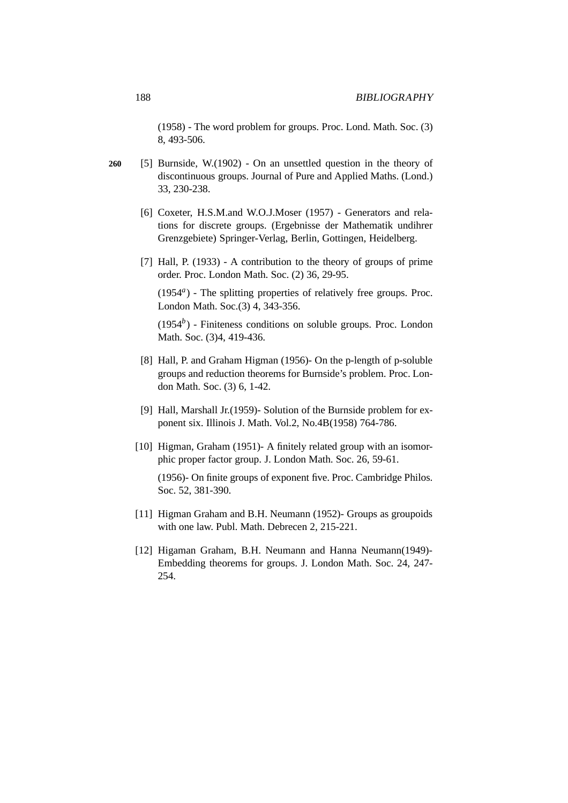(1958) - The word problem for groups. Proc. Lond. Math. Soc. (3) 8, 493-506.

- **260** [5] Burnside, W.(1902) On an unsettled question in the theory of discontinuous groups. Journal of Pure and Applied Maths. (Lond.) 33, 230-238.
	- [6] Coxeter, H.S.M.and W.O.J.Moser (1957) Generators and relations for discrete groups. (Ergebnisse der Mathematik undihrer Grenzgebiete) Springer-Verlag, Berlin, Gottingen, Heidelberg.
	- [7] Hall, P. (1933) A contribution to the theory of groups of prime order. Proc. London Math. Soc. (2) 36, 29-95.

(1954*<sup>a</sup>* ) - The splitting properties of relatively free groups. Proc. London Math. Soc.(3) 4, 343-356.

(1954*<sup>b</sup>* ) - Finiteness conditions on soluble groups. Proc. London Math. Soc. (3)4, 419-436.

- [8] Hall, P. and Graham Higman (1956)- On the p-length of p-soluble groups and reduction theorems for Burnside's problem. Proc. London Math. Soc. (3) 6, 1-42.
- [9] Hall, Marshall Jr.(1959)- Solution of the Burnside problem for exponent six. Illinois J. Math. Vol.2, No.4B(1958) 764-786.
- [10] Higman, Graham (1951)- A finitely related group with an isomorphic proper factor group. J. London Math. Soc. 26, 59-61.

(1956)- On finite groups of exponent five. Proc. Cambridge Philos. Soc. 52, 381-390.

- [11] Higman Graham and B.H. Neumann (1952)- Groups as groupoids with one law. Publ. Math. Debrecen 2, 215-221.
- [12] Higaman Graham, B.H. Neumann and Hanna Neumann(1949)- Embedding theorems for groups. J. London Math. Soc. 24, 247- 254.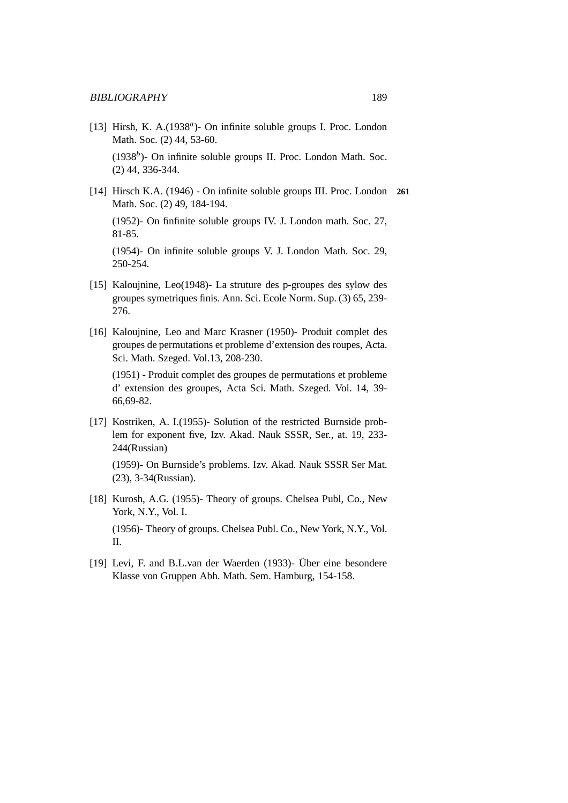- [13] Hirsh, K. A.(1938<sup>a</sup>) On infinite soluble groups I. Proc. London Math. Soc. (2) 44, 53-60. (1938<sup>b</sup>)- On infinite soluble groups II. Proc. London Math. Soc. (2) 44, 336-344.
- [14] Hirsch K.A. (1946) On infinite soluble groups III. Proc. London **261** Math. Soc. (2) 49, 184-194.

(1952)- On finfinite soluble groups IV. J. London math. Soc. 27, 81-85.

(1954)- On infinite soluble groups V. J. London Math. Soc. 29, 250-254.

- [15] Kaloujnine, Leo(1948)- La struture des p-groupes des sylow des groupes symetriques finis. Ann. Sci. Ecole Norm. Sup. (3) 65, 239- 276.
- [16] Kaloujnine, Leo and Marc Krasner (1950)- Produit complet des groupes de permutations et probleme d'extension des roupes, Acta. Sci. Math. Szeged. Vol.13, 208-230.

(1951) - Produit complet des groupes de permutations et probleme d' extension des groupes, Acta Sci. Math. Szeged. Vol. 14, 39- 66,69-82.

[17] Kostriken, A. I.(1955)- Solution of the restricted Burnside problem for exponent five, Izv. Akad. Nauk SSSR, Ser., at. 19, 233- 244(Russian)

(1959)- On Burnside's problems. Izv. Akad. Nauk SSSR Ser Mat. (23), 3-34(Russian).

- [18] Kurosh, A.G. (1955)- Theory of groups. Chelsea Publ, Co., New York, N.Y., Vol. I. (1956)- Theory of groups. Chelsea Publ. Co., New York, N.Y., Vol. II.
- [19] Levi, F. and B.L.van der Waerden (1933)- Über eine besondere Klasse von Gruppen Abh. Math. Sem. Hamburg, 154-158.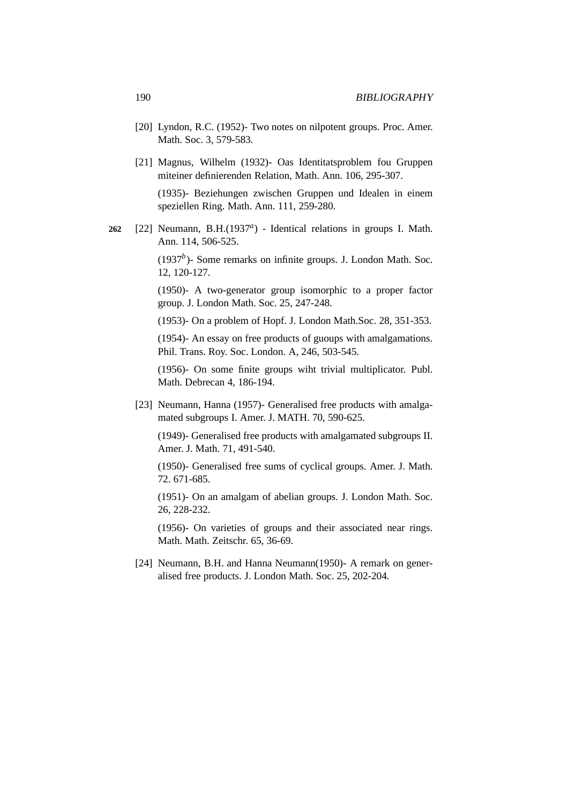- [20] Lyndon, R.C. (1952)- Two notes on nilpotent groups. Proc. Amer. Math. Soc. 3, 579-583.
- [21] Magnus, Wilhelm (1932)- Oas Identitatsproblem fou Gruppen miteiner definierenden Relation, Math. Ann. 106, 295-307.

(1935)- Beziehungen zwischen Gruppen und Idealen in einem speziellen Ring. Math. Ann. 111, 259-280.

262 [22] Neumann, B.H.(1937<sup>*a*</sup>) - Identical relations in groups I. Math. Ann. 114, 506-525.

> (1937*<sup>b</sup>* )- Some remarks on infinite groups. J. London Math. Soc. 12, 120-127.

> (1950)- A two-generator group isomorphic to a proper factor group. J. London Math. Soc. 25, 247-248.

> (1953)- On a problem of Hopf. J. London Math.Soc. 28, 351-353.

(1954)- An essay on free products of guoups with amalgamations. Phil. Trans. Roy. Soc. London. A, 246, 503-545.

(1956)- On some finite groups wiht trivial multiplicator. Publ. Math. Debrecan 4, 186-194.

[23] Neumann, Hanna (1957)- Generalised free products with amalgamated subgroups I. Amer. J. MATH. 70, 590-625.

(1949)- Generalised free products with amalgamated subgroups II. Amer. J. Math. 71, 491-540.

(1950)- Generalised free sums of cyclical groups. Amer. J. Math. 72. 671-685.

(1951)- On an amalgam of abelian groups. J. London Math. Soc. 26, 228-232.

(1956)- On varieties of groups and their associated near rings. Math. Math. Zeitschr. 65, 36-69.

[24] Neumann, B.H. and Hanna Neumann(1950)- A remark on generalised free products. J. London Math. Soc. 25, 202-204.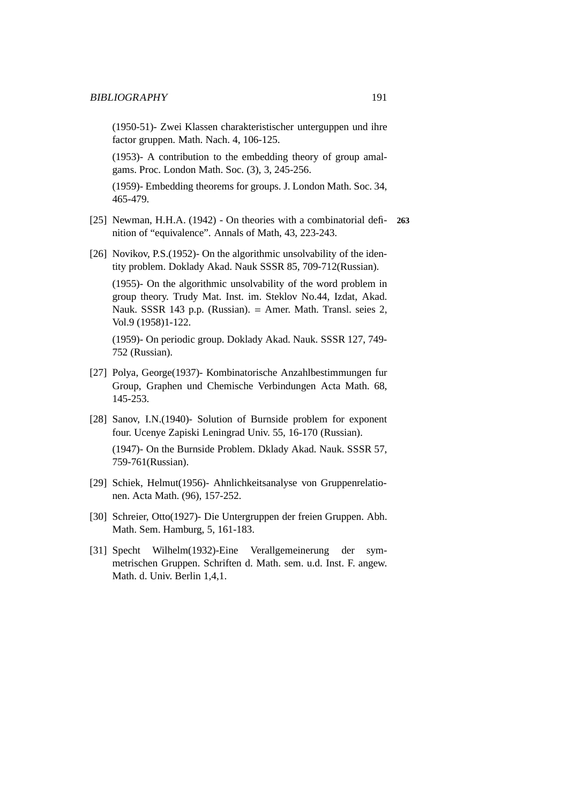(1950-51)- Zwei Klassen charakteristischer unterguppen und ihre factor gruppen. Math. Nach. 4, 106-125.

(1953)- A contribution to the embedding theory of group amalgams. Proc. London Math. Soc. (3), 3, 245-256.

(1959)- Embedding theorems for groups. J. London Math. Soc. 34, 465-479.

- [25] Newman, H.H.A. (1942) On theories with a combinatorial defi- **263** nition of "equivalence". Annals of Math, 43, 223-243.
- [26] Novikov, P.S. (1952)- On the algorithmic unsolvability of the identity problem. Doklady Akad. Nauk SSSR 85, 709-712(Russian).

(1955)- On the algorithmic unsolvability of the word problem in group theory. Trudy Mat. Inst. im. Steklov No.44, Izdat, Akad. Nauk. SSSR 143 p.p. (Russian). = Amer. Math. Transl. seies 2, Vol.9 (1958)1-122.

(1959)- On periodic group. Doklady Akad. Nauk. SSSR 127, 749- 752 (Russian).

- [27] Polya, George(1937)- Kombinatorische Anzahlbestimmungen fur Group, Graphen und Chemische Verbindungen Acta Math. 68, 145-253.
- [28] Sanov, I.N.(1940)- Solution of Burnside problem for exponent four. Ucenye Zapiski Leningrad Univ. 55, 16-170 (Russian).

(1947)- On the Burnside Problem. Dklady Akad. Nauk. SSSR 57, 759-761(Russian).

- [29] Schiek, Helmut(1956)- Ahnlichkeitsanalyse von Gruppenrelationen. Acta Math. (96), 157-252.
- [30] Schreier, Otto(1927)- Die Untergruppen der freien Gruppen. Abh. Math. Sem. Hamburg, 5, 161-183.
- [31] Specht Wilhelm(1932)-Eine Verallgemeinerung der symmetrischen Gruppen. Schriften d. Math. sem. u.d. Inst. F. angew. Math. d. Univ. Berlin 1,4,1.